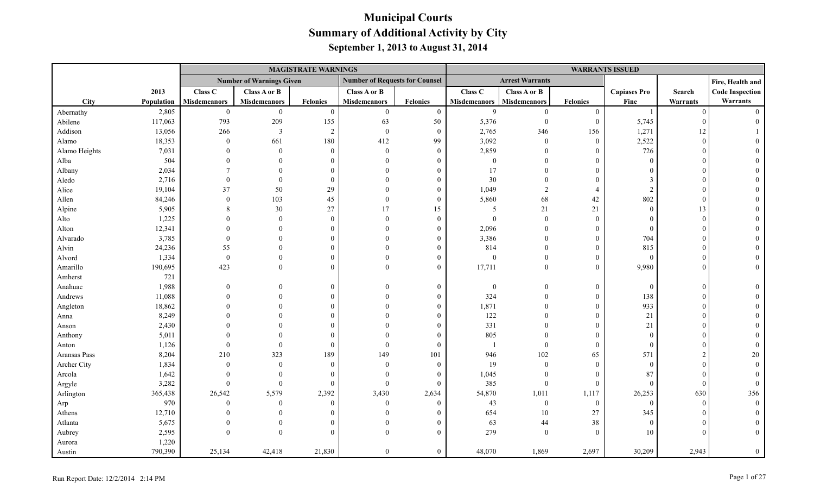|               |            |                     |                                 | <b>MAGISTRATE WARNINGS</b> |                                       |                  |                     |                        |                  | <b>WARRANTS ISSUED</b> |          |                        |
|---------------|------------|---------------------|---------------------------------|----------------------------|---------------------------------------|------------------|---------------------|------------------------|------------------|------------------------|----------|------------------------|
|               |            |                     | <b>Number of Warnings Given</b> |                            | <b>Number of Requests for Counsel</b> |                  |                     | <b>Arrest Warrants</b> |                  |                        |          | Fire, Health and       |
|               | 2013       | Class C             | Class A or B                    |                            | Class A or B                          |                  | Class C             | Class A or B           |                  | <b>Capiases Pro</b>    | Search   | <b>Code Inspection</b> |
| City          | Population | <b>Misdemeanors</b> | <b>Misdemeanors</b>             | <b>Felonies</b>            | <b>Misdemeanors</b>                   | <b>Felonies</b>  | <b>Misdemeanors</b> | <b>Misdemeanors</b>    | <b>Felonies</b>  | Fine                   | Warrants | Warrants               |
| Abernathy     | 2,805      | $\boldsymbol{0}$    | $\mathbf{0}$                    | $\theta$                   | $\boldsymbol{0}$                      | $\boldsymbol{0}$ | 9                   | $\mathbf{0}$           | $\boldsymbol{0}$ | - 1                    | $\Omega$ | $\Omega$               |
| Abilene       | 117,063    | 793                 | 209                             | 155                        | 63                                    | 50               | 5,376               | $\mathbf{0}$           | $\mathbf{0}$     | 5,745                  |          |                        |
| Addison       | 13,056     | 266                 | 3                               | 2                          | $\boldsymbol{0}$                      | $\bf{0}$         | 2,765               | 346                    | 156              | 1,271                  | 12       |                        |
| Alamo         | 18,353     | $\bf{0}$            | 661                             | 180                        | 412                                   | 99               | 3,092               | $\overline{0}$         | $\boldsymbol{0}$ | 2,522                  | $\Omega$ |                        |
| Alamo Heights | 7,031      |                     | $\Omega$                        | $\Omega$                   | $\mathbf{0}$                          | $\overline{0}$   | 2,859               | $\Omega$               | $\mathbf{0}$     | 726                    |          |                        |
| Alba          | 504        |                     |                                 |                            | $\Omega$                              | 0                | $\boldsymbol{0}$    | $\Omega$               | $\theta$         | $\Omega$               |          |                        |
| Albany        | 2,034      |                     |                                 |                            |                                       | $\Omega$         | 17                  | $\Omega$               | $\theta$         | $\Omega$               |          |                        |
| Aledo         | 2,716      | $\Omega$            | $\Omega$                        | $\Omega$                   | $\Omega$                              | $\Omega$         | 30                  | $\Omega$               | $\Omega$         | $\mathcal{E}$          |          |                        |
| Alice         | 19,104     | 37                  | 50                              | 29                         | $\Omega$                              | $\theta$         | 1,049               | 2                      | $\overline{4}$   | $\mathcal{D}$          |          |                        |
| Allen         | 84,246     | $\Omega$            | 103                             | 45                         | $\Omega$                              | $\overline{0}$   | 5,860               | 68                     | $42\,$           | 802                    |          |                        |
| Alpine        | 5,905      |                     | 30                              | 27                         | 17                                    | 15               | 5                   | 21                     | 21               | $\theta$               | 13       |                        |
| Alto          | 1,225      |                     | $\theta$                        | $\Omega$                   | $\theta$                              | $\overline{0}$   | $\mathbf{0}$        | $\mathbf{0}$           | $\mathbf{0}$     | $\Omega$               | $\Omega$ |                        |
| Alton         | 12,341     |                     |                                 |                            | $\Omega$                              | $\Omega$         | 2,096               | $\theta$               | $\overline{0}$   | $\overline{0}$         |          |                        |
| Alvarado      | 3,785      | $\Omega$            |                                 |                            | $\Omega$                              | $\theta$         | 3,386               | $\Omega$               | $\theta$         | 704                    |          |                        |
| Alvin         | 24,236     | 55                  |                                 |                            |                                       | $\theta$         | 814                 | $\Omega$               | $\overline{0}$   | 815                    |          |                        |
| Alvord        | 1,334      | $\boldsymbol{0}$    |                                 |                            |                                       | $\theta$         | $\boldsymbol{0}$    | $\theta$               | $\mathbf{0}$     | $\overline{0}$         |          |                        |
| Amarillo      | 190,695    | 423                 | $\Omega$                        | $\Omega$                   | $\Omega$                              | $\Omega$         | 17,711              | $\Omega$               | $\theta$         | 9,980                  |          |                        |
| Amherst       | 721        |                     |                                 |                            |                                       |                  |                     |                        |                  |                        |          |                        |
| Anahuac       | 1,988      | $\Omega$            |                                 | $\Omega$                   | $\Omega$                              | $\theta$         | $\boldsymbol{0}$    | $\overline{0}$         | $\mathbf{0}$     | $\overline{0}$         | $\Omega$ |                        |
| Andrews       | 11,088     |                     |                                 | $\Omega$                   | $\Omega$                              | $\Omega$         | 324                 | $\Omega$               | $\overline{0}$   | 138                    |          |                        |
| Angleton      | 18,862     |                     |                                 |                            | $\Omega$                              | $\Omega$         | 1,871               | $\overline{0}$         | $\overline{0}$   | 933                    |          |                        |
| Anna          | 8,249      |                     |                                 |                            |                                       | 0                | 122                 | $\theta$               | $\boldsymbol{0}$ | 21                     |          |                        |
| Anson         | 2,430      |                     |                                 |                            |                                       | $\Omega$         | 331                 | $\theta$               | $\theta$         | 21                     |          |                        |
| Anthony       | 5,011      |                     |                                 |                            |                                       | $\theta$         | 805                 | $\Omega$               | $\theta$         | $\Omega$               |          |                        |
| Anton         | 1,126      | $\theta$            | $\theta$                        | $\Omega$                   | $\theta$                              | $\theta$         |                     | $\mathbf{0}$           | $\theta$         | $\Omega$               |          |                        |
| Aransas Pass  | 8,204      | 210                 | 323                             | 189                        | 149                                   | 101              | 946                 | 102                    | 65               | 571                    |          | 20                     |
| Archer City   | 1,834      | $\mathbf{0}$        | $\theta$                        | $\Omega$                   | $\mathbf{0}$                          | $\overline{0}$   | 19                  | $\mathbf{0}$           | $\overline{0}$   | $\overline{0}$         |          |                        |
| Arcola        | 1,642      |                     | $\theta$                        | $\Omega$                   | $\theta$                              | $\theta$         | 1,045               | $\mathbf{0}$           | $\mathbf{0}$     | 87                     |          |                        |
| Argyle        | 3,282      | $\Omega$            | $\Omega$                        | $\Omega$                   | $\theta$                              | $\theta$         | 385                 | $\boldsymbol{0}$       | $\mathbf{0}$     | $\Omega$               |          | $\Omega$               |
| Arlington     | 365,438    | 26,542              | 5,579                           | 2,392                      | 3,430                                 | 2,634            | 54,870              | 1,011                  | 1,117            | 26,253                 | 630      | 356                    |
| Arp           | 970        | $\theta$            | $\theta$                        | $\Omega$                   | $\mathbf{0}$                          | $\theta$         | 43                  | $\bf{0}$               | $\mathbf{0}$     | $\Omega$               | $\Omega$ |                        |
| Athens        | 12,710     |                     | $\Omega$                        |                            | $\Omega$                              | $\Omega$         | 654                 | $10\,$                 | $27\,$           | 345                    |          |                        |
| Atlanta       | 5,675      |                     | $\Omega$                        |                            | $\Omega$                              | $\theta$         | 63                  | 44                     | 38               | $\theta$               |          |                        |
| Aubrey        | 2,595      | $\Omega$            | $\Omega$                        |                            | $\Omega$                              | $\theta$         | 279                 | $\mathbf{0}$           | $\mathbf{0}$     | 10                     |          |                        |
| Aurora        | 1,220      |                     |                                 |                            |                                       |                  |                     |                        |                  |                        |          |                        |
| Austin        | 790,390    | 25,134              | 42,418                          | 21,830                     | $\theta$                              | $\boldsymbol{0}$ | 48,070              | 1,869                  | 2,697            | 30,209                 | 2,943    | $\overline{0}$         |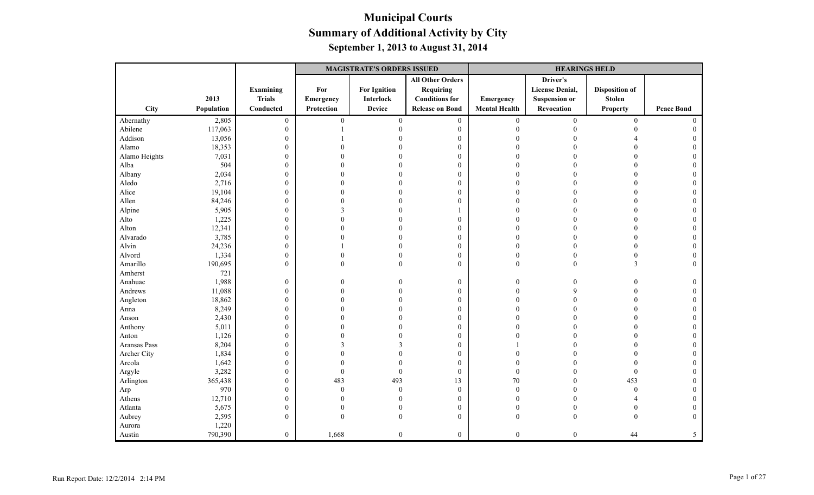|               |            |                            | <b>MAGISTRATE'S ORDERS ISSUED</b> |                                  |                                                                      |                      | <b>HEARINGS HELD</b>                                       |                                        |                   |  |
|---------------|------------|----------------------------|-----------------------------------|----------------------------------|----------------------------------------------------------------------|----------------------|------------------------------------------------------------|----------------------------------------|-------------------|--|
|               | 2013       | Examining<br><b>Trials</b> | For<br>Emergency                  | <b>For Ignition</b><br>Interlock | <b>All Other Orders</b><br><b>Requiring</b><br><b>Conditions for</b> | Emergency            | Driver's<br><b>License Denial,</b><br><b>Suspension or</b> | <b>Disposition of</b><br><b>Stolen</b> |                   |  |
| <b>City</b>   | Population | Conducted                  | Protection                        | <b>Device</b>                    | <b>Release on Bond</b>                                               | <b>Mental Health</b> | Revocation                                                 | <b>Property</b>                        | <b>Peace Bond</b> |  |
| Abernathy     | 2,805      | $\boldsymbol{0}$           | $\boldsymbol{0}$                  | $\mathbf{0}$                     | $\mathbf{0}$                                                         | $\mathbf{0}$         | $\boldsymbol{0}$                                           | $\boldsymbol{0}$                       | $\theta$          |  |
| Abilene       | 117,063    | $\boldsymbol{0}$           |                                   |                                  | $\bf{0}$                                                             | $\theta$             | 0                                                          | $\Omega$                               | $\Omega$          |  |
| Addison       | 13,056     | $\boldsymbol{0}$           |                                   |                                  | $\boldsymbol{0}$                                                     |                      |                                                            |                                        |                   |  |
| Alamo         | 18,353     | $\boldsymbol{0}$           |                                   |                                  | $\boldsymbol{0}$                                                     |                      |                                                            |                                        |                   |  |
| Alamo Heights | 7,031      | $\boldsymbol{0}$           |                                   |                                  | $\boldsymbol{0}$                                                     | $\Omega$             |                                                            |                                        |                   |  |
| Alba          | 504        | $\boldsymbol{0}$           |                                   |                                  | $\mathbf{0}$                                                         | 0                    |                                                            |                                        |                   |  |
| Albany        | 2,034      | $\boldsymbol{0}$           |                                   |                                  | $\boldsymbol{0}$                                                     | 0                    |                                                            |                                        |                   |  |
| Aledo         | 2,716      | $\boldsymbol{0}$           | $\Omega$                          |                                  | $\boldsymbol{0}$                                                     | $\sqrt{ }$           |                                                            |                                        |                   |  |
| Alice         | 19,104     | $\boldsymbol{0}$           | $\Omega$                          |                                  | $\mathbf{0}$                                                         | $\Omega$             |                                                            | $\Omega$                               | $\Omega$          |  |
| Allen         | 84,246     | $\boldsymbol{0}$           | $\Omega$                          |                                  | $\mathbf{0}$                                                         | O                    |                                                            | $\Omega$                               |                   |  |
| Alpine        | 5,905      | $\boldsymbol{0}$           | 3                                 |                                  |                                                                      |                      |                                                            | $\Omega$                               |                   |  |
| Alto          | 1,225      | $\boldsymbol{0}$           | $\Omega$                          |                                  | $\boldsymbol{0}$                                                     |                      |                                                            |                                        |                   |  |
| Alton         | 12,341     | $\boldsymbol{0}$           | $\Omega$                          |                                  | $\mathbf{0}$                                                         | $\Omega$             |                                                            | $\Omega$                               | $\Omega$          |  |
| Alvarado      | 3,785      | $\mathbf{0}$               | 0                                 |                                  | $\mathbf{0}$                                                         | O                    |                                                            | $\Omega$                               |                   |  |
| Alvin         | 24,236     | $\boldsymbol{0}$           |                                   |                                  | $\boldsymbol{0}$                                                     | $\Omega$             |                                                            | $\theta$                               | $\Omega$          |  |
| Alvord        | 1,334      | $\boldsymbol{0}$           | $\theta$                          |                                  | $\boldsymbol{0}$                                                     | $\theta$             |                                                            | $\Omega$                               |                   |  |
| Amarillo      | 190,695    | $\boldsymbol{0}$           | $\theta$                          |                                  | $\mathbf{0}$                                                         | $\mathbf{0}$         | $\theta$                                                   | $\overline{\mathbf{3}}$                | $\Omega$          |  |
| Amherst       | 721        |                            |                                   |                                  |                                                                      |                      |                                                            |                                        |                   |  |
| Anahuac       | 1,988      | $\boldsymbol{0}$           | 0                                 |                                  | $\bf{0}$                                                             | $\Omega$             | 0                                                          | $\Omega$                               | 0                 |  |
| Andrews       | 11,088     | $\boldsymbol{0}$           | $\theta$                          |                                  | $\boldsymbol{0}$                                                     | $\theta$             |                                                            |                                        | $\theta$          |  |
| Angleton      | 18,862     | $\boldsymbol{0}$           |                                   |                                  | $\boldsymbol{0}$                                                     | 0                    |                                                            |                                        |                   |  |
| Anna          | 8,249      | $\boldsymbol{0}$           | $\Omega$                          |                                  | $\mathbf{0}$                                                         | $\Omega$             |                                                            | $\Omega$                               | $\Omega$          |  |
| Anson         | 2,430      | $\boldsymbol{0}$           |                                   |                                  | $\boldsymbol{0}$                                                     | O                    |                                                            |                                        |                   |  |
| Anthony       | 5,011      | $\boldsymbol{0}$           | $\theta$                          |                                  | $\boldsymbol{0}$                                                     | $\Omega$             |                                                            | $\Omega$                               | $\theta$          |  |
| Anton         | 1,126      | $\boldsymbol{0}$           |                                   |                                  | $\mathbf{0}$                                                         | 0                    |                                                            |                                        |                   |  |
| Aransas Pass  | 8,204      | $\boldsymbol{0}$           | 3                                 |                                  | $\mathbf{0}$                                                         |                      |                                                            |                                        |                   |  |
| Archer City   | 1,834      | $\boldsymbol{0}$           |                                   |                                  | $\boldsymbol{0}$                                                     | O                    |                                                            |                                        |                   |  |
| Arcola        | 1,642      | $\boldsymbol{0}$           | $\Omega$                          |                                  | $\mathbf{0}$                                                         | $\Omega$             |                                                            | $\Omega$                               |                   |  |
| Argyle        | 3,282      | $\boldsymbol{0}$           | $\mathbf{0}$                      | $\theta$                         | $\boldsymbol{0}$                                                     | $\boldsymbol{0}$     |                                                            | $\theta$                               |                   |  |
| Arlington     | 365,438    | $\boldsymbol{0}$           | 483                               | 493                              | 13                                                                   | 70                   |                                                            | 453                                    |                   |  |
| Arp           | 970        | $\boldsymbol{0}$           | $\mathbf{0}$                      | $\mathbf{0}$                     | $\boldsymbol{0}$                                                     | $\theta$             |                                                            | $\theta$                               | $\Omega$          |  |
| Athens        | 12,710     | $\boldsymbol{0}$           | $\Omega$                          |                                  | $\boldsymbol{0}$                                                     | $\Omega$             |                                                            |                                        | $\Omega$          |  |
| Atlanta       | 5,675      | $\boldsymbol{0}$           | $\theta$                          |                                  | $\boldsymbol{0}$                                                     | $\Omega$             |                                                            |                                        | $\theta$          |  |
| Aubrey        | 2,595      | $\mathbf{0}$               | $\theta$                          |                                  | $\mathbf{0}$                                                         | $\mathbf{0}$         | 0                                                          |                                        | $\Omega$          |  |
| Aurora        | 1,220      |                            |                                   |                                  |                                                                      |                      |                                                            |                                        |                   |  |
| Austin        | 790,390    | $\overline{0}$             | 1,668                             | $\boldsymbol{0}$                 | $\mathbf{0}$                                                         | $\mathbf{0}$         | $\boldsymbol{0}$                                           | 44                                     | 5                 |  |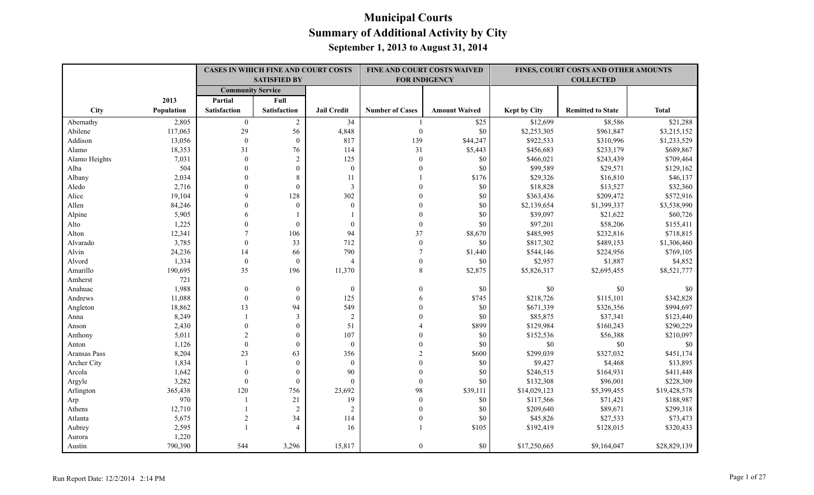|               |            | <b>CASES IN WHICH FINE AND COURT COSTS</b><br><b>SATISFIED BY</b> |                  |                    |                        | FINE AND COURT COSTS WAIVED<br><b>FOR INDIGENCY</b> |              | FINES, COURT COSTS AND OTHER AMOUNTS<br><b>COLLECTED</b> |              |
|---------------|------------|-------------------------------------------------------------------|------------------|--------------------|------------------------|-----------------------------------------------------|--------------|----------------------------------------------------------|--------------|
|               |            | <b>Community Service</b>                                          |                  |                    |                        |                                                     |              |                                                          |              |
|               | 2013       | Partial                                                           | Full             |                    |                        |                                                     |              |                                                          |              |
| City          | Population | <b>Satisfaction</b>                                               | Satisfaction     | <b>Jail Credit</b> | <b>Number of Cases</b> | <b>Amount Waived</b>                                | Kept by City | <b>Remitted to State</b>                                 | <b>Total</b> |
| Abernathy     | 2,805      | $\overline{0}$                                                    | 2                | 34                 |                        | \$25                                                | \$12,699     | \$8,586                                                  | \$21,288     |
| Abilene       | 117,063    | 29                                                                | 56               | 4,848              | $\boldsymbol{0}$       | \$0                                                 | \$2,253,305  | \$961,847                                                | \$3,215,152  |
| Addison       | 13,056     | $\theta$                                                          | $\mathbf{0}$     | 817                | 139                    | \$44,247                                            | \$922,533    | \$310,996                                                | \$1,233,529  |
| Alamo         | 18,353     | 31                                                                | 76               | 114                | 31                     | \$5,443                                             | \$456,683    | \$233,179                                                | \$689,867    |
| Alamo Heights | 7,031      | $\Omega$                                                          | $\sqrt{2}$       | 125                | $\theta$               | \$0                                                 | \$466,021    | \$243,439                                                | \$709,464    |
| Alba          | 504        | $\theta$                                                          | $\boldsymbol{0}$ | $\mathbf{0}$       |                        | \$0                                                 | \$99,589     | \$29,571                                                 | \$129,162    |
| Albany        | 2,034      | $\Omega$                                                          | $\,8\,$          | 11                 |                        | \$176                                               | \$29,326     | \$16,810                                                 | \$46,137     |
| Aledo         | 2,716      | $\Omega$                                                          | $\theta$         | $\mathfrak{Z}$     |                        | \$0                                                 | \$18,828     | \$13,527                                                 | \$32,360     |
| Alice         | 19,104     | 9                                                                 | 128              | 302                |                        | \$0                                                 | \$363,436    | \$209,472                                                | \$572,916    |
| Allen         | 84,246     | $\theta$                                                          | $\Omega$         | $\boldsymbol{0}$   |                        | \$0                                                 | \$2,139,654  | \$1,399,337                                              | \$3,538,990  |
| Alpine        | 5,905      | 6                                                                 |                  |                    |                        | \$0                                                 | \$39,097     | \$21,622                                                 | \$60,726     |
| Alto          | 1,225      | $\theta$                                                          | $\mathbf{0}$     | $\overline{0}$     |                        | \$0                                                 | \$97,201     | \$58,206                                                 | \$155,411    |
| Alton         | 12,341     |                                                                   | 106              | 94                 | 37                     | \$8,670                                             | \$485,995    | \$232,816                                                | \$718,815    |
| Alvarado      | 3,785      | $\theta$                                                          | 33               | 712                | $\mathbf{0}$           | \$0                                                 | \$817,302    | \$489,153                                                | \$1,306,460  |
| Alvin         | 24,236     | 14                                                                | 66               | 790                | 7                      | \$1,440                                             | \$544,146    | \$224,956                                                | \$769,105    |
| Alvord        | 1,334      | $\mathbf{0}$                                                      | $\mathbf{0}$     | 4                  | $\theta$               | \$0                                                 | \$2,957      | \$1,887                                                  | \$4,852      |
| Amarillo      | 190,695    | 35                                                                | 196              | 11,370             | 8                      | \$2,875                                             | \$5,826,317  | \$2,695,455                                              | \$8,521,777  |
| Amherst       | 721        |                                                                   |                  |                    |                        |                                                     |              |                                                          |              |
| Anahuac       | 1,988      | $\mathbf{0}$                                                      | $\mathbf{0}$     | $\boldsymbol{0}$   |                        | \$0                                                 | \$0          | \$0                                                      | \$0          |
| Andrews       | 11,088     | $\mathbf{0}$                                                      | $\theta$         | 125                |                        | \$745                                               | \$218,726    | \$115,101                                                | \$342,828    |
| Angleton      | 18,862     | 13                                                                | 94               | 549                |                        | \$0                                                 | \$671,339    | \$326,356                                                | \$994,697    |
| Anna          | 8,249      |                                                                   | $\mathfrak{Z}$   | $\sqrt{2}$         |                        | \$0                                                 | \$85,875     | \$37,341                                                 | \$123,440    |
| Anson         | 2,430      | $\Omega$                                                          | $\mathbf{0}$     | 51                 |                        | \$899                                               | \$129,984    | \$160,243                                                | \$290,229    |
| Anthony       | 5,011      | $\sqrt{2}$                                                        | $\mathbf{0}$     | 107                |                        | \$0                                                 | \$152,536    | \$56,388                                                 | \$210,097    |
| Anton         | 1,126      | $\theta$                                                          | $\mathbf{0}$     | $\boldsymbol{0}$   |                        | \$0                                                 | \$0          | $\$0$                                                    | \$0          |
| Aransas Pass  | 8,204      | 23                                                                | 63               | 356                |                        | \$600                                               | \$299,039    | \$327,032                                                | \$451,174    |
| Archer City   | 1,834      |                                                                   | $\theta$         | $\mathbf{0}$       |                        | \$0                                                 | \$9,427      | \$4,468                                                  | \$13,895     |
| Arcola        | 1,642      | $\theta$                                                          | $\mathbf{0}$     | 90                 |                        | \$0                                                 | \$246,515    | \$164,931                                                | \$411,448    |
| Argyle        | 3,282      | $\mathbf{0}$                                                      | $\mathbf{0}$     | $\theta$           | $\theta$               | \$0                                                 | \$132,308    | \$96,001                                                 | \$228,309    |
| Arlington     | 365,438    | 120                                                               | 756              | 23,692             | 98                     | \$39,111                                            | \$14,029,123 | \$5,399,455                                              | \$19,428,578 |
| Arp           | 970        |                                                                   | 21               | 19                 | $\mathbf{0}$           | \$0                                                 | \$117,566    | \$71,421                                                 | \$188,987    |
| Athens        | 12,710     |                                                                   | $\overline{2}$   | $\sqrt{2}$         | $\theta$               | \$0                                                 | \$209,640    | \$89,671                                                 | \$299,318    |
| Atlanta       | 5,675      | $\overline{2}$                                                    | 34               | 114                |                        | \$0                                                 | \$45,826     | \$27,533                                                 | \$73,473     |
| Aubrey        | 2,595      |                                                                   | $\overline{4}$   | 16                 |                        | \$105                                               | \$192,419    | \$128,015                                                | \$320,433    |
| Aurora        | 1,220      |                                                                   |                  |                    |                        |                                                     |              |                                                          |              |
| Austin        | 790,390    | 544                                                               | 3,296            | 15,817             | $\theta$               | \$0                                                 | \$17,250,665 | \$9,164,047                                              | \$28,829,139 |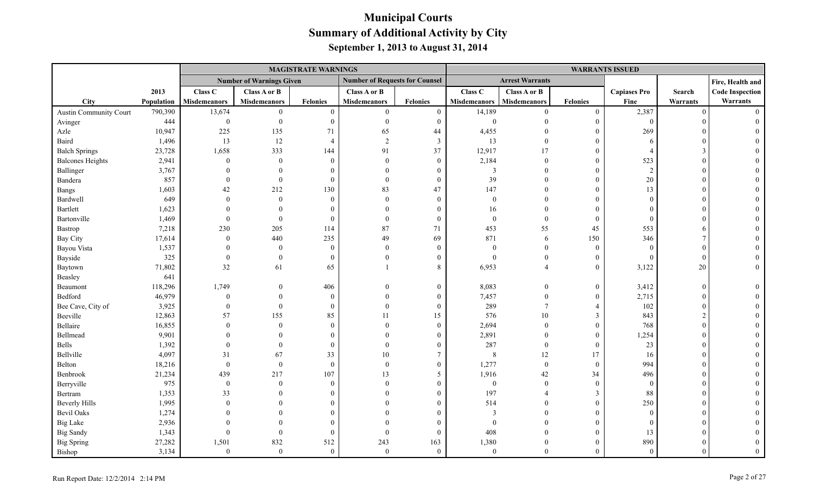|                         |            |                     |                                 | <b>MAGISTRATE WARNINGS</b> |                                       |                  |                     |                        |                  | <b>WARRANTS ISSUED</b> |          |                        |
|-------------------------|------------|---------------------|---------------------------------|----------------------------|---------------------------------------|------------------|---------------------|------------------------|------------------|------------------------|----------|------------------------|
|                         |            |                     | <b>Number of Warnings Given</b> |                            | <b>Number of Requests for Counsel</b> |                  |                     | <b>Arrest Warrants</b> |                  |                        |          | Fire, Health and       |
|                         | 2013       | Class C             | Class A or B                    |                            | Class A or B                          |                  | Class C             | Class A or B           |                  | <b>Capiases Pro</b>    | Search   | <b>Code Inspection</b> |
| City                    | Population | <b>Misdemeanors</b> | <b>Misdemeanors</b>             | <b>Felonies</b>            | <b>Misdemeanors</b>                   | <b>Felonies</b>  | <b>Misdemeanors</b> | <b>Misdemeanors</b>    | <b>Felonies</b>  | Fine                   | Warrants | Warrants               |
| Austin Community Court  | 790,390    | 13,674              | $\theta$                        | $\theta$                   | $\overline{0}$                        | $\boldsymbol{0}$ | 14,189              | $\theta$               | $\mathbf{0}$     | 2,387                  | $\Omega$ | $\Omega$               |
| Avinger                 | 444        | $\boldsymbol{0}$    | $\Omega$                        | $\theta$                   | $\mathbf{0}$                          | $\overline{0}$   | $\boldsymbol{0}$    | $\Omega$               | $\mathbf{0}$     | $\mathbf{0}$           |          |                        |
| Azle                    | 10,947     | 225                 | 135                             | 71                         | 65                                    | 44               | 4,455               |                        | $\overline{0}$   | 269                    |          |                        |
| Baird                   | 1,496      | 13                  | 12                              | $\overline{A}$             | $\overline{2}$                        | $\mathbf{3}$     | 13                  | $\theta$               | $\boldsymbol{0}$ | -6                     |          |                        |
| <b>Balch Springs</b>    | 23,728     | 1,658               | 333                             | 144                        | 91                                    | 37               | 12,917              | 17                     | $\theta$         | $\overline{4}$         |          |                        |
| <b>Balcones Heights</b> | 2,941      | $\boldsymbol{0}$    | $\theta$                        | $\Omega$                   | $\theta$                              | $\overline{0}$   | 2,184               | $\mathbf{0}$           | $\overline{0}$   | 523                    |          |                        |
| Ballinger               | 3,767      |                     |                                 |                            | $\Omega$                              | $\Omega$         | $\mathfrak{Z}$      | $\Omega$               | $\theta$         | $\overline{2}$         |          |                        |
| Bandera                 | 857        | $\Omega$            | $\Omega$                        | $\Omega$                   | $\Omega$                              | $\theta$         | 39                  | $\Omega$               | $\theta$         | 20                     |          |                        |
| Bangs                   | 1,603      | 42                  | 212                             | 130                        | 83                                    | 47               | 147                 | $\theta$               | $\overline{0}$   | 13                     |          |                        |
| Bardwell                | 649        | $\Omega$            | $\theta$                        | $\theta$                   | $\theta$                              | $\overline{0}$   | $\boldsymbol{0}$    | $\Omega$               | $\boldsymbol{0}$ | $\Omega$               |          |                        |
| Bartlett                | 1,623      |                     | $\Omega$                        | $\Omega$                   | $\Omega$                              | $\Omega$         | 16                  | $\Omega$               | $\theta$         | $\Omega$               |          |                        |
| Bartonville             | 1,469      | $\theta$            | $\theta$                        | $\Omega$                   | $\theta$                              | $\mathbf{0}$     | $\boldsymbol{0}$    | $\mathbf{0}$           | $\theta$         | $\theta$               |          |                        |
| Bastrop                 | 7,218      | 230                 | 205                             | 114                        | $87\,$                                | 71               | 453                 | 55                     | 45               | 553                    |          |                        |
| <b>Bay City</b>         | 17,614     | $\theta$            | 440                             | 235                        | 49                                    | 69               | 871                 | 6                      | 150              | 346                    |          |                        |
| Bayou Vista             | 1,537      |                     | $\theta$                        | $\theta$                   | $\theta$                              | $\overline{0}$   | $\boldsymbol{0}$    | $\overline{0}$         | $\overline{0}$   | $\Omega$               |          |                        |
| Bayside                 | 325        | $\Omega$            | $\theta$                        | $\Omega$                   | $\theta$                              | $\theta$         | $\theta$            | $\theta$               | $\boldsymbol{0}$ | $\overline{0}$         | $\Omega$ |                        |
| Baytown                 | 71,802     | 32                  | 61                              | 65                         |                                       | 8                | 6,953               | $\Delta$               | $\overline{0}$   | 3,122                  | 20       | $\Omega$               |
| Beasley                 | 641        |                     |                                 |                            |                                       |                  |                     |                        |                  |                        |          |                        |
| Beaumont                | 118,296    | 1,749               | $\theta$                        | 406                        | $\Omega$                              | $\overline{0}$   | 8,083               | $\overline{0}$         | $\mathbf{0}$     | 3,412                  | $\Omega$ |                        |
| Bedford                 | 46,979     | $\theta$            | $\Omega$                        | $\Omega$                   | $\Omega$                              | $\Omega$         | 7,457               | $\Omega$               | $\overline{0}$   | 2,715                  |          |                        |
| Bee Cave, City of       | 3,925      | $\overline{0}$      | $\theta$                        | $\Omega$                   | $\theta$                              | $\overline{0}$   | 289                 | $\overline{7}$         | $\overline{4}$   | 102                    |          |                        |
| Beeville                | 12,863     | 57                  | 155                             | 85                         | 11                                    | 15               | 576                 | $10\,$                 | $\mathfrak{Z}$   | 843                    |          |                        |
| Bellaire                | 16,855     | $\Omega$            | $\Omega$                        | $\Omega$                   | $\Omega$                              | $\mathbf{0}$     | 2,694               | $\boldsymbol{0}$       | $\mathbf{0}$     | 768                    |          |                        |
| Bellmead                | 9,901      |                     | $\Omega$                        |                            | $\Omega$                              | $\theta$         | 2,891               | $\Omega$               | $\overline{0}$   | 1,254                  |          |                        |
| Bells                   | 1,392      | $\Omega$            | $\theta$                        | $\Omega$                   | $\Omega$                              | $\theta$         | 287                 | $\overline{0}$         | $\overline{0}$   | 23                     |          |                        |
| Bellville               | 4,097      | 31                  | 67                              | 33                         | 10                                    | $\overline{7}$   | $\,8\,$             | 12                     | 17               | 16                     |          |                        |
| Belton                  | 18,216     | $\boldsymbol{0}$    | $\overline{0}$                  | $\theta$                   | $\theta$                              | $\overline{0}$   | 1,277               | $\overline{0}$         | $\overline{0}$   | 994                    |          |                        |
| Benbrook                | 21,234     | 439                 | 217                             | 107                        | 13                                    | 5                | 1,916               | 42                     | 34               | 496                    |          |                        |
| Berryville              | 975        | $\mathbf{0}$        | $\Omega$                        | $\Omega$                   | $\Omega$                              | $\Omega$         | $\boldsymbol{0}$    | $\theta$               | $\mathbf{0}$     | $\mathbf{0}$           |          |                        |
| Bertram                 | 1,353      | 33                  |                                 |                            |                                       | $\Omega$         | 197                 |                        | $\mathfrak{Z}$   | 88                     |          |                        |
| <b>Beverly Hills</b>    | 1,995      | $\Omega$            |                                 |                            |                                       | 0                | 514                 | $\Omega$               | $\theta$         | 250                    |          |                        |
| <b>Bevil Oaks</b>       | 1,274      |                     |                                 |                            |                                       |                  | 3                   | $\Omega$               | $\theta$         | $\Omega$               |          |                        |
| <b>Big Lake</b>         | 2,936      |                     |                                 |                            |                                       | $\Omega$         | $\Omega$            | $\Omega$               | $\theta$         | $\Omega$               |          |                        |
| <b>Big Sandy</b>        | 1,343      | $\Omega$            | $\Omega$                        | $\Omega$                   | $\theta$                              | $\overline{0}$   | 408                 | $\Omega$               | $\overline{0}$   | 13                     |          |                        |
| <b>Big Spring</b>       | 27,282     | 1,501               | 832                             | 512                        | 243                                   | 163              | 1,380               | $\theta$               | $\theta$         | 890                    |          |                        |
| Bishop                  | 3,134      | $\mathbf{0}$        | $\theta$                        | $\theta$                   | $\theta$                              | $\overline{0}$   | $\mathbf{0}$        | $\theta$               | $\theta$         | $\theta$               |          |                        |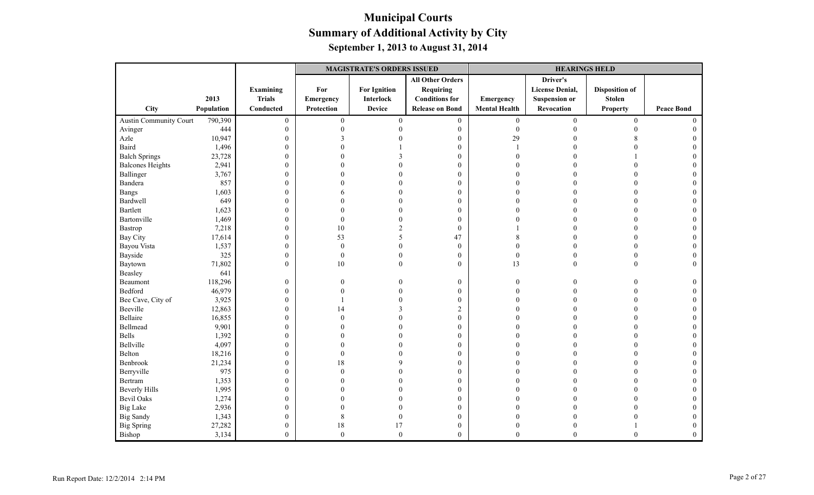|                         |            |                  | <b>MAGISTRATE'S ORDERS ISSUED</b> |                     |                         |                      | <b>HEARINGS HELD</b>   |                       |                   |
|-------------------------|------------|------------------|-----------------------------------|---------------------|-------------------------|----------------------|------------------------|-----------------------|-------------------|
|                         |            |                  |                                   |                     | <b>All Other Orders</b> |                      | Driver's               |                       |                   |
|                         |            | Examining        | For                               | <b>For Ignition</b> | <b>Requiring</b>        |                      | <b>License Denial,</b> | <b>Disposition of</b> |                   |
|                         | 2013       | <b>Trials</b>    | Emergency                         | Interlock           | <b>Conditions for</b>   | Emergency            | <b>Suspension or</b>   | <b>Stolen</b>         |                   |
| City                    | Population | Conducted        | Protection                        | <b>Device</b>       | <b>Release on Bond</b>  | <b>Mental Health</b> | Revocation             | <b>Property</b>       | <b>Peace Bond</b> |
| Austin Community Court  | 790,390    | $\boldsymbol{0}$ | $\boldsymbol{0}$                  | $\boldsymbol{0}$    | $\boldsymbol{0}$        | $\boldsymbol{0}$     | $\boldsymbol{0}$       | $\boldsymbol{0}$      | $\theta$          |
| Avinger                 | 444        | $\mathbf{0}$     | $\theta$                          |                     | $\overline{0}$          | $\boldsymbol{0}$     | $\Omega$               | $\Omega$              |                   |
| Azle                    | 10,947     | $\boldsymbol{0}$ | 3                                 |                     | $\boldsymbol{0}$        | 29                   |                        | 8                     |                   |
| Baird                   | 1,496      | $\boldsymbol{0}$ |                                   |                     | $\mathbf{0}$            |                      |                        |                       |                   |
| <b>Balch Springs</b>    | 23,728     | $\boldsymbol{0}$ |                                   |                     | $\boldsymbol{0}$        | $\sqrt{ }$           |                        |                       | $\Omega$          |
| <b>Balcones Heights</b> | 2,941      | $\boldsymbol{0}$ |                                   |                     | $\mathbf{0}$            | $\Omega$             |                        |                       |                   |
| Ballinger               | 3,767      | $\boldsymbol{0}$ |                                   |                     | $\mathbf{0}$            | $\Omega$             |                        | $\Omega$              | $\Omega$          |
| Bandera                 | 857        | $\boldsymbol{0}$ |                                   |                     | $\boldsymbol{0}$        | $\Omega$             |                        |                       |                   |
| <b>Bangs</b>            | 1,603      | $\boldsymbol{0}$ | 6                                 |                     | $\mathbf{0}$            | $\sqrt{ }$           |                        |                       |                   |
| Bardwell                | 649        | $\boldsymbol{0}$ |                                   |                     | $\mathbf{0}$            | $\Omega$             |                        | $\Omega$              |                   |
| <b>Bartlett</b>         | 1,623      | $\boldsymbol{0}$ |                                   |                     | $\mathbf{0}$            | $\Omega$             |                        | $\Omega$              |                   |
| Bartonville             | 1,469      | $\boldsymbol{0}$ | $\theta$                          |                     | $\mathbf{0}$            |                      |                        |                       |                   |
| Bastrop                 | 7,218      | $\boldsymbol{0}$ | 10                                |                     | $\mathbf{0}$            |                      |                        |                       |                   |
| Bay City                | 17,614     | $\boldsymbol{0}$ | 53                                |                     | 47                      |                      |                        | $\Omega$              | $\Omega$          |
| Bayou Vista             | 1,537      | $\boldsymbol{0}$ | $\theta$                          | $\theta$            | $\boldsymbol{0}$        | $\Omega$             |                        | $\Omega$              |                   |
| Bayside                 | 325        | $\boldsymbol{0}$ | $\overline{0}$                    | $\Omega$            | $\mathbf{0}$            | $\mathbf{0}$         |                        | $\theta$              | $\Omega$          |
| Baytown                 | 71,802     | $\boldsymbol{0}$ | $10\,$                            | $\mathbf{0}$        | $\mathbf{0}$            | 13                   | $\theta$               | $\theta$              | $\theta$          |
| Beasley                 | 641        |                  |                                   |                     |                         |                      |                        |                       |                   |
| Beaumont                | 118,296    | $\boldsymbol{0}$ | 0                                 |                     | $\boldsymbol{0}$        | $\overline{0}$       | $\Omega$               | $\Omega$              | $\Omega$          |
| Bedford                 | 46,979     | $\boldsymbol{0}$ |                                   |                     | $\mathbf{0}$            | $\Omega$             |                        | $\Omega$              | $\Omega$          |
| Bee Cave, City of       | 3,925      | $\boldsymbol{0}$ |                                   |                     | $\boldsymbol{0}$        | $\Omega$             |                        |                       |                   |
| Beeville                | 12,863     | $\boldsymbol{0}$ | 14                                |                     | $\overline{c}$          |                      |                        |                       |                   |
| Bellaire                | 16,855     | $\mathbf{0}$     | $\Omega$                          |                     | $\mathbf{0}$            | $\Omega$             |                        | $\Omega$              | $\Omega$          |
| Bellmead                | 9,901      | $\boldsymbol{0}$ |                                   |                     | $\boldsymbol{0}$        | $\Omega$             |                        | $\Omega$              |                   |
| Bells                   | 1,392      | $\boldsymbol{0}$ |                                   |                     | $\boldsymbol{0}$        | $\theta$             |                        | $\Omega$              | $\Omega$          |
| Bellville               | 4,097      | $\boldsymbol{0}$ | 0                                 |                     | $\boldsymbol{0}$        | $\theta$             |                        |                       |                   |
| Belton                  | 18,216     | $\boldsymbol{0}$ | $\Omega$                          |                     | $\mathbf{0}$            | $\Omega$             |                        | $\Omega$              |                   |
| Benbrook                | 21,234     | $\boldsymbol{0}$ | 18                                |                     | $\mathbf{0}$            | $\Omega$             |                        | $\Omega$              |                   |
| Berryville              | 975        | $\mathbf{0}$     | $\Omega$                          |                     | $\mathbf{0}$            | $\Omega$             |                        | $\Omega$              |                   |
| Bertram                 | 1,353      | $\boldsymbol{0}$ |                                   |                     | $\boldsymbol{0}$        |                      |                        |                       |                   |
| <b>Beverly Hills</b>    | 1,995      | $\boldsymbol{0}$ |                                   |                     | $\boldsymbol{0}$        |                      |                        |                       |                   |
| <b>Bevil Oaks</b>       | 1,274      | $\boldsymbol{0}$ |                                   |                     | $\mathbf{0}$            | $\Omega$             |                        | $\Omega$              | $\Omega$          |
| <b>Big Lake</b>         | 2,936      | $\boldsymbol{0}$ |                                   |                     | $\mathbf{0}$            | $\Omega$             |                        |                       |                   |
| <b>Big Sandy</b>        | 1,343      | $\boldsymbol{0}$ | 8                                 | $\mathbf{0}$        | $\boldsymbol{0}$        | $\theta$             |                        |                       |                   |
| <b>Big Spring</b>       | 27,282     | $\boldsymbol{0}$ | 18                                | 17                  | $\boldsymbol{0}$        | $\overline{0}$       |                        |                       | $\overline{0}$    |
| Bishop                  | 3,134      | $\overline{0}$   | $\mathbf{0}$                      | $\boldsymbol{0}$    | $\mathbf{0}$            | $\theta$             | $\theta$               | $\theta$              | $\overline{0}$    |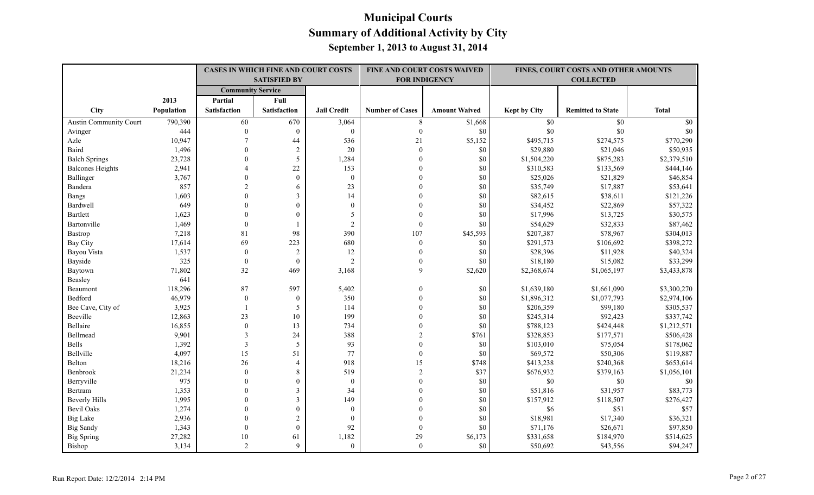|                         |            |                          | CASES IN WHICH FINE AND COURT COSTS |                    |                        | FINE AND COURT COSTS WAIVED |                     | FINES, COURT COSTS AND OTHER AMOUNTS |              |
|-------------------------|------------|--------------------------|-------------------------------------|--------------------|------------------------|-----------------------------|---------------------|--------------------------------------|--------------|
|                         |            |                          | <b>SATISFIED BY</b>                 |                    |                        | <b>FOR INDIGENCY</b>        |                     | <b>COLLECTED</b>                     |              |
|                         |            | <b>Community Service</b> |                                     |                    |                        |                             |                     |                                      |              |
|                         | 2013       | Partial                  | Full                                |                    |                        |                             |                     |                                      |              |
| <b>City</b>             | Population | <b>Satisfaction</b>      | <b>Satisfaction</b>                 | <b>Jail Credit</b> | <b>Number of Cases</b> | <b>Amount Waived</b>        | <b>Kept by City</b> | <b>Remitted to State</b>             | <b>Total</b> |
| Austin Community Court  | 790,390    | 60                       | 670                                 | 3,064              | 8                      | \$1,668                     | $\$0$               | \$0                                  | \$0          |
| Avinger                 | 444        | $\Omega$                 | $\theta$                            | $\boldsymbol{0}$   | $\theta$               | \$0                         | $\$0$               | \$0                                  | \$0          |
| Azle                    | 10,947     |                          | 44                                  | 536                | 21                     | \$5,152                     | \$495,715           | \$274,575                            | \$770,290    |
| Baird                   | 1,496      | $\theta$                 | $\sqrt{2}$                          | 20                 | $\theta$               | \$0                         | \$29,880            | \$21,046                             | \$50,935     |
| <b>Balch Springs</b>    | 23,728     | $\Omega$                 | 5                                   | 1,284              | $\theta$               | \$0                         | \$1,504,220         | \$875,283                            | \$2,379,510  |
| <b>Balcones Heights</b> | 2,941      |                          | 22                                  | 153                |                        | \$0                         | \$310,583           | \$133,569                            | \$444,146    |
| Ballinger               | 3,767      | $\Omega$                 | $\mathbf{0}$                        | $\mathbf{0}$       |                        | \$0                         | \$25,026            | \$21,829                             | \$46,854     |
| Bandera                 | 857        | $\overline{2}$           | 6                                   | 23                 | $\Omega$               | \$0                         | \$35,749            | \$17,887                             | \$53,641     |
| Bangs                   | 1,603      | $\Omega$                 | $\overline{3}$                      | 14                 | $\Omega$               | \$0                         | \$82,615            | \$38,611                             | \$121,226    |
| Bardwell                | 649        | $\Omega$                 | $\theta$                            | $\theta$           | $\Omega$               | \$0                         | \$34,452            | \$22,869                             | \$57,322     |
| <b>Bartlett</b>         | 1,623      | $\Omega$                 | $\theta$                            | 5                  | $\Omega$               | \$0                         | \$17,996            | \$13,725                             | \$30,575     |
| Bartonville             | 1,469      | $\Omega$                 |                                     | $\overline{2}$     | $\mathbf{0}$           | \$0                         | \$54,629            | \$32,833                             | \$87,462     |
| Bastrop                 | 7,218      | 81                       | 98                                  | 390                | 107                    | \$45,593                    | \$207,387           | \$78,967                             | \$304,013    |
| <b>Bay City</b>         | 17,614     | 69                       | 223                                 | 680                | $\boldsymbol{0}$       | \$0                         | \$291,573           | \$106,692                            | \$398,272    |
| Bayou Vista             | 1,537      | $\mathbf{0}$             | 2                                   | 12                 | $\mathbf{0}$           | \$0                         | \$28,396            | \$11,928                             | \$40,324     |
| Bayside                 | 325        | $\mathbf{0}$             | $\mathbf{0}$                        | $\overline{2}$     | $\mathbf{0}$           | \$0                         | \$18,180            | \$15,082                             | \$33,299     |
| Baytown                 | 71,802     | 32                       | 469                                 | 3,168              | 9                      | \$2,620                     | \$2,368,674         | \$1,065,197                          | \$3,433,878  |
| Beasley                 | 641        |                          |                                     |                    |                        |                             |                     |                                      |              |
| Beaumont                | 118,296    | 87                       | 597                                 | 5,402              | $\theta$               | \$0                         | \$1,639,180         | \$1,661,090                          | \$3,300,270  |
| Bedford                 | 46,979     | $\theta$                 | $\mathbf{0}$                        | 350                | $\Omega$               | \$0                         | \$1,896,312         | \$1,077,793                          | \$2,974,106  |
| Bee Cave, City of       | 3,925      |                          | 5                                   | 114                | $\Omega$               | \$0                         | \$206,359           | \$99,180                             | \$305,537    |
| Beeville                | 12,863     | 23                       | 10                                  | 199                | $\Omega$               | \$0                         | \$245,314           | \$92,423                             | \$337,742    |
| Bellaire                | 16,855     | $\mathbf{0}$             | 13                                  | 734                | $\Omega$               | \$0                         | \$788,123           | \$424,448                            | \$1,212,571  |
| Bellmead                | 9,901      | 3                        | 24                                  | 388                | $\overline{c}$         | \$761                       | \$328,853           | \$177,571                            | \$506,428    |
| Bells                   | 1,392      | 3                        | 5                                   | 93                 | $\theta$               | \$0                         | \$103,010           | \$75,054                             | \$178,062    |
| Bellville               | 4,097      | 15                       | 51                                  | 77                 | $\theta$               | \$0                         | \$69,572            | \$50,306                             | \$119,887    |
| Belton                  | 18,216     | 26                       | $\overline{4}$                      | 918                | 15                     | \$748                       | \$413,238           | \$240,368                            | \$653,614    |
| Benbrook                | 21,234     | $\theta$                 | 8                                   | 519                | $\overline{2}$         | \$37                        | \$676,932           | \$379,163                            | \$1,056,101  |
| Berryville              | 975        | $\theta$                 | $\mathbf{0}$                        | $\mathbf{0}$       | $\theta$               | \$0                         | \$0                 | \$0                                  | \$0          |
| Bertram                 | 1,353      | $\Omega$                 | $\mathfrak{Z}$                      | 34                 | $\Omega$               | \$0                         | \$51,816            | \$31,957                             | \$83,773     |
| <b>Beverly Hills</b>    | 1,995      | $\Omega$                 | $\mathfrak{Z}$                      | 149                | $\Omega$               | \$0                         | \$157,912           | \$118,507                            | \$276,427    |
| <b>Bevil Oaks</b>       | 1,274      | $\theta$                 | $\boldsymbol{0}$                    | $\mathbf{0}$       |                        | \$0                         | \$6                 | \$51                                 | \$57         |
| <b>Big Lake</b>         | 2,936      | $\theta$                 | $\sqrt{2}$                          | $\mathbf{0}$       |                        | \$0                         | \$18,981            | \$17,340                             | \$36,321     |
| <b>Big Sandy</b>        | 1,343      | $\theta$                 | $\mathbf{0}$                        | 92                 | $\mathbf{0}$           | \$0                         | \$71,176            | \$26,671                             | \$97,850     |
| <b>Big Spring</b>       | 27,282     | 10                       | 61                                  | 1,182              | 29                     | \$6,173                     | \$331,658           | \$184,970                            | \$514,625    |
| Bishop                  | 3,134      | 2                        | 9                                   | $\theta$           | $\theta$               | \$0                         | \$50,692            | \$43,556                             | \$94,247     |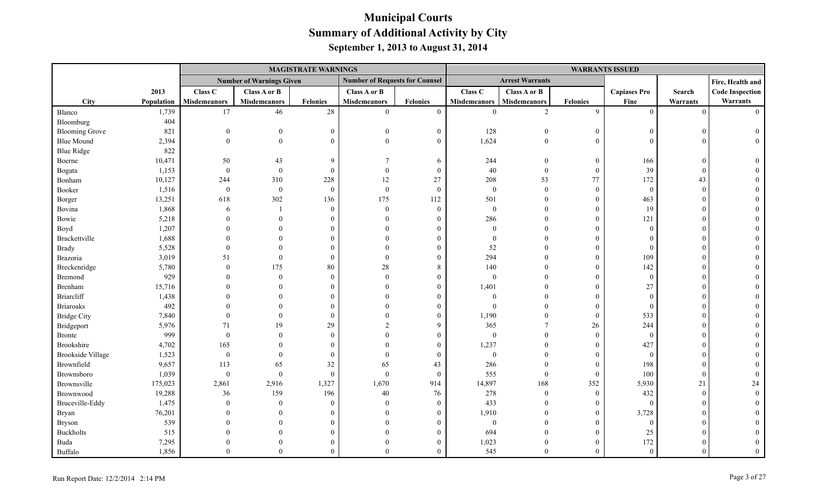|                          |            |                     |                                 | <b>MAGISTRATE WARNINGS</b> |                                       |                 |                     |                        |                  | <b>WARRANTS ISSUED</b> |               |                        |
|--------------------------|------------|---------------------|---------------------------------|----------------------------|---------------------------------------|-----------------|---------------------|------------------------|------------------|------------------------|---------------|------------------------|
|                          |            |                     | <b>Number of Warnings Given</b> |                            | <b>Number of Requests for Counsel</b> |                 |                     | <b>Arrest Warrants</b> |                  |                        |               | Fire, Health and       |
|                          | 2013       | Class C             | Class A or B                    |                            | Class A or B                          |                 | Class C             | Class A or B           |                  | <b>Capiases Pro</b>    | Search        | <b>Code Inspection</b> |
| City                     | Population | <b>Misdemeanors</b> | <b>Misdemeanors</b>             | <b>Felonies</b>            | <b>Misdemeanors</b>                   | <b>Felonies</b> | <b>Misdemeanors</b> | <b>Misdemeanors</b>    | <b>Felonies</b>  | Fine                   | Warrants      | Warrants               |
| Blanco                   | 1,739      | 17                  | 46                              | $28\,$                     | $\mathbf{0}$                          | $\overline{0}$  | $\theta$            | 2                      | 9                | $\theta$               | $\Omega$      | $\Omega$               |
| Bloomburg                | 404        |                     |                                 |                            |                                       |                 |                     |                        |                  |                        |               |                        |
| <b>Blooming Grove</b>    | 821        | $\Omega$            | $\mathbf{0}$                    | $\Omega$                   | $\theta$                              | $\overline{0}$  | 128                 | $\boldsymbol{0}$       | $\mathbf{0}$     | $\Omega$               |               |                        |
| <b>Blue Mound</b>        | 2,394      | $\Omega$            | $\theta$                        | $\Omega$                   | $\Omega$                              | $\theta$        | 1,624               | $\theta$               | $\mathbf{0}$     | $\Omega$               |               |                        |
| <b>Blue Ridge</b>        | 822        |                     |                                 |                            |                                       |                 |                     |                        |                  |                        |               |                        |
| Boerne                   | 10,471     | 50                  | 43                              | $\mathbf Q$                | $\tau$                                | 6               | 244                 | $\overline{0}$         | $\mathbf{0}$     | 166                    | $\mathcal{C}$ |                        |
| Bogata                   | 1,153      | $\boldsymbol{0}$    | $\theta$                        | $\Omega$                   | $\Omega$                              | $\mathbf{0}$    | $40\,$              | $\theta$               | $\mathbf{0}$     | 39                     | $\Omega$      |                        |
| Bonham                   | 10,127     | 244                 | 310                             | 228                        | 12                                    | 27              | 208                 | 53                     | 77               | 172                    | 43            |                        |
| Booker                   | 1,516      | $\boldsymbol{0}$    | $\boldsymbol{0}$                | $\theta$                   | $\mathbf{0}$                          | $\overline{0}$  | $\boldsymbol{0}$    | $\overline{0}$         | $\mathbf{0}$     | $\overline{0}$         | $\Omega$      |                        |
| Borger                   | 13,251     | 618                 | 302                             | 136                        | 175                                   | 112             | 501                 | $\Omega$               | $\mathbf{0}$     | 463                    |               |                        |
| Bovina                   | 1,868      | 6                   |                                 | $\Omega$                   | $\Omega$                              | $\overline{0}$  | $\mathbf{0}$        | $\Omega$               | $\theta$         | 19                     |               |                        |
| Bowie                    | 5,218      | $\Omega$            | $\theta$                        |                            | $\Omega$                              | $\Omega$        | 286                 | $\Omega$               | $\boldsymbol{0}$ | 121                    |               |                        |
| Boyd                     | 1,207      |                     |                                 |                            |                                       |                 | $\theta$            | $\Omega$               | $\theta$         | $\theta$               |               |                        |
| Brackettville            | 1,688      |                     |                                 |                            | $\Omega$                              |                 | $\theta$            | $\Omega$               | $\theta$         | $\Omega$               |               |                        |
| <b>Brady</b>             | 5,528      |                     |                                 |                            |                                       |                 | 52                  |                        | $\boldsymbol{0}$ | $\theta$               |               |                        |
| Brazoria                 | 3,019      | 51                  | $\Omega$                        | $\Omega$                   | $\theta$                              | $\Omega$        | 294                 |                        | $\boldsymbol{0}$ | 109                    |               |                        |
| Breckenridge             | 5,780      | $\Omega$            | 175                             | 80                         | 28                                    | 8               | 140                 |                        | $\mathbf{0}$     | 142                    |               |                        |
| <b>Bremond</b>           | 929        |                     | $\theta$                        | $\Omega$                   | $\Omega$                              | $\theta$        | $\theta$            | $\Omega$               | $\boldsymbol{0}$ | $\overline{0}$         |               |                        |
| Brenham                  | 15,716     |                     |                                 |                            |                                       | $\Omega$        | 1,401               | $\Omega$               | $\theta$         | 27                     |               |                        |
| <b>Briarcliff</b>        | 1,438      |                     |                                 |                            | $\Omega$                              |                 | $\theta$            | $\Omega$               | $\theta$         | $\Omega$               |               |                        |
| <b>Briaroaks</b>         | 492        |                     |                                 |                            |                                       | $\Omega$        | $\theta$            | $\Omega$               | $\mathbf{0}$     | $\Omega$               |               |                        |
| <b>Bridge City</b>       | 7,840      |                     | $\Omega$                        | $\Omega$                   |                                       | $\theta$        | 1,190               | $\theta$               | $\boldsymbol{0}$ | 533                    |               |                        |
| Bridgeport               | 5,976      | 71                  | 19                              | 29                         | $\mathcal{D}$                         | 9               | 365                 | $\overline{7}$         | 26               | 244                    |               |                        |
| <b>Bronte</b>            | 999        | $\mathbf{0}$        | $\theta$                        | $\Omega$                   |                                       | $\theta$        | $\mathbf{0}$        | $\Omega$               | $\overline{0}$   | $\overline{0}$         |               |                        |
| <b>Brookshire</b>        | 4,702      | 165                 |                                 |                            |                                       | $\Omega$        | 1,237               | $\Omega$               | $\theta$         | 427                    |               |                        |
| <b>Brookside Village</b> | 1,523      | $\boldsymbol{0}$    | $\Omega$                        | $\Omega$                   | $\Omega$                              | $\mathbf{0}$    | $\boldsymbol{0}$    | $\Omega$               | $\overline{0}$   | $\overline{0}$         |               |                        |
| Brownfield               | 9,657      | 113                 | 65                              | 32                         | 65                                    | 43              | 286                 | $\Omega$               | $\overline{0}$   | 198                    |               |                        |
| Brownsboro               | 1,039      | $\boldsymbol{0}$    | $\theta$                        | $\mathbf{0}$               | $\mathbf{0}$                          | $\overline{0}$  | 555                 | $\overline{0}$         | $\mathbf{0}$     | 100                    | $\Omega$      |                        |
| Brownsville              | 175,023    | 2,861               | 2,916                           | 1,327                      | 1,670                                 | 914             | 14,897              | 168                    | 352              | 5,930                  | 21            | 24                     |
| Brownwood                | 19,288     | 36                  | 159                             | 196                        | 40                                    | 76              | 278                 | $\mathbf{0}$           | $\overline{0}$   | 432                    | $\Omega$      |                        |
| Bruceville-Eddy          | 1,475      | $\Omega$            | $\theta$                        | $\Omega$                   | $\Omega$                              | $\overline{0}$  | 433                 | $\Omega$               | $\theta$         | $\Omega$               |               |                        |
| Bryan                    | 76,201     |                     | $\Omega$                        |                            | $\Omega$                              | $\Omega$        | 1,910               | $\Omega$               | $\overline{0}$   | 3,728                  |               |                        |
| <b>Bryson</b>            | 539        |                     |                                 |                            | $\Omega$                              | $\Omega$        | $\mathbf{0}$        | $\theta$               | $\overline{0}$   | $\theta$               |               |                        |
| <b>Buckholts</b>         | 515        |                     |                                 |                            |                                       | $\Omega$        | 694                 | $\theta$               | $\theta$         | 25                     |               |                        |
| Buda                     | 7,295      |                     |                                 |                            | $\Omega$                              |                 | 1,023               | $\theta$               | $\theta$         | 172                    |               |                        |
| Buffalo                  | 1,856      | $\Omega$            | $\Omega$                        |                            | $\Omega$                              | $\Omega$        | 545                 | $\theta$               | $\theta$         | $\theta$               |               |                        |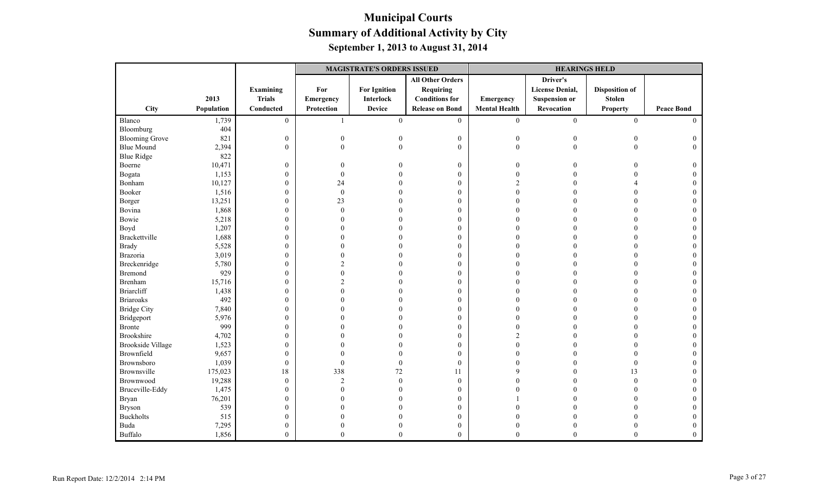|                          |            |                  |                  | <b>MAGISTRATE'S ORDERS ISSUED</b> |                         |                      | <b>HEARINGS HELD</b>   |                       |                   |
|--------------------------|------------|------------------|------------------|-----------------------------------|-------------------------|----------------------|------------------------|-----------------------|-------------------|
|                          |            |                  |                  |                                   | <b>All Other Orders</b> |                      | Driver's               |                       |                   |
|                          |            | <b>Examining</b> | For              | <b>For Ignition</b>               | <b>Requiring</b>        |                      | <b>License Denial,</b> | <b>Disposition of</b> |                   |
|                          | 2013       | <b>Trials</b>    | <b>Emergency</b> | Interlock                         | <b>Conditions for</b>   | Emergency            | <b>Suspension or</b>   | <b>Stolen</b>         |                   |
| City                     | Population | Conducted        | Protection       | <b>Device</b>                     | <b>Release on Bond</b>  | <b>Mental Health</b> | Revocation             | <b>Property</b>       | <b>Peace Bond</b> |
| Blanco                   | 1,739      | $\overline{0}$   | $\mathbf{1}$     | $\overline{0}$                    | $\overline{0}$          | $\mathbf{0}$         | $\mathbf{0}$           | $\mathbf{0}$          | $\Omega$          |
| Bloomburg                | 404        |                  |                  |                                   |                         |                      |                        |                       |                   |
| <b>Blooming Grove</b>    | 821        | $\boldsymbol{0}$ | $\boldsymbol{0}$ |                                   | $\boldsymbol{0}$        | $\boldsymbol{0}$     | $\theta$               | $\theta$              | $\overline{0}$    |
| <b>Blue Mound</b>        | 2,394      | $\mathbf{0}$     | $\mathbf{0}$     |                                   | $\overline{0}$          | $\mathbf{0}$         | $\theta$               | $\theta$              | $\Omega$          |
| <b>Blue Ridge</b>        | 822        |                  |                  |                                   |                         |                      |                        |                       |                   |
| Boerne                   | 10,471     | $\boldsymbol{0}$ | $\boldsymbol{0}$ |                                   | $\boldsymbol{0}$        | $\boldsymbol{0}$     | 0                      |                       | $\theta$          |
| Bogata                   | 1,153      | $\boldsymbol{0}$ | $\boldsymbol{0}$ |                                   | $\boldsymbol{0}$        | $\boldsymbol{0}$     |                        |                       |                   |
| Bonham                   | 10,127     | $\boldsymbol{0}$ | 24               |                                   | $\boldsymbol{0}$        | $\overline{2}$       |                        |                       |                   |
| Booker                   | 1,516      | $\boldsymbol{0}$ | $\boldsymbol{0}$ |                                   | $\mathbf{0}$            | $\Omega$             | 0                      |                       |                   |
| Borger                   | 13,251     | $\boldsymbol{0}$ | 23               |                                   | $\boldsymbol{0}$        | $\Omega$             |                        | $\Omega$              |                   |
| Bovina                   | 1,868      | $\boldsymbol{0}$ | $\theta$         |                                   | $\boldsymbol{0}$        |                      |                        |                       |                   |
| Bowie                    | 5,218      | $\boldsymbol{0}$ | 0                |                                   | $\boldsymbol{0}$        |                      |                        |                       |                   |
| Boyd                     | 1,207      | $\boldsymbol{0}$ |                  |                                   | $\mathbf{0}$            | $\Omega$             |                        | $\Omega$              | 0                 |
| Brackettville            | 1,688      | $\boldsymbol{0}$ | 0                |                                   | $\mathbf{0}$            | $\Omega$             |                        | $\Omega$              |                   |
| <b>Brady</b>             | 5,528      | $\boldsymbol{0}$ |                  |                                   | $\boldsymbol{0}$        | $\Omega$             |                        |                       |                   |
| <b>Brazoria</b>          | 3,019      | $\boldsymbol{0}$ |                  |                                   | $\boldsymbol{0}$        |                      |                        |                       |                   |
| Breckenridge             | 5,780      | $\boldsymbol{0}$ | $\mathfrak{D}$   |                                   | $\boldsymbol{0}$        | $\Omega$             |                        | $\Omega$              |                   |
| <b>Bremond</b>           | 929        | $\boldsymbol{0}$ | $\theta$         |                                   | $\boldsymbol{0}$        | $\Omega$             |                        |                       |                   |
| <b>Brenham</b>           | 15,716     | $\boldsymbol{0}$ | $\mathfrak{D}$   |                                   | $\boldsymbol{0}$        |                      |                        | $\Omega$              |                   |
| <b>Briarcliff</b>        | 1,438      | $\boldsymbol{0}$ | 0                |                                   | $\mathbf{0}$            |                      |                        |                       |                   |
| <b>Briaroaks</b>         | 492        | $\boldsymbol{0}$ |                  |                                   | $\boldsymbol{0}$        |                      |                        |                       |                   |
| <b>Bridge City</b>       | 7,840      | $\boldsymbol{0}$ |                  |                                   | $\boldsymbol{0}$        | $\Omega$             |                        | $\Omega$              |                   |
| Bridgeport               | 5,976      | $\boldsymbol{0}$ |                  |                                   | $\mathbf{0}$            | $\Omega$             |                        | $\Omega$              |                   |
| <b>Bronte</b>            | 999        | $\boldsymbol{0}$ |                  |                                   | $\boldsymbol{0}$        | $\Omega$             |                        |                       |                   |
| <b>Brookshire</b>        | 4,702      | $\boldsymbol{0}$ |                  |                                   | $\boldsymbol{0}$        | $\overline{c}$       |                        | $\Omega$              |                   |
| <b>Brookside Village</b> | 1,523      | $\boldsymbol{0}$ |                  |                                   | $\boldsymbol{0}$        | $\Omega$             |                        | $\Omega$              |                   |
| Brownfield               | 9,657      | $\boldsymbol{0}$ | 0                |                                   | $\mathbf{0}$            | $\Omega$             |                        | $\Omega$              |                   |
| Brownsboro               | 1,039      | $\boldsymbol{0}$ | $\boldsymbol{0}$ |                                   | $\boldsymbol{0}$        |                      |                        | $\boldsymbol{0}$      |                   |
| Brownsville              | 175,023    | 18               | 338              | 72                                | 11                      | 9                    |                        | 13                    |                   |
| Brownwood                | 19,288     | $\boldsymbol{0}$ | $\overline{2}$   | $\Omega$                          | $\boldsymbol{0}$        |                      |                        | $\overline{0}$        | $\Omega$          |
| Bruceville-Eddy          | 1,475      | $\boldsymbol{0}$ | 0                |                                   | $\mathbf{0}$            |                      |                        | $\Omega$              |                   |
| <b>Bryan</b>             | 76,201     | $\boldsymbol{0}$ | 0                |                                   | $\boldsymbol{0}$        |                      |                        | $\overline{0}$        | $\Omega$          |
| <b>Bryson</b>            | 539        | $\boldsymbol{0}$ |                  |                                   | $\boldsymbol{0}$        | $\Omega$             |                        |                       |                   |
| <b>Buckholts</b>         | 515        | $\mathbf{0}$     |                  |                                   | $\boldsymbol{0}$        |                      |                        |                       |                   |
| Buda                     | 7,295      | $\boldsymbol{0}$ | 0                |                                   | $\boldsymbol{0}$        | $\Omega$             | 0                      | $\Omega$              | $\Omega$          |
| Buffalo                  | 1,856      | $\mathbf{0}$     | $\theta$         | $\Omega$                          | $\mathbf{0}$            | $\theta$             | $\theta$               | $\mathbf{0}$          | $\theta$          |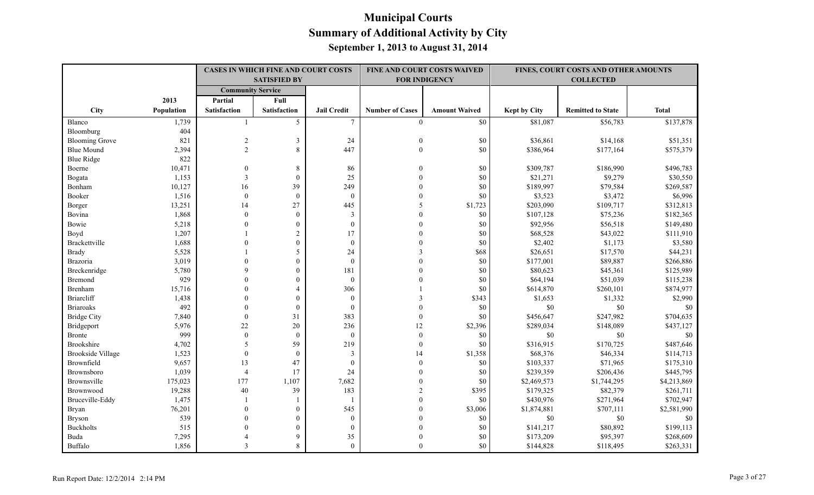|                          |            | <b>CASES IN WHICH FINE AND COURT COSTS</b><br><b>SATISFIED BY</b><br><b>Community Service</b> |                     |                    |                        | FINE AND COURT COSTS WAIVED<br><b>FOR INDIGENCY</b> |                     | FINES, COURT COSTS AND OTHER AMOUNTS<br><b>COLLECTED</b> |              |
|--------------------------|------------|-----------------------------------------------------------------------------------------------|---------------------|--------------------|------------------------|-----------------------------------------------------|---------------------|----------------------------------------------------------|--------------|
|                          |            |                                                                                               |                     |                    |                        |                                                     |                     |                                                          |              |
|                          | 2013       | Partial                                                                                       | Full                |                    |                        |                                                     |                     |                                                          |              |
| City                     | Population | <b>Satisfaction</b>                                                                           | <b>Satisfaction</b> | <b>Jail Credit</b> | <b>Number of Cases</b> | <b>Amount Waived</b>                                | <b>Kept by City</b> | <b>Remitted to State</b>                                 | <b>Total</b> |
| Blanco                   | 1,739      |                                                                                               | 5                   | $\tau$             | $\theta$               | \$0                                                 | \$81,087            | \$56,783                                                 | \$137,878    |
| Bloomburg                | 404        |                                                                                               |                     |                    |                        |                                                     |                     |                                                          |              |
| <b>Blooming Grove</b>    | 821        | $\sqrt{2}$                                                                                    | $\mathfrak{Z}$      | 24                 | $\mathbf{0}$           | \$0                                                 | \$36,861            | \$14,168                                                 | \$51,351     |
| <b>Blue Mound</b>        | 2,394      | $\overline{2}$                                                                                | 8                   | 447                | $\mathbf{0}$           | \$0                                                 | \$386,964           | \$177,164                                                | \$575,379    |
| <b>Blue Ridge</b>        | 822        |                                                                                               |                     |                    |                        |                                                     |                     |                                                          |              |
| Boerne                   | 10,471     | $\mathbf{0}$                                                                                  | 8                   | 86                 | $\Omega$               | \$0                                                 | \$309,787           | \$186,990                                                | \$496,783    |
| Bogata                   | 1,153      | 3                                                                                             | $\mathbf{0}$        | 25                 | $\Omega$               | \$0                                                 | \$21,271            | \$9,279                                                  | \$30,550     |
| Bonham                   | 10,127     | 16                                                                                            | 39                  | 249                | $\Omega$               | \$0                                                 | \$189,997           | \$79,584                                                 | \$269,587    |
| Booker                   | 1,516      | $\theta$                                                                                      | $\theta$            | $\theta$           | $\Omega$               | \$0                                                 | \$3,523             | \$3,472                                                  | \$6,996      |
| Borger                   | 13,251     | 14                                                                                            | 27                  | 445                | 5                      | \$1,723                                             | \$203,090           | \$109,717                                                | \$312,813    |
| Bovina                   | 1,868      | $\mathbf{0}$                                                                                  | $\mathbf{0}$        | $\mathfrak{Z}$     |                        | \$0                                                 | \$107,128           | \$75,236                                                 | \$182,365    |
| Bowie                    | 5,218      | $\theta$                                                                                      | $\mathbf{0}$        | $\mathbf{0}$       | $\Omega$               | \$0                                                 | \$92,956            | \$56,518                                                 | \$149,480    |
| Boyd                     | 1,207      |                                                                                               | $\overline{2}$      | 17                 | $\Omega$               | \$0                                                 | \$68,528            | \$43,022                                                 | \$111,910    |
| Brackettville            | 1,688      | $\theta$                                                                                      | $\boldsymbol{0}$    | $\boldsymbol{0}$   |                        | \$0                                                 | \$2,402             | \$1,173                                                  | \$3,580      |
| <b>Brady</b>             | 5,528      |                                                                                               | 5                   | 24                 | 3                      | \$68                                                | \$26,651            | \$17,570                                                 | \$44,231     |
| <b>Brazoria</b>          | 3,019      | $\Omega$                                                                                      | $\mathbf{0}$        | $\mathbf{0}$       |                        | \$0                                                 | \$177,001           | \$89,887                                                 | \$266,886    |
| Breckenridge             | 5,780      | $\mathbf Q$                                                                                   | $\mathbf{0}$        | 181                | $\Omega$               | \$0                                                 | \$80,623            | \$45,361                                                 | \$125,989    |
| Bremond                  | 929        | $\Omega$                                                                                      | $\theta$            | $\theta$           |                        | \$0                                                 | \$64,194            | \$51,039                                                 | \$115,238    |
| Brenham                  | 15,716     | $\Omega$                                                                                      | $\overline{4}$      | 306                |                        | \$0                                                 | \$614,870           | \$260,101                                                | \$874,977    |
| <b>Briarcliff</b>        | 1,438      |                                                                                               | $\theta$            | $\boldsymbol{0}$   |                        | \$343                                               | \$1,653             | \$1,332                                                  | \$2,990      |
| <b>Briaroaks</b>         | 492        | $\Omega$                                                                                      | $\mathbf{0}$        | $\mathbf{0}$       |                        | \$0                                                 | $\$0$               | $\$0$                                                    | \$0          |
| <b>Bridge City</b>       | 7,840      | $\mathbf{0}$                                                                                  | 31                  | 383                | $\mathbf{0}$           | \$0                                                 | \$456,647           | \$247,982                                                | \$704,635    |
| Bridgeport               | 5,976      | $22\,$                                                                                        | 20                  | 236                | 12                     | \$2,396                                             | \$289,034           | \$148,089                                                | \$437,127    |
| <b>Bronte</b>            | 999        | $\mathbf{0}$                                                                                  | $\mathbf{0}$        | $\mathbf{0}$       | $\mathbf{0}$           | \$0                                                 | \$0                 | \$0                                                      | \$0          |
| Brookshire               | 4,702      | 5                                                                                             | 59                  | 219                | $\mathbf{0}$           | \$0                                                 | \$316,915           | \$170,725                                                | \$487,646    |
| <b>Brookside Village</b> | 1,523      | $\theta$                                                                                      | $\theta$            | 3                  | 14                     | \$1,358                                             | \$68,376            | \$46,334                                                 | \$114,713    |
| Brownfield               | 9,657      | 13                                                                                            | 47                  | $\theta$           | $\theta$               | \$0                                                 | \$103,337           | \$71,965                                                 | \$175,310    |
| Brownsboro               | 1,039      | $\overline{4}$                                                                                | 17                  | 24                 | $\theta$               | \$0                                                 | \$239,359           | \$206,436                                                | \$445,795    |
| Brownsville              | 175,023    | 177                                                                                           | 1,107               | 7,682              |                        | \$0                                                 | \$2,469,573         | \$1,744,295                                              | \$4,213,869  |
| Brownwood                | 19,288     | 40                                                                                            | 39                  | 183                | $\mathfrak{D}$         | \$395                                               | \$179,325           | \$82,379                                                 | \$261,711    |
| Bruceville-Eddy          | 1,475      |                                                                                               |                     |                    | $\Omega$               | \$0                                                 | \$430,976           | \$271,964                                                | \$702,947    |
| Bryan                    | 76,201     | $\mathbf{0}$                                                                                  | $\mathbf{0}$        | 545                | $\Omega$               | \$3,006                                             | \$1,874,881         | \$707,111                                                | \$2,581,990  |
| <b>Bryson</b>            | 539        | $\theta$                                                                                      | $\mathbf{0}$        | $\mathbf{0}$       |                        | \$0                                                 | \$0                 | \$0                                                      | \$0          |
| <b>Buckholts</b>         | 515        | $\Omega$                                                                                      | $\mathbf{0}$        | $\mathbf{0}$       |                        | \$0                                                 | \$141,217           | \$80,892                                                 | \$199,113    |
| Buda                     | 7,295      |                                                                                               | 9                   | 35                 |                        | \$0                                                 | \$173,209           | \$95,397                                                 | \$268,609    |
| Buffalo                  | 1,856      | 3                                                                                             | 8                   | $\theta$           | $\Omega$               | \$0                                                 | \$144,828           | \$118,495                                                | \$263,331    |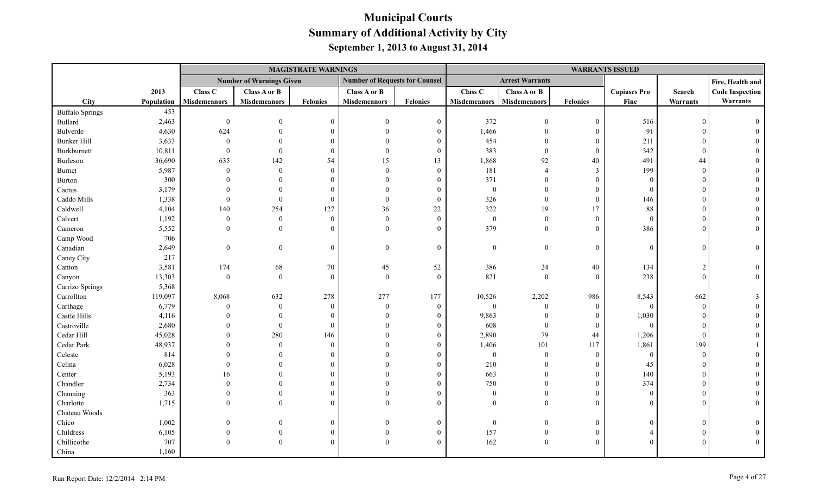|                        |            |                     |                                 | <b>MAGISTRATE WARNINGS</b> |                                       |                  |                     |                        |                  | <b>WARRANTS ISSUED</b> |                |                        |
|------------------------|------------|---------------------|---------------------------------|----------------------------|---------------------------------------|------------------|---------------------|------------------------|------------------|------------------------|----------------|------------------------|
|                        |            |                     | <b>Number of Warnings Given</b> |                            | <b>Number of Requests for Counsel</b> |                  |                     | <b>Arrest Warrants</b> |                  |                        |                | Fire, Health and       |
|                        | 2013       | Class C             | Class A or B                    |                            | Class A or B                          |                  | Class <sub>C</sub>  | Class A or B           |                  | <b>Capiases Pro</b>    | Search         | <b>Code Inspection</b> |
| City                   | Population | <b>Misdemeanors</b> | <b>Misdemeanors</b>             | Felonies                   | <b>Misdemeanors</b>                   | Felonies         | <b>Misdemeanors</b> | <b>Misdemeanors</b>    | <b>Felonies</b>  | Fine                   | Warrants       | Warrants               |
| <b>Buffalo Springs</b> | 453        |                     |                                 |                            |                                       |                  |                     |                        |                  |                        |                |                        |
| <b>Bullard</b>         | 2,463      | $\bf{0}$            | $\Omega$                        | $\theta$                   | $\Omega$                              | $\boldsymbol{0}$ | 372                 | $\overline{0}$         | $\mathbf{0}$     | 516                    | $\Omega$       |                        |
| Bulverde               | 4,630      | 624                 | $\Omega$                        |                            | $\Omega$                              | $\boldsymbol{0}$ | 1,466               | $\overline{0}$         | $\boldsymbol{0}$ | 91                     |                |                        |
| <b>Bunker Hill</b>     | 3,633      | $\theta$            |                                 |                            |                                       | $\boldsymbol{0}$ | 454                 | $\Omega$               | $\boldsymbol{0}$ | 211                    |                |                        |
| Burkburnett            | 10,811     | $\Omega$            | $\theta$                        | $\Omega$                   | $\Omega$                              | $\mathbf{0}$     | 383                 | $\theta$               | $\theta$         | 342                    |                |                        |
| Burleson               | 36,690     | 635                 | 142                             | 54                         | 15                                    | 13               | 1,868               | 92                     | 40               | 491                    | 44             |                        |
| Burnet                 | 5,987      | $\mathbf{0}$        | $\theta$                        | $\Omega$                   | $\Omega$                              | $\boldsymbol{0}$ | 181                 | $\overline{A}$         | $\mathfrak{Z}$   | 199                    | $\theta$       |                        |
| Burton                 | 300        |                     | $\Omega$                        | $\Omega$                   | $\Omega$                              | $\mathbf{0}$     | 371                 | $\theta$               | $\theta$         | $\Omega$               |                |                        |
| Cactus                 | 3,179      |                     | $\theta$                        | $\Omega$                   | $\Omega$                              | $\boldsymbol{0}$ | $\boldsymbol{0}$    | $\overline{0}$         | $\mathbf{0}$     | $\Omega$               |                |                        |
| Caddo Mills            | 1,338      | $\theta$            | $\theta$                        | $\Omega$                   | $\Omega$                              | $\boldsymbol{0}$ | 326                 | $\overline{0}$         | $\mathbf{0}$     | 146                    |                |                        |
| Caldwell               | 4,104      | 140                 | 254                             | 127                        | 36                                    | $22\,$           | 322                 | 19                     | 17               | 88                     |                |                        |
| Calvert                | 1,192      | $\boldsymbol{0}$    | $\theta$                        | $\Omega$                   | $\Omega$                              | $\boldsymbol{0}$ | $\boldsymbol{0}$    | $\overline{0}$         | $\overline{0}$   | $\theta$               | 0              |                        |
| Cameron                | 5,552      | $\mathbf{0}$        | $\Omega$                        |                            | $\Omega$                              | $\overline{0}$   | 379                 | $\theta$               | $\mathbf{0}$     | 386                    |                |                        |
| Camp Wood              | 706        |                     |                                 |                            |                                       |                  |                     |                        |                  |                        |                |                        |
| Canadian               | 2,649      | $\boldsymbol{0}$    | $\boldsymbol{0}$                | $\Omega$                   | $\Omega$                              | $\boldsymbol{0}$ | $\boldsymbol{0}$    | $\overline{0}$         | $\overline{0}$   | $\Omega$               | $\Omega$       |                        |
| Caney City             | 217        |                     |                                 |                            |                                       |                  |                     |                        |                  |                        |                |                        |
| Canton                 | 3,581      | 174                 | 68                              | 70                         | 45                                    | 52               | 386                 | 24                     | 40               | 134                    | $\mathcal{D}$  |                        |
| Canyon                 | 13,303     | $\boldsymbol{0}$    | $\boldsymbol{0}$                | $\Omega$                   | $\Omega$                              | $\mathbf{0}$     | 821                 | $\theta$               | $\theta$         | 238                    | $\Omega$       |                        |
| Carrizo Springs        | 5,368      |                     |                                 |                            |                                       |                  |                     |                        |                  |                        |                |                        |
| Carrollton             | 119,097    | 8,068               | 632                             | 278                        | 277                                   | 177              | 10,526              | 2,202                  | 986              | 8,543                  | 662            |                        |
| Carthage               | 6,779      | $\theta$            | $\overline{0}$                  | $\Omega$                   | $\theta$                              | $\boldsymbol{0}$ | $\boldsymbol{0}$    | $\mathbf{0}$           | $\boldsymbol{0}$ | $\overline{0}$         | $\overline{0}$ |                        |
| Castle Hills           | 4,116      |                     | $\theta$                        | $\Omega$                   | $\Omega$                              | $\mathbf{0}$     | 9,863               | $\mathbf{0}$           | $\mathbf{0}$     | 1,030                  | $\Omega$       |                        |
| Castroville            | 2,680      |                     | $\theta$                        | $\Omega$                   | $\Omega$                              | $\overline{0}$   | 608                 | $\overline{0}$         | $\mathbf{0}$     | $\theta$               |                |                        |
| Cedar Hill             | 45,028     | $\Omega$            | 280                             | 146                        |                                       | $\theta$         | 2,890               | 79                     | 44               | 1,206                  | $\Omega$       |                        |
| Cedar Park             | 48,937     |                     | $\Omega$                        | $\Omega$                   |                                       | $\theta$         | 1,406               | 101                    | 117              | 1,861                  | 199            |                        |
| Celeste                | 814        |                     | $\Omega$                        |                            |                                       | $\Omega$         | $\mathbf{0}$        | $\overline{0}$         | $\overline{0}$   | $\theta$               | $\theta$       |                        |
| Celina                 | 6,028      |                     | $\Omega$                        |                            |                                       | $\theta$         | 210                 | $\mathbf{0}$           | $\boldsymbol{0}$ | 45                     | $\Omega$       |                        |
| Center                 | 5,193      | 16                  | $\Omega$                        |                            |                                       | $\boldsymbol{0}$ | 663                 | $\Omega$               | $\boldsymbol{0}$ | 140                    |                |                        |
| Chandler               | 2,734      | $\Omega$            | $\Omega$                        |                            |                                       | $\overline{0}$   | 750                 | $\Omega$               | $\theta$         | 374                    |                |                        |
| Channing               | 363        | $\Omega$            | $\theta$                        |                            |                                       | $\theta$         | $\mathbf{0}$        | $\theta$               | $\mathbf{0}$     | $\Omega$               | $\Omega$       |                        |
| Charlotte              | 1,715      | $\Omega$            | $\Omega$                        |                            | $\Omega$                              | $\theta$         | $\Omega$            | $\theta$               | $\theta$         |                        |                |                        |
| Chateau Woods          |            |                     |                                 |                            |                                       |                  |                     |                        |                  |                        |                |                        |
| Chico                  | 1,002      |                     | $\mathbf{0}$                    | $\Omega$                   |                                       | $\mathbf{0}$     | $\mathbf{0}$        | $\overline{0}$         | $\mathbf{0}$     | $\Omega$               | $\Omega$       |                        |
| Childress              | 6,105      |                     | $\theta$                        | $\Omega$                   | $\Omega$                              | $\boldsymbol{0}$ | 157                 | $\boldsymbol{0}$       | $\boldsymbol{0}$ |                        |                |                        |
| Chillicothe            | 707        | $\Omega$            | $\theta$                        | $\Omega$                   | $\Omega$                              | $\boldsymbol{0}$ | 162                 | $\mathbf{0}$           | $\overline{0}$   |                        |                |                        |
| China                  | 1,160      |                     |                                 |                            |                                       |                  |                     |                        |                  |                        |                |                        |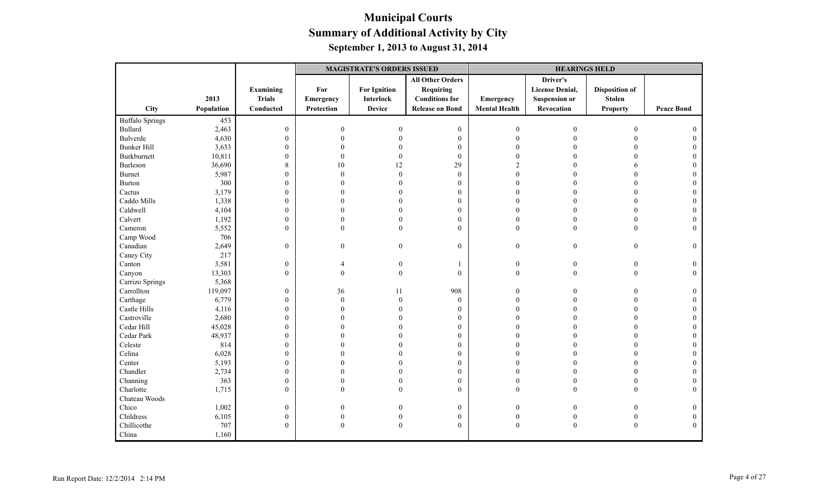|                        |            |                  | <b>MAGISTRATE'S ORDERS ISSUED</b> |                     |                         |                      | <b>HEARINGS HELD</b>   |                       |                   |
|------------------------|------------|------------------|-----------------------------------|---------------------|-------------------------|----------------------|------------------------|-----------------------|-------------------|
|                        |            |                  |                                   |                     | <b>All Other Orders</b> |                      | Driver's               |                       |                   |
|                        |            | Examining        | For                               | <b>For Ignition</b> | Requiring               |                      | <b>License Denial,</b> | <b>Disposition of</b> |                   |
|                        | 2013       | <b>Trials</b>    | <b>Emergency</b>                  | <b>Interlock</b>    | <b>Conditions for</b>   | Emergency            | <b>Suspension or</b>   | <b>Stolen</b>         |                   |
| City                   | Population | Conducted        | Protection                        | <b>Device</b>       | <b>Release on Bond</b>  | <b>Mental Health</b> | Revocation             | <b>Property</b>       | <b>Peace Bond</b> |
| <b>Buffalo Springs</b> | 453        |                  |                                   |                     |                         |                      |                        |                       |                   |
| Bullard                | 2,463      | $\boldsymbol{0}$ | $\theta$                          | $\Omega$            | $\mathbf{0}$            | $\overline{0}$       | $\theta$               | $\Omega$              |                   |
| Bulverde               | 4,630      | $\boldsymbol{0}$ | $\Omega$                          |                     | $\boldsymbol{0}$        | $\Omega$             |                        |                       |                   |
| <b>Bunker Hill</b>     | 3,633      | $\mathbf{0}$     | U                                 |                     | $\mathbf{0}$            |                      |                        |                       |                   |
| Burkburnett            | 10,811     | $\mathbf{0}$     | $\Omega$                          | $\Omega$            | $\bf{0}$                | $\Omega$             |                        |                       |                   |
| Burleson               | 36,690     | $\,8\,$          | 10                                | 12                  | 29                      | $\mathcal{D}$        |                        |                       |                   |
| Burnet                 | 5,987      | $\boldsymbol{0}$ | $\Omega$                          | $\Omega$            | $\mathbf{0}$            | $\Omega$             |                        | $\Omega$              |                   |
| Burton                 | 300        | $\boldsymbol{0}$ | $\Omega$                          |                     | $\boldsymbol{0}$        | $\Omega$             |                        |                       |                   |
| Cactus                 | 3,179      | $\mathbf{0}$     | $\Omega$                          |                     | $\boldsymbol{0}$        | $\Omega$             |                        | $\Omega$              |                   |
| Caddo Mills            | 1,338      | $\boldsymbol{0}$ | $\Omega$                          | $\Omega$            | $\mathbf{0}$            | $\Omega$             | $\Omega$               | $\Omega$              |                   |
| Caldwell               | 4,104      | $\mathbf{0}$     | 0                                 | $\Omega$            | $\theta$                | $\Omega$             |                        | $\theta$              |                   |
| Calvert                | 1,192      | $\boldsymbol{0}$ | $\Omega$                          | $\theta$            | $\boldsymbol{0}$        | $\theta$             |                        | $\overline{0}$        |                   |
| Cameron                | 5,552      | $\mathbf{0}$     | $\theta$                          | $\theta$            | $\theta$                | $\mathbf{0}$         | $\theta$               | $\overline{0}$        | $\Omega$          |
| Camp Wood              | 706        |                  |                                   |                     |                         |                      |                        |                       |                   |
| Canadian               | 2,649      | $\mathbf{0}$     | $\overline{0}$                    | $\mathbf{0}$        | $\boldsymbol{0}$        | $\bf{0}$             | $\mathbf{0}$           | $\theta$              | $\mathbf{0}$      |
| Caney City             | 217        |                  |                                   |                     |                         |                      |                        |                       |                   |
| Canton                 | 3,581      | $\boldsymbol{0}$ |                                   | $\theta$            | $\mathbf{1}$            | $\boldsymbol{0}$     | $\mathbf{0}$           | $\mathbf{0}$          | $\Omega$          |
| Canyon                 | 13,303     | $\mathbf{0}$     | $\theta$                          | $\boldsymbol{0}$    | $\theta$                | $\boldsymbol{0}$     | $\theta$               | $\theta$              | $\Omega$          |
| Carrizo Springs        | 5,368      |                  |                                   |                     |                         |                      |                        |                       |                   |
| Carrollton             | 119,097    | $\mathbf{0}$     | 36                                | 11                  | 908                     | $\overline{0}$       |                        | $\Omega$              | $\theta$          |
| Carthage               | 6,779      | $\boldsymbol{0}$ | $\Omega$                          | $\theta$            | $\mathbf{0}$            | $\Omega$             |                        |                       | $\Omega$          |
| Castle Hills           | 4,116      | $\boldsymbol{0}$ | $\Omega$                          | $\Omega$            | $\boldsymbol{0}$        | $\Omega$             |                        | $\Omega$              | $\Omega$          |
| Castroville            | 2,680      | $\boldsymbol{0}$ |                                   |                     | $\mathbf{0}$            | $\Omega$             |                        | $\Omega$              |                   |
| Cedar Hill             | 45,028     | $\mathbf{0}$     | U                                 |                     | $\mathbf{0}$            | $\Omega$             |                        | $\Omega$              | $\Omega$          |
| Cedar Park             | 48,937     | $\boldsymbol{0}$ | 0                                 |                     | $\boldsymbol{0}$        | $\theta$             |                        |                       |                   |
| Celeste                | 814        | $\mathbf{0}$     | 0                                 |                     | $\boldsymbol{0}$        | $\Omega$             |                        | $\Omega$              |                   |
| Celina                 | 6,028      | $\boldsymbol{0}$ | $\Omega$                          |                     | $\mathbf{0}$            | $\Omega$             |                        | $\Omega$              |                   |
| Center                 | 5,193      | $\mathbf{0}$     | n                                 |                     | $\theta$                | $\Omega$             |                        | $\Omega$              |                   |
| Chandler               | 2,734      | $\mathbf{0}$     | $\Omega$                          |                     | $\boldsymbol{0}$        | $\Omega$             |                        | $\theta$              |                   |
| Channing               | 363        | $\boldsymbol{0}$ | $\Omega$                          |                     | $\boldsymbol{0}$        | $\theta$             |                        | $\theta$              |                   |
| Charlotte              | 1,715      | $\mathbf{0}$     | $\theta$                          | $\theta$            | $\theta$                | $\Omega$             | $\theta$               | $\theta$              | $\Omega$          |
| Chateau Woods          |            |                  |                                   |                     |                         |                      |                        |                       |                   |
| Chico                  | 1,002      | $\boldsymbol{0}$ | 0                                 |                     | $\bf{0}$                | $\boldsymbol{0}$     | $\Omega$               | 0                     | $\theta$          |
| Childress              | 6,105      | $\boldsymbol{0}$ | $\Omega$                          |                     | $\boldsymbol{0}$        | $\boldsymbol{0}$     |                        | $\theta$              |                   |
| Chillicothe            | 707        | $\mathbf{0}$     | $\mathbf{0}$                      | $\boldsymbol{0}$    | $\mathbf{0}$            | $\boldsymbol{0}$     | $\boldsymbol{0}$       | $\boldsymbol{0}$      | $\Omega$          |
| China                  | 1,160      |                  |                                   |                     |                         |                      |                        |                       |                   |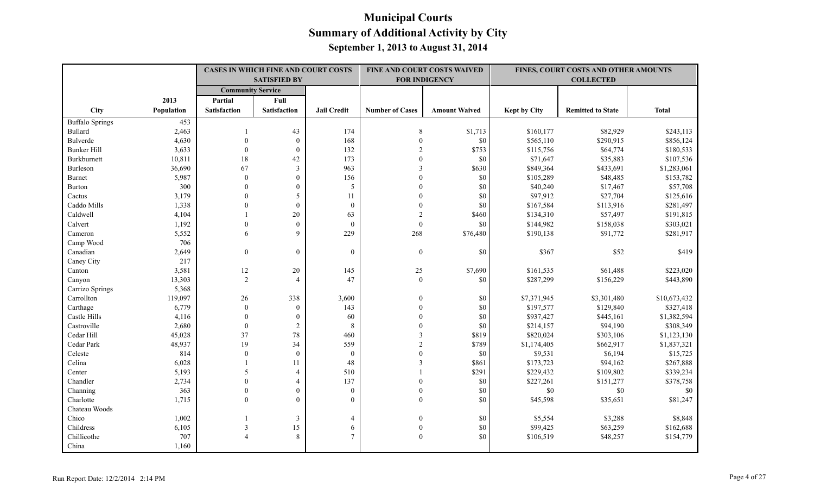|                          |            |                          | CASES IN WHICH FINE AND COURT COSTS<br><b>SATISFIED BY</b> |                    |                        | FINE AND COURT COSTS WAIVED<br><b>FOR INDIGENCY</b> |                     | FINES, COURT COSTS AND OTHER AMOUNTS<br><b>COLLECTED</b> |              |
|--------------------------|------------|--------------------------|------------------------------------------------------------|--------------------|------------------------|-----------------------------------------------------|---------------------|----------------------------------------------------------|--------------|
|                          |            | <b>Community Service</b> |                                                            |                    |                        |                                                     |                     |                                                          |              |
|                          | 2013       | Partial                  | Full                                                       |                    |                        |                                                     |                     |                                                          |              |
| <b>City</b>              | Population | <b>Satisfaction</b>      | <b>Satisfaction</b>                                        | <b>Jail Credit</b> | <b>Number of Cases</b> | <b>Amount Waived</b>                                | <b>Kept by City</b> | <b>Remitted to State</b>                                 | <b>Total</b> |
| <b>Buffalo Springs</b>   | 453        |                          |                                                            |                    |                        |                                                     |                     |                                                          |              |
| Bullard                  | 2,463      |                          | 43                                                         | 174                | 8                      | \$1,713                                             | \$160,177           | \$82,929                                                 | \$243,113    |
| Bulverde                 | 4,630      | $\theta$                 | $\mathbf{0}$                                               | 168                | $\theta$               | \$0                                                 | \$565,110           | \$290,915                                                | \$856,124    |
| <b>Bunker Hill</b>       | 3,633      | $\mathbf{0}$             | $\mathbf{0}$                                               | 132                | $\overline{2}$         | \$753                                               | \$115,756           | \$64,774                                                 | \$180,533    |
| Burkburnett              | 10,811     | $18\,$                   | 42                                                         | 173                | $\theta$               | \$0                                                 | \$71,647            | \$35,883                                                 | \$107,536    |
| Burleson                 | 36,690     | 67                       | $\mathfrak{Z}$                                             | 963                | 3                      | \$630                                               | \$849,364           | \$433,691                                                | \$1,283,061  |
| <b>Burnet</b>            | 5,987      | $\theta$                 | $\mathbf{0}$                                               | 156                | $\theta$               | \$0                                                 | \$105,289           | \$48,485                                                 | \$153,782    |
| Burton                   | 300        | $\Omega$                 | $\theta$                                                   | 5                  | $\theta$               | \$0                                                 | \$40,240            | \$17,467                                                 | \$57,708     |
| Cactus                   | 3,179      | $\theta$                 | 5                                                          | 11                 | $\theta$               | \$0                                                 | \$97,912            | \$27,704                                                 | \$125,616    |
| Caddo Mills              | 1,338      | $\mathbf{0}$             | $\boldsymbol{0}$                                           | $\boldsymbol{0}$   | $\boldsymbol{0}$       | \$0                                                 | \$167,584           | \$113,916                                                | \$281,497    |
| Caldwell                 | 4,104      |                          | 20                                                         | 63                 | $\overline{2}$         | \$460                                               | \$134,310           | \$57,497                                                 | \$191,815    |
| Calvert                  | 1,192      | $\theta$                 | $\mathbf{0}$                                               | $\mathbf{0}$       | $\mathbf{0}$           | \$0                                                 | \$144,982           | \$158,038                                                | \$303,021    |
| Cameron                  | 5,552      | 6                        | 9                                                          | 229                | 268                    | \$76,480                                            | \$190,138           | \$91,772                                                 | \$281,917    |
| Camp Wood                | 706        |                          |                                                            |                    |                        |                                                     |                     |                                                          |              |
| Canadian                 | 2,649      | $\boldsymbol{0}$         | $\mathbf{0}$                                               | $\boldsymbol{0}$   | $\boldsymbol{0}$       | \$0                                                 | \$367               | \$52                                                     | \$419        |
| Caney City               | 217        |                          |                                                            |                    |                        |                                                     |                     |                                                          |              |
| Canton                   | 3,581      | 12                       | 20                                                         | 145                | 25                     | \$7,690                                             | \$161,535           | \$61,488                                                 | \$223,020    |
| Canyon                   | 13,303     | 2                        | $\overline{A}$                                             | 47                 | $\mathbf{0}$           | \$0                                                 | \$287,299           | \$156,229                                                | \$443,890    |
| Carrizo Springs          | 5,368      |                          |                                                            |                    |                        |                                                     |                     |                                                          |              |
| Carrollton               | 119,097    | 26                       | 338                                                        | 3,600              | $\mathbf{0}$           | \$0                                                 | \$7,371,945         | \$3,301,480                                              | \$10,673,432 |
| Carthage                 | 6,779      | $\theta$                 | $\mathbf{0}$                                               | 143                | $\mathbf{0}$           | \$0                                                 | \$197,577           | \$129,840                                                | \$327,418    |
| Castle Hills             | 4,116      | $\theta$                 | $\mathbf{0}$                                               | 60                 | $\theta$               | \$0                                                 | \$937,427           | \$445,161                                                | \$1,382,594  |
| Castroville              | 2,680      | $\mathbf{0}$             | $\boldsymbol{2}$                                           | $\,8\,$            | $\theta$               | \$0                                                 | \$214,157           | \$94,190                                                 | \$308,349    |
| Cedar Hill               | 45,028     | 37                       | 78                                                         | 460                | 3                      | \$819                                               | \$820,024           | \$303,106                                                | \$1,123,130  |
| Cedar Park               | 48,937     | 19                       | 34                                                         | 559                | $\mathcal{D}$          | \$789                                               | \$1,174,405         | \$662,917                                                | \$1,837,321  |
| $\operatorname{Celeste}$ | 814        | $\theta$                 | $\theta$                                                   | $\mathbf{0}$       | $\Omega$               | \$0                                                 | \$9,531             | \$6,194                                                  | \$15,725     |
| Celina                   | 6,028      |                          | 11                                                         | 48                 | 3                      | \$861                                               | \$173,723           | \$94,162                                                 | \$267,888    |
| Center                   | 5,193      | 5                        | $\overline{4}$                                             | 510                |                        | \$291                                               | \$229,432           | \$109,802                                                | \$339,234    |
| Chandler                 | 2,734      | $\theta$                 | $\overline{4}$                                             | 137                | $\theta$               | \$0                                                 | \$227,261           | \$151,277                                                | \$378,758    |
| Channing                 | 363        | $\mathbf{0}$             | $\mathbf{0}$                                               | $\boldsymbol{0}$   | $\mathbf{0}$           | \$0                                                 | $\$0$               | $\$0$                                                    | \$0          |
| Charlotte                | 1,715      | $\theta$                 | $\theta$                                                   | $\theta$           | $\boldsymbol{0}$       | \$0                                                 | \$45,598            | \$35,651                                                 | \$81,247     |
| Chateau Woods            |            |                          |                                                            |                    |                        |                                                     |                     |                                                          |              |
| Chico                    | 1,002      |                          | 3                                                          | $\overline{4}$     | $\theta$               | \$0                                                 | \$5,554             | \$3,288                                                  | \$8,848      |
| Childress                | 6,105      | 3                        | 15                                                         | 6                  | $\boldsymbol{0}$       | \$0                                                 | \$99,425            | \$63,259                                                 | \$162,688    |
| Chillicothe              | 707        | $\boldsymbol{\varDelta}$ | 8                                                          | $\overline{7}$     | $\mathbf{0}$           | \$0                                                 | \$106,519           | \$48,257                                                 | \$154,779    |
| China                    | 1,160      |                          |                                                            |                    |                        |                                                     |                     |                                                          |              |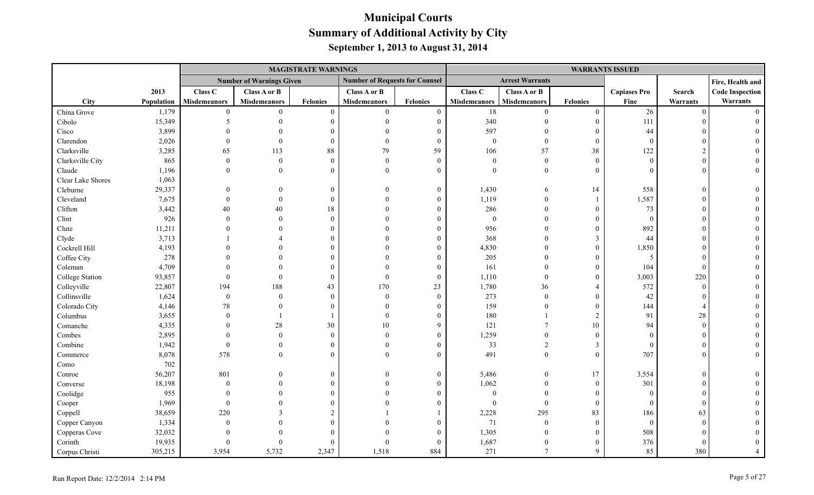|                   |            |                     |                                 | <b>MAGISTRATE WARNINGS</b> |                                       |                  | <b>WARRANTS ISSUED</b> |                        |                  |                     |          |                        |
|-------------------|------------|---------------------|---------------------------------|----------------------------|---------------------------------------|------------------|------------------------|------------------------|------------------|---------------------|----------|------------------------|
|                   |            |                     | <b>Number of Warnings Given</b> |                            | <b>Number of Requests for Counsel</b> |                  |                        | <b>Arrest Warrants</b> |                  |                     |          | Fire, Health and       |
|                   | 2013       | Class C             | Class A or B                    |                            | Class A or B                          |                  | Class C                | Class A or B           |                  | <b>Capiases Pro</b> | Search   | <b>Code Inspection</b> |
| City              | Population | <b>Misdemeanors</b> | <b>Misdemeanors</b>             | <b>Felonies</b>            | <b>Misdemeanors</b>                   | <b>Felonies</b>  | <b>Misdemeanors</b>    | <b>Misdemeanors</b>    | <b>Felonies</b>  | Fine                | Warrants | Warrants               |
| China Grove       | 1,179      | $\mathbf{0}$        | $\theta$                        | $\theta$                   | $\mathbf{0}$                          | $\mathbf{0}$     | $18\,$                 | $\overline{0}$         | $\boldsymbol{0}$ | 26                  | $\Omega$ | $\Omega$               |
| Cibolo            | 15,349     |                     |                                 | $\Omega$                   | $\Omega$                              | $\boldsymbol{0}$ | 340                    | $\Omega$               | $\mathbf{0}$     | 111                 |          |                        |
| Cisco             | 3,899      |                     |                                 |                            | $\Omega$                              | $\theta$         | 597                    |                        | $\overline{0}$   | 44                  |          |                        |
| Clarendon         | 2,026      |                     | $\theta$                        | $\Omega$                   | $\theta$                              | $\overline{0}$   | $\boldsymbol{0}$       | $\overline{0}$         | $\boldsymbol{0}$ | $\overline{0}$      |          |                        |
| Clarksville       | 3,285      | 65                  | 113                             | 88                         | 79                                    | 59               | 106                    | 57                     | 38               | 122                 |          |                        |
| Clarksville City  | 865        | $\mathbf{0}$        | $\theta$                        | $\Omega$                   | $\theta$                              | $\overline{0}$   | $\boldsymbol{0}$       | $\overline{0}$         | $\mathbf{0}$     | $\theta$            |          |                        |
| Claude            | 1,196      | $\theta$            | $\Omega$                        | $\Omega$                   | $\Omega$                              | $\theta$         | $\theta$               | $\overline{0}$         | $\theta$         | $\Omega$            |          |                        |
| Clear Lake Shores | 1,063      |                     |                                 |                            |                                       |                  |                        |                        |                  |                     |          |                        |
| Cleburne          | 29,337     |                     |                                 | $\Omega$                   | $\Omega$                              | $\mathbf{0}$     | 1,430                  | 6                      | 14               | 558                 |          |                        |
| Cleveland         | 7,675      |                     | $\Omega$                        | $\Omega$                   | $\Omega$                              | $\Omega$         | 1,119                  | $\Omega$               | $\mathbf{1}$     | 1,587               |          |                        |
| Clifton           | 3,442      | 40                  | 40                              | 18                         | $\Omega$                              | $\Omega$         | 286                    | $\theta$               | $\theta$         | 73                  |          |                        |
| Clint             | 926        | $\Omega$            | $\theta$                        | $\Omega$                   |                                       | $\theta$         | $\mathbf{0}$           | $\theta$               | $\theta$         | $\Omega$            |          |                        |
| Clute             | 11,211     |                     |                                 |                            |                                       | $\Omega$         | 956                    | $\Omega$               | $\theta$         | 892                 |          |                        |
| Clyde             | 3,713      |                     |                                 |                            |                                       | $\theta$         | 368                    | $\Omega$               | $\mathfrak{Z}$   | 44                  |          |                        |
| Cockrell Hill     | 4,193      |                     |                                 |                            |                                       |                  | 4,830                  | $\Omega$               | $\overline{0}$   | 1,850               |          |                        |
| Coffee City       | 278        |                     |                                 |                            |                                       | $\Omega$         | 205                    |                        | $\boldsymbol{0}$ | -5                  |          |                        |
| Coleman           | 4,709      |                     |                                 |                            |                                       | $\Omega$         | 161                    |                        | $\theta$         | 104                 |          |                        |
| College Station   | 93,857     |                     | $\Omega$                        | $\Omega$                   | $\Omega$                              | $\theta$         | 1,110                  | $\theta$               | $\mathbf{0}$     | 3,003               | 220      |                        |
| Colleyville       | 22,807     | 194                 | 188                             | 43                         | 170                                   | 23               | 1,780                  | 36                     | $\overline{4}$   | 572                 | $\Omega$ |                        |
| Collinsville      | 1,624      | $\boldsymbol{0}$    | $\theta$                        | $\Omega$                   | $\theta$                              | $\overline{0}$   | 273                    | $\mathbf{0}$           | $\theta$         | 42                  |          |                        |
| Colorado City     | 4,146      | 78                  |                                 |                            | $\Omega$                              | $\Omega$         | 159                    | $\Omega$               | $\overline{0}$   | 144                 |          |                        |
| Columbus          | 3,655      | $\Omega$            |                                 |                            | $\theta$                              | $\theta$         | 180                    |                        | $\overline{2}$   | 91                  | 28       |                        |
| Comanche          | 4,335      |                     | 28                              | 30                         | $10\,$                                | 9                | 121                    | $\overline{7}$         | 10               | 94                  | $\Omega$ |                        |
| Combes            | 2,895      |                     | $\theta$                        | $\Omega$                   | $\Omega$                              | $\Omega$         | 1,259                  | $\Omega$               | $\overline{0}$   | $\Omega$            |          |                        |
| Combine           | 1,942      | $\mathbf{0}$        | $\theta$                        |                            | $\Omega$                              | $\theta$         | 33                     | $\overline{2}$         | $\mathfrak{Z}$   | $\overline{0}$      |          |                        |
| Commerce          | 8,078      | 578                 | $\Omega$                        |                            | $\Omega$                              | $\Omega$         | 491                    | $\theta$               | $\theta$         | 707                 |          |                        |
| Como              | 702        |                     |                                 |                            |                                       |                  |                        |                        |                  |                     |          |                        |
| Conroe            | 56,207     | 801                 |                                 | $\Omega$                   | $\theta$                              | $\mathbf{0}$     | 5,486                  | $\mathbf{0}$           | 17               | 3,554               | $\Omega$ |                        |
| Converse          | 18,198     | $\Omega$            |                                 |                            |                                       | $\Omega$         | 1,062                  | $\theta$               | $\overline{0}$   | 301                 |          |                        |
| Coolidge          | 955        |                     |                                 |                            |                                       |                  | $\theta$               | $\Omega$               | $\theta$         | $\Omega$            |          |                        |
| Cooper            | 1,969      | $\Omega$            |                                 |                            |                                       |                  | $\Omega$               | $\mathbf{0}$           | $\mathbf{0}$     | $\overline{0}$      | $\Omega$ |                        |
| Coppell           | 38,659     | 220                 |                                 |                            |                                       |                  | 2,228                  | 295                    | 83               | 186                 | 63       |                        |
| Copper Canyon     | 1,334      | $\Omega$            |                                 |                            |                                       |                  | 71                     | $\overline{0}$         | $\overline{0}$   | $\overline{0}$      |          |                        |
| Copperas Cove     | 32,032     |                     |                                 |                            |                                       |                  | 1,305                  | $\theta$               | $\overline{0}$   | 508                 |          |                        |
| Corinth           | 19,935     |                     |                                 |                            |                                       | 0                | 1,687                  | $\theta$               | $\theta$         | 376                 |          |                        |
| Corpus Christi    | 305,215    | 3,954               | 5,732                           | 2,347                      | 1,518                                 | 884              | 271                    | $\overline{7}$         | $\mathbf Q$      | 85                  | 380      |                        |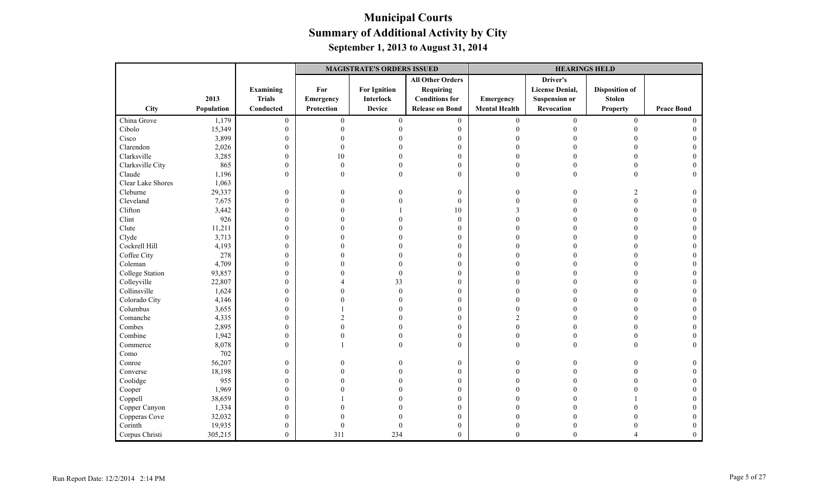|                   |            |                  | <b>MAGISTRATE'S ORDERS ISSUED</b> |                     |                         | <b>HEARINGS HELD</b> |                        |                       |                   |
|-------------------|------------|------------------|-----------------------------------|---------------------|-------------------------|----------------------|------------------------|-----------------------|-------------------|
|                   |            |                  |                                   |                     | <b>All Other Orders</b> |                      | Driver's               |                       |                   |
|                   |            | <b>Examining</b> | For                               | <b>For Ignition</b> | Requiring               |                      | <b>License Denial,</b> | <b>Disposition of</b> |                   |
|                   | 2013       | <b>Trials</b>    | Emergency                         | <b>Interlock</b>    | <b>Conditions for</b>   | Emergency            | <b>Suspension or</b>   | <b>Stolen</b>         |                   |
| City              | Population | Conducted        | Protection                        | <b>Device</b>       | <b>Release on Bond</b>  | <b>Mental Health</b> | Revocation             | <b>Property</b>       | <b>Peace Bond</b> |
| China Grove       | 1,179      | $\boldsymbol{0}$ | $\mathbf{0}$                      | $\mathbf{0}$        | $\boldsymbol{0}$        | $\overline{0}$       | $\boldsymbol{0}$       | $\overline{0}$        | $\Omega$          |
| Cibolo            | 15,349     | $\mathbf{0}$     | $\Omega$                          |                     | $\mathbf{0}$            | $\Omega$             |                        |                       |                   |
| Cisco             | 3,899      | $\mathbf{0}$     | 0                                 |                     | $\mathbf{0}$            |                      |                        |                       |                   |
| Clarendon         | 2,026      | $\boldsymbol{0}$ | $\Omega$                          |                     | $\boldsymbol{0}$        |                      |                        |                       |                   |
| Clarksville       | 3,285      | $\boldsymbol{0}$ | 10                                |                     | $\boldsymbol{0}$        | $\Omega$             |                        | $\Omega$              |                   |
| Clarksville City  | 865        | $\boldsymbol{0}$ | $\Omega$                          |                     | $\mathbf{0}$            | $\Omega$             |                        | $\Omega$              |                   |
| Claude            | 1,196      | $\mathbf{0}$     | $\Omega$                          | $\Omega$            | $\theta$                | $\Omega$             | $\Omega$               | $\Omega$              | $\Omega$          |
| Clear Lake Shores | 1,063      |                  |                                   |                     |                         |                      |                        |                       |                   |
| Cleburne          | 29,337     | $\boldsymbol{0}$ | 0                                 |                     | $\boldsymbol{0}$        | $\Omega$             |                        | $\overline{2}$        |                   |
| Cleveland         | 7,675      | $\boldsymbol{0}$ | $\Omega$                          |                     | $\mathbf{0}$            | $\Omega$             |                        | $\theta$              |                   |
| Clifton           | 3,442      | $\mathbf{0}$     |                                   |                     | 10                      | 3                    |                        | $\Omega$              |                   |
| Clint             | 926        | $\boldsymbol{0}$ |                                   |                     | $\boldsymbol{0}$        |                      |                        |                       |                   |
| Clute             | 11,211     | $\boldsymbol{0}$ |                                   |                     | $\boldsymbol{0}$        |                      |                        |                       |                   |
| Clyde             | 3,713      | $\boldsymbol{0}$ |                                   |                     | $\mathbf{0}$            |                      |                        |                       |                   |
| Cockrell Hill     | 4,193      | $\mathbf{0}$     |                                   |                     | $\mathbf{0}$            |                      |                        |                       |                   |
| Coffee City       | 278        | $\boldsymbol{0}$ |                                   |                     | $\mathbf{0}$            | $\Omega$             |                        | $\Omega$              |                   |
| Coleman           | 4,709      | $\boldsymbol{0}$ |                                   |                     | $\boldsymbol{0}$        | $\Omega$             |                        |                       |                   |
| College Station   | 93,857     | $\boldsymbol{0}$ |                                   | $\Omega$            | $\mathbf{0}$            |                      |                        |                       |                   |
| Colleyville       | 22,807     | $\boldsymbol{0}$ |                                   | 33                  | $\mathbf{0}$            |                      |                        |                       |                   |
| Collinsville      | 1,624      | $\boldsymbol{0}$ |                                   | $\theta$            | $\theta$                |                      |                        |                       |                   |
| Colorado City     | 4,146      | $\boldsymbol{0}$ |                                   |                     | $\boldsymbol{0}$        |                      |                        |                       |                   |
| Columbus          | 3,655      | $\boldsymbol{0}$ |                                   |                     | $\boldsymbol{0}$        |                      |                        |                       |                   |
| Comanche          | 4,335      | $\boldsymbol{0}$ |                                   |                     | $\mathbf{0}$            | $\mathfrak{D}$       |                        | $\Omega$              |                   |
| Combes            | 2,895      | $\mathbf{0}$     | U                                 |                     | $\mathbf{0}$            | $\Omega$             |                        | $\Omega$              |                   |
| Combine           | 1,942      | $\boldsymbol{0}$ | 0                                 |                     | $\boldsymbol{0}$        | $\boldsymbol{0}$     |                        |                       |                   |
| Commerce          | 8,078      | $\mathbf{0}$     |                                   |                     | $\mathbf{0}$            | $\mathbf{0}$         | $\Omega$               | $\Omega$              | $\Omega$          |
| Como              | 702        |                  |                                   |                     |                         |                      |                        |                       |                   |
| Conroe            | 56,207     | $\boldsymbol{0}$ | 0                                 |                     | $\mathbf{0}$            | $\Omega$             |                        |                       |                   |
| Converse          | 18,198     | $\mathbf{0}$     | O                                 |                     | $\mathbf{0}$            | $\Omega$             |                        |                       |                   |
| Coolidge          | 955        | $\boldsymbol{0}$ |                                   |                     | $\boldsymbol{0}$        |                      |                        |                       |                   |
| Cooper            | 1,969      | $\boldsymbol{0}$ |                                   |                     | $\mathbf{0}$            |                      |                        |                       |                   |
| Coppell           | 38,659     | $\boldsymbol{0}$ |                                   |                     | $\mathbf{0}$            |                      |                        |                       |                   |
| Copper Canyon     | 1,334      | $\mathbf{0}$     |                                   |                     | $\theta$                |                      |                        |                       |                   |
| Copperas Cove     | 32,032     | $\mathbf{0}$     |                                   |                     | $\boldsymbol{0}$        |                      |                        |                       |                   |
| Corinth           | 19,935     | $\boldsymbol{0}$ | $\Omega$                          |                     | $\boldsymbol{0}$        | $\Omega$             |                        |                       |                   |
| Corpus Christi    | 305,215    | $\mathbf{0}$     | 311                               | 234                 | $\mathbf{0}$            | $\Omega$             | $\theta$               |                       | $\mathbf{0}$      |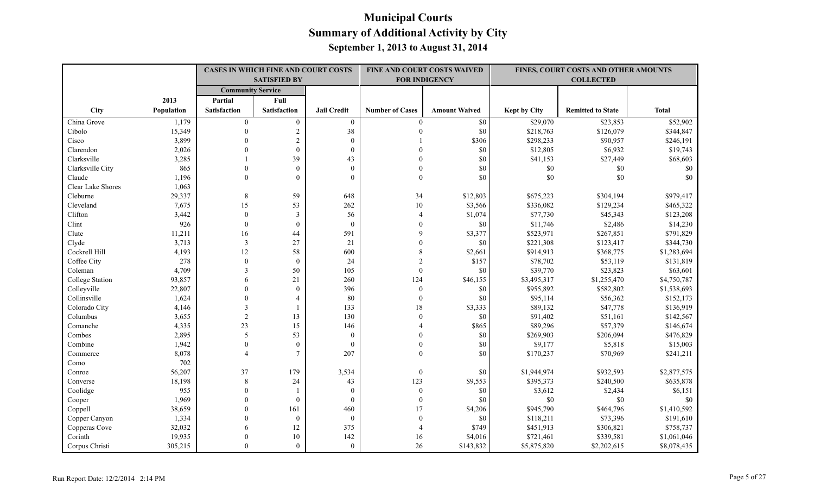|                   |            | <b>CASES IN WHICH FINE AND COURT COSTS</b><br><b>SATISFIED BY</b> |                     |                    |                        | FINE AND COURT COSTS WAIVED<br><b>FOR INDIGENCY</b> | FINES, COURT COSTS AND OTHER AMOUNTS<br><b>COLLECTED</b> |                          |              |
|-------------------|------------|-------------------------------------------------------------------|---------------------|--------------------|------------------------|-----------------------------------------------------|----------------------------------------------------------|--------------------------|--------------|
|                   |            | <b>Community Service</b>                                          |                     |                    |                        |                                                     |                                                          |                          |              |
|                   | 2013       | Partial                                                           | Full                |                    |                        |                                                     |                                                          |                          |              |
| City              | Population | <b>Satisfaction</b>                                               | <b>Satisfaction</b> | <b>Jail Credit</b> | <b>Number of Cases</b> | <b>Amount Waived</b>                                | <b>Kept by City</b>                                      | <b>Remitted to State</b> | <b>Total</b> |
| China Grove       | 1,179      | $\overline{0}$                                                    | $\overline{0}$      | $\overline{0}$     | $\overline{0}$         | \$0                                                 | \$29,070                                                 | \$23,853                 | \$52,902     |
| Cibolo            | 15,349     | $\theta$                                                          | $\boldsymbol{2}$    | 38                 | $\theta$               | \$0                                                 | \$218,763                                                | \$126,079                | \$344,847    |
| Cisco             | 3,899      | $\Omega$                                                          | $\overline{2}$      | $\theta$           |                        | \$306                                               | \$298,233                                                | \$90,957                 | \$246,191    |
| Clarendon         | 2,026      | $\Omega$                                                          | $\theta$            | $\mathbf{0}$       | $\Omega$               | \$0                                                 | \$12,805                                                 | \$6,932                  | \$19,743     |
| Clarksville       | 3,285      |                                                                   | 39                  | 43                 | $\theta$               | \$0                                                 | \$41,153                                                 | \$27,449                 | \$68,603     |
| Clarksville City  | 865        | $\theta$                                                          | $\theta$            | $\theta$           | $\theta$               | \$0                                                 | $\$0$                                                    | $\$0$                    | \$0          |
| Claude            | 1,196      | $\Omega$                                                          | $\Omega$            | $\Omega$           | $\mathbf{0}$           | \$0                                                 | $\$0$                                                    | \$0                      | \$0          |
| Clear Lake Shores | 1,063      |                                                                   |                     |                    |                        |                                                     |                                                          |                          |              |
| Cleburne          | 29,337     | 8                                                                 | 59                  | 648                | 34                     | \$12,803                                            | \$675,223                                                | \$304,194                | \$979,417    |
| Cleveland         | 7,675      | 15                                                                | 53                  | 262                | $10\,$                 | \$3,566                                             | \$336,082                                                | \$129,234                | \$465,322    |
| Clifton           | 3,442      | $\boldsymbol{0}$                                                  | $\mathfrak{Z}$      | 56                 | $\overline{4}$         | \$1,074                                             | \$77,730                                                 | \$45,343                 | \$123,208    |
| Clint             | 926        | $\theta$                                                          | $\mathbf{0}$        | $\mathbf{0}$       | $\theta$               | $\$0$                                               | \$11,746                                                 | \$2,486                  | \$14,230     |
| Clute             | 11,211     | 16                                                                | 44                  | 591                | $\mathbf Q$            | \$3,377                                             | \$523,971                                                | \$267,851                | \$791,829    |
| Clyde             | 3,713      | 3                                                                 | 27                  | 21                 | $\theta$               | \$0                                                 | \$221,308                                                | \$123,417                | \$344,730    |
| Cockrell Hill     | 4,193      | 12                                                                | 58                  | 600                | 8                      | \$2,661                                             | \$914,913                                                | \$368,775                | \$1,283,694  |
| Coffee City       | 278        | $\mathbf{0}$                                                      | $\mathbf{0}$        | 24                 | $\overline{2}$         | \$157                                               | \$78,702                                                 | \$53,119                 | \$131,819    |
| Coleman           | 4,709      | $\mathcal{E}$                                                     | 50                  | 105                | $\mathbf{0}$           | \$0                                                 | \$39,770                                                 | \$23,823                 | \$63,601     |
| College Station   | 93,857     | 6                                                                 | 21                  | 260                | 124                    | \$46,155                                            | \$3,495,317                                              | \$1,255,470              | \$4,750,787  |
| Colleyville       | 22,807     | $\theta$                                                          | $\theta$            | 396                | $\mathbf{0}$           | \$0                                                 | \$955,892                                                | \$582,802                | \$1,538,693  |
| Collinsville      | 1,624      | $\theta$                                                          | $\overline{4}$      | 80                 | $\mathbf{0}$           | \$0                                                 | \$95,114                                                 | \$56,362                 | \$152,173    |
| Colorado City     | 4,146      | $\mathcal{E}$                                                     |                     | 133                | 18                     | \$3,333                                             | \$89,132                                                 | \$47,778                 | \$136,919    |
| Columbus          | 3,655      | $\overline{2}$                                                    | 13                  | 130                | $\theta$               | \$0                                                 | \$91,402                                                 | \$51,161                 | \$142,567    |
| Comanche          | 4,335      | 23                                                                | 15                  | 146                | $\overline{4}$         | \$865                                               | \$89,296                                                 | \$57,379                 | \$146,674    |
| Combes            | 2,895      | 5                                                                 | 53                  | $\mathbf{0}$       | $\theta$               | \$0                                                 | \$269,903                                                | \$206,094                | \$476,829    |
| Combine           | 1,942      | $\mathbf{0}$                                                      | $\mathbf{0}$        | $\mathbf{0}$       | $\theta$               | \$0                                                 | \$9,177                                                  | \$5,818                  | \$15,003     |
| Commerce          | 8,078      | $\overline{4}$                                                    | $\tau$              | 207                | $\theta$               | \$0                                                 | \$170,237                                                | \$70,969                 | \$241,211    |
| Como              | 702        |                                                                   |                     |                    |                        |                                                     |                                                          |                          |              |
| Conroe            | 56,207     | 37                                                                | 179                 | 3,534              | $\boldsymbol{0}$       | \$0                                                 | \$1,944,974                                              | \$932,593                | \$2,877,575  |
| Converse          | 18,198     | $\,8\,$                                                           | 24                  | 43                 | 123                    | \$9,553                                             | \$395,373                                                | \$240,500                | \$635,878    |
| Coolidge          | 955        | $\theta$                                                          |                     | $\mathbf{0}$       | $\mathbf{0}$           | \$0                                                 | \$3,612                                                  | \$2,434                  | \$6,151      |
| Cooper            | 1,969      | $\Omega$                                                          | $\theta$            | $\mathbf{0}$       | $\mathbf{0}$           | \$0                                                 | $\$0$                                                    | \$0                      | \$0          |
| Coppell           | 38,659     | $\Omega$                                                          | 161                 | 460                | 17                     | \$4,206                                             | \$945,790                                                | \$464,796                | \$1,410,592  |
| Copper Canyon     | 1,334      | $\theta$                                                          | $\mathbf{0}$        | $\mathbf{0}$       | $\mathbf{0}$           | \$0                                                 | \$118,211                                                | \$73,396                 | \$191,610    |
| Copperas Cove     | 32,032     | 6                                                                 | 12                  | 375                |                        | \$749                                               | \$451,913                                                | \$306,821                | \$758,737    |
| Corinth           | 19,935     | $\theta$                                                          | 10                  | 142                | 16                     | \$4,016                                             | \$721,461                                                | \$339,581                | \$1,061,046  |
| Corpus Christi    | 305,215    | $\Omega$                                                          | $\Omega$            | $\theta$           | 26                     | \$143,832                                           | \$5,875,820                                              | \$2,202,615              | \$8,078,435  |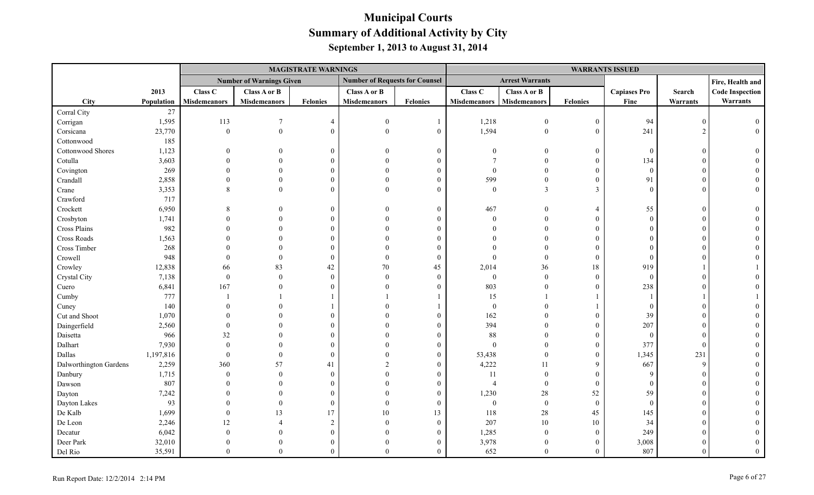|                        |            |                     |                                 | <b>MAGISTRATE WARNINGS</b> |                                       |                |                     |                        |                  | <b>WARRANTS ISSUED</b> |                 |                        |
|------------------------|------------|---------------------|---------------------------------|----------------------------|---------------------------------------|----------------|---------------------|------------------------|------------------|------------------------|-----------------|------------------------|
|                        |            |                     | <b>Number of Warnings Given</b> |                            | <b>Number of Requests for Counsel</b> |                |                     | <b>Arrest Warrants</b> |                  |                        |                 | Fire, Health and       |
|                        | 2013       | Class C             | <b>Class A or B</b>             |                            | Class A or B                          |                | Class C             | Class A or B           |                  | <b>Capiases Pro</b>    | Search          | <b>Code Inspection</b> |
| City                   | Population | <b>Misdemeanors</b> | <b>Misdemeanors</b>             | <b>Felonies</b>            | <b>Misdemeanors</b>                   | Felonies       | <b>Misdemeanors</b> | <b>Misdemeanors</b>    | <b>Felonies</b>  | Fine                   | <b>Warrants</b> | Warrants               |
| Corral City            | $27\,$     |                     |                                 |                            |                                       |                |                     |                        |                  |                        |                 |                        |
| Corrigan               | 1,595      | 113                 |                                 | $\overline{4}$             | $\theta$                              |                | 1,218               | $\overline{0}$         | $\mathbf{0}$     | 94                     |                 |                        |
| Corsicana              | 23,770     | $\boldsymbol{0}$    | $\boldsymbol{0}$                | $\Omega$                   | $\theta$                              | $\theta$       | 1,594               | $\overline{0}$         | $\mathbf{0}$     | 241                    | $\mathcal{D}$   |                        |
| Cottonwood             | 185        |                     |                                 |                            |                                       |                |                     |                        |                  |                        |                 |                        |
| Cottonwood Shores      | 1,123      |                     | $\Omega$                        | $\theta$                   | $\Omega$                              | $\Omega$       | $\Omega$            | $\theta$               | $\mathbf{0}$     | $\Omega$               |                 |                        |
| Cotulla                | 3,603      |                     |                                 | $\Omega$                   | $\Omega$                              | 0              |                     | $\Omega$               | $\mathbf{0}$     | 134                    |                 |                        |
| Covington              | 269        |                     |                                 | $\Omega$                   |                                       | 0              | $\Omega$            | $\Omega$               | $\mathbf{0}$     | $\overline{0}$         |                 |                        |
| Crandall               | 2,858      |                     | $\Omega$                        | $\Omega$                   | $\Omega$                              |                | 599                 | $\theta$               | $\theta$         | 91                     |                 |                        |
| Crane                  | 3,353      |                     | $\Omega$                        | $\Omega$                   | $\Omega$                              |                | $\mathbf{0}$        | 3                      | 3                |                        |                 |                        |
| Crawford               | 717        |                     |                                 |                            |                                       |                |                     |                        |                  |                        |                 |                        |
| Crockett               | 6,950      |                     |                                 | $\mathbf{0}$               | $\Omega$                              | $\theta$       | 467                 | $\Omega$               | $\overline{4}$   | 55                     |                 |                        |
| Crosbyton              | 1,741      |                     | $\Omega$                        | $\Omega$                   | $\Omega$                              | 0              | $\theta$            | $\Omega$               | $\mathbf{0}$     | $\Omega$               |                 |                        |
| Cross Plains           | 982        |                     |                                 | $\Omega$                   |                                       |                |                     |                        | $\Omega$         |                        |                 |                        |
| Cross Roads            | 1,563      |                     |                                 | $\Omega$                   |                                       |                |                     |                        | $\Omega$         |                        |                 |                        |
| Cross Timber           | 268        |                     |                                 | $\Omega$                   |                                       |                |                     |                        | $\Omega$         |                        |                 |                        |
| Crowell                | 948        |                     |                                 | $\theta$                   | $\Omega$                              | $\Omega$       |                     |                        | $\mathbf{0}$     | $\Omega$               |                 |                        |
| Crowley                | 12,838     | 66                  | 83                              | 42                         | 70                                    | 45             | 2,014               | 36                     | $18\,$           | 919                    |                 |                        |
| Crystal City           | 7,138      | $\boldsymbol{0}$    | $\Omega$                        | $\Omega$                   | $\Omega$                              | $\mathbf{0}$   | $\boldsymbol{0}$    | $\mathbf{0}$           | $\boldsymbol{0}$ | $\overline{0}$         |                 |                        |
| Cuero                  | 6,841      | 167                 |                                 | $\Omega$                   |                                       | $\Omega$       | 803                 | $\Omega$               | $\theta$         | 238                    |                 |                        |
| Cumby                  | 777        |                     |                                 |                            |                                       |                | 15                  |                        |                  |                        |                 |                        |
| Cuney                  | 140        |                     |                                 |                            |                                       |                | $\boldsymbol{0}$    |                        |                  |                        |                 |                        |
| Cut and Shoot          | 1,070      |                     |                                 | $\Omega$                   |                                       | $\Omega$       | 162                 |                        | $\mathbf{0}$     | 39                     |                 |                        |
| Daingerfield           | 2,560      | $\Omega$            |                                 | $\Omega$                   | $\Omega$                              | $\Omega$       | 394                 |                        | $\mathbf{0}$     | 207                    |                 |                        |
| Daisetta               | 966        | 32                  | $\Omega$                        | $\Omega$                   |                                       | 0              | 88                  |                        | $\mathbf{0}$     | $\overline{0}$         |                 |                        |
| Dalhart                | 7,930      | $\mathbf{0}$        |                                 |                            |                                       | 0              | $\mathbf{0}$        | $\Omega$               | $\mathbf{0}$     | 377                    | $\sqrt{ }$      |                        |
| Dallas                 | 1,197,816  | $\mathbf{0}$        | $\Omega$                        | $\Omega$                   | $\Omega$                              |                | 53,438              | $\Omega$               | $\mathbf{0}$     | 1,345                  | 231             |                        |
| Dalworthington Gardens | 2,259      | 360                 | 57                              | 41                         | $\mathfrak{D}$                        |                | 4,222               | 11                     | 9                | 667                    | $\mathbf{Q}$    |                        |
| Danbury                | 1,715      | $\mathbf{0}$        | $\theta$                        | $\mathbf{0}$               |                                       | 0              | 11                  | $\theta$               | $\mathbf{0}$     | $\mathbf{Q}$           |                 |                        |
| Dawson                 | 807        |                     |                                 | $\Omega$                   | $\Omega$                              |                | $\overline{4}$      | $\Omega$               | $\mathbf{0}$     | $\Omega$               |                 |                        |
| Dayton                 | 7,242      |                     | $\Omega$                        | $\Omega$                   |                                       | 0              | 1,230               | $28\,$                 | 52               | 59                     |                 |                        |
| Dayton Lakes           | 93         |                     | $\Omega$                        | $\theta$                   | $\Omega$                              | $\theta$       | $\boldsymbol{0}$    | $\mathbf{0}$           | $\mathbf{0}$     | $\theta$               |                 |                        |
| De Kalb                | 1,699      | $\Omega$            | 13                              | 17                         | 10                                    | 13             | 118                 | $28\,$                 | 45               | 145                    |                 |                        |
| De Leon                | 2,246      | 12                  | $\overline{4}$                  | 2                          | $\Omega$                              | $\overline{0}$ | 207                 | 10                     | 10               | 34                     |                 |                        |
| Decatur                | 6,042      |                     | $\Omega$                        | $\theta$                   | $\Omega$                              | $\Omega$       | 1,285               | $\boldsymbol{0}$       | $\boldsymbol{0}$ | 249                    |                 |                        |
| Deer Park              | 32,010     |                     | $\Omega$                        | $\Omega$                   | $\Omega$                              |                | 3,978               | $\theta$               | $\mathbf{0}$     | 3,008                  |                 |                        |
| Del Rio                | 35,591     | $\Omega$            | $\Omega$                        | $\Omega$                   | $\Omega$                              | $\Omega$       | 652                 | $\theta$               | $\theta$         | 807                    |                 |                        |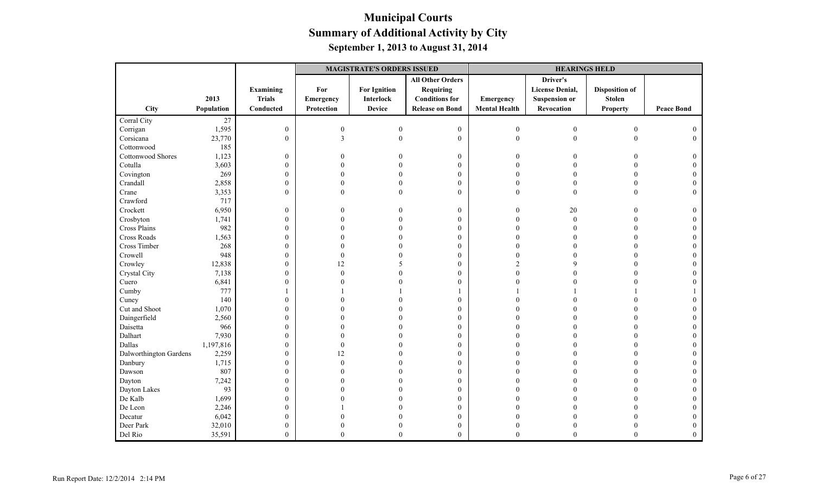|                          |            |                  | <b>MAGISTRATE'S ORDERS ISSUED</b> |                     |                         |                      | <b>HEARINGS HELD</b>   |                       |                   |
|--------------------------|------------|------------------|-----------------------------------|---------------------|-------------------------|----------------------|------------------------|-----------------------|-------------------|
|                          |            |                  |                                   |                     | <b>All Other Orders</b> |                      | Driver's               |                       |                   |
|                          |            | Examining        | For                               | <b>For Ignition</b> | <b>Requiring</b>        |                      | <b>License Denial,</b> | <b>Disposition of</b> |                   |
|                          | 2013       | <b>Trials</b>    | Emergency                         | <b>Interlock</b>    | <b>Conditions for</b>   | Emergency            | <b>Suspension or</b>   | <b>Stolen</b>         |                   |
| City                     | Population | Conducted        | Protection                        | <b>Device</b>       | <b>Release on Bond</b>  | <b>Mental Health</b> | Revocation             | <b>Property</b>       | <b>Peace Bond</b> |
| Corral City              | 27         |                  |                                   |                     |                         |                      |                        |                       |                   |
| Corrigan                 | 1,595      | $\boldsymbol{0}$ | $\boldsymbol{0}$                  | $\mathbf{0}$        | $\boldsymbol{0}$        | $\boldsymbol{0}$     | $\boldsymbol{0}$       | $\boldsymbol{0}$      | $\theta$          |
| Corsicana                | 23,770     | $\mathbf{0}$     | $\overline{\mathbf{3}}$           |                     | $\boldsymbol{0}$        | $\boldsymbol{0}$     | $\mathbf{0}$           | $\mathbf{0}$          | $\theta$          |
| Cottonwood               | 185        |                  |                                   |                     |                         |                      |                        |                       |                   |
| <b>Cottonwood Shores</b> | 1,123      | $\boldsymbol{0}$ | $\Omega$                          |                     | $\mathbf{0}$            | $\Omega$             | 0                      | $\Omega$              | 0                 |
| Cotulla                  | 3,603      | $\boldsymbol{0}$ |                                   |                     | $\boldsymbol{0}$        | $\Omega$             |                        | $\theta$              | $\Omega$          |
| Covington                | 269        | $\mathbf{0}$     | 0                                 |                     | $\boldsymbol{0}$        | $\Omega$             |                        | $\theta$              | $\Omega$          |
| Crandall                 | 2,858      | $\boldsymbol{0}$ | 0                                 |                     | $\boldsymbol{0}$        | $\theta$             | 0                      | $\theta$              |                   |
| Crane                    | 3,353      | $\boldsymbol{0}$ | $\theta$                          | $\Omega$            | $\boldsymbol{0}$        | $\theta$             | $\theta$               | $\theta$              | $\Omega$          |
| Crawford                 | 717        |                  |                                   |                     |                         |                      |                        |                       |                   |
| Crockett                 | 6,950      | $\boldsymbol{0}$ | 0                                 |                     | $\boldsymbol{0}$        | $\Omega$             | 20                     | $\Omega$              | $\Omega$          |
| Crosbyton                | 1,741      | $\boldsymbol{0}$ | 0                                 |                     | $\mathbf{0}$            | $\Omega$             | $\mathbf{0}$           |                       |                   |
| Cross Plains             | 982        | $\boldsymbol{0}$ |                                   |                     | $\boldsymbol{0}$        |                      |                        |                       |                   |
| Cross Roads              | 1,563      | $\boldsymbol{0}$ |                                   |                     | $\boldsymbol{0}$        | $\Omega$             |                        | $\Omega$              | $\Omega$          |
| Cross Timber             | 268        | $\boldsymbol{0}$ |                                   |                     | $\mathbf{0}$            | $\Omega$             |                        | $\Omega$              |                   |
| Crowell                  | 948        | $\boldsymbol{0}$ | $\Omega$                          |                     | $\mathbf{0}$            | $\Omega$             |                        | $\Omega$              | $\Omega$          |
| Crowley                  | 12,838     | $\boldsymbol{0}$ | 12                                |                     | $\boldsymbol{0}$        | $\overline{2}$       |                        |                       |                   |
| Crystal City             | 7,138      | $\boldsymbol{0}$ | $\theta$                          |                     | $\boldsymbol{0}$        | $\Omega$             |                        | $\Omega$              |                   |
| Cuero                    | 6,841      | $\boldsymbol{0}$ | 0                                 |                     | $\mathbf{0}$            | $\Omega$             |                        | $\Omega$              |                   |
| Cumby                    | 777        | 1                |                                   |                     | $\mathbf{1}$            |                      |                        |                       |                   |
| Cuney                    | 140        | $\boldsymbol{0}$ |                                   |                     | $\boldsymbol{0}$        |                      |                        |                       |                   |
| Cut and Shoot            | 1,070      | $\boldsymbol{0}$ |                                   |                     | $\boldsymbol{0}$        |                      |                        |                       |                   |
| Daingerfield             | 2,560      | $\boldsymbol{0}$ |                                   |                     | $\mathbf{0}$            | $\Omega$             |                        | $\Omega$              |                   |
| Daisetta                 | 966        | $\boldsymbol{0}$ |                                   |                     | $\mathbf{0}$            | $\Omega$             |                        | $\Omega$              |                   |
| Dalhart                  | 7,930      | $\boldsymbol{0}$ |                                   |                     | $\boldsymbol{0}$        | $\Omega$             |                        |                       |                   |
| Dallas                   | 1,197,816  | $\boldsymbol{0}$ | $\overline{0}$                    |                     | $\boldsymbol{0}$        |                      |                        |                       |                   |
| Dalworthington Gardens   | 2,259      | $\boldsymbol{0}$ | 12                                |                     | $\mathbf{0}$            | $\Omega$             |                        | $\Omega$              | $\Omega$          |
| Danbury                  | 1,715      | $\boldsymbol{0}$ | $\theta$                          |                     | $\boldsymbol{0}$        | $\Omega$             |                        | $\Omega$              |                   |
| Dawson                   | 807        | $\boldsymbol{0}$ | 0                                 |                     | $\boldsymbol{0}$        |                      |                        | $\Omega$              |                   |
| Dayton                   | 7,242      | $\boldsymbol{0}$ |                                   |                     | $\mathbf{0}$            |                      |                        |                       |                   |
| Dayton Lakes             | 93         | $\boldsymbol{0}$ |                                   |                     | $\boldsymbol{0}$        |                      |                        | $\Omega$              |                   |
| De Kalb                  | 1,699      | $\boldsymbol{0}$ |                                   |                     | $\boldsymbol{0}$        | $\Omega$             |                        | $\Omega$              | $\Omega$          |
| De Leon                  | 2,246      | $\boldsymbol{0}$ |                                   |                     | $\boldsymbol{0}$        | $\Omega$             |                        |                       | $\Omega$          |
| Decatur                  | 6,042      | $\boldsymbol{0}$ |                                   |                     | $\boldsymbol{0}$        |                      |                        |                       |                   |
| Deer Park                | 32,010     | $\boldsymbol{0}$ | 0                                 |                     | $\boldsymbol{0}$        | $\theta$             |                        | $\Omega$              |                   |
| Del Rio                  | 35,591     | $\overline{0}$   | $\Omega$                          | $\mathbf{0}$        | $\overline{0}$          | $\theta$             | $\mathbf{0}$           | $\overline{0}$        | $\theta$          |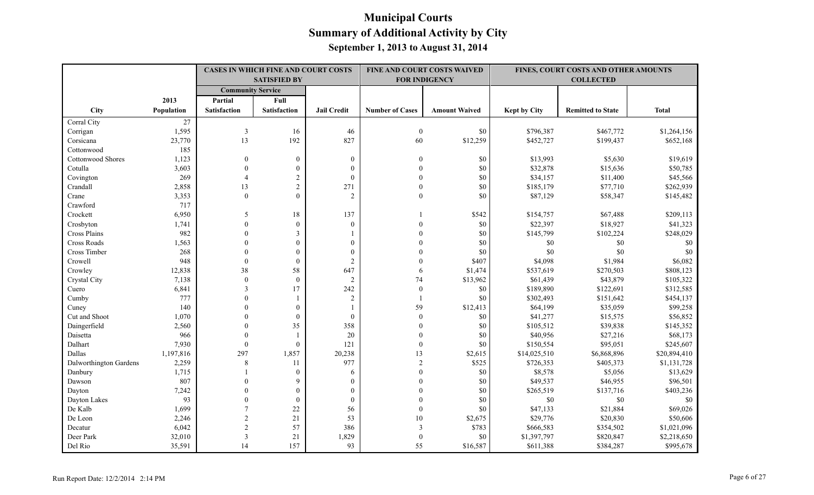|                          |            | <b>CASES IN WHICH FINE AND COURT COSTS</b><br><b>SATISFIED BY</b><br><b>Community Service</b> |                     |                    | FINE AND COURT COSTS WAIVED<br><b>FOR INDIGENCY</b> |                      |                     | FINES, COURT COSTS AND OTHER AMOUNTS |              |
|--------------------------|------------|-----------------------------------------------------------------------------------------------|---------------------|--------------------|-----------------------------------------------------|----------------------|---------------------|--------------------------------------|--------------|
|                          |            |                                                                                               |                     |                    |                                                     |                      |                     |                                      |              |
|                          | 2013       | Partial                                                                                       | Full                |                    |                                                     |                      |                     |                                      |              |
| City                     | Population | <b>Satisfaction</b>                                                                           | <b>Satisfaction</b> | <b>Jail Credit</b> | <b>Number of Cases</b>                              | <b>Amount Waived</b> | <b>Kept by City</b> | <b>Remitted to State</b>             | <b>Total</b> |
| Corral City              | 27         |                                                                                               |                     |                    |                                                     |                      |                     |                                      |              |
| Corrigan                 | 1,595      | $\overline{\mathbf{3}}$                                                                       | 16                  | 46                 | $\boldsymbol{0}$                                    | \$0                  | \$796,387           | \$467,772                            | \$1,264,156  |
| Corsicana                | 23,770     | 13                                                                                            | 192                 | 827                | 60                                                  | \$12,259             | \$452,727           | \$199,437                            | \$652,168    |
| Cottonwood               | 185        |                                                                                               |                     |                    |                                                     |                      |                     |                                      |              |
| <b>Cottonwood Shores</b> | 1,123      | $\theta$                                                                                      | $\overline{0}$      | $\mathbf{0}$       | $\overline{0}$                                      | \$0                  | \$13,993            | \$5,630                              | \$19,619     |
| Cotulla                  | 3,603      | $\theta$                                                                                      | $\overline{0}$      | $\theta$           | $\Omega$                                            | \$0                  | \$32,878            | \$15,636                             | \$50,785     |
| Covington                | 269        | $\overline{4}$                                                                                | $\overline{c}$      | $\boldsymbol{0}$   |                                                     | \$0                  | \$34,157            | \$11,400                             | \$45,566     |
| Crandall                 | 2,858      | 13                                                                                            | $\sqrt{2}$          | 271                | $\Omega$                                            | \$0                  | \$185,179           | \$77,710                             | \$262,939    |
| Crane                    | 3,353      | $\theta$                                                                                      | $\theta$            | $\overline{2}$     | $\theta$                                            | \$0                  | \$87,129            | \$58,347                             | \$145,482    |
| Crawford                 | 717        |                                                                                               |                     |                    |                                                     |                      |                     |                                      |              |
| Crockett                 | 6,950      | 5                                                                                             | 18                  | 137                |                                                     | \$542                | \$154,757           | \$67,488                             | \$209,113    |
| Crosbyton                | 1,741      | $\theta$                                                                                      | $\overline{0}$      | $\overline{0}$     |                                                     | \$0                  | \$22,397            | \$18,927                             | \$41,323     |
| Cross Plains             | 982        | $\Omega$                                                                                      | 3                   |                    | $\Omega$                                            | \$0                  | \$145,799           | \$102,224                            | \$248,029    |
| Cross Roads              | 1,563      | $\Omega$                                                                                      | $\overline{0}$      | $\theta$           |                                                     | \$0                  | \$0                 | \$0                                  | \$0          |
| Cross Timber             | 268        | $\Omega$                                                                                      | $\overline{0}$      | $\mathbf{0}$       |                                                     | \$0                  | \$0                 | \$0                                  | \$0          |
| Crowell                  | 948        | $\theta$                                                                                      | $\mathbf{0}$        | $\overline{2}$     |                                                     | \$407                | \$4,098             | \$1,984                              | \$6,082      |
| Crowley                  | 12,838     | 38                                                                                            | 58                  | 647                | 6                                                   | \$1,474              | \$537,619           | \$270,503                            | \$808,123    |
| Crystal City             | 7,138      | $\theta$                                                                                      | $\theta$            | $\overline{2}$     | 74                                                  | \$13,962             | \$61,439            | \$43,879                             | \$105,322    |
| Cuero                    | 6,841      | 3                                                                                             | 17                  | 242                | $\mathbf{0}$                                        | \$0                  | \$189,890           | \$122,691                            | \$312,585    |
| Cumby                    | 777        | $\theta$                                                                                      |                     | $\sqrt{2}$         |                                                     | \$0                  | \$302,493           | \$151,642                            | \$454,137    |
| Cuney                    | 140        | $\Omega$                                                                                      | $\overline{0}$      |                    | 59                                                  | \$12,413             | \$64,199            | \$35,059                             | \$99,258     |
| Cut and Shoot            | 1,070      | $\Omega$                                                                                      | $\boldsymbol{0}$    | $\theta$           | $\theta$                                            | \$0                  | \$41,277            | \$15,575                             | \$56,852     |
| Daingerfield             | 2,560      | $\Omega$                                                                                      | 35                  | 358                | $\Omega$                                            | \$0                  | \$105,512           | \$39,838                             | \$145,352    |
| Daisetta                 | 966        | $\Omega$                                                                                      | $\mathbf{1}$        | 20                 | $\Omega$                                            | \$0                  | \$40,956            | \$27,216                             | \$68,173     |
| Dalhart                  | 7,930      | $\theta$                                                                                      | $\boldsymbol{0}$    | 121                | $\theta$                                            | \$0                  | \$150,554           | \$95,051                             | \$245,607    |
| Dallas                   | 1,197,816  | 297                                                                                           | 1,857               | 20,238             | 13                                                  | \$2,615              | \$14,025,510        | \$6,868,896                          | \$20,894,410 |
| Dalworthington Gardens   | 2,259      | 8                                                                                             | 11                  | 977                | $\overline{2}$                                      | \$525                | \$726,353           | \$405,373                            | \$1,131,728  |
| Danbury                  | 1,715      |                                                                                               | $\mathbf{0}$        | 6                  | $\mathbf{0}$                                        | \$0                  | \$8,578             | \$5,056                              | \$13,629     |
| Dawson                   | 807        | $\theta$                                                                                      | 9                   | $\mathbf{0}$       | $\Omega$                                            | \$0                  | \$49,537            | \$46,955                             | \$96,501     |
| Dayton                   | 7,242      | $\Omega$                                                                                      | $\overline{0}$      | $\theta$           |                                                     | \$0                  | \$265,519           | \$137,716                            | \$403,236    |
| Dayton Lakes             | 93         | $\Omega$                                                                                      | $\mathbf{0}$        | $\mathbf{0}$       |                                                     | \$0                  | \$0                 | \$0                                  | \$0          |
| De Kalb                  | 1,699      | $\overline{7}$                                                                                | 22                  | 56                 | $\Omega$                                            | \$0                  | \$47,133            | \$21,884                             | \$69,026     |
| De Leon                  | 2,246      | $\overline{2}$                                                                                | 21                  | 53                 | 10                                                  | \$2,675              | \$29,776            | \$20,830                             | \$50,606     |
| Decatur                  | 6,042      | $\overline{2}$                                                                                | 57                  | 386                | 3                                                   | \$783                | \$666,583           | \$354,502                            | \$1,021,096  |
| Deer Park                | 32,010     | 3                                                                                             | 21                  | 1,829              | $\theta$                                            | \$0                  | \$1,397,797         | \$820,847                            | \$2,218,650  |
| Del Rio                  | 35,591     | 14                                                                                            | 157                 | 93                 | 55                                                  | \$16,587             | \$611,388           | \$384,287                            | \$995,678    |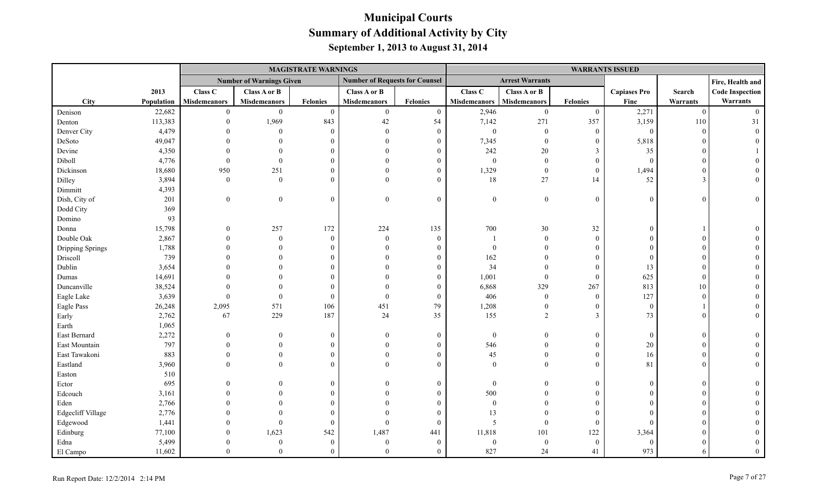|                          |            |                     |                                 | <b>MAGISTRATE WARNINGS</b> |                                       |                 |                     |                        |                         | <b>WARRANTS ISSUED</b> |          |                        |
|--------------------------|------------|---------------------|---------------------------------|----------------------------|---------------------------------------|-----------------|---------------------|------------------------|-------------------------|------------------------|----------|------------------------|
|                          |            |                     | <b>Number of Warnings Given</b> |                            | <b>Number of Requests for Counsel</b> |                 |                     | <b>Arrest Warrants</b> |                         |                        |          | Fire, Health and       |
|                          | 2013       | Class C             | <b>Class A or B</b>             |                            | Class A or B                          |                 | Class C             | Class A or B           |                         | <b>Capiases Pro</b>    | Search   | <b>Code Inspection</b> |
| City                     | Population | <b>Misdemeanors</b> | <b>Misdemeanors</b>             | <b>Felonies</b>            | <b>Misdemeanors</b>                   | <b>Felonies</b> | <b>Misdemeanors</b> | <b>Misdemeanors</b>    | <b>Felonies</b>         | Fine                   | Warrants | Warrants               |
| Denison                  | 22,682     | $\theta$            | $\theta$                        | $\theta$                   | $\boldsymbol{0}$                      | $\overline{0}$  | 2,946               | $\mathbf{0}$           | $\mathbf{0}$            | 2,271                  | $\theta$ | $\Omega$               |
| Denton                   | 113,383    |                     | 1,969                           | 843                        | 42                                    | 54              | 7,142               | 271                    | 357                     | 3,159                  | 110      | 31                     |
| Denver City              | 4,479      |                     | $\Omega$                        | $\Omega$                   | $\overline{0}$                        | $\overline{0}$  | $\boldsymbol{0}$    | $\overline{0}$         | $\mathbf{0}$            | $\overline{0}$         | $\Omega$ |                        |
| DeSoto                   | 49,047     |                     |                                 |                            | $\Omega$                              | $\theta$        | 7,345               | $\theta$               | $\boldsymbol{0}$        | 5,818                  |          |                        |
| Devine                   | 4,350      |                     |                                 |                            | $\Omega$                              | $\Omega$        | 242                 | $20\,$                 | 3                       | 35                     |          |                        |
| Diboll                   | 4,776      |                     | $\theta$                        |                            | $\Omega$                              | $\theta$        | $\mathbf{0}$        | $\overline{0}$         | $\mathbf{0}$            | $\Omega$               |          |                        |
| Dickinson                | 18,680     | 950                 | 251                             |                            | $\Omega$                              | $\theta$        | 1,329               | $\theta$               | $\mathbf{0}$            | 1,494                  |          |                        |
| Dilley                   | 3,894      | $\theta$            | $\Omega$                        |                            | $\Omega$                              | $\Omega$        | 18                  | 27                     | 14                      | 52                     |          |                        |
| Dimmitt                  | 4,393      |                     |                                 |                            |                                       |                 |                     |                        |                         |                        |          |                        |
| Dish, City of            | 201        | $\boldsymbol{0}$    | $\boldsymbol{0}$                | $\Omega$                   | $\mathbf{0}$                          | $\mathbf{0}$    | $\boldsymbol{0}$    | $\boldsymbol{0}$       | $\mathbf{0}$            | $\mathbf{0}$           | $\Omega$ | $\Omega$               |
| Dodd City                | 369        |                     |                                 |                            |                                       |                 |                     |                        |                         |                        |          |                        |
| Domino                   | 93         |                     |                                 |                            |                                       |                 |                     |                        |                         |                        |          |                        |
| Donna                    | 15,798     | $\Omega$            | 257                             | 172                        | 224                                   | 135             | 700                 | 30                     | 32                      | $\Omega$               |          |                        |
| Double Oak               | 2,867      |                     | $\Omega$                        | $\Omega$                   | $\theta$                              | $\theta$        |                     | $\theta$               | $\theta$                |                        |          |                        |
| Dripping Springs         | 1,788      |                     |                                 |                            | $\Omega$                              | $\Omega$        | $\theta$            | $\Omega$               | $\theta$                |                        |          |                        |
| Driscoll                 | 739        |                     |                                 |                            |                                       | $\Omega$        | 162                 |                        | $\boldsymbol{0}$        | $\Omega$               |          |                        |
| Dublin                   | 3,654      |                     |                                 |                            |                                       | $\Omega$        | 34                  |                        | $\mathbf{0}$            | 13                     |          |                        |
| Dumas                    | 14,691     |                     |                                 |                            |                                       | $\Omega$        | 1,001               | $\mathbf{0}$           | $\mathbf{0}$            | 625                    |          |                        |
| Duncanville              | 38,524     |                     |                                 |                            | $\Omega$                              | $\Omega$        | 6,868               | 329                    | 267                     | 813                    | 10       |                        |
| Eagle Lake               | 3,639      | $\Omega$            | $\Omega$                        | $\Omega$                   | $\Omega$                              | $\theta$        | 406                 | $\overline{0}$         | $\mathbf{0}$            | 127                    |          |                        |
| Eagle Pass               | 26,248     | 2,095               | 571                             | 106                        | 451                                   | 79              | 1,208               | $\overline{0}$         | $\overline{0}$          | $\overline{0}$         |          |                        |
| Early                    | 2,762      | 67                  | 229                             | 187                        | 24                                    | 35              | 155                 | $\overline{2}$         | $\overline{\mathbf{3}}$ | 73                     |          |                        |
| Earth                    | 1,065      |                     |                                 |                            |                                       |                 |                     |                        |                         |                        |          |                        |
| East Bernard             | 2,272      | $\Omega$            | $\Omega$                        | $\Omega$                   | $\theta$                              | $\mathbf{0}$    | $\mathbf{0}$        | $\Omega$               | $\theta$                | $\overline{0}$         |          |                        |
| East Mountain            | 797        |                     |                                 |                            | $\Omega$                              | $\Omega$        | 546                 | $\Omega$               | $\boldsymbol{0}$        | 20                     |          |                        |
| East Tawakoni            | 883        |                     | $\Omega$                        |                            | $\Omega$                              | $\theta$        | 45                  | $\Omega$               | $\overline{0}$          | 16                     |          |                        |
| Eastland                 | 3,960      |                     | $\Omega$                        |                            | $\Omega$                              | $\Omega$        | $\theta$            | $\Omega$               | $\theta$                | 81                     |          |                        |
| Easton                   | 510        |                     |                                 |                            |                                       |                 |                     |                        |                         |                        |          |                        |
| Ector                    | 695        |                     |                                 | $\Omega$                   | $\Omega$                              | $\theta$        | $\theta$            | $\Omega$               | $\overline{0}$          | $\Omega$               |          |                        |
| Edcouch                  | 3,161      |                     |                                 |                            |                                       | $\Omega$        | 500                 |                        | $\theta$                |                        |          |                        |
| Eden                     | 2,766      |                     |                                 |                            |                                       | 0               | $\boldsymbol{0}$    | $\Omega$               | $\theta$                |                        |          |                        |
| <b>Edgecliff Village</b> | 2,776      |                     |                                 |                            | $\Omega$                              | $\Omega$        | 13                  | $\Omega$               | $\theta$                |                        |          |                        |
| Edgewood                 | 1,441      |                     | $\Omega$                        |                            | $\theta$                              | $\theta$        | 5                   | $\theta$               | $\overline{0}$          | $\Omega$               |          |                        |
| Edinburg                 | 77,100     |                     | 1,623                           | 542                        | 1,487                                 | 441             | 11,818              | 101                    | 122                     | 3,364                  |          |                        |
| Edna                     | 5,499      |                     | $\Omega$                        | $\Omega$                   | $\theta$                              | $\theta$        | $\Omega$            | $\boldsymbol{0}$       | $\mathbf{0}$            | $\Omega$               |          |                        |
| El Campo                 | 11,602     | $\Omega$            | $\Omega$                        | $\Omega$                   | $\Omega$                              | $\Omega$        | 827                 | 24                     | 41                      | 973                    |          |                        |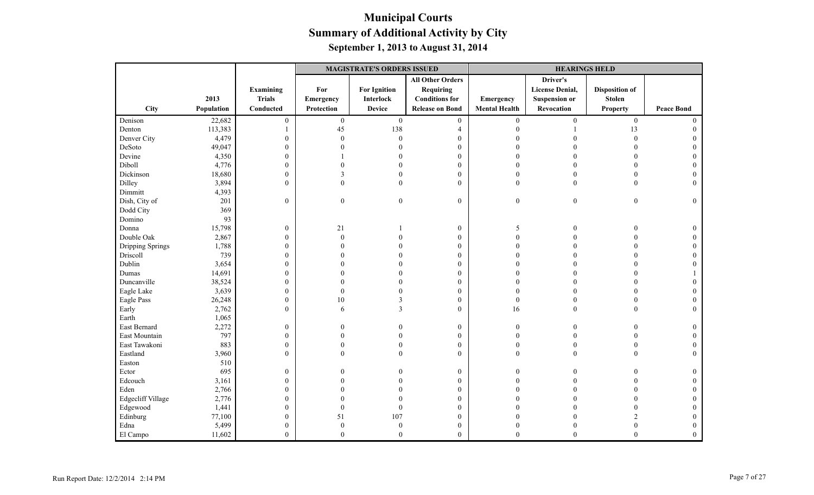|                   |            |                  | <b>MAGISTRATE'S ORDERS ISSUED</b> |                     |                         |                      | <b>HEARINGS HELD</b>   |                       |                   |
|-------------------|------------|------------------|-----------------------------------|---------------------|-------------------------|----------------------|------------------------|-----------------------|-------------------|
|                   |            |                  |                                   |                     | <b>All Other Orders</b> |                      | Driver's               |                       |                   |
|                   |            | <b>Examining</b> | For                               | <b>For Ignition</b> | <b>Requiring</b>        |                      | <b>License Denial,</b> | <b>Disposition of</b> |                   |
|                   | 2013       | <b>Trials</b>    | Emergency                         | Interlock           | <b>Conditions for</b>   | Emergency            | <b>Suspension or</b>   | <b>Stolen</b>         |                   |
| City              | Population | Conducted        | Protection                        | <b>Device</b>       | <b>Release on Bond</b>  | <b>Mental Health</b> | Revocation             | <b>Property</b>       | <b>Peace Bond</b> |
| Denison           | 22,682     | $\boldsymbol{0}$ | $\boldsymbol{0}$                  | $\mathbf{0}$        | $\boldsymbol{0}$        | $\boldsymbol{0}$     | $\boldsymbol{0}$       | $\boldsymbol{0}$      | $\theta$          |
| Denton            | 113,383    |                  | 45                                | 138                 | $\overline{4}$          | $\theta$             |                        | 13                    |                   |
| Denver City       | 4,479      | $\boldsymbol{0}$ | $\overline{0}$                    | $\boldsymbol{0}$    | $\boldsymbol{0}$        | $\Omega$             |                        | $\overline{0}$        |                   |
| DeSoto            | 49,047     | $\boldsymbol{0}$ | 0                                 |                     | $\boldsymbol{0}$        |                      |                        | $\Omega$              |                   |
| Devine            | 4,350      | $\boldsymbol{0}$ |                                   |                     | $\mathbf{0}$            | $\Omega$             |                        | $\Omega$              | $\Omega$          |
| Diboll            | 4,776      | $\boldsymbol{0}$ |                                   |                     | $\boldsymbol{0}$        | $\Omega$             |                        | $\theta$              |                   |
| Dickinson         | 18,680     | $\boldsymbol{0}$ | 3                                 |                     | $\mathbf{0}$            | $\theta$             | 0                      | $\theta$              |                   |
| Dilley            | 3,894      | $\boldsymbol{0}$ | $\theta$                          | $\theta$            | $\mathbf{0}$            | $\mathbf{0}$         | $\Omega$               | $\theta$              | $\Omega$          |
| Dimmitt           | 4,393      |                  |                                   |                     |                         |                      |                        |                       |                   |
| Dish, City of     | 201        | $\overline{0}$   | $\overline{0}$                    | $\mathbf{0}$        | $\mathbf{0}$            | $\bf{0}$             | $\boldsymbol{0}$       | $\boldsymbol{0}$      | $\Omega$          |
| Dodd City         | 369        |                  |                                   |                     |                         |                      |                        |                       |                   |
| Domino            | 93         |                  |                                   |                     |                         |                      |                        |                       |                   |
| Donna             | 15,798     | $\boldsymbol{0}$ | 21                                |                     | $\boldsymbol{0}$        | 5                    |                        |                       | $\overline{0}$    |
| Double Oak        | 2,867      | $\boldsymbol{0}$ | $\theta$                          |                     | $\boldsymbol{0}$        | $\Omega$             |                        | $\Omega$              | $\Omega$          |
| Dripping Springs  | 1,788      | $\boldsymbol{0}$ |                                   |                     | $\mathbf{0}$            | $\Omega$             |                        | $\Omega$              |                   |
| Driscoll          | 739        | $\mathbf{0}$     | O                                 |                     | $\mathbf{0}$            | $\Omega$             |                        | $\Omega$              |                   |
| Dublin            | 3,654      | $\boldsymbol{0}$ |                                   |                     | $\boldsymbol{0}$        | $\Omega$             |                        |                       |                   |
| Dumas             | 14,691     | $\boldsymbol{0}$ |                                   |                     | $\mathbf{0}$            | $\sqrt{ }$           |                        | $\Omega$              |                   |
| Duncanville       | 38,524     | $\boldsymbol{0}$ |                                   |                     | $\mathbf{0}$            | $\Omega$             | $\Omega$               | $\Omega$              |                   |
| Eagle Lake        | 3,639      | $\boldsymbol{0}$ | $\Omega$                          |                     | $\mathbf{0}$            | $\Omega$             |                        | $\Omega$              |                   |
| Eagle Pass        | 26,248     | $\boldsymbol{0}$ | 10                                |                     | $\mathbf{0}$            | $\boldsymbol{0}$     |                        | $\Omega$              |                   |
| Early             | 2,762      | $\overline{0}$   | 6                                 |                     | $\mathbf{0}$            | 16                   | $\Omega$               | $\Omega$              | $\Omega$          |
| Earth             | 1,065      |                  |                                   |                     |                         |                      |                        |                       |                   |
| East Bernard      | 2,272      | $\boldsymbol{0}$ | 0                                 |                     | $\boldsymbol{0}$        | $\theta$             | $\Omega$               | $\Omega$              | $\Omega$          |
| East Mountain     | 797        | $\boldsymbol{0}$ | $\theta$                          |                     | $\mathbf{0}$            | $\theta$             |                        | $\theta$              | $\Omega$          |
| East Tawakoni     | 883        | $\boldsymbol{0}$ | $\theta$                          | $\theta$            | $\boldsymbol{0}$        | $\theta$             |                        | $\theta$              |                   |
| Eastland          | 3,960      | $\mathbf{0}$     | $\theta$                          | $\theta$            | $\theta$                | $\theta$             | $\theta$               | $\theta$              | $\Omega$          |
| Easton            | 510        |                  |                                   |                     |                         |                      |                        |                       |                   |
| Ector             | 695        | $\mathbf{0}$     | 0                                 |                     | $\boldsymbol{0}$        | $\Omega$             |                        | $\Omega$              | 0                 |
| Edcouch           | 3,161      | $\boldsymbol{0}$ |                                   |                     | $\boldsymbol{0}$        | $\Omega$             |                        |                       |                   |
| Eden              | 2,766      | $\boldsymbol{0}$ |                                   |                     | $\boldsymbol{0}$        |                      |                        |                       |                   |
| Edgecliff Village | 2,776      | $\mathbf{0}$     |                                   |                     | $\mathbf{0}$            | $\Omega$             |                        | $\Omega$              | $\Omega$          |
| Edgewood          | 1,441      | $\boldsymbol{0}$ | $\Omega$                          | $\overline{0}$      | $\boldsymbol{0}$        | $\Omega$             |                        | $\Omega$              |                   |
| Edinburg          | 77,100     | $\boldsymbol{0}$ | 51                                | 107                 | $\boldsymbol{0}$        | $\Omega$             |                        | $\mathfrak{D}$        | $\theta$          |
| Edna              | 5,499      | $\boldsymbol{0}$ | $\theta$                          | $\theta$            | $\boldsymbol{0}$        | $\theta$             |                        |                       | $\Omega$          |
| El Campo          | 11,602     | $\Omega$         | $\theta$                          | $\theta$            | $\theta$                | $\Omega$             | $\Omega$               | $\theta$              | $\theta$          |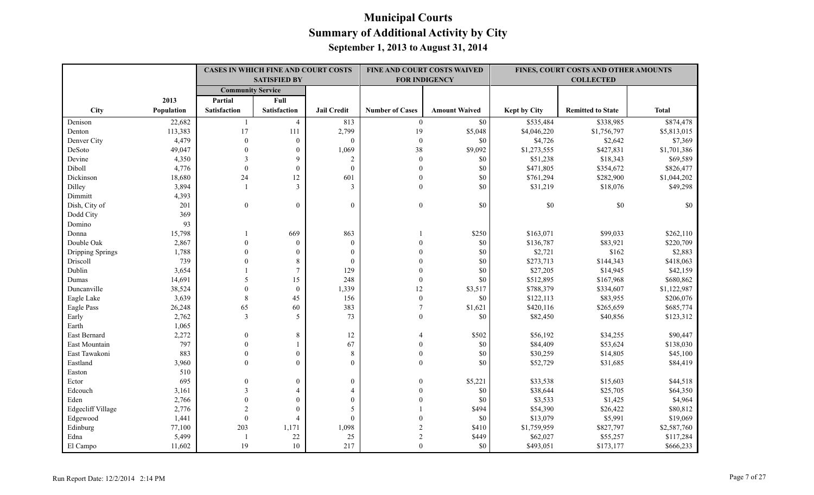|                   |            |                          | <b>CASES IN WHICH FINE AND COURT COSTS</b> |                    |                        | FINE AND COURT COSTS WAIVED |                     | FINES, COURT COSTS AND OTHER AMOUNTS |              |
|-------------------|------------|--------------------------|--------------------------------------------|--------------------|------------------------|-----------------------------|---------------------|--------------------------------------|--------------|
|                   |            |                          | <b>SATISFIED BY</b>                        |                    |                        | <b>FOR INDIGENCY</b>        |                     | <b>COLLECTED</b>                     |              |
|                   |            | <b>Community Service</b> |                                            |                    |                        |                             |                     |                                      |              |
|                   | 2013       | Partial                  | Full                                       |                    |                        |                             |                     |                                      |              |
| City              | Population | <b>Satisfaction</b>      | <b>Satisfaction</b>                        | <b>Jail Credit</b> | <b>Number of Cases</b> | <b>Amount Waived</b>        | <b>Kept by City</b> | <b>Remitted to State</b>             | <b>Total</b> |
| Denison           | 22,682     | $\overline{1}$           | $\overline{4}$                             | 813                | $\boldsymbol{0}$       | $\$0$                       | \$535,484           | \$338,985                            | \$874,478    |
| Denton            | 113,383    | 17                       | 111                                        | 2,799              | 19                     | \$5,048                     | \$4,046,220         | \$1,756,797                          | \$5,813,015  |
| Denver City       | 4,479      | $\boldsymbol{0}$         | $\boldsymbol{0}$                           | $\overline{0}$     | $\boldsymbol{0}$       | $\$0$                       | \$4,726             | \$2,642                              | \$7,369      |
| DeSoto            | 49,047     | $\theta$                 | $\mathbf{0}$                               | 1,069              | 38                     | \$9,092                     | \$1,273,555         | \$427,831                            | \$1,701,386  |
| Devine            | 4,350      | 3                        | 9                                          | 2                  | $\mathbf{0}$           | \$0                         | \$51,238            | \$18,343                             | \$69,589     |
| Diboll            | 4,776      | $\mathbf{0}$             | $\mathbf{0}$                               | $\mathbf{0}$       | $\mathbf{0}$           | \$0                         | \$471,805           | \$354,672                            | \$826,477    |
| Dickinson         | 18,680     | 24                       | 12                                         | 601                | $\mathbf{0}$           | \$0                         | \$761,294           | \$282,900                            | \$1,044,202  |
| Dilley            | 3,894      |                          | 3                                          | 3                  | $\theta$               | \$0                         | \$31,219            | \$18,076                             | \$49,298     |
| Dimmitt           | 4,393      |                          |                                            |                    |                        |                             |                     |                                      |              |
| Dish, City of     | 201        | $\overline{0}$           | $\mathbf{0}$                               | $\overline{0}$     | $\boldsymbol{0}$       | \$0                         | $\$0$               | $\$0$                                | \$0          |
| Dodd City         | 369        |                          |                                            |                    |                        |                             |                     |                                      |              |
| Domino            | 93         |                          |                                            |                    |                        |                             |                     |                                      |              |
| Donna             | 15,798     |                          | 669                                        | 863                |                        | \$250                       | \$163,071           | \$99,033                             | \$262,110    |
| Double Oak        | 2,867      | $\mathbf{0}$             | $\mathbf{0}$                               | $\mathbf{0}$       | $\theta$               | $\$0$                       | \$136,787           | \$83,921                             | \$220,709    |
| Dripping Springs  | 1,788      | $\mathbf{0}$             | $\mathbf{0}$                               | $\mathbf{0}$       | $\theta$               | \$0                         | \$2,721             | \$162                                | \$2,883      |
| Driscoll          | 739        | $\theta$                 | 8                                          | $\mathbf{0}$       | $\Omega$               | \$0                         | \$273,713           | \$144,343                            | \$418,063    |
| Dublin            | 3,654      |                          | $\overline{7}$                             | 129                | $\theta$               | \$0                         | \$27,205            | \$14,945                             | \$42,159     |
| Dumas             | 14,691     | 5                        | 15                                         | 248                | $\mathbf{0}$           | \$0                         | \$512,895           | \$167,968                            | \$680,862    |
| Duncanville       | 38,524     | $\theta$                 | $\boldsymbol{0}$                           | 1,339              | 12                     | \$3,517                     | \$788,379           | \$334,607                            | \$1,122,987  |
| Eagle Lake        | 3,639      | $\,8\,$                  | 45                                         | 156                | $\boldsymbol{0}$       | \$0                         | \$122,113           | \$83,955                             | \$206,076    |
| Eagle Pass        | 26,248     | 65                       | 60                                         | 383                | $\overline{7}$         | \$1,621                     | \$420,116           | \$265,659                            | \$685,774    |
| Early             | 2,762      | $\overline{3}$           | 5                                          | 73                 | $\theta$               | \$0                         | \$82,450            | \$40,856                             | \$123,312    |
| Earth             | 1,065      |                          |                                            |                    |                        |                             |                     |                                      |              |
| East Bernard      | 2,272      | $\mathbf{0}$             | $8\,$                                      | $12\,$             |                        | \$502                       | \$56,192            | \$34,255                             | \$90,447     |
| East Mountain     | 797        | $\mathbf{0}$             | $\mathbf{1}$                               | 67                 | $\mathbf{0}$           | $\$0$                       | \$84,409            | \$53,624                             | \$138,030    |
| East Tawakoni     | 883        | $\theta$                 | $\boldsymbol{0}$                           | $\,8\,$            | $\mathbf{0}$           | \$0                         | \$30,259            | \$14,805                             | \$45,100     |
| Eastland          | 3,960      | $\theta$                 | $\mathbf{0}$                               | $\overline{0}$     | $\mathbf{0}$           | \$0                         | \$52,729            | \$31,685                             | \$84,419     |
| Easton            | 510        |                          |                                            |                    |                        |                             |                     |                                      |              |
| Ector             | 695        | $\theta$                 | $\boldsymbol{0}$                           | $\boldsymbol{0}$   | $\theta$               | \$5,221                     | \$33,538            | \$15,603                             | \$44,518     |
| Edcouch           | 3,161      | 3                        | $\overline{4}$                             | $\overline{4}$     | $\Omega$               | \$0                         | \$38,644            | \$25,705                             | \$64,350     |
| Eden              | 2,766      | $\theta$                 | $\mathbf{0}$                               | $\Omega$           | $\Omega$               | \$0                         | \$3,533             | \$1,425                              | \$4,964      |
| Edgecliff Village | 2,776      | $\overline{2}$           | $\mathbf{0}$                               | 5                  |                        | \$494                       | \$54,390            | \$26,422                             | \$80,812     |
| Edgewood          | 1,441      | $\boldsymbol{0}$         | $\overline{4}$                             | $\boldsymbol{0}$   |                        | $\$0$                       | \$13,079            | \$5,991                              | \$19,069     |
| Edinburg          | 77,100     | 203                      | 1,171                                      | 1,098              | $\overline{2}$         | \$410                       | \$1,759,959         | \$827,797                            | \$2,587,760  |
| Edna              | 5,499      |                          | 22                                         | 25                 | $\overline{2}$         | \$449                       | \$62,027            | \$55,257                             | \$117,284    |
| El Campo          | 11,602     | 19                       | 10                                         | 217                | $\theta$               | \$0                         | \$493,051           | \$173,177                            | \$666,233    |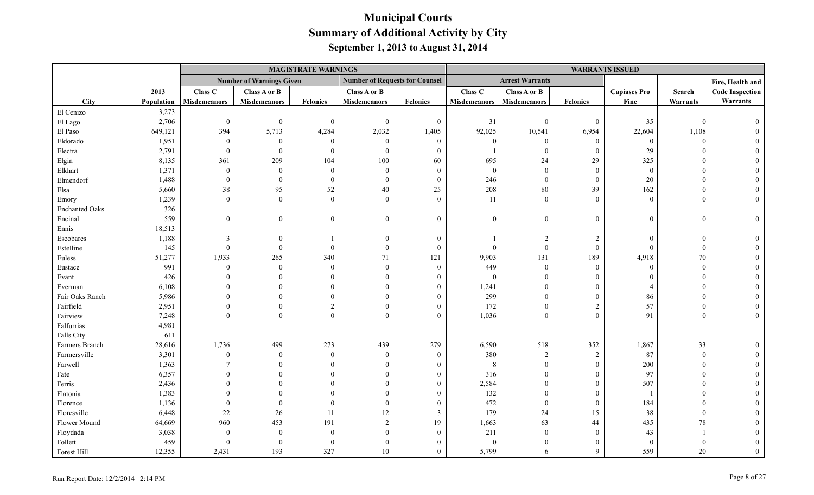|                       |            |                     |                                 | <b>MAGISTRATE WARNINGS</b> |                                       |                  |                     |                        |                  | <b>WARRANTS ISSUED</b> |            |                        |
|-----------------------|------------|---------------------|---------------------------------|----------------------------|---------------------------------------|------------------|---------------------|------------------------|------------------|------------------------|------------|------------------------|
|                       |            |                     | <b>Number of Warnings Given</b> |                            | <b>Number of Requests for Counsel</b> |                  |                     | <b>Arrest Warrants</b> |                  |                        |            | Fire, Health and       |
|                       | 2013       | Class C             | Class A or B                    |                            | Class A or B                          |                  | Class C             | Class A or B           |                  | <b>Capiases Pro</b>    | Search     | <b>Code Inspection</b> |
| City                  | Population | <b>Misdemeanors</b> | Misdemeanors                    | Felonies                   | <b>Misdemeanors</b>                   | Felonies         | <b>Misdemeanors</b> | Misdemeanors           | <b>Felonies</b>  | Fine                   | Warrants   | Warrants               |
| El Cenizo             | 3,273      |                     |                                 |                            |                                       |                  |                     |                        |                  |                        |            |                        |
| El Lago               | 2,706      | $\mathbf{0}$        | $\theta$                        | $\mathbf{0}$               | $\mathbf{0}$                          | $\mathbf{0}$     | 31                  | $\overline{0}$         | $\mathbf{0}$     | 35                     | $\theta$   |                        |
| El Paso               | 649,121    | 394                 | 5,713                           | 4,284                      | 2,032                                 | 1,405            | 92,025              | 10,541                 | 6,954            | 22,604                 | 1,108      |                        |
| Eldorado              | 1,951      | $\mathbf{0}$        | $\mathbf{0}$                    | $\overline{0}$             | $\mathbf{0}$                          | $\mathbf{0}$     | $\boldsymbol{0}$    | $\overline{0}$         | $\boldsymbol{0}$ | $\overline{0}$         | $\Omega$   |                        |
| Electra               | 2,791      | $\theta$            | $\Omega$                        | $\mathbf{0}$               | $\Omega$                              | $\theta$         | $\mathbf{1}$        | $\theta$               | $\mathbf{0}$     | 29                     |            |                        |
| Elgin                 | 8,135      | 361                 | 209                             | 104                        | 100                                   | 60               | 695                 | 24                     | 29               | 325                    |            |                        |
| Elkhart               | 1,371      | $\boldsymbol{0}$    | $\theta$                        | $\mathbf{0}$               | $\Omega$                              | $\overline{0}$   | $\boldsymbol{0}$    | $\overline{0}$         | $\mathbf{0}$     | $\overline{0}$         |            |                        |
| Elmendorf             | 1,488      | $\overline{0}$      | $\theta$                        | $\mathbf{0}$               | $\Omega$                              | $\overline{0}$   | 246                 | $\theta$               | $\mathbf{0}$     | 20                     |            |                        |
| Elsa                  | 5,660      | 38                  | 95                              | 52                         | 40                                    | 25               | 208                 | $80\,$                 | 39               | 162                    |            |                        |
| Emory                 | 1,239      | $\mathbf{0}$        | $\overline{0}$                  | $\mathbf{0}$               | $\theta$                              | $\theta$         | $11\,$              | $\mathbf{0}$           | $\mathbf{0}$     | $\theta$               |            |                        |
| <b>Enchanted Oaks</b> | 326        |                     |                                 |                            |                                       |                  |                     |                        |                  |                        |            |                        |
| Encinal               | 559        | $\mathbf{0}$        | $\overline{0}$                  | $\theta$                   | $\theta$                              | $\overline{0}$   | $\overline{0}$      | $\overline{0}$         | $\mathbf{0}$     | $\Omega$               | $\Omega$   |                        |
| Ennis                 | 18,513     |                     |                                 |                            |                                       |                  |                     |                        |                  |                        |            |                        |
| Escobares             | 1,188      | 3                   |                                 |                            | $\Omega$                              | $\overline{0}$   |                     | 2                      | $\boldsymbol{2}$ | $\Omega$               | $\sqrt{ }$ |                        |
| Estelline             | 145        |                     |                                 | $\overline{0}$             | $\Omega$                              | $\overline{0}$   | $\theta$            | $\overline{0}$         | $\boldsymbol{0}$ | $\Omega$               | $\Omega$   |                        |
| Euless                | 51,277     | 1,933               | 265                             | 340                        | 71                                    | 121              | 9,903               | 131                    | 189              | 4,918                  | 70         |                        |
| Eustace               | 991        | $\mathbf{0}$        | $\theta$                        | $\overline{0}$             | $\Omega$                              | $\overline{0}$   | 449                 | $\overline{0}$         | $\boldsymbol{0}$ | $\theta$               | $\Omega$   |                        |
| Evant                 | 426        |                     |                                 | $\Omega$                   |                                       | $\theta$         | $\mathbf{0}$        | $\Omega$               | $\Omega$         | $\Omega$               |            |                        |
| Everman               | 6,108      |                     |                                 | $\theta$                   |                                       | $\overline{0}$   | 1,241               | $\Omega$               | $\Omega$         |                        |            |                        |
| Fair Oaks Ranch       | 5,986      |                     |                                 | $\Omega$                   |                                       | $\overline{0}$   | 299                 | $\theta$               | $\mathbf{0}$     | 86                     |            |                        |
| Fairfield             | 2,951      |                     |                                 | $\overline{2}$             |                                       | $\boldsymbol{0}$ | 172                 | $\mathbf{0}$           | $\sqrt{2}$       | 57                     |            |                        |
| Fairview              | 7,248      | $\Omega$            | $\Omega$                        | $\theta$                   | $\Omega$                              | $\overline{0}$   | 1,036               | $\overline{0}$         | $\theta$         | 91                     |            | $\Omega$               |
| Falfurrias            | 4,981      |                     |                                 |                            |                                       |                  |                     |                        |                  |                        |            |                        |
| Falls City            | 611        |                     |                                 |                            |                                       |                  |                     |                        |                  |                        |            |                        |
| Farmers Branch        | 28,616     | 1,736               | 499                             | 273                        | 439                                   | 279              | 6,590               | 518                    | 352              | 1,867                  | 33         |                        |
| Farmersville          | 3,301      | $\mathbf{0}$        | $\Omega$                        | $\overline{0}$             | $\Omega$                              | $\overline{0}$   | 380                 | $\overline{2}$         | $\overline{2}$   | 87                     | $\Omega$   |                        |
| Farwell               | 1,363      |                     |                                 | $\theta$                   | $\Omega$                              | $\overline{0}$   | $\,8\,$             | $\overline{0}$         | $\boldsymbol{0}$ | 200                    |            |                        |
| Fate                  | 6,357      |                     |                                 | $\Omega$                   |                                       | $\Omega$         | 316                 | $\Omega$               | $\boldsymbol{0}$ | 97                     |            |                        |
| Ferris                | 2,436      |                     |                                 | $\Omega$                   |                                       | $\Omega$         | 2,584               | $\Omega$               | $\mathbf{0}$     | 507                    |            |                        |
| Flatonia              | 1,383      |                     |                                 | $\Omega$                   |                                       | $\Omega$         | 132                 | $\theta$               | $\mathbf{0}$     | -1                     |            |                        |
| Florence              | 1,136      | $\theta$            | $\theta$                        | $\mathbf{0}$               | $\Omega$                              | $\mathbf{0}$     | 472                 | $\overline{0}$         | $\mathbf{0}$     | 184                    |            |                        |
| Floresville           | 6,448      | $22\,$              | 26                              | 11                         | 12                                    | $\mathfrak{Z}$   | 179                 | 24                     | 15               | 38                     |            |                        |
| Flower Mound          | 64,669     | 960                 | 453                             | 191                        | $\overline{2}$                        | 19               | 1,663               | 63                     | 44               | 435                    | 78         |                        |
| Floydada              | 3,038      | $\boldsymbol{0}$    | $\theta$                        | $\mathbf{0}$               | $\Omega$                              | $\overline{0}$   | 211                 | $\overline{0}$         | $\mathbf{0}$     | 43                     |            |                        |
| Follett               | 459        | $\Omega$            | $\Omega$                        | $\Omega$                   | $\Omega$                              | $\Omega$         | $\Omega$            | $\Omega$               | $\Omega$         | $\overline{0}$         |            |                        |
| Forest Hill           | 12,355     | 2,431               | 193                             | 327                        | 10                                    | $\overline{0}$   | 5,799               | 6                      | 9                | 559                    | 20         | $\Omega$               |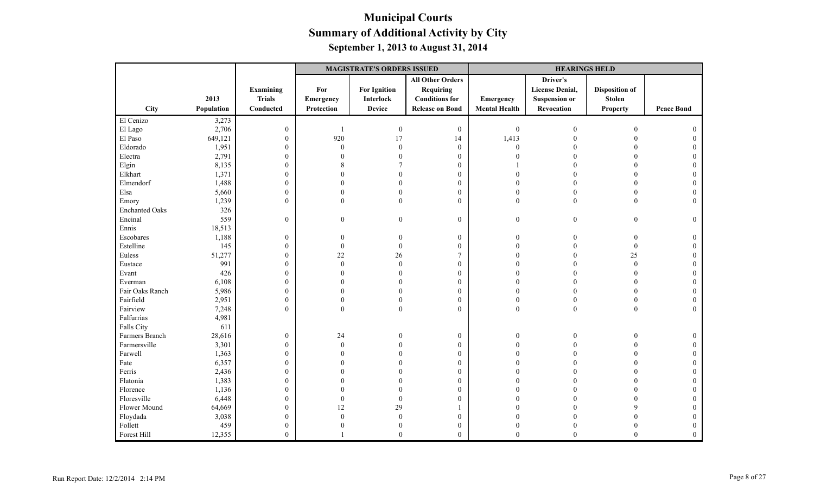|                       |            |                  | <b>MAGISTRATE'S ORDERS ISSUED</b> |                     |                         |                      | <b>HEARINGS HELD</b>   |                       |                   |  |
|-----------------------|------------|------------------|-----------------------------------|---------------------|-------------------------|----------------------|------------------------|-----------------------|-------------------|--|
|                       |            |                  |                                   |                     | <b>All Other Orders</b> |                      | Driver's               |                       |                   |  |
|                       |            | <b>Examining</b> | For                               | <b>For Ignition</b> | <b>Requiring</b>        |                      | <b>License Denial,</b> | <b>Disposition of</b> |                   |  |
|                       | 2013       | <b>Trials</b>    | Emergency                         | Interlock           | <b>Conditions</b> for   | Emergency            | <b>Suspension or</b>   | <b>Stolen</b>         |                   |  |
| <b>City</b>           | Population | Conducted        | Protection                        | <b>Device</b>       | <b>Release on Bond</b>  | <b>Mental Health</b> | Revocation             | <b>Property</b>       | <b>Peace Bond</b> |  |
| El Cenizo             | 3,273      |                  |                                   |                     |                         |                      |                        |                       |                   |  |
| El Lago               | 2,706      | $\boldsymbol{0}$ | $\overline{1}$                    | $\boldsymbol{0}$    | $\boldsymbol{0}$        | $\boldsymbol{0}$     | $\mathbf{0}$           | $\mathbf{0}$          |                   |  |
| El Paso               | 649,121    | $\boldsymbol{0}$ | 920                               | 17                  | 14                      | 1,413                |                        |                       |                   |  |
| Eldorado              | 1,951      | $\mathbf{0}$     | $\theta$                          | $\Omega$            | $\boldsymbol{0}$        | $\mathbf{0}$         |                        | $\Omega$              |                   |  |
| Electra               | 2,791      | $\boldsymbol{0}$ | 0                                 |                     | $\boldsymbol{0}$        | $\Omega$             |                        | $\Omega$              |                   |  |
| Elgin                 | 8,135      | $\boldsymbol{0}$ | 8                                 |                     | $\boldsymbol{0}$        |                      |                        | $\theta$              |                   |  |
| Elkhart               | 1,371      | $\boldsymbol{0}$ | 0                                 |                     | $\boldsymbol{0}$        | $\Omega$             |                        | $\theta$              | $\Omega$          |  |
| Elmendorf             | 1,488      | $\boldsymbol{0}$ | $\theta$                          |                     | $\mathbf{0}$            | $\Omega$             |                        | $\Omega$              |                   |  |
| Elsa                  | 5,660      | $\boldsymbol{0}$ | $\Omega$                          |                     | $\mathbf{0}$            | $\Omega$             | $\theta$               | $\theta$              | $\Omega$          |  |
| Emory                 | 1,239      | $\mathbf{0}$     | $\theta$                          | $\Omega$            | $\mathbf{0}$            | $\mathbf{0}$         | $\theta$               | $\overline{0}$        | $\Omega$          |  |
| <b>Enchanted Oaks</b> | 326        |                  |                                   |                     |                         |                      |                        |                       |                   |  |
| Encinal               | 559        | $\mathbf{0}$     | $\overline{0}$                    | $\theta$            | $\boldsymbol{0}$        | $\boldsymbol{0}$     | $\mathbf{0}$           | $\overline{0}$        | $\theta$          |  |
| Ennis                 | 18,513     |                  |                                   |                     |                         |                      |                        |                       |                   |  |
| Escobares             | 1,188      | $\boldsymbol{0}$ | $\boldsymbol{0}$                  |                     | $\boldsymbol{0}$        | $\mathbf{0}$         | $\Omega$               | $\boldsymbol{0}$      | $\Omega$          |  |
| Estelline             | 145        | $\mathbf{0}$     | $\mathbf{0}$                      | $\Omega$            | $\boldsymbol{0}$        | $\theta$             |                        | $\boldsymbol{0}$      | $\Omega$          |  |
| Euless                | 51,277     | $\boldsymbol{0}$ | 22                                | 26                  | $\overline{7}$          | $\Omega$             |                        | 25                    | $\Omega$          |  |
| Eustace               | 991        | $\boldsymbol{0}$ | $\mathbf{0}$                      | $\Omega$            | $\boldsymbol{0}$        | $\Omega$             |                        | $\boldsymbol{0}$      | $\Omega$          |  |
| Evant                 | 426        | $\boldsymbol{0}$ | $\Omega$                          |                     | $\boldsymbol{0}$        | $\Omega$             | $\Omega$               | $\theta$              |                   |  |
| Everman               | 6,108      | $\boldsymbol{0}$ | 0                                 |                     | $\mathbf{0}$            | $\Omega$             | $\Omega$               | $\theta$              |                   |  |
| Fair Oaks Ranch       | 5,986      | $\boldsymbol{0}$ | 0                                 |                     | $\mathbf{0}$            | 0                    |                        | $\overline{0}$        |                   |  |
| Fairfield             | 2,951      | $\boldsymbol{0}$ | $\mathbf{0}$                      |                     | $\boldsymbol{0}$        | $\overline{0}$       | $\theta$               | $\boldsymbol{0}$      |                   |  |
| Fairview              | 7,248      | $\overline{0}$   | $\theta$                          | $\theta$            | $\overline{0}$          | $\boldsymbol{0}$     | $\mathbf{0}$           | $\overline{0}$        | $\Omega$          |  |
| Falfurrias            | 4,981      |                  |                                   |                     |                         |                      |                        |                       |                   |  |
| Falls City            | 611        |                  |                                   |                     |                         |                      |                        |                       |                   |  |
| Farmers Branch        | 28,616     | $\boldsymbol{0}$ | 24                                |                     | $\boldsymbol{0}$        | $\boldsymbol{0}$     | 0                      | $\theta$              | $\theta$          |  |
| Farmersville          | 3,301      | $\boldsymbol{0}$ | $\mathbf{0}$                      |                     | $\boldsymbol{0}$        | $\Omega$             |                        | $\Omega$              |                   |  |
| Farwell               | 1,363      | $\boldsymbol{0}$ | $\Omega$                          |                     | $\mathbf{0}$            | $\Omega$             | 0                      | $\Omega$              |                   |  |
| Fate                  | 6,357      | $\boldsymbol{0}$ |                                   |                     | $\boldsymbol{0}$        |                      |                        | $\Omega$              |                   |  |
| Ferris                | 2,436      | $\boldsymbol{0}$ |                                   |                     | $\boldsymbol{0}$        |                      |                        |                       |                   |  |
| Flatonia              | 1,383      | $\boldsymbol{0}$ |                                   |                     | $\boldsymbol{0}$        |                      |                        | $\Omega$              |                   |  |
| Florence              | 1,136      | $\boldsymbol{0}$ |                                   |                     | $\mathbf{0}$            |                      |                        | $\Omega$              |                   |  |
| Floresville           | 6,448      | $\boldsymbol{0}$ | $\overline{0}$                    | $\Omega$            | $\mathbf{0}$            |                      |                        | $\Omega$              |                   |  |
| Flower Mound          | 64,669     | $\boldsymbol{0}$ | 12                                | 29                  | $\mathbf{1}$            |                      |                        |                       |                   |  |
| Floydada              | 3,038      | $\boldsymbol{0}$ | $\theta$                          |                     | $\boldsymbol{0}$        |                      |                        |                       |                   |  |
| Follett               | 459        | $\boldsymbol{0}$ | 0                                 |                     | $\boldsymbol{0}$        | $\Omega$             | $\Omega$               | $\theta$              | $\overline{0}$    |  |
| Forest Hill           | 12,355     | $\mathbf{0}$     |                                   | $\Omega$            | $\theta$                | $\theta$             | $\theta$               | $\theta$              | $\theta$          |  |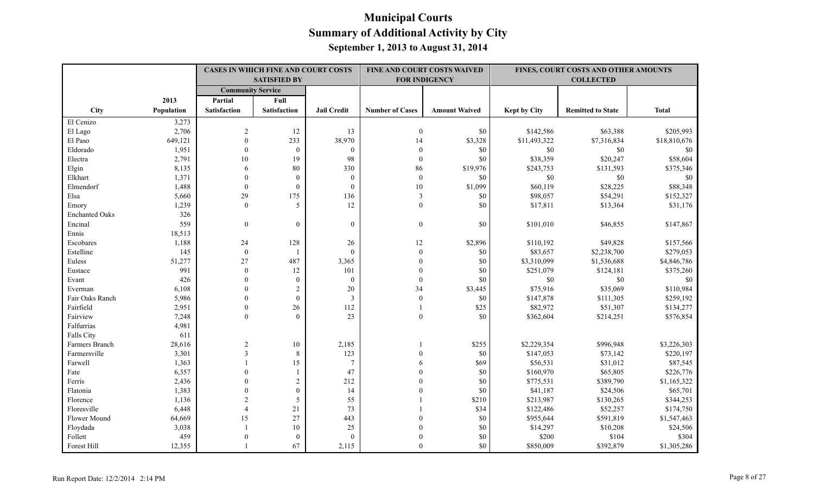|                       |            |                          | <b>CASES IN WHICH FINE AND COURT COSTS</b> |                    |                        | FINE AND COURT COSTS WAIVED |                     | FINES, COURT COSTS AND OTHER AMOUNTS |              |
|-----------------------|------------|--------------------------|--------------------------------------------|--------------------|------------------------|-----------------------------|---------------------|--------------------------------------|--------------|
|                       |            |                          | <b>SATISFIED BY</b>                        |                    |                        | <b>FOR INDIGENCY</b>        |                     | <b>COLLECTED</b>                     |              |
|                       |            | <b>Community Service</b> |                                            |                    |                        |                             |                     |                                      |              |
|                       | 2013       | Partial                  | Full                                       |                    |                        |                             |                     |                                      |              |
| City                  | Population | <b>Satisfaction</b>      | <b>Satisfaction</b>                        | <b>Jail Credit</b> | <b>Number of Cases</b> | <b>Amount Waived</b>        | <b>Kept by City</b> | <b>Remitted to State</b>             | <b>Total</b> |
| El Cenizo             | 3,273      |                          |                                            |                    |                        |                             |                     |                                      |              |
| El Lago               | 2,706      | $\sqrt{2}$               | 12                                         | 13                 | $\boldsymbol{0}$       | \$0                         | \$142,586           | \$63,388                             | \$205,993    |
| El Paso               | 649,121    | $\mathbf{0}$             | 233                                        | 38,970             | 14                     | \$3,328                     | \$11,493,322        | \$7,316,834                          | \$18,810,676 |
| Eldorado              | 1,951      | $\mathbf{0}$             | $\boldsymbol{0}$                           | $\mathbf{0}$       | $\boldsymbol{0}$       | \$0                         | \$0                 | $\$0$                                | \$0          |
| Electra               | 2,791      | 10                       | 19                                         | 98                 | $\boldsymbol{0}$       | \$0                         | \$38,359            | \$20,247                             | \$58,604     |
| Elgin                 | 8,135      | 6                        | $80\,$                                     | 330                | 86                     | \$19,976                    | \$243,753           | \$131,593                            | \$375,346    |
| Elkhart               | 1,371      | $\mathbf{0}$             | $\mathbf{0}$                               | $\mathbf{0}$       | $\boldsymbol{0}$       | \$0                         | \$0                 | \$0                                  | \$0          |
| Elmendorf             | 1,488      | $\theta$                 | $\mathbf{0}$                               | $\mathbf{0}$       | $10\,$                 | \$1,099                     | \$60,119            | \$28,225                             | \$88,348     |
| Elsa                  | 5,660      | 29                       | 175                                        | 136                | $\overline{3}$         | \$0                         | \$98,057            | \$54,291                             | \$152,327    |
| Emory                 | 1,239      | $\theta$                 | 5                                          | 12                 | $\mathbf{0}$           | \$0                         | \$17,811            | \$13,364                             | \$31,176     |
| <b>Enchanted Oaks</b> | 326        |                          |                                            |                    |                        |                             |                     |                                      |              |
| Encinal               | 559        | $\theta$                 | $\overline{0}$                             | $\mathbf{0}$       | $\mathbf{0}$           | \$0                         | \$101,010           | \$46,855                             | \$147,867    |
| Ennis                 | 18,513     |                          |                                            |                    |                        |                             |                     |                                      |              |
| Escobares             | 1,188      | 24                       | 128                                        | 26                 | 12                     | \$2,896                     | \$110,192           | \$49,828                             | \$157,566    |
| Estelline             | 145        | $\boldsymbol{0}$         | -1                                         | $\mathbf{0}$       | $\mathbf{0}$           | \$0                         | \$83,657            | \$2,238,700                          | \$279,053    |
| Euless                | 51,277     | 27                       | 487                                        | 3,365              | $\boldsymbol{0}$       | \$0                         | \$3,310,099         | \$1,536,688                          | \$4,846,786  |
| Eustace               | 991        | $\mathbf{0}$             | 12                                         | 101                | $\theta$               | \$0                         | \$251,079           | \$124,181                            | \$375,260    |
| Evant                 | 426        | $\theta$                 | $\mathbf{0}$                               | $\mathbf{0}$       | $\mathbf{0}$           | \$0                         | \$0                 | \$0                                  | \$0          |
| Everman               | 6,108      | $\theta$                 | $\overline{c}$                             | $20\,$             | 34                     | \$3,445                     | \$75,916            | \$35,069                             | \$110,984    |
| Fair Oaks Ranch       | 5,986      | $\Omega$                 | $\boldsymbol{0}$                           | $\mathfrak{Z}$     | $\mathbf{0}$           | \$0                         | \$147,878           | \$111,305                            | \$259,192    |
| Fairfield             | 2,951      | $\mathbf{0}$             | 26                                         | 112                | $\mathbf{1}$           | \$25                        | \$82,972            | \$51,307                             | \$134,277    |
| Fairview              | 7,248      | $\Omega$                 | $\theta$                                   | 23                 | $\theta$               | \$0                         | \$362,604           | \$214,251                            | \$576,854    |
| Falfurrias            | 4,981      |                          |                                            |                    |                        |                             |                     |                                      |              |
| Falls City            | 611        |                          |                                            |                    |                        |                             |                     |                                      |              |
| Farmers Branch        | 28,616     | $\sqrt{2}$               | $10\,$                                     | 2,185              |                        | \$255                       | \$2,229,354         | \$996,948                            | \$3,226,303  |
| Farmersville          | 3,301      | 3                        | $\,8\,$                                    | 123                |                        | \$0                         | \$147,053           | \$73,142                             | \$220,197    |
| Farwell               | 1,363      |                          | 15                                         | $\overline{7}$     | 6                      | \$69                        | \$56,531            | \$31,012                             | \$87,545     |
| Fate                  | 6,357      | $\theta$                 | 1                                          | 47                 | $\Omega$               | \$0                         | \$160,970           | \$65,805                             | \$226,776    |
| Ferris                | 2,436      | $\theta$                 | $\sqrt{2}$                                 | 212                |                        | \$0                         | \$775,531           | \$389,790                            | \$1,165,322  |
| Flatonia              | 1,383      | $\theta$                 | $\overline{0}$                             | 14                 |                        | \$0                         | \$41,187            | \$24,506                             | \$65,701     |
| Florence              | 1,136      | $\overline{2}$           | 5                                          | 55                 |                        | \$210                       | \$213,987           | \$130,265                            | \$344,253    |
| Floresville           | 6,448      | $\overline{4}$           | 21                                         | 73                 |                        | \$34                        | \$122,486           | \$52,257                             | \$174,750    |
| Flower Mound          | 64,669     | 15                       | 27                                         | 443                |                        | \$0                         | \$955,644           | \$591,819                            | \$1,547,463  |
| Floydada              | 3,038      |                          | 10                                         | 25                 |                        | \$0                         | \$14,297            | \$10,208                             | \$24,506     |
| Follett               | 459        | $\Omega$                 | $\overline{0}$                             | $\theta$           |                        | \$0                         | \$200               | \$104                                | \$304        |
| Forest Hill           | 12,355     |                          | 67                                         | 2,115              | $\Omega$               | \$0                         | \$850,009           | \$392,879                            | \$1,305,286  |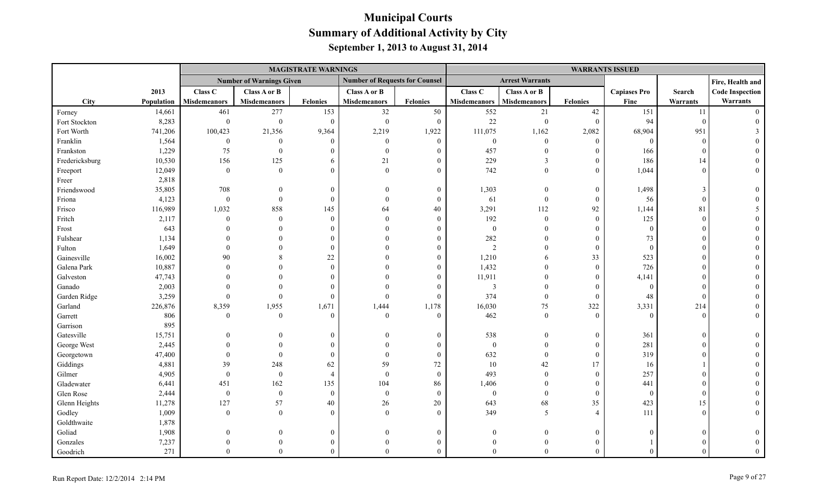|                |            |                     |                                 | <b>MAGISTRATE WARNINGS</b> |                                       |                 | <b>WARRANTS ISSUED</b>  |                        |                  |                     |                 |                        |
|----------------|------------|---------------------|---------------------------------|----------------------------|---------------------------------------|-----------------|-------------------------|------------------------|------------------|---------------------|-----------------|------------------------|
|                |            |                     | <b>Number of Warnings Given</b> |                            | <b>Number of Requests for Counsel</b> |                 |                         | <b>Arrest Warrants</b> |                  |                     |                 | Fire, Health and       |
|                | 2013       | Class C             | Class A or B                    |                            | <b>Class A or B</b>                   |                 | Class C                 | Class A or B           |                  | <b>Capiases Pro</b> | Search          | <b>Code Inspection</b> |
| <b>City</b>    | Population | <b>Misdemeanors</b> | <b>Misdemeanors</b>             | <b>Felonies</b>            | <b>Misdemeanors</b>                   | <b>Felonies</b> | <b>Misdemeanors</b>     | <b>Misdemeanors</b>    | <b>Felonies</b>  | Fine                | <b>Warrants</b> | Warrants               |
| Forney         | 14,661     | 461                 | 277                             | 153                        | 32                                    | 50              | 552                     | $21\,$                 | $42\,$           | 151                 | 11              |                        |
| Fort Stockton  | 8,283      | $\boldsymbol{0}$    | $\theta$                        | $\mathbf{0}$               | $\theta$                              | $\theta$        | 22                      | $\mathbf{0}$           | $\theta$         | 94                  | $\Omega$        |                        |
| Fort Worth     | 741,206    | 100,423             | 21,356                          | 9,364                      | 2,219                                 | 1,922           | 111,075                 | 1,162                  | 2,082            | 68,904              | 951             |                        |
| Franklin       | 1,564      | $\boldsymbol{0}$    | $\theta$                        | $\overline{0}$             | $\theta$                              | $\mathbf{0}$    | $\boldsymbol{0}$        | $\mathbf{0}$           | $\mathbf{0}$     | $\theta$            | $\Omega$        |                        |
| Frankston      | 1,229      | 75                  | $\mathbf{0}$                    | $\Omega$                   | $\theta$                              |                 | 457                     | $\theta$               | $\mathbf{0}$     | 166                 |                 |                        |
| Fredericksburg | 10,530     | 156                 | 125                             | 6                          | 21                                    | 0               | 229                     | 3                      | $\overline{0}$   | 186                 | 14              |                        |
| Freeport       | 12,049     | $\boldsymbol{0}$    | $\theta$                        | $\Omega$                   | $\Omega$                              | $\Omega$        | 742                     | $\theta$               | $\mathbf{0}$     | 1,044               | $\Omega$        |                        |
| Freer          | 2,818      |                     |                                 |                            |                                       |                 |                         |                        |                  |                     |                 |                        |
| Friendswood    | 35,805     | 708                 | $\Omega$                        | $\overline{0}$             | $\Omega$                              | $\Omega$        | 1,303                   | $\overline{0}$         | $\mathbf{0}$     | 1,498               | $\mathcal{R}$   |                        |
| Friona         | 4,123      | $\boldsymbol{0}$    | $\theta$                        | $\overline{0}$             | $\Omega$                              | $\Omega$        | 61                      | $\theta$               | $\mathbf{0}$     | 56                  | $\Omega$        |                        |
| Frisco         | 116,989    | 1,032               | 858                             | 145                        | 64                                    | 40              | 3,291                   | 112                    | 92               | 1,144               | 81              |                        |
| Fritch         | 2,117      | $\mathbf{0}$        | $\theta$                        | $\overline{0}$             | $\Omega$                              | $\overline{0}$  | 192                     | $\mathbf{0}$           | $\boldsymbol{0}$ | 125                 | $\Omega$        |                        |
| Frost          | 643        |                     | $\Omega$                        | $\Omega$                   | $\Omega$                              | $\Omega$        | $\boldsymbol{0}$        | $\Omega$               | $\Omega$         | $\theta$            |                 |                        |
| Fulshear       | 1,134      |                     | $\Omega$                        | $\Omega$                   | $\Omega$                              |                 | 282                     | $\Omega$               | $\Omega$         | 73                  |                 |                        |
| Fulton         | 1,649      |                     | $\Omega$                        | $\theta$                   |                                       |                 | $\overline{c}$          | $\Omega$               | $\mathbf{0}$     | $\theta$            |                 |                        |
| Gainesville    | 16,002     | 90                  | 8                               | 22                         |                                       | $\Omega$        | 1,210                   | 6                      | 33               | 523                 |                 |                        |
| Galena Park    | 10,887     | $\Omega$            | $\Omega$                        | $\theta$                   |                                       |                 | 1,432                   | $\Omega$               | $\overline{0}$   | 726                 |                 |                        |
| Galveston      | 47,743     |                     | $\Omega$                        | $\Omega$                   |                                       | 0               | 11,911                  | $\Omega$               | $\mathbf{0}$     | 4,141               |                 |                        |
| Ganado         | 2,003      |                     |                                 | $\Omega$                   |                                       | 0               | $\overline{\mathbf{3}}$ | $\Omega$               | $\theta$         | $\overline{0}$      |                 |                        |
| Garden Ridge   | 3,259      | $\mathbf{0}$        | $\Omega$                        | $\mathbf{0}$               | $\Omega$                              | $\Omega$        | 374                     | $\mathbf{0}$           | $\mathbf{0}$     | 48                  | $\sqrt{ }$      |                        |
| Garland        | 226,876    | 8,359               | 1,955                           | 1,671                      | 1,444                                 | 1,178           | 16,030                  | $75\,$                 | 322              | 3,331               | 214             |                        |
| Garrett        | 806        | $\mathbf{0}$        | $\mathbf{0}$                    | $\theta$                   | $\theta$                              | $\Omega$        | 462                     | $\mathbf{0}$           | $\boldsymbol{0}$ | $\overline{0}$      | $\Omega$        |                        |
| Garrison       | 895        |                     |                                 |                            |                                       |                 |                         |                        |                  |                     |                 |                        |
| Gatesville     | 15,751     |                     |                                 | $\Omega$                   | $\Omega$                              | $\theta$        | 538                     | $\Omega$               | $\boldsymbol{0}$ | 361                 | $\sqrt{ }$      |                        |
| George West    | 2,445      |                     |                                 | $\Omega$                   | $\Omega$                              | $\Omega$        | $\mathbf{0}$            | $\Omega$               | $\mathbf{0}$     | 281                 |                 |                        |
| Georgetown     | 47,400     | $\overline{0}$      | $\Omega$                        | $\theta$                   | $\Omega$                              | $\mathbf{0}$    | 632                     | $\theta$               | $\mathbf{0}$     | 319                 |                 |                        |
| Giddings       | 4,881      | 39                  | 248                             | 62                         | 59                                    | $72\,$          | 10                      | 42                     | 17               | 16                  |                 |                        |
| Gilmer         | 4,905      | $\boldsymbol{0}$    | $\boldsymbol{0}$                | $\overline{4}$             | $\Omega$                              | $\overline{0}$  | 493                     | $\Omega$               | $\mathbf{0}$     | 257                 |                 |                        |
| Gladewater     | 6,441      | 451                 | 162                             | 135                        | 104                                   | 86              | 1,406                   | $\Omega$               | $\mathbf{0}$     | 441                 |                 |                        |
| Glen Rose      | 2,444      | $\boldsymbol{0}$    | $\boldsymbol{0}$                | $\overline{0}$             | $\mathbf{0}$                          | $\mathbf{0}$    | $\boldsymbol{0}$        | $\theta$               | $\mathbf{0}$     | $\overline{0}$      |                 |                        |
| Glenn Heights  | 11,278     | 127                 | 57                              | 40                         | 26                                    | 20              | 643                     | 68                     | 35               | 423                 | 15              |                        |
| Godley         | 1,009      | $\overline{0}$      | $\theta$                        | $\theta$                   | $\Omega$                              | $\Omega$        | 349                     | 5                      | $\overline{4}$   | 111                 | $\Omega$        |                        |
| Goldthwaite    | 1,878      |                     |                                 |                            |                                       |                 |                         |                        |                  |                     |                 |                        |
| Goliad         | 1,908      | $\Omega$            | $\theta$                        | $\overline{0}$             | $\Omega$                              | $\theta$        | $\Omega$                | $\mathbf{0}$           | $\mathbf{0}$     | $\theta$            |                 |                        |
| Gonzales       | 7,237      |                     | $\Omega$                        | $\Omega$                   | $\Omega$                              |                 |                         | $\mathbf{0}$           | $\Omega$         |                     |                 |                        |
| Goodrich       | 271        | $\Omega$            | $\Omega$                        | $\Omega$                   | $\Omega$                              | $\Omega$        | $\Omega$                | $\Omega$               | $\Omega$         | $\Omega$            |                 |                        |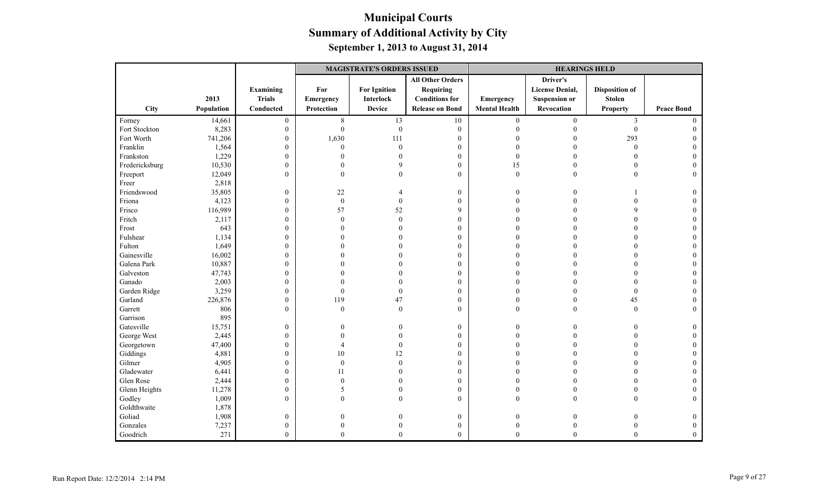|                |            |                  | <b>MAGISTRATE'S ORDERS ISSUED</b> |                     |                         |                      | <b>HEARINGS HELD</b>   |                       |                   |
|----------------|------------|------------------|-----------------------------------|---------------------|-------------------------|----------------------|------------------------|-----------------------|-------------------|
|                |            |                  |                                   |                     | <b>All Other Orders</b> |                      | Driver's               |                       |                   |
|                |            | <b>Examining</b> | For                               | <b>For Ignition</b> | Requiring               |                      | <b>License Denial,</b> | <b>Disposition of</b> |                   |
|                | 2013       | <b>Trials</b>    | <b>Emergency</b>                  | <b>Interlock</b>    | <b>Conditions for</b>   | Emergency            | <b>Suspension or</b>   | <b>Stolen</b>         |                   |
| City           | Population | Conducted        | Protection                        | <b>Device</b>       | <b>Release on Bond</b>  | <b>Mental Health</b> | Revocation             | <b>Property</b>       | <b>Peace Bond</b> |
| Forney         | 14,661     | $\mathbf{0}$     | $\,8\,$                           | 13                  | $10\,$                  | $\mathbf{0}$         | $\mathbf{0}$           | $\mathfrak{Z}$        | $\Omega$          |
| Fort Stockton  | 8,283      | $\mathbf{0}$     | $\theta$                          | $\boldsymbol{0}$    | $\mathbf{0}$            | $\Omega$             |                        | $\mathbf{0}$          |                   |
| Fort Worth     | 741,206    | $\mathbf{0}$     | 1,630                             | 111                 | $\boldsymbol{0}$        |                      |                        | 293                   |                   |
| Franklin       | 1,564      | $\boldsymbol{0}$ | $\theta$                          | $\boldsymbol{0}$    | $\boldsymbol{0}$        |                      |                        | $\overline{0}$        |                   |
| Frankston      | 1,229      | $\boldsymbol{0}$ | $\Omega$                          | $\Omega$            | $\mathbf{0}$            | $\overline{0}$       |                        | $\Omega$              |                   |
| Fredericksburg | 10,530     | $\mathbf{0}$     |                                   | Q                   | $\mathbf{0}$            | 15                   |                        | $\Omega$              |                   |
| Freeport       | 12,049     | $\mathbf{0}$     | $\theta$                          |                     | $\mathbf{0}$            | $\mathbf{0}$         | $\Omega$               | $\theta$              | $\Omega$          |
| Freer          | 2,818      |                  |                                   |                     |                         |                      |                        |                       |                   |
| Friendswood    | 35,805     | $\boldsymbol{0}$ | $22\,$                            |                     | $\mathbf{0}$            | $\Omega$             |                        |                       |                   |
| Friona         | 4,123      | $\boldsymbol{0}$ | $\mathbf{0}$                      | $\mathbf{0}$        | $\mathbf{0}$            | $\Omega$             |                        |                       |                   |
| Frisco         | 116,989    | $\boldsymbol{0}$ | 57                                | 52                  | 9                       |                      |                        |                       |                   |
| Fritch         | 2,117      | $\boldsymbol{0}$ | $\Omega$                          | $\mathbf{0}$        | $\mathbf{0}$            |                      |                        |                       |                   |
| Frost          | 643        | $\boldsymbol{0}$ |                                   |                     | $\mathbf{0}$            |                      |                        |                       |                   |
| Fulshear       | 1,134      | $\mathbf{0}$     |                                   |                     | $\mathbf{0}$            |                      |                        |                       |                   |
| Fulton         | 1,649      | $\boldsymbol{0}$ |                                   |                     | $\boldsymbol{0}$        | $\Omega$             |                        |                       |                   |
| Gainesville    | 16,002     | $\boldsymbol{0}$ |                                   |                     | $\mathbf{0}$            | $\Omega$             |                        |                       |                   |
| Galena Park    | 10,887     | $\boldsymbol{0}$ |                                   |                     | $\mathbf{0}$            | $\Omega$             |                        |                       |                   |
| Galveston      | 47,743     | $\mathbf{0}$     |                                   |                     | $\mathbf{0}$            | $\Omega$             |                        | $\Omega$              |                   |
| Ganado         | 2,003      | $\boldsymbol{0}$ |                                   |                     | $\mathbf{0}$            | $\Omega$             |                        | $\Omega$              |                   |
| Garden Ridge   | 3,259      | $\boldsymbol{0}$ | $\mathbf{0}$                      | $\mathbf{0}$        | $\mathbf{0}$            | $\Omega$             |                        | $\overline{0}$        |                   |
| Garland        | 226,876    | $\boldsymbol{0}$ | 119                               | 47                  | $\mathbf{0}$            | $\theta$             |                        | 45                    |                   |
| Garrett        | 806        | $\mathbf{0}$     | $\theta$                          | $\theta$            | $\theta$                | $\theta$             | $\Omega$               | $\mathbf{0}$          | $\Omega$          |
| Garrison       | 895        |                  |                                   |                     |                         |                      |                        |                       |                   |
| Gatesville     | 15,751     | $\boldsymbol{0}$ | 0                                 |                     | $\mathbf{0}$            | $\Omega$             |                        |                       |                   |
| George West    | 2,445      | $\boldsymbol{0}$ | $\Omega$                          |                     | $\mathbf{0}$            | $\Omega$             |                        |                       |                   |
| Georgetown     | 47,400     | $\mathbf{0}$     |                                   | $\Omega$            | $\mathbf{0}$            |                      |                        |                       |                   |
| Giddings       | 4,881      | $\boldsymbol{0}$ | 10                                | 12                  | $\boldsymbol{0}$        | $\Omega$             |                        |                       |                   |
| Gilmer         | 4,905      | $\boldsymbol{0}$ | $\Omega$                          | $\theta$            | $\mathbf{0}$            |                      |                        |                       |                   |
| Gladewater     | 6,441      | $\boldsymbol{0}$ | 11                                |                     | $\mathbf{0}$            |                      |                        |                       |                   |
| Glen Rose      | 2,444      | $\mathbf{0}$     | $\Omega$                          |                     | $\mathbf{0}$            |                      |                        |                       |                   |
| Glenn Heights  | 11,278     | $\boldsymbol{0}$ | 5                                 |                     | $\boldsymbol{0}$        | $\Omega$             |                        |                       |                   |
| Godley         | 1,009      | $\mathbf{0}$     | $\Omega$                          | $\Omega$            | $\theta$                | $\theta$             | $\Omega$               |                       |                   |
| Goldthwaite    | 1,878      |                  |                                   |                     |                         |                      |                        |                       |                   |
| Goliad         | 1,908      | $\mathbf{0}$     | 0                                 |                     | $\mathbf{0}$            | $\theta$             |                        |                       |                   |
| Gonzales       | 7,237      | $\mathbf{0}$     | $\theta$                          |                     | $\boldsymbol{0}$        | $\overline{0}$       |                        |                       |                   |
| Goodrich       | 271        | $\mathbf{0}$     | $\theta$                          | $\overline{0}$      | $\mathbf{0}$            | $\Omega$             | $\theta$               | $\theta$              | $\Omega$          |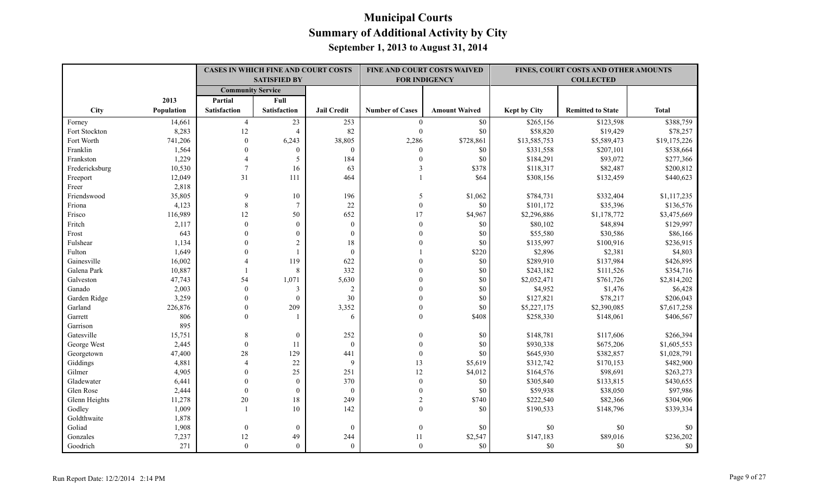|                         |                 |                                | <b>CASES IN WHICH FINE AND COURT COSTS</b><br><b>SATISFIED BY</b> |                    |                              | <b>FINE AND COURT COSTS WAIVED</b><br><b>FOR INDIGENCY</b> |                     | FINES, COURT COSTS AND OTHER AMOUNTS<br><b>COLLECTED</b> |              |
|-------------------------|-----------------|--------------------------------|-------------------------------------------------------------------|--------------------|------------------------------|------------------------------------------------------------|---------------------|----------------------------------------------------------|--------------|
|                         |                 | <b>Community Service</b>       |                                                                   |                    |                              |                                                            |                     |                                                          |              |
|                         | 2013            |                                | Full                                                              |                    |                              |                                                            |                     |                                                          |              |
| <b>City</b>             | Population      | Partial<br><b>Satisfaction</b> | <b>Satisfaction</b>                                               | <b>Jail Credit</b> | <b>Number of Cases</b>       | <b>Amount Waived</b>                                       | <b>Kept by City</b> | <b>Remitted to State</b>                                 | <b>Total</b> |
|                         |                 |                                | 23                                                                | 253                |                              | \$0                                                        | \$265,156           | \$123,598                                                | \$388,759    |
| Forney<br>Fort Stockton | 14,661<br>8,283 | $\overline{4}$<br>12           | $\overline{4}$                                                    | 82                 | $\boldsymbol{0}$<br>$\theta$ | \$0                                                        | \$58,820            | \$19,429                                                 | \$78,257     |
| Fort Worth              | 741,206         | $\theta$                       | 6,243                                                             | 38,805             | 2,286                        | \$728,861                                                  | \$13,585,753        | \$5,589,473                                              | \$19,175,226 |
| Franklin                | 1,564           | $\Omega$                       | $\theta$                                                          | $\mathbf{0}$       | $\Omega$                     | \$0                                                        | \$331,558           | \$207,101                                                | \$538,664    |
| Frankston               | 1,229           | $\overline{A}$                 | 5                                                                 | 184                | $\theta$                     | \$0                                                        | \$184,291           | \$93,072                                                 | \$277,366    |
| Fredericksburg          | 10,530          | $\tau$                         | 16                                                                | 63                 | 3                            | \$378                                                      | \$118,317           | \$82,487                                                 | \$200,812    |
| Freeport                | 12,049          | 31                             | 111                                                               | 464                |                              | \$64                                                       | \$308,156           | \$132,459                                                | \$440,623    |
| Freer                   | 2,818           |                                |                                                                   |                    |                              |                                                            |                     |                                                          |              |
| Friendswood             | 35,805          | 9                              | 10                                                                | 196                | 5                            | \$1,062                                                    | \$784,731           | \$332,404                                                | \$1,117,235  |
| Friona                  | 4,123           | 8                              | $7\phantom{.0}$                                                   | 22                 | $\overline{0}$               | \$0                                                        | \$101,172           | \$35,396                                                 | \$136,576    |
| Frisco                  | 116,989         | 12                             | 50                                                                | 652                | 17                           | \$4,967                                                    | \$2,296,886         | \$1,178,772                                              | \$3,475,669  |
| Fritch                  | 2,117           | $\theta$                       | $\theta$                                                          | $\mathbf{0}$       | $\theta$                     | $\$0$                                                      | \$80,102            | \$48,894                                                 | \$129,997    |
| Frost                   | 643             | $\Omega$                       | $\mathbf{0}$                                                      | $\mathbf{0}$       |                              | \$0                                                        | \$55,580            | \$30,586                                                 | \$86,166     |
| Fulshear                | 1,134           | $\Omega$                       | $\overline{2}$                                                    | 18                 |                              | \$0                                                        | \$135,997           | \$100,916                                                | \$236,915    |
| Fulton                  | 1,649           | $\Omega$                       |                                                                   | $\mathbf{0}$       |                              | \$220                                                      | \$2,896             | \$2,381                                                  | \$4,803      |
| Gainesville             | 16,002          | $\overline{A}$                 | 119                                                               | 622                |                              | \$0                                                        | \$289,910           | \$137,984                                                | \$426,895    |
| Galena Park             | 10,887          |                                | 8                                                                 | 332                |                              | \$0                                                        | \$243,182           | \$111,526                                                | \$354,716    |
| Galveston               | 47,743          | 54                             | 1,071                                                             | 5,630              |                              | \$0                                                        | \$2,052,471         | \$761,726                                                | \$2,814,202  |
| Ganado                  | 2,003           | $\mathbf{0}$                   | 3                                                                 | $\overline{2}$     |                              | $\$0$                                                      | \$4,952             | \$1,476                                                  | \$6,428      |
| Garden Ridge            | 3,259           | $\overline{0}$                 | $\mathbf{0}$                                                      | 30                 |                              | $\$0$                                                      | \$127,821           | \$78,217                                                 | \$206,043    |
| Garland                 | 226,876         | $\Omega$                       | 209                                                               | 3,352              | $\theta$                     | \$0                                                        | \$5,227,175         | \$2,390,085                                              | \$7,617,258  |
| Garrett                 | 806             | $\Omega$                       |                                                                   | 6                  | $\Omega$                     | \$408                                                      | \$258,330           | \$148,061                                                | \$406,567    |
| Garrison                | 895             |                                |                                                                   |                    |                              |                                                            |                     |                                                          |              |
| Gatesville              | 15,751          | 8                              | $\mathbf{0}$                                                      | 252                | $\theta$                     | \$0                                                        | \$148,781           | \$117,606                                                | \$266,394    |
| George West             | 2,445           | $\theta$                       | 11                                                                | $\mathbf{0}$       | $\theta$                     | \$0                                                        | \$930,338           | \$675,206                                                | \$1,605,553  |
| Georgetown              | 47,400          | $28\,$                         | 129                                                               | 441                | $\theta$                     | \$0                                                        | \$645,930           | \$382,857                                                | \$1,028,791  |
| Giddings                | 4,881           | $\overline{4}$                 | 22                                                                | 9                  | 13                           | \$5,619                                                    | \$312,742           | \$170,153                                                | \$482,900    |
| Gilmer                  | 4,905           | $\overline{0}$                 | 25                                                                | 251                | 12                           | \$4,012                                                    | \$164,576           | \$98,691                                                 | \$263,273    |
| Gladewater              | 6,441           | $\Omega$                       | $\mathbf{0}$                                                      | 370                | $\theta$                     | \$0                                                        | \$305,840           | \$133,815                                                | \$430,655    |
| Glen Rose               | 2,444           | $\theta$                       | $\theta$                                                          | $\mathbf{0}$       | $\theta$                     | \$0                                                        | \$59,938            | \$38,050                                                 | \$97,986     |
| Glenn Heights           | 11,278          | 20                             | 18                                                                | 249                | $\overline{2}$               | \$740                                                      | \$222,540           | \$82,366                                                 | \$304,906    |
| Godley                  | 1,009           | $\overline{1}$                 | 10                                                                | 142                | $\Omega$                     | \$0                                                        | \$190,533           | \$148,796                                                | \$339,334    |
| Goldthwaite             | 1,878           |                                |                                                                   |                    |                              |                                                            |                     |                                                          |              |
| Goliad                  | 1,908           | $\mathbf{0}$                   | $\mathbf{0}$                                                      | $\boldsymbol{0}$   | $\boldsymbol{0}$             | \$0                                                        | \$0                 | \$0                                                      | \$0          |
| Gonzales                | 7,237           | 12                             | 49                                                                | 244                | 11                           | \$2,547                                                    | \$147,183           | \$89,016                                                 | \$236,202    |
| Goodrich                | 271             | $\theta$                       | $\theta$                                                          | $\theta$           | $\mathbf{0}$                 | \$0                                                        | \$0                 | \$0                                                      | \$0          |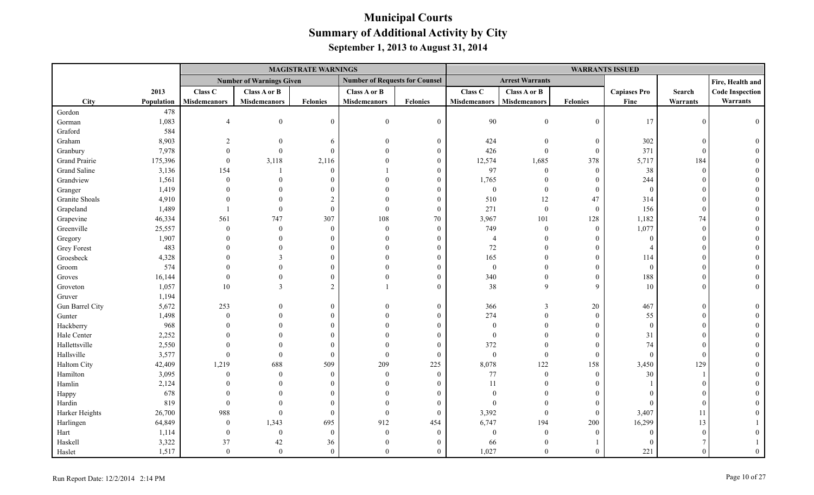|                    |            |                     |                                 | <b>MAGISTRATE WARNINGS</b> |                                       |                  |                     |                        |                  | <b>WARRANTS ISSUED</b> |            |                        |
|--------------------|------------|---------------------|---------------------------------|----------------------------|---------------------------------------|------------------|---------------------|------------------------|------------------|------------------------|------------|------------------------|
|                    |            |                     | <b>Number of Warnings Given</b> |                            | <b>Number of Requests for Counsel</b> |                  |                     | <b>Arrest Warrants</b> |                  |                        |            | Fire, Health and       |
|                    | 2013       | Class C             | <b>Class A or B</b>             |                            | Class A or B                          |                  | Class C             | Class A or B           |                  | <b>Capiases Pro</b>    | Search     | <b>Code Inspection</b> |
| <b>City</b>        | Population | <b>Misdemeanors</b> | <b>Misdemeanors</b>             | <b>Felonies</b>            | <b>Misdemeanors</b>                   | <b>Felonies</b>  | <b>Misdemeanors</b> | Misdemeanors           | <b>Felonies</b>  | Fine                   | Warrants   | Warrants               |
| Gordon             | 478        |                     |                                 |                            |                                       |                  |                     |                        |                  |                        |            |                        |
| Gorman             | 1,083      |                     | $\theta$                        | $\theta$                   | $\overline{0}$                        | $\boldsymbol{0}$ | 90                  | $\overline{0}$         | $\boldsymbol{0}$ | 17                     | $\Omega$   |                        |
| Graford            | 584        |                     |                                 |                            |                                       |                  |                     |                        |                  |                        |            |                        |
| Graham             | 8,903      |                     | $\Omega$                        | 6                          | $\theta$                              | $\overline{0}$   | 424                 | $\overline{0}$         | $\boldsymbol{0}$ | 302                    | $\Omega$   |                        |
| Granbury           | 7,978      |                     | $\Omega$                        | $\Omega$                   |                                       | $\theta$         | 426                 | $\overline{0}$         | $\mathbf{0}$     | 371                    | $\Omega$   |                        |
| Grand Prairie      | 175,396    | $\mathbf{0}$        | 3,118                           | 2,116                      |                                       | $\theta$         | 12,574              | 1,685                  | 378              | 5,717                  | 184        |                        |
| Grand Saline       | 3,136      | 154                 |                                 | $\Omega$                   |                                       | $\Omega$         | 97                  | $\overline{0}$         | $\mathbf{0}$     | 38                     | $\Omega$   |                        |
| Grandview          | 1,561      | $\theta$            |                                 |                            |                                       | $\Omega$         | 1,765               | $\theta$               | $\boldsymbol{0}$ | 244                    |            |                        |
| Granger            | 1,419      |                     |                                 |                            |                                       | 0                | $\boldsymbol{0}$    | $\overline{0}$         | $\mathbf{0}$     | $\overline{0}$         |            |                        |
| Granite Shoals     | 4,910      |                     |                                 |                            |                                       | $\theta$         | 510                 | 12                     | 47               | 314                    |            |                        |
| Grapeland          | 1,489      |                     | $\Omega$                        | $\Omega$                   | $\Omega$                              | $\theta$         | 271                 | $\overline{0}$         | $\mathbf{0}$     | 156                    |            |                        |
| Grapevine          | 46,334     | 561                 | 747                             | 307                        | 108                                   | 70               | 3,967               | 101                    | 128              | 1,182                  | 74         |                        |
| Greenville         | 25,557     | $\mathbf{0}$        | $\Omega$                        | $\Omega$                   | $\theta$                              | $\overline{0}$   | 749                 | $\overline{0}$         | $\boldsymbol{0}$ | 1,077                  | $\Omega$   |                        |
| Gregory            | 1,907      |                     | $\Omega$                        |                            | $\Omega$                              | $\Omega$         | $\overline{4}$      | $\Omega$               | $\Omega$         | $\theta$               |            |                        |
| <b>Grey Forest</b> | 483        |                     | $\Omega$                        |                            | $\Omega$                              |                  | $72\,$              | $\Omega$               | $\overline{0}$   | $\Delta$               |            |                        |
| Groesbeck          | 4,328      |                     |                                 |                            |                                       | $\Omega$         | 165                 |                        | $\boldsymbol{0}$ | 114                    |            |                        |
| Groom              | 574        |                     |                                 |                            | $\Omega$                              | $\Omega$         | $\mathbf{0}$        | $\Omega$               | $\overline{0}$   | $\overline{0}$         |            |                        |
| Groves             | 16,144     | $\Omega$            | $\Omega$                        |                            | $\Omega$                              | $\Omega$         | 340                 | $\Omega$               | $\boldsymbol{0}$ | 188                    |            |                        |
| Groveton           | 1,057      | 10                  | 3                               | $\overline{2}$             |                                       | $\Omega$         | 38                  | 9                      | 9                | 10                     |            |                        |
| Gruver             | 1,194      |                     |                                 |                            |                                       |                  |                     |                        |                  |                        |            |                        |
| Gun Barrel City    | 5,672      | 253                 | $\theta$                        | $\Omega$                   | $\Omega$                              | $\overline{0}$   | 366                 | 3                      | 20               | 467                    |            |                        |
| Gunter             | 1,498      | $\mathbf{0}$        |                                 | $\Omega$                   |                                       | $\theta$         | 274                 | $\mathbf{0}$           | $\boldsymbol{0}$ | 55                     |            |                        |
| Hackberry          | 968        |                     |                                 |                            |                                       | $\Omega$         | $\mathbf{0}$        | $\Omega$               | $\theta$         | $\overline{0}$         |            |                        |
| Hale Center        | 2,252      |                     |                                 |                            |                                       | $\theta$         | $\mathbf{0}$        | $\Omega$               | $\theta$         | 31                     |            |                        |
| Hallettsville      | 2,550      |                     |                                 |                            | $\Omega$                              | $\theta$         | 372                 | $\Omega$               | $\theta$         | 74                     |            |                        |
| Hallsville         | 3,577      | $\theta$            | $\Omega$                        | $\Omega$                   | $\theta$                              | $\theta$         | $\boldsymbol{0}$    | $\mathbf{0}$           | $\mathbf{0}$     | $\theta$               | $\sqrt{ }$ |                        |
| Haltom City        | 42,409     | 1,219               | 688                             | 509                        | 209                                   | 225              | 8,078               | 122                    | 158              | 3,450                  | 129        |                        |
| Hamilton           | 3,095      | $\theta$            | $\theta$                        | $\theta$                   | $\theta$                              | $\overline{0}$   | $77\,$              | $\mathbf{0}$           | $\mathbf{0}$     | 30                     |            |                        |
| Hamlin             | 2,124      |                     |                                 |                            | $\Omega$                              | $\Omega$         | $11\,$              | $\Omega$               | $\Omega$         |                        |            |                        |
| Happy              | 678        |                     |                                 |                            |                                       | $\Omega$         | $\theta$            | $\Omega$               | $\theta$         | $\Omega$               |            |                        |
| Hardin             | 819        | $\theta$            |                                 |                            | $\Omega$                              | $\theta$         | $\theta$            | $\Omega$               | $\theta$         | $\Omega$               | ſ          |                        |
| Harker Heights     | 26,700     | 988                 | $\Omega$                        | $\Omega$                   | $\mathbf{0}$                          | $\mathbf{0}$     | 3,392               | $\overline{0}$         | $\mathbf{0}$     | 3,407                  | 11         |                        |
| Harlingen          | 64,849     | $\bf{0}$            | 1,343                           | 695                        | 912                                   | 454              | 6,747               | 194                    | 200              | 16,299                 | 13         |                        |
| Hart               | 1,114      | $\overline{0}$      | $\overline{0}$                  | $\mathbf{0}$               | $\theta$                              | $\overline{0}$   | $\mathbf{0}$        | $\mathbf{0}$           | $\boldsymbol{0}$ | $\Omega$               |            |                        |
| Haskell            | 3,322      | 37                  | 42                              | 36                         | $\theta$                              |                  | 66                  | $\theta$               |                  | $\theta$               |            |                        |
| Haslet             | 1,517      | $\mathbf{0}$        | $\theta$                        | $\theta$                   | $\Omega$                              | $\theta$         | 1,027               | $\Omega$               | $\overline{0}$   | 221                    |            |                        |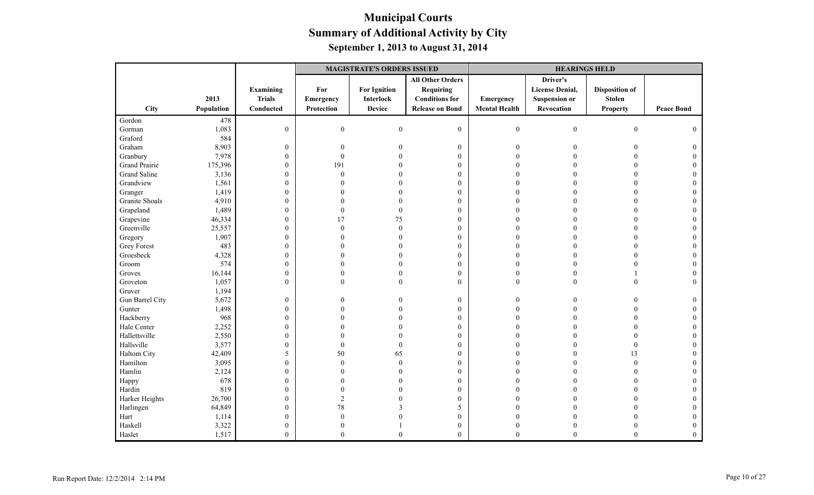|                     |            |                  | <b>MAGISTRATE'S ORDERS ISSUED</b> |                     |                         |                      | <b>HEARINGS HELD</b>   |                       |                   |
|---------------------|------------|------------------|-----------------------------------|---------------------|-------------------------|----------------------|------------------------|-----------------------|-------------------|
|                     |            |                  |                                   |                     | <b>All Other Orders</b> |                      | Driver's               |                       |                   |
|                     |            | Examining        | For                               | <b>For Ignition</b> | <b>Requiring</b>        |                      | <b>License Denial,</b> | <b>Disposition of</b> |                   |
|                     | 2013       | <b>Trials</b>    | Emergency                         | <b>Interlock</b>    | <b>Conditions for</b>   | Emergency            | <b>Suspension or</b>   | <b>Stolen</b>         |                   |
| City                | Population | Conducted        | Protection                        | <b>Device</b>       | <b>Release on Bond</b>  | <b>Mental Health</b> | Revocation             | <b>Property</b>       | <b>Peace Bond</b> |
| Gordon              | 478        |                  |                                   |                     |                         |                      |                        |                       |                   |
| Gorman              | 1,083      | $\mathbf{0}$     | $\boldsymbol{0}$                  | $\boldsymbol{0}$    | $\boldsymbol{0}$        | $\boldsymbol{0}$     | $\boldsymbol{0}$       | $\boldsymbol{0}$      | $\theta$          |
| Graford             | 584        |                  |                                   |                     |                         |                      |                        |                       |                   |
| Graham              | 8,903      | $\boldsymbol{0}$ | $\mathbf{0}$                      |                     | $\boldsymbol{0}$        | $\overline{0}$       | $\Omega$               | $\Omega$              |                   |
| Granbury            | 7,978      | $\boldsymbol{0}$ | $\theta$                          |                     | $\boldsymbol{0}$        |                      |                        |                       |                   |
| Grand Prairie       | 175,396    | $\boldsymbol{0}$ | 191                               |                     | $\boldsymbol{0}$        |                      |                        | 0                     |                   |
| <b>Grand Saline</b> | 3,136      | $\boldsymbol{0}$ | $\mathbf{0}$                      |                     | $\boldsymbol{0}$        |                      |                        |                       |                   |
| Grandview           | 1,561      | $\boldsymbol{0}$ | $\theta$                          |                     | $\boldsymbol{0}$        |                      |                        |                       |                   |
| Granger             | 1,419      | $\boldsymbol{0}$ | $\Omega$                          |                     | $\boldsymbol{0}$        |                      |                        |                       |                   |
| Granite Shoals      | 4,910      | $\boldsymbol{0}$ | $\theta$                          |                     | $\boldsymbol{0}$        |                      |                        | $\Omega$              |                   |
| Grapeland           | 1,489      | $\boldsymbol{0}$ | $\theta$                          | $\mathbf{0}$        | $\boldsymbol{0}$        |                      |                        | $\Omega$              |                   |
| Grapevine           | 46,334     | $\boldsymbol{0}$ | 17                                | 75                  | $\boldsymbol{0}$        |                      |                        |                       |                   |
| Greenville          | 25,557     | $\boldsymbol{0}$ | $\mathbf{0}$                      | $\theta$            | $\boldsymbol{0}$        |                      |                        |                       |                   |
| Gregory             | 1,907      | $\boldsymbol{0}$ | $\theta$                          |                     | $\boldsymbol{0}$        |                      |                        | $\Omega$              |                   |
| <b>Grey Forest</b>  | 483        | $\boldsymbol{0}$ | $\Omega$                          |                     | $\mathbf{0}$            |                      |                        | $\Omega$              |                   |
| Groesbeck           | 4,328      | $\boldsymbol{0}$ | $\theta$                          |                     | $\boldsymbol{0}$        | $\Omega$             |                        |                       |                   |
| Groom               | 574        | $\boldsymbol{0}$ | $\theta$                          |                     | $\boldsymbol{0}$        | $\Omega$             |                        |                       |                   |
| Groves              | 16,144     | $\boldsymbol{0}$ | $\mathbf{0}$                      |                     | $\boldsymbol{0}$        | $\theta$             | $\theta$               |                       |                   |
| Groveton            | 1,057      | $\boldsymbol{0}$ | $\theta$                          | $\Omega$            | $\mathbf{0}$            | $\theta$             | $\theta$               | $\Omega$              |                   |
| Gruver              | 1,194      |                  |                                   |                     |                         |                      |                        |                       |                   |
| Gun Barrel City     | 5,672      | $\boldsymbol{0}$ | $\theta$                          |                     | $\boldsymbol{0}$        | $\theta$             |                        |                       |                   |
| Gunter              | 1,498      | $\boldsymbol{0}$ | $\theta$                          |                     | $\boldsymbol{0}$        |                      |                        |                       |                   |
| Hackberry           | 968        | $\boldsymbol{0}$ | $\Omega$                          |                     | $\boldsymbol{0}$        |                      |                        | $\Omega$              |                   |
| Hale Center         | 2,252      | $\boldsymbol{0}$ | $\Omega$                          |                     | $\boldsymbol{0}$        |                      |                        | $\Omega$              |                   |
| Hallettsville       | 2,550      | $\boldsymbol{0}$ | $\theta$                          |                     | $\boldsymbol{0}$        |                      |                        |                       |                   |
| Hallsville          | 3,577      | $\boldsymbol{0}$ | $\mathbf{0}$                      | $\theta$            | $\boldsymbol{0}$        |                      |                        | $\theta$              |                   |
| Haltom City         | 42,409     | 5                | 50                                | 65                  | $\boldsymbol{0}$        |                      |                        | 13                    |                   |
| Hamilton            | 3,095      | $\boldsymbol{0}$ | $\mathbf{0}$                      | $\theta$            | $\boldsymbol{0}$        |                      |                        | $\theta$              |                   |
| Hamlin              | 2,124      | $\boldsymbol{0}$ | $\theta$                          |                     | $\boldsymbol{0}$        |                      |                        | $\Omega$              |                   |
| Happy               | 678        | $\boldsymbol{0}$ | $\Omega$                          |                     | $\boldsymbol{0}$        |                      |                        |                       |                   |
| Hardin              | 819        | $\boldsymbol{0}$ | $\theta$                          |                     | $\boldsymbol{0}$        |                      |                        |                       |                   |
| Harker Heights      | 26,700     | $\boldsymbol{0}$ | $\mathfrak{2}$                    |                     | $\boldsymbol{0}$        |                      |                        | $\Omega$              |                   |
| Harlingen           | 64,849     | $\boldsymbol{0}$ | $78\,$                            |                     | 5                       |                      |                        |                       |                   |
| Hart                | 1,114      | $\boldsymbol{0}$ | $\theta$                          |                     | $\boldsymbol{0}$        |                      |                        |                       |                   |
| Haskell             | 3,322      | $\boldsymbol{0}$ | $\theta$                          |                     | $\boldsymbol{0}$        | $\theta$             |                        |                       |                   |
| Haslet              | 1,517      | $\boldsymbol{0}$ | $\theta$                          | $\theta$            | $\mathbf{0}$            | $\theta$             | $\mathbf{0}$           | $\mathbf{0}$          | $\theta$          |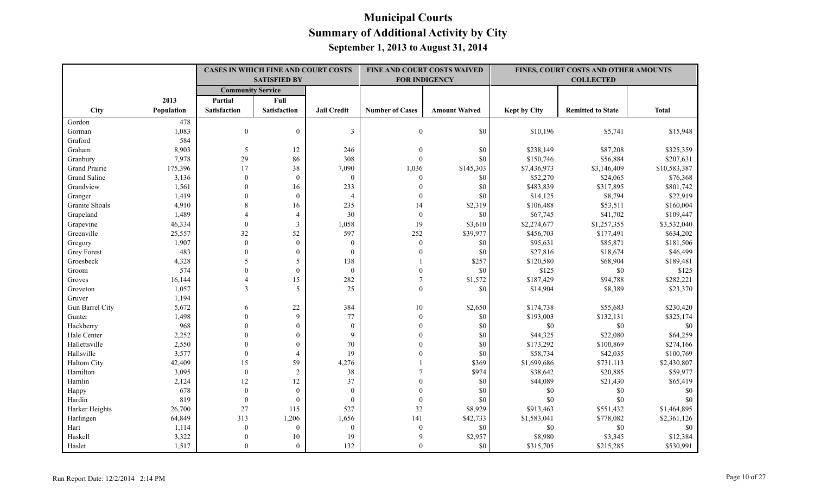|                      |                   |                          | <b>CASES IN WHICH FINE AND COURT COSTS</b><br><b>SATISFIED BY</b> |                    |                        | FINE AND COURT COSTS WAIVED<br><b>FOR INDIGENCY</b> |                     | FINES, COURT COSTS AND OTHER AMOUNTS<br><b>COLLECTED</b> |              |
|----------------------|-------------------|--------------------------|-------------------------------------------------------------------|--------------------|------------------------|-----------------------------------------------------|---------------------|----------------------------------------------------------|--------------|
|                      |                   | <b>Community Service</b> |                                                                   |                    |                        |                                                     |                     |                                                          |              |
|                      | 2013              | Partial                  | Full                                                              |                    |                        |                                                     |                     |                                                          |              |
| <b>City</b>          | <b>Population</b> | <b>Satisfaction</b>      | <b>Satisfaction</b>                                               | <b>Jail Credit</b> | <b>Number of Cases</b> | <b>Amount Waived</b>                                | <b>Kept by City</b> | <b>Remitted to State</b>                                 | <b>Total</b> |
| Gordon               | 478               |                          |                                                                   |                    |                        |                                                     |                     |                                                          |              |
| Gorman               | 1,083             | $\mathbf{0}$             | $\overline{0}$                                                    | 3                  | $\boldsymbol{0}$       | \$0                                                 | \$10,196            | \$5,741                                                  | \$15,948     |
| Graford              | 584               |                          |                                                                   |                    |                        |                                                     |                     |                                                          |              |
| Graham               | 8,903             | 5                        | 12                                                                | 246                | $\overline{0}$         | \$0                                                 | \$238,149           | \$87,208                                                 | \$325,359    |
| Granbury             | 7,978             | 29                       | 86                                                                | 308                | $\theta$               | \$0                                                 | \$150,746           | \$56,884                                                 | \$207,631    |
| <b>Grand Prairie</b> | 175,396           | 17                       | 38                                                                | 7,090              | 1,036                  | \$145,303                                           | \$7,436,973         | \$3,146,409                                              | \$10,583,387 |
| Grand Saline         | 3,136             | $\theta$                 | $\mathbf{0}$                                                      | $\mathbf{0}$       | $\theta$               | \$0                                                 | \$52,270            | \$24,065                                                 | \$76,368     |
| Grandview            | 1,561             | $\Omega$                 | 16                                                                | 233                | $\Omega$               | \$0                                                 | \$483,839           | \$317,895                                                | \$801,742    |
| Granger              | 1,419             | $\Omega$                 | $\theta$                                                          | $\overline{4}$     | $\theta$               | \$0                                                 | \$14,125            | \$8,794                                                  | \$22,919     |
| Granite Shoals       | 4,910             | 8                        | 16                                                                | 235                | 14                     | \$2,319                                             | \$106,488           | \$53,511                                                 | \$160,004    |
| Grapeland            | 1,489             | $\Delta$                 | $\overline{4}$                                                    | 30                 | $\mathbf{0}$           | \$0                                                 | \$67,745            | \$41,702                                                 | \$109,447    |
| Grapevine            | 46,334            | $\theta$                 | 3                                                                 | 1,058              | 19                     | \$3,610                                             | \$2,274,677         | \$1,257,355                                              | \$3,532,040  |
| Greenville           | 25,557            | 32                       | 52                                                                | 597                | 252                    | \$39,977                                            | \$456,703           | \$177,491                                                | \$634,202    |
| Gregory              | 1,907             | $\Omega$                 | $\theta$                                                          | $\theta$           | $\boldsymbol{0}$       | \$0                                                 | \$95,631            | \$85,871                                                 | \$181,506    |
| <b>Grey Forest</b>   | 483               | $\Omega$                 | $\boldsymbol{0}$                                                  | $\mathbf{0}$       | $\Omega$               | \$0                                                 | \$27,816            | \$18,674                                                 | \$46,499     |
| Groesbeck            | 4,328             | 5                        | 5                                                                 | 138                |                        | \$257                                               | \$120,580           | \$68,904                                                 | \$189,481    |
| Groom                | 574               | $\theta$                 | $\mathbf{0}$                                                      | $\mathbf{0}$       | $\Omega$               | \$0                                                 | \$125               | $\$0$                                                    | \$125        |
| Groves               | 16,144            | $\overline{4}$           | 15                                                                | 282                | 7                      | \$1,572                                             | \$187,429           | \$94,788                                                 | \$282,221    |
| Groveton             | 1,057             | $\overline{3}$           | 5                                                                 | 25                 | $\mathbf{0}$           | \$0                                                 | \$14,904            | \$8,389                                                  | \$23,370     |
| Gruver               | 1,194             |                          |                                                                   |                    |                        |                                                     |                     |                                                          |              |
| Gun Barrel City      | 5,672             | 6                        | 22                                                                | 384                | 10                     | \$2,650                                             | \$174,738           | \$55,683                                                 | \$230,420    |
| Gunter               | 1,498             | $\theta$                 | $\mathbf{Q}$                                                      | 77                 | $\theta$               | \$0                                                 | \$193,003           | \$132,131                                                | \$325,174    |
| Hackberry            | 968               | $\Omega$                 | $\theta$                                                          | $\mathbf{0}$       | $\theta$               | \$0                                                 | \$0                 | \$0                                                      | \$0          |
| Hale Center          | 2,252             | $\Omega$                 | $\mathbf{0}$                                                      | 9                  | $\Omega$               | \$0                                                 | \$44,325            | \$22,080                                                 | \$64,259     |
| Hallettsville        | 2,550             | $\theta$                 | $\mathbf{0}$                                                      | 70                 |                        | \$0                                                 | \$173,292           | \$100,869                                                | \$274,166    |
| Hallsville           | 3,577             | $\theta$                 | $\overline{4}$                                                    | 19                 |                        | \$0                                                 | \$58,734            | \$42,035                                                 | \$100,769    |
| Haltom City          | 42,409            | 15                       | 59                                                                | 4,276              |                        | \$369                                               | \$1,699,686         | \$731,113                                                | \$2,430,807  |
| Hamilton             | 3,095             | $\theta$                 | 2                                                                 | 38                 |                        | \$974                                               | \$38,642            | \$20,885                                                 | \$59,977     |
| Hamlin               | 2,124             | 12                       | 12                                                                | 37                 |                        | \$0                                                 | \$44,089            | \$21,430                                                 | \$65,419     |
| Happy                | 678               | $\theta$                 | $\boldsymbol{0}$                                                  | $\theta$           | $\Omega$               | \$0                                                 | \$0                 | \$0                                                      | \$0          |
| Hardin               | 819               | $\theta$                 | $\mathbf{0}$                                                      | $\theta$           | $\Omega$               | \$0                                                 | \$0                 | \$0                                                      | \$0          |
| Harker Heights       | 26,700            | 27                       | 115                                                               | 527                | 32                     | \$8,929                                             | \$913,463           | \$551,432                                                | \$1,464,895  |
| Harlingen            | 64,849            | 313                      | 1,206                                                             | 1,656              | 141                    | \$42,733                                            | \$1,583,041         | \$778,082                                                | \$2,361,126  |
| Hart                 | 1,114             | $\mathbf{0}$             | $\mathbf{0}$                                                      | $\mathbf{0}$       | $\boldsymbol{0}$       | \$0                                                 | \$0                 | \$0                                                      | \$0          |
| Haskell              | 3,322             | $\theta$                 | $10\,$                                                            | 19                 | 9                      | \$2,957                                             | \$8,980             | \$3,345                                                  | \$12,384     |
| Haslet               | 1,517             | $\Omega$                 | $\Omega$                                                          | 132                | $\Omega$               | \$0                                                 | \$315,705           | \$215,285                                                | \$530,991    |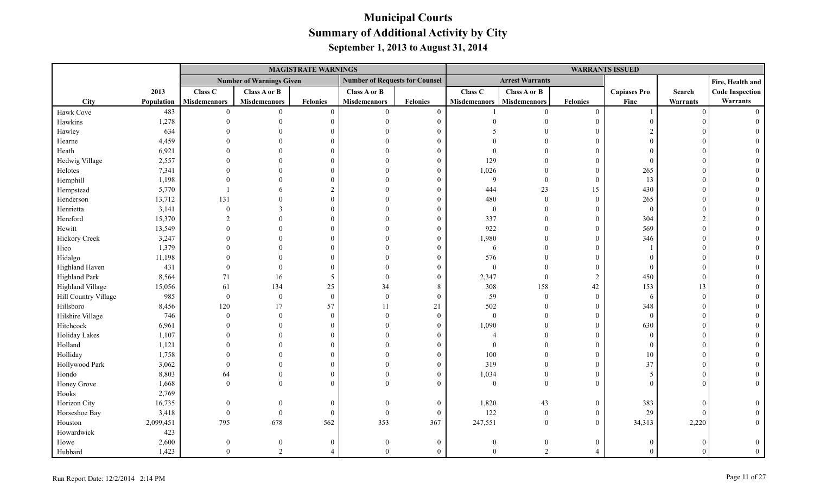|                       |            |                     |                                 | <b>MAGISTRATE WARNINGS</b> |                                       |                  |                     |                        |                  | <b>WARRANTS ISSUED</b> |          |                        |
|-----------------------|------------|---------------------|---------------------------------|----------------------------|---------------------------------------|------------------|---------------------|------------------------|------------------|------------------------|----------|------------------------|
|                       |            |                     | <b>Number of Warnings Given</b> |                            | <b>Number of Requests for Counsel</b> |                  |                     | <b>Arrest Warrants</b> |                  |                        |          | Fire, Health and       |
|                       | 2013       | Class C             | <b>Class A or B</b>             |                            | Class A or B                          |                  | Class C             | Class A or B           |                  | <b>Capiases Pro</b>    | Search   | <b>Code Inspection</b> |
| City                  | Population | <b>Misdemeanors</b> | <b>Misdemeanors</b>             | Felonies                   | <b>Misdemeanors</b>                   | <b>Felonies</b>  | <b>Misdemeanors</b> | <b>Misdemeanors</b>    | <b>Felonies</b>  | Fine                   | Warrants | Warrants               |
| Hawk Cove             | 483        | $\theta$            | $\overline{0}$                  | $\theta$                   | $\mathbf{0}$                          | $\boldsymbol{0}$ |                     | $\theta$               | $\mathbf{0}$     |                        | $\theta$ |                        |
| Hawkins               | 1,278      |                     |                                 | $\Omega$                   | $\Omega$                              | $\boldsymbol{0}$ |                     |                        | $\overline{0}$   |                        |          |                        |
| Hawley                | 634        |                     |                                 |                            |                                       | $\Omega$         |                     |                        | $\overline{0}$   |                        |          |                        |
| Hearne                | 4,459      |                     |                                 |                            |                                       | 0                |                     |                        | $\theta$         | $\theta$               |          |                        |
| Heath                 | 6,921      |                     |                                 |                            |                                       | $\Omega$         |                     |                        | $\Omega$         |                        |          |                        |
| Hedwig Village        | 2,557      |                     |                                 |                            |                                       | $\theta$         | 129                 | $\Omega$               | $\overline{0}$   | $\Omega$               |          |                        |
| Helotes               | 7,341      |                     |                                 |                            |                                       | $\Omega$         | 1,026               | $\Omega$               | $\mathbf{0}$     | 265                    |          |                        |
| Hemphill              | 1,198      |                     |                                 |                            |                                       | $\Omega$         | 9                   | $\theta$               | $\theta$         | 13                     |          |                        |
| Hempstead             | 5,770      |                     |                                 |                            |                                       | $\Omega$         | 444                 | 23                     | 15               | 430                    |          |                        |
| Henderson             | 13,712     | 131                 |                                 | $\Omega$                   |                                       | $\Omega$         | 480                 | $\boldsymbol{0}$       | $\boldsymbol{0}$ | 265                    |          |                        |
| Henrietta             | 3,141      | $\Omega$            | 3                               |                            |                                       | $\Omega$         | $\boldsymbol{0}$    | $\theta$               | $\overline{0}$   | $\overline{0}$         |          |                        |
| Hereford              | 15,370     |                     |                                 |                            |                                       | $\theta$         | 337                 | $\theta$               | $\overline{0}$   | 304                    |          |                        |
| Hewitt                | 13,549     |                     |                                 |                            |                                       | $\Omega$         | 922                 | $\Omega$               | $\theta$         | 569                    |          |                        |
| Hickory Creek         | 3,247      |                     |                                 |                            |                                       | $\Omega$         | 1,980               | $\Omega$               | $\theta$         | 346                    |          |                        |
| Hico                  | 1,379      |                     |                                 |                            |                                       | $\Omega$         | 6                   | $\theta$               | $\overline{0}$   |                        |          |                        |
| Hidalgo               | 11,198     |                     |                                 |                            |                                       | $\Omega$         | 576                 | $\Omega$               | $\overline{0}$   | $\Omega$               |          |                        |
| <b>Highland Haven</b> | 431        |                     |                                 |                            |                                       | $\theta$         | $\boldsymbol{0}$    | $\Omega$               | $\theta$         | $\theta$               |          |                        |
| <b>Highland Park</b>  | 8,564      | 71                  | 16                              | 5                          |                                       | $\mathbf{0}$     | 2,347               | $\theta$               | $\overline{2}$   | 450                    |          |                        |
| Highland Village      | 15,056     | 61                  | 134                             | 25                         | 34                                    | 8                | 308                 | 158                    | 42               | 153                    | 13       |                        |
| Hill Country Village  | 985        | $\mathbf{0}$        | $\boldsymbol{0}$                | $\theta$                   | $\Omega$                              | $\boldsymbol{0}$ | 59                  | $\overline{0}$         | $\mathbf{0}$     | -6                     | $\Omega$ |                        |
| Hillsboro             | 8,456      | 120                 | 17                              | 57                         | 11                                    | 21               | 502                 | $\theta$               | $\theta$         | 348                    |          |                        |
| Hilshire Village      | 746        | $\theta$            | $\overline{0}$                  | $\Omega$                   | $\Omega$                              | $\boldsymbol{0}$ | $\boldsymbol{0}$    | $\overline{0}$         | $\overline{0}$   | $\theta$               |          |                        |
| Hitchcock             | 6,961      |                     | $\Omega$                        |                            |                                       | $\boldsymbol{0}$ | 1,090               | $\overline{0}$         | $\boldsymbol{0}$ | 630                    |          |                        |
| Holiday Lakes         | 1,107      |                     |                                 |                            |                                       | $\Omega$         |                     | $\Omega$               | $\theta$         | $\Omega$               |          |                        |
| Holland               | 1,121      |                     |                                 |                            |                                       | $\theta$         | $\theta$            | $\Omega$               | $\overline{0}$   | $\theta$               |          |                        |
| Holliday              | 1,758      |                     |                                 |                            |                                       | $\Omega$         | 100                 | $\Omega$               | $\theta$         | 10                     |          |                        |
| Hollywood Park        | 3,062      |                     |                                 |                            |                                       | $\Omega$         | 319                 | $\theta$               | $\theta$         | 37                     |          |                        |
| Hondo                 | 8,803      | 64                  | $\mathbf{0}$                    |                            |                                       | $\mathbf{0}$     | 1,034               | $\overline{0}$         | $\boldsymbol{0}$ | 5                      |          |                        |
| Honey Grove           | 1,668      | $\Omega$            | $\Omega$                        |                            |                                       | $\theta$         | $\overline{0}$      | $\theta$               | $\theta$         | $\Omega$               |          |                        |
| Hooks                 | 2,769      |                     |                                 |                            |                                       |                  |                     |                        |                  |                        |          |                        |
| Horizon City          | 16,735     | $\Omega$            | $\Omega$                        | $\Omega$                   | $\Omega$                              | $\boldsymbol{0}$ | 1,820               | 43                     | $\boldsymbol{0}$ | 383                    | $\Omega$ |                        |
| Horseshoe Bay         | 3,418      | $\overline{0}$      | $\overline{0}$                  | $\Omega$                   | $\theta$                              | $\boldsymbol{0}$ | 122                 | $\overline{0}$         | $\overline{0}$   | 29                     | $\Omega$ |                        |
| Houston               | 2,099,451  | 795                 | 678                             | 562                        | 353                                   | 367              | 247,551             | $\overline{0}$         | $\overline{0}$   | 34,313                 | 2,220    |                        |
| Howardwick            | 423        |                     |                                 |                            |                                       |                  |                     |                        |                  |                        |          |                        |
| Howe                  | 2,600      |                     |                                 | $\Omega$                   |                                       | 0                |                     | $\overline{0}$         | $\mathbf{0}$     |                        |          |                        |
| Hubbard               | 1,423      | $\Omega$            | 2                               |                            | $\Omega$                              | $\mathbf{0}$     | $\Omega$            | 2                      | $\overline{4}$   | $\Omega$               |          |                        |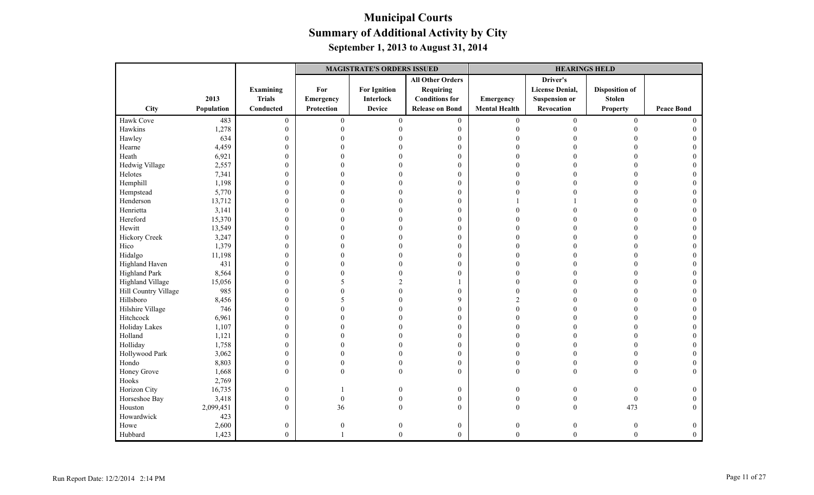|                      |            |                  | <b>MAGISTRATE'S ORDERS ISSUED</b> |                     |                         |                      | <b>HEARINGS HELD</b>   |                       |                   |  |  |
|----------------------|------------|------------------|-----------------------------------|---------------------|-------------------------|----------------------|------------------------|-----------------------|-------------------|--|--|
|                      |            |                  |                                   |                     | <b>All Other Orders</b> |                      | Driver's               |                       |                   |  |  |
|                      |            | Examining        | For                               | <b>For Ignition</b> | <b>Requiring</b>        |                      | <b>License Denial,</b> | <b>Disposition of</b> |                   |  |  |
|                      | 2013       | <b>Trials</b>    | <b>Emergency</b>                  | <b>Interlock</b>    | <b>Conditions for</b>   | Emergency            | <b>Suspension or</b>   | <b>Stolen</b>         |                   |  |  |
| City                 | Population | Conducted        | Protection                        | <b>Device</b>       | <b>Release on Bond</b>  | <b>Mental Health</b> | Revocation             | <b>Property</b>       | <b>Peace Bond</b> |  |  |
| Hawk Cove            | 483        | $\overline{0}$   | $\mathbf{0}$                      | $\mathbf{0}$        | $\mathbf{0}$            | $\mathbf{0}$         | $\mathbf{0}$           | $\mathbf{0}$          | $\Omega$          |  |  |
| Hawkins              | 1,278      | $\mathbf{0}$     | $\mathbf{0}$                      | $\Omega$            | $\boldsymbol{0}$        | $\boldsymbol{0}$     |                        |                       |                   |  |  |
| Hawley               | 634        | $\boldsymbol{0}$ |                                   |                     | $\boldsymbol{0}$        |                      |                        |                       |                   |  |  |
| Hearne               | 4,459      | $\boldsymbol{0}$ |                                   |                     | $\boldsymbol{0}$        | $\Omega$             |                        |                       |                   |  |  |
| Heath                | 6,921      | $\boldsymbol{0}$ |                                   |                     | $\boldsymbol{0}$        | $\Omega$             |                        | $\Omega$              |                   |  |  |
| Hedwig Village       | 2,557      | $\boldsymbol{0}$ |                                   |                     | $\mathbf{0}$            | $\Omega$             |                        |                       |                   |  |  |
| Helotes              | 7,341      | $\boldsymbol{0}$ |                                   |                     | $\mathbf{0}$            | $\Omega$             |                        |                       |                   |  |  |
| Hemphill             | 1,198      | $\mathbf{0}$     |                                   |                     | $\mathbf{0}$            | $\Omega$             |                        |                       |                   |  |  |
| Hempstead            | 5,770      | $\boldsymbol{0}$ |                                   |                     | $\boldsymbol{0}$        | $\Omega$             |                        |                       |                   |  |  |
| Henderson            | 13,712     | $\mathbf{0}$     |                                   |                     | $\mathbf{0}$            |                      |                        | $\Omega$              |                   |  |  |
| Henrietta            | 3,141      | $\boldsymbol{0}$ |                                   |                     | $\mathbf{0}$            |                      |                        |                       |                   |  |  |
| Hereford             | 15,370     | $\boldsymbol{0}$ |                                   |                     | $\boldsymbol{0}$        |                      |                        |                       |                   |  |  |
| Hewitt               | 13,549     | $\boldsymbol{0}$ |                                   |                     | $\boldsymbol{0}$        |                      |                        |                       |                   |  |  |
| <b>Hickory Creek</b> | 3,247      | $\boldsymbol{0}$ |                                   |                     | $\mathbf{0}$            | $\Omega$             |                        | $\Omega$              |                   |  |  |
| Hico                 | 1,379      | $\boldsymbol{0}$ |                                   |                     | $\mathbf{0}$            | $\Omega$             |                        |                       |                   |  |  |
| Hidalgo              | 11,198     | $\boldsymbol{0}$ |                                   |                     | $\boldsymbol{0}$        | $\Omega$             |                        |                       |                   |  |  |
| Highland Haven       | 431        | $\boldsymbol{0}$ |                                   |                     | $\mathbf{0}$            | $\Omega$             |                        | $\Omega$              |                   |  |  |
| <b>Highland Park</b> | 8,564      | $\boldsymbol{0}$ |                                   |                     | $\mathbf{0}$            | $\Omega$             |                        |                       |                   |  |  |
| Highland Village     | 15,056     | $\mathbf{0}$     |                                   |                     |                         | $\Omega$             |                        | $\Omega$              |                   |  |  |
| Hill Country Village | 985        | $\boldsymbol{0}$ |                                   |                     | $\boldsymbol{0}$        |                      |                        |                       |                   |  |  |
| Hillsboro            | 8,456      | $\boldsymbol{0}$ |                                   |                     | 9                       | $\overline{2}$       |                        |                       |                   |  |  |
| Hilshire Village     | 746        | $\boldsymbol{0}$ |                                   |                     | $\boldsymbol{0}$        | $\Omega$             |                        |                       |                   |  |  |
| Hitchcock            | 6,961      | $\mathbf{0}$     |                                   |                     | $\mathbf{0}$            | $\Omega$             |                        | $\Omega$              |                   |  |  |
| Holiday Lakes        | 1,107      | $\boldsymbol{0}$ |                                   |                     | $\mathbf{0}$            | $\Omega$             |                        |                       |                   |  |  |
| Holland              | 1,121      | $\boldsymbol{0}$ | U                                 |                     | $\mathbf{0}$            | $\Omega$             |                        |                       |                   |  |  |
| Holliday             | 1,758      | $\boldsymbol{0}$ | 0                                 |                     | $\boldsymbol{0}$        | $\Omega$             |                        | $\Omega$              |                   |  |  |
| Hollywood Park       | 3,062      | $\boldsymbol{0}$ | U                                 |                     | $\mathbf{0}$            | $\Omega$             |                        | $\Omega$              |                   |  |  |
| Hondo                | 8,803      | $\mathbf{0}$     | 0                                 |                     | $\mathbf{0}$            | $\mathbf{0}$         |                        | $\Omega$              |                   |  |  |
| Honey Grove          | 1,668      | $\mathbf{0}$     | $\Omega$                          |                     | $\mathbf{0}$            | $\mathbf{0}$         |                        | $\Omega$              | $\Omega$          |  |  |
| Hooks                | 2,769      |                  |                                   |                     |                         |                      |                        |                       |                   |  |  |
| Horizon City         | 16,735     | $\boldsymbol{0}$ |                                   | 0                   | $\boldsymbol{0}$        | $\theta$             | $\Omega$               | 0                     | $\theta$          |  |  |
| Horseshoe Bay        | 3,418      | $\mathbf{0}$     | $\boldsymbol{0}$                  |                     | $\boldsymbol{0}$        | $\boldsymbol{0}$     |                        | $\boldsymbol{0}$      | $\Omega$          |  |  |
| Houston              | 2,099,451  | $\mathbf{0}$     | 36                                | $\Omega$            | $\mathbf{0}$            | $\mathbf{0}$         | $\theta$               | 473                   | $\theta$          |  |  |
| Howardwick           | 423        |                  |                                   |                     |                         |                      |                        |                       |                   |  |  |
| Howe                 | 2,600      | $\boldsymbol{0}$ | $\mathbf{0}$                      | $\Omega$            | $\mathbf{0}$            | $\boldsymbol{0}$     | $\Omega$               | $\boldsymbol{0}$      | $\bf{0}$          |  |  |
| Hubbard              | 1,423      | $\overline{0}$   |                                   | $\theta$            | $\theta$                | $\theta$             | $\theta$               | $\mathbf{0}$          | $\mathbf{0}$      |  |  |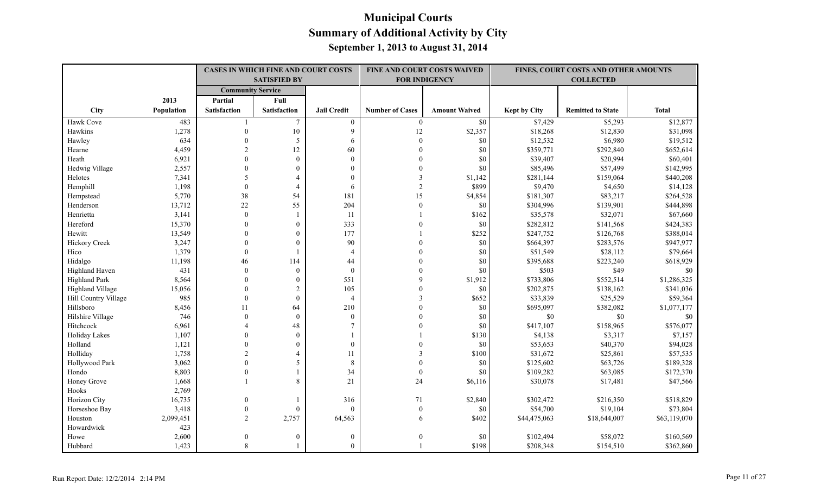|                      |            |                          | <b>CASES IN WHICH FINE AND COURT COSTS</b><br><b>SATISFIED BY</b> |                    |                        | FINE AND COURT COSTS WAIVED<br><b>FOR INDIGENCY</b> |                     | FINES, COURT COSTS AND OTHER AMOUNTS<br><b>COLLECTED</b> |              |
|----------------------|------------|--------------------------|-------------------------------------------------------------------|--------------------|------------------------|-----------------------------------------------------|---------------------|----------------------------------------------------------|--------------|
|                      |            | <b>Community Service</b> |                                                                   |                    |                        |                                                     |                     |                                                          |              |
|                      | 2013       | Partial                  | Full                                                              |                    |                        |                                                     |                     |                                                          |              |
| City                 | Population | <b>Satisfaction</b>      | <b>Satisfaction</b>                                               | <b>Jail Credit</b> | <b>Number of Cases</b> | <b>Amount Waived</b>                                | <b>Kept by City</b> | <b>Remitted to State</b>                                 | <b>Total</b> |
| Hawk Cove            | 483        |                          | $\tau$                                                            | $\overline{0}$     | $\overline{0}$         | \$0                                                 | \$7,429             | \$5,293                                                  | \$12,877     |
| Hawkins              | 1,278      | $\mathbf{0}$             | $10\,$                                                            | 9                  | 12                     | \$2,357                                             | \$18,268            | \$12,830                                                 | \$31,098     |
| Hawley               | 634        | $\theta$                 | 5                                                                 | 6                  | $\theta$               | \$0                                                 | \$12,532            | \$6,980                                                  | \$19,512     |
| Hearne               | 4,459      | $\overline{2}$           | 12                                                                | 60                 | $\Omega$               | \$0                                                 | \$359,771           | \$292,840                                                | \$652,614    |
| Heath                | 6,921      | $\Omega$                 | $\theta$                                                          | $\theta$           | $\Omega$               | \$0                                                 | \$39,407            | \$20,994                                                 | \$60,401     |
| Hedwig Village       | 2,557      | $\theta$                 | $\theta$                                                          | $\theta$           | $\Omega$               | \$0                                                 | \$85,496            | \$57,499                                                 | \$142,995    |
| Helotes              | 7,341      | 5                        | $\overline{4}$                                                    | $\mathbf{0}$       | $\mathbf{3}$           | \$1,142                                             | \$281,144           | \$159,064                                                | \$440,208    |
| Hemphill             | 1,198      | $\Omega$                 | $\overline{4}$                                                    | 6                  | $\mathcal{D}$          | \$899                                               | \$9,470             | \$4,650                                                  | \$14,128     |
| Hempstead            | 5,770      | 38                       | 54                                                                | 181                | 15                     | \$4,854                                             | \$181,307           | \$83,217                                                 | \$264,528    |
| Henderson            | 13,712     | $22\,$                   | 55                                                                | 204                | $\mathbf{0}$           | \$0                                                 | \$304,996           | \$139,901                                                | \$444,898    |
| Henrietta            | 3,141      | $\boldsymbol{0}$         |                                                                   | 11                 |                        | \$162                                               | \$35,578            | \$32,071                                                 | \$67,660     |
| Hereford             | 15,370     | $\theta$                 | $\mathbf{0}$                                                      | 333                |                        | \$0                                                 | \$282,812           | \$141,568                                                | \$424,383    |
| Hewitt               | 13,549     | $\Omega$                 | $\mathbf{0}$                                                      | 177                |                        | \$252                                               | \$247,752           | \$126,768                                                | \$388,014    |
| Hickory Creek        | 3,247      | $\Omega$                 | $\theta$                                                          | 90                 | $\Omega$               | \$0                                                 | \$664,397           | \$283,576                                                | \$947,977    |
| Hico                 | 1,379      | $\mathbf{0}$             |                                                                   | $\overline{4}$     |                        | \$0                                                 | \$51,549            | \$28,112                                                 | \$79,664     |
| Hidalgo              | 11,198     | 46                       | 114                                                               | 44                 |                        | \$0                                                 | \$395,688           | \$223,240                                                | \$618,929    |
| Highland Haven       | 431        | $\theta$                 | $\mathbf{0}$                                                      | $\mathbf{0}$       |                        | \$0                                                 | \$503               | \$49                                                     | \$0          |
| <b>Highland Park</b> | 8,564      | $\Omega$                 | $\theta$                                                          | 551                | $\mathbf Q$            | \$1,912                                             | \$733,806           | \$552,514                                                | \$1,286,325  |
| Highland Village     | 15,056     | $\Omega$                 | $\overline{2}$                                                    | 105                |                        | \$0                                                 | \$202,875           | \$138,162                                                | \$341,036    |
| Hill Country Village | 985        | $\theta$                 | $\theta$                                                          | $\overline{4}$     |                        | \$652                                               | \$33,839            | \$25,529                                                 | \$59,364     |
| Hillsboro            | 8,456      | 11                       | 64                                                                | 210                |                        | \$0                                                 | \$695,097           | \$382,082                                                | \$1,077,177  |
| Hilshire Village     | 746        | $\Omega$                 | $\theta$                                                          | $\theta$           | $\Omega$               | $\$0$                                               | $\$0$               | $\$0$                                                    | \$0          |
| Hitchcock            | 6,961      | $\Delta$                 | 48                                                                |                    |                        | \$0                                                 | \$417,107           | \$158,965                                                | \$576,077    |
| Holiday Lakes        | 1,107      | $\mathbf{0}$             | $\boldsymbol{0}$                                                  |                    |                        | \$130                                               | \$4,138             | \$3,317                                                  | \$7,157      |
| Holland              | 1,121      | $\theta$                 | $\mathbf{0}$                                                      | $\mathbf{0}$       |                        | \$0                                                 | \$53,653            | \$40,370                                                 | \$94,028     |
| Holliday             | 1,758      | $\mathfrak{D}$           | $\overline{4}$                                                    | 11                 | 3                      | \$100                                               | \$31,672            | \$25,861                                                 | \$57,535     |
| Hollywood Park       | 3,062      | $\Omega$                 | 5                                                                 | $\,8\,$            | $\Omega$               | \$0                                                 | \$125,602           | \$63,726                                                 | \$189,328    |
| Hondo                | 8,803      | $\theta$                 |                                                                   | 34                 | $\boldsymbol{0}$       | \$0                                                 | \$109,282           | \$63,085                                                 | \$172,370    |
| Honey Grove          | 1,668      |                          | 8                                                                 | 21                 | 24                     | \$6,116                                             | \$30,078            | \$17,481                                                 | \$47,566     |
| Hooks                | 2,769      |                          |                                                                   |                    |                        |                                                     |                     |                                                          |              |
| Horizon City         | 16,735     | $\theta$                 |                                                                   | 316                | 71                     | \$2,840                                             | \$302,472           | \$216,350                                                | \$518,829    |
| Horseshoe Bay        | 3,418      | $\theta$                 | $\theta$                                                          | $\theta$           | $\mathbf{0}$           | \$0                                                 | \$54,700            | \$19,104                                                 | \$73,804     |
| Houston              | 2,099,451  | $\overline{2}$           | 2,757                                                             | 64,563             | 6                      | \$402                                               | \$44,475,063        | \$18,644,007                                             | \$63,119,070 |
| Howardwick           | 423        |                          |                                                                   |                    |                        |                                                     |                     |                                                          |              |
| Howe                 | 2,600      | $\theta$                 | $\mathbf{0}$                                                      | $\mathbf{0}$       | $\Omega$               | \$0                                                 | \$102,494           | \$58,072                                                 | \$160,569    |
| Hubbard              | 1,423      | $\mathbf{8}$             |                                                                   | $\theta$           |                        | \$198                                               | \$208,348           | \$154,510                                                | \$362,860    |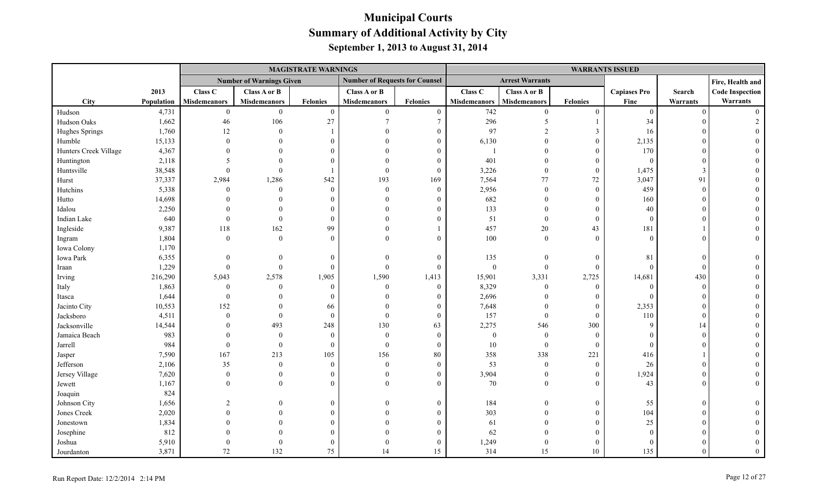|                       |            |                     |                                 | <b>MAGISTRATE WARNINGS</b> |                                       |                  |                     |                        |                  | <b>WARRANTS ISSUED</b> |          |                        |
|-----------------------|------------|---------------------|---------------------------------|----------------------------|---------------------------------------|------------------|---------------------|------------------------|------------------|------------------------|----------|------------------------|
|                       |            |                     | <b>Number of Warnings Given</b> |                            | <b>Number of Requests for Counsel</b> |                  |                     | <b>Arrest Warrants</b> |                  |                        |          | Fire, Health and       |
|                       | 2013       | Class C             | <b>Class A or B</b>             |                            | Class A or B                          |                  | Class C             | Class A or B           |                  | <b>Capiases Pro</b>    | Search   | <b>Code Inspection</b> |
| <b>City</b>           | Population | <b>Misdemeanors</b> | <b>Misdemeanors</b>             | <b>Felonies</b>            | <b>Misdemeanors</b>                   | <b>Felonies</b>  | <b>Misdemeanors</b> | <b>Misdemeanors</b>    | <b>Felonies</b>  | Fine                   | Warrants | Warrants               |
| Hudson                | 4,731      | $\mathbf{0}$        | $\overline{0}$                  | $\mathbf{0}$               | $\overline{0}$                        | $\boldsymbol{0}$ | 742                 | $\theta$               | $\mathbf{0}$     | $\overline{0}$         | $\Omega$ | $\Omega$               |
| Hudson Oaks           | 1,662      | 46                  | 106                             | 27                         | $\overline{7}$                        | $7\phantom{.0}$  | 296                 | 5                      |                  | 34                     |          |                        |
| Hughes Springs        | 1,760      | 12                  | $\theta$                        |                            | $\Omega$                              | $\theta$         | 97                  |                        | $\mathfrak{Z}$   | 16                     |          |                        |
| Humble                | 15,133     | $\Omega$            |                                 | $\Omega$                   |                                       | 0                | 6,130               |                        | $\overline{0}$   | 2,135                  |          |                        |
| Hunters Creek Village | 4,367      |                     |                                 |                            |                                       |                  | $\mathbf{1}$        | $\Omega$               | $\overline{0}$   | 170                    |          |                        |
| Huntington            | 2,118      |                     |                                 |                            |                                       | $\theta$         | 401                 | $\Omega$               | $\overline{0}$   | $\overline{0}$         |          |                        |
| Huntsville            | 38,548     | $\Omega$            |                                 |                            | $\Omega$                              | $\Omega$         | 3,226               | $\theta$               | $\overline{0}$   | 1,475                  |          |                        |
| Hurst                 | 37,337     | 2,984               | 1,286                           | 542                        | 193                                   | 169              | 7,564               | 77                     | 72               | 3,047                  | 91       |                        |
| Hutchins              | 5,338      | $\theta$            | $\theta$                        | $\Omega$                   | $\theta$                              | $\overline{0}$   | 2,956               | $\overline{0}$         | $\mathbf{0}$     | 459                    | $\Omega$ |                        |
| Hutto                 | 14,698     |                     |                                 | $\Omega$                   | $\Omega$                              | $\Omega$         | 682                 | $\Omega$               | $\boldsymbol{0}$ | 160                    |          |                        |
| Idalou                | 2,250      |                     |                                 |                            | $\Omega$                              | $\Omega$         | 133                 | $\Omega$               | $\theta$         | 40                     |          |                        |
| Indian Lake           | 640        | $\mathbf{0}$        | $\theta$                        |                            |                                       | $\theta$         | 51                  | $\mathbf{0}$           | $\overline{0}$   | $\overline{0}$         |          |                        |
| Ingleside             | 9,387      | 118                 | 162                             | 99                         | $\Omega$                              |                  | 457                 | $20\,$                 | 43               | 181                    |          |                        |
| Ingram                | 1,804      | $\theta$            | $\Omega$                        | $\Omega$                   | $\Omega$                              | $\Omega$         | 100                 | $\theta$               | $\theta$         | $\Omega$               |          |                        |
| Iowa Colony           | 1,170      |                     |                                 |                            |                                       |                  |                     |                        |                  |                        |          |                        |
| Iowa Park             | 6,355      |                     |                                 | $\Omega$                   | $\theta$                              | $\mathbf{0}$     | 135                 | $\overline{0}$         | $\boldsymbol{0}$ | 81                     | $\Omega$ |                        |
| Iraan                 | 1,229      | $\Omega$            | $\Omega$                        | $\Omega$                   | $\theta$                              | $\theta$         | $\boldsymbol{0}$    | $\overline{0}$         | $\overline{0}$   | $\Omega$               | $\Omega$ |                        |
| Irving                | 216,290    | 5,043               | 2,578                           | 1,905                      | 1,590                                 | 1,413            | 15,901              | 3,331                  | 2,725            | 14,681                 | 430      |                        |
| Italy                 | 1,863      | $\mathbf{0}$        | $\Omega$                        | $\Omega$                   | $\theta$                              | $\mathbf{0}$     | 8,329               | $\overline{0}$         | $\mathbf{0}$     | $\Omega$               | $\Omega$ |                        |
| Itasca                | 1,644      | $\Omega$            |                                 | $\Omega$                   | $\Omega$                              |                  | 2,696               | $\Omega$               | $\overline{0}$   | $\Omega$               |          |                        |
| Jacinto City          | 10,553     | 152                 | $\theta$                        | 66                         | $\Omega$                              | 0                | 7,648               | $\overline{0}$         | $\mathbf{0}$     | 2,353                  |          |                        |
| Jacksboro             | 4,511      | $\theta$            | $\theta$                        | $\theta$                   | $\theta$                              | $\overline{0}$   | 157                 | $\overline{0}$         | $\boldsymbol{0}$ | 110                    |          |                        |
| Jacksonville          | 14,544     |                     | 493                             | 248                        | 130                                   | 63               | 2,275               | 546                    | 300              | 9                      | 14       |                        |
| Jamaica Beach         | 983        | $\Omega$            | $\Omega$                        | $\Omega$                   | $\mathbf{0}$                          | $\overline{0}$   | $\boldsymbol{0}$    | $\overline{0}$         | $\mathbf{0}$     | $\Omega$               |          |                        |
| Jarrell               | 984        | $\mathbf{0}$        | $\theta$                        | $\Omega$                   | $\mathbf{0}$                          | $\mathbf{0}$     | $10\,$              | $\mathbf{0}$           | $\boldsymbol{0}$ | $\Omega$               |          |                        |
| Jasper                | 7,590      | 167                 | 213                             | 105                        | 156                                   | $80\,$           | 358                 | 338                    | 221              | 416                    |          |                        |
| Jefferson             | 2,106      | 35                  | $\theta$                        | $\theta$                   | $\theta$                              | $\theta$         | 53                  | $\overline{0}$         | $\mathbf{0}$     | 26                     |          |                        |
| Jersey Village        | 7,620      | $\boldsymbol{0}$    | $\theta$                        |                            | $\theta$                              | 0                | 3,904               | $\boldsymbol{0}$       | $\mathbf{0}$     | 1,924                  |          |                        |
| Jewett                | 1,167      | $\Omega$            | $\Omega$                        | $\Omega$                   | $\Omega$                              | $\Omega$         | 70                  | $\overline{0}$         | $\overline{0}$   | 43                     |          |                        |
| Joaquin               | 824        |                     |                                 |                            |                                       |                  |                     |                        |                  |                        |          |                        |
| Johnson City          | 1,656      |                     |                                 | $\Omega$                   | $\Omega$                              | $\overline{0}$   | 184                 | $\overline{0}$         | $\boldsymbol{0}$ | 55                     |          |                        |
| Jones Creek           | 2,020      |                     |                                 |                            | $\Omega$                              |                  | 303                 | $\Omega$               | $\overline{0}$   | 104                    |          |                        |
| Jonestown             | 1,834      |                     |                                 |                            |                                       | $\Omega$         | 61                  | $\Omega$               | $\mathbf{0}$     | $25\,$                 |          |                        |
| Josephine             | 812        |                     |                                 |                            |                                       | $\theta$         | 62                  | $\Omega$               | $\theta$         | $\Omega$               |          |                        |
| Joshua                | 5,910      |                     |                                 |                            | $\Omega$                              | $\theta$         | 1,249               | $\theta$               | $\theta$         | $\Omega$               |          |                        |
| Jourdanton            | 3,871      | 72                  | 132                             | 75                         | 14                                    | 15               | 314                 | 15                     | 10               | 135                    |          |                        |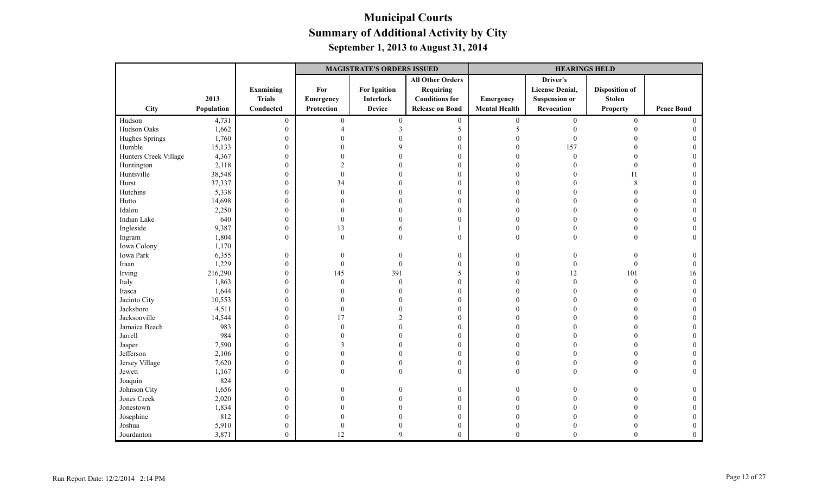|                       |            |                  | <b>MAGISTRATE'S ORDERS ISSUED</b> |                     |                         |                      | <b>HEARINGS HELD</b>   |                       |                   |
|-----------------------|------------|------------------|-----------------------------------|---------------------|-------------------------|----------------------|------------------------|-----------------------|-------------------|
|                       |            |                  |                                   |                     | <b>All Other Orders</b> |                      | Driver's               |                       |                   |
|                       |            | Examining        | For                               | <b>For Ignition</b> | <b>Requiring</b>        |                      | <b>License Denial,</b> | <b>Disposition of</b> |                   |
|                       | 2013       | <b>Trials</b>    | Emergency                         | <b>Interlock</b>    | <b>Conditions</b> for   | Emergency            | <b>Suspension or</b>   | <b>Stolen</b>         |                   |
| City                  | Population | Conducted        | Protection                        | <b>Device</b>       | <b>Release on Bond</b>  | <b>Mental Health</b> | Revocation             | <b>Property</b>       | <b>Peace Bond</b> |
| Hudson                | 4,731      | $\boldsymbol{0}$ | $\mathbf{0}$                      | $\boldsymbol{0}$    | $\boldsymbol{0}$        | $\boldsymbol{0}$     | $\mathbf{0}$           | $\mathbf{0}$          | $\theta$          |
| Hudson Oaks           | 1,662      | $\overline{0}$   | Δ                                 | $\mathbf{3}$        | 5                       | 5                    | $\Omega$               | $\Omega$              |                   |
| Hughes Springs        | 1,760      | $\boldsymbol{0}$ |                                   |                     | $\boldsymbol{0}$        | $\Omega$             | 0                      |                       |                   |
| Humble                | 15,133     | $\boldsymbol{0}$ |                                   |                     | $\boldsymbol{0}$        | $\Omega$             | 157                    |                       |                   |
| Hunters Creek Village | 4,367      | $\boldsymbol{0}$ |                                   |                     | $\mathbf{0}$            | $\Omega$             | $\mathbf{0}$           | $\theta$              |                   |
| Huntington            | 2,118      | $\mathbf{0}$     | $\mathfrak{D}$                    |                     | $\mathbf{0}$            | $\Omega$             |                        | $\theta$              |                   |
| Huntsville            | 38,548     | $\boldsymbol{0}$ | $\overline{0}$                    |                     | $\boldsymbol{0}$        | $\theta$             |                        | 11                    | $\theta$          |
| Hurst                 | 37,337     | $\boldsymbol{0}$ | 34                                |                     | $\boldsymbol{0}$        | $\Omega$             |                        | 8                     |                   |
| Hutchins              | 5,338      | $\boldsymbol{0}$ | $\theta$                          |                     | $\mathbf{0}$            | $\Omega$             |                        | $\Omega$              |                   |
| Hutto                 | 14,698     | $\mathbf{0}$     |                                   |                     | $\mathbf{0}$            | $\Omega$             | 0                      | $\Omega$              |                   |
| Idalou                | 2,250      | $\boldsymbol{0}$ | 0                                 |                     | $\mathbf{0}$            | $\Omega$             |                        | $\theta$              |                   |
| Indian Lake           | 640        | $\boldsymbol{0}$ | $\theta$                          |                     | $\mathbf{0}$            | $\Omega$             |                        | $\theta$              |                   |
| Ingleside             | 9,387      | $\boldsymbol{0}$ | 13                                |                     | $\mathbf{1}$            | $\Omega$             |                        | $\theta$              |                   |
| Ingram                | 1,804      | $\mathbf{0}$     | $\Omega$                          | $\theta$            | $\theta$                | $\Omega$             | $\Omega$               | $\theta$              | $\Omega$          |
| Iowa Colony           | 1,170      |                  |                                   |                     |                         |                      |                        |                       |                   |
| Iowa Park             | 6,355      | $\boldsymbol{0}$ | $\boldsymbol{0}$                  |                     | $\boldsymbol{0}$        | $\boldsymbol{0}$     | $\boldsymbol{0}$       | $\theta$              | $\theta$          |
| Iraan                 | 1,229      | $\boldsymbol{0}$ | $\mathbf{0}$                      | $\theta$            | $\boldsymbol{0}$        | $\overline{0}$       | $\mathbf{0}$           | $\boldsymbol{0}$      | $\Omega$          |
| Irving                | 216,290    | $\boldsymbol{0}$ | 145                               | 391                 | 5                       | $\Omega$             | 12                     | 101                   | 16                |
| Italy                 | 1,863      | $\boldsymbol{0}$ | $\Omega$                          | $\mathbf{0}$        | $\boldsymbol{0}$        | $\Omega$             | $\mathbf{0}$           | $\boldsymbol{0}$      | $\theta$          |
| Itasca                | 1,644      | $\boldsymbol{0}$ | 0                                 |                     | $\mathbf{0}$            | $\Omega$             |                        | $\Omega$              |                   |
| Jacinto City          | 10,553     | $\boldsymbol{0}$ |                                   |                     | $\mathbf{0}$            |                      |                        |                       |                   |
| Jacksboro             | 4,511      | $\boldsymbol{0}$ | $\theta$                          |                     | $\mathbf{0}$            |                      |                        | $\Omega$              |                   |
| Jacksonville          | 14,544     | $\boldsymbol{0}$ | 17                                |                     | $\boldsymbol{0}$        | $\Omega$             |                        | $\Omega$              |                   |
| Jamaica Beach         | 983        | $\boldsymbol{0}$ | $\Omega$                          |                     | $\mathbf{0}$            | $\Omega$             |                        | $\Omega$              |                   |
| Jarrell               | 984        | $\boldsymbol{0}$ |                                   |                     | $\mathbf{0}$            | $\Omega$             |                        |                       |                   |
| Jasper                | 7,590      | $\boldsymbol{0}$ | 3                                 |                     | $\mathbf{0}$            | $\sqrt{ }$           |                        |                       |                   |
| Jefferson             | 2,106      | $\boldsymbol{0}$ |                                   |                     | $\boldsymbol{0}$        | $\Omega$             | $\Omega$               | $\Omega$              | $\Omega$          |
| Jersey Village        | 7,620      | $\boldsymbol{0}$ | 0                                 | $\theta$            | $\boldsymbol{0}$        | $\mathbf{0}$         | $\Omega$               | $\theta$              |                   |
| Jewett                | 1,167      | $\overline{0}$   | $\Omega$                          | $\Omega$            | $\theta$                | $\theta$             | $\Omega$               | $\theta$              | $\Omega$          |
| Joaquin               | 824        |                  |                                   |                     |                         |                      |                        |                       |                   |
| Johnson City          | 1,656      | $\boldsymbol{0}$ | 0                                 |                     | $\boldsymbol{0}$        | $\Omega$             |                        |                       | $\theta$          |
| Jones Creek           | 2,020      | $\boldsymbol{0}$ |                                   |                     | $\mathbf{0}$            | $\Omega$             |                        |                       |                   |
| Jonestown             | 1,834      | $\mathbf{0}$     |                                   |                     | $\mathbf{0}$            | $\Omega$             |                        |                       | 0                 |
| Josephine             | 812        | $\mathbf{0}$     |                                   |                     | $\mathbf{0}$            |                      |                        |                       |                   |
| Joshua                | 5,910      | $\boldsymbol{0}$ | $\theta$                          |                     | $\boldsymbol{0}$        | $\theta$             |                        |                       | $\Omega$          |
| Jourdanton            | 3,871      | $\mathbf{0}$     | 12                                | $\mathbf Q$         | $\mathbf{0}$            | $\theta$             | $\overline{0}$         | $\overline{0}$        | $\theta$          |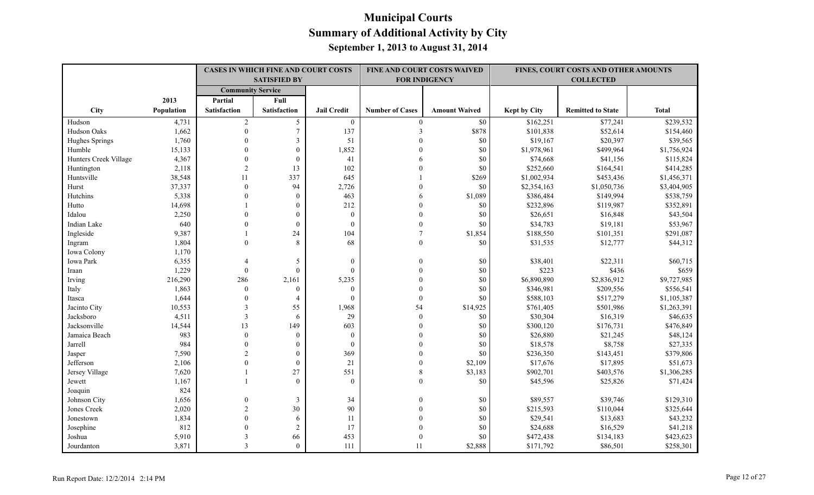|                       |            |                          | <b>CASES IN WHICH FINE AND COURT COSTS</b><br><b>SATISFIED BY</b> |                    |                        | FINE AND COURT COSTS WAIVED<br><b>FOR INDIGENCY</b> |                     | FINES, COURT COSTS AND OTHER AMOUNTS<br><b>COLLECTED</b> |              |
|-----------------------|------------|--------------------------|-------------------------------------------------------------------|--------------------|------------------------|-----------------------------------------------------|---------------------|----------------------------------------------------------|--------------|
|                       |            | <b>Community Service</b> |                                                                   |                    |                        |                                                     |                     |                                                          |              |
|                       | 2013       | Partial                  | Full                                                              |                    |                        |                                                     |                     |                                                          |              |
| City                  | Population | <b>Satisfaction</b>      | <b>Satisfaction</b>                                               | <b>Jail Credit</b> | <b>Number of Cases</b> | <b>Amount Waived</b>                                | <b>Kept by City</b> | <b>Remitted to State</b>                                 | <b>Total</b> |
| Hudson                | 4,731      | 2                        | 5                                                                 | $\bf{0}$           | $\overline{0}$         | $\$0$                                               | \$162,251           | \$77,241                                                 | \$239,532    |
| Hudson Oaks           | 1,662      | $\boldsymbol{0}$         | $\overline{7}$                                                    | 137                | $\overline{3}$         | \$878                                               | \$101,838           | \$52,614                                                 | \$154,460    |
| Hughes Springs        | 1,760      | $\theta$                 | $\overline{\mathbf{3}}$                                           | 51                 | $\Omega$               | \$0                                                 | \$19,167            | \$20,397                                                 | \$39,565     |
| Humble                | 15,133     | $\theta$                 | $\theta$                                                          | 1,852              | $\Omega$               | \$0                                                 | \$1,978,961         | \$499,964                                                | \$1,756,924  |
| Hunters Creek Village | 4,367      | $\theta$                 | $\mathbf{0}$                                                      | 41                 | 6                      | \$0                                                 | \$74,668            | \$41,156                                                 | \$115,824    |
| Huntington            | 2,118      | $\overline{2}$           | 13                                                                | 102                | $\Omega$               | \$0                                                 | \$252,660           | \$164,541                                                | \$414,285    |
| Huntsville            | 38,548     | 11                       | 337                                                               | 645                |                        | \$269                                               | \$1,002,934         | \$453,436                                                | \$1,456,371  |
| Hurst                 | 37,337     | $\theta$                 | 94                                                                | 2,726              | $\Omega$               | \$0                                                 | \$2,354,163         | \$1,050,736                                              | \$3,404,905  |
| Hutchins              | 5,338      | $\Omega$                 | $\theta$                                                          | 463                | 6                      | \$1,089                                             | \$386,484           | \$149,994                                                | \$538,759    |
| Hutto                 | 14,698     |                          | $\mathbf{0}$                                                      | 212                | $\theta$               | \$0                                                 | \$232,896           | \$119,987                                                | \$352,891    |
| Idalou                | 2,250      | $\overline{0}$           | $\boldsymbol{0}$                                                  | $\boldsymbol{0}$   | $\theta$               | \$0                                                 | \$26,651            | \$16,848                                                 | \$43,504     |
| Indian Lake           | 640        | $\Omega$                 | $\mathbf{0}$                                                      | $\boldsymbol{0}$   | $\mathbf{0}$           | \$0                                                 | \$34,783            | \$19,181                                                 | \$53,967     |
| Ingleside             | 9,387      |                          | 24                                                                | 104                | $\overline{7}$         | \$1,854                                             | \$188,550           | \$101,351                                                | \$291,087    |
| Ingram                | 1,804      | $\theta$                 | 8                                                                 | 68                 | $\boldsymbol{0}$       | \$0                                                 | \$31,535            | \$12,777                                                 | \$44,312     |
| Iowa Colony           | 1,170      |                          |                                                                   |                    |                        |                                                     |                     |                                                          |              |
| Iowa Park             | 6,355      | 4                        | 5                                                                 | $\boldsymbol{0}$   | $\Omega$               | \$0                                                 | \$38,401            | \$22,311                                                 | \$60,715     |
| Iraan                 | 1,229      | $\theta$                 | $\theta$                                                          | $\mathbf{0}$       | $\Omega$               | \$0                                                 | \$223               | \$436                                                    | \$659        |
| Irving                | 216,290    | 286                      | 2,161                                                             | 5,235              | $\Omega$               | \$0                                                 | \$6,890,890         | \$2,836,912                                              | \$9,727,985  |
| Italy                 | 1,863      | $\theta$                 | $\theta$                                                          | $\mathbf{0}$       | $\theta$               | \$0                                                 | \$346,981           | \$209,556                                                | \$556,541    |
| Itasca                | 1,644      | $\boldsymbol{0}$         | $\overline{4}$                                                    | $\theta$           | $\theta$               | \$0                                                 | \$588,103           | \$517,279                                                | \$1,105,387  |
| Jacinto City          | 10,553     | $\mathfrak{Z}$           | 55                                                                | 1,968              | 54                     | \$14,925                                            | \$761,405           | \$501,986                                                | \$1,263,391  |
| Jacksboro             | 4,511      | $\overline{3}$           | 6                                                                 | 29                 | $\boldsymbol{0}$       | \$0                                                 | \$30,304            | \$16,319                                                 | \$46,635     |
| Jacksonville          | 14,544     | 13                       | 149                                                               | 603                | $\mathbf{0}$           | \$0                                                 | \$300,120           | \$176,731                                                | \$476,849    |
| Jamaica Beach         | 983        | $\mathbf{0}$             | $\mathbf{0}$                                                      | $\mathbf{0}$       | $\Omega$               | \$0                                                 | \$26,880            | \$21,245                                                 | \$48,124     |
| Jarrell               | 984        | $\theta$                 | $\mathbf{0}$                                                      | $\mathbf{0}$       | $\Omega$               | \$0                                                 | \$18,578            | \$8,758                                                  | \$27,335     |
| Jasper                | 7,590      | $\overline{c}$           | $\theta$                                                          | 369                | $\Omega$               | \$0                                                 | \$236,350           | \$143,451                                                | \$379,806    |
| Jefferson             | 2,106      | $\Omega$                 | $\theta$                                                          | 21                 | $\theta$               | \$2,109                                             | \$17,676            | \$17,895                                                 | \$51,673     |
| Jersey Village        | 7,620      |                          | 27                                                                | 551                | $\,8\,$                | \$3,183                                             | \$902,701           | \$403,576                                                | \$1,306,285  |
| Jewett                | 1,167      |                          | $\Omega$                                                          | $\Omega$           | $\Omega$               | \$0                                                 | \$45,596            | \$25,826                                                 | \$71,424     |
| Joaquin               | 824        |                          |                                                                   |                    |                        |                                                     |                     |                                                          |              |
| Johnson City          | 1,656      | $\mathbf{0}$             | $\mathfrak{Z}$                                                    | 34                 | $\theta$               | \$0                                                 | \$89,557            | \$39,746                                                 | \$129,310    |
| Jones Creek           | 2,020      | $\overline{2}$           | 30                                                                | 90                 | $\Omega$               | \$0                                                 | \$215,593           | \$110,044                                                | \$325,644    |
| Jonestown             | 1,834      | $\overline{0}$           | 6                                                                 | 11                 | $\Omega$               | \$0                                                 | \$29,541            | \$13,683                                                 | \$43,232     |
| Josephine             | 812        | $\Omega$                 | $\overline{2}$                                                    | 17                 | $\Omega$               | \$0                                                 | \$24,688            | \$16,529                                                 | \$41,218     |
| Joshua                | 5,910      | 3                        | 66                                                                | 453                | $\theta$               | \$0                                                 | \$472,438           | \$134,183                                                | \$423,623    |
| Jourdanton            | 3,871      | $\mathcal{E}$            | $\theta$                                                          | 111                | 11                     | \$2,888                                             | \$171,792           | \$86,501                                                 | \$258,301    |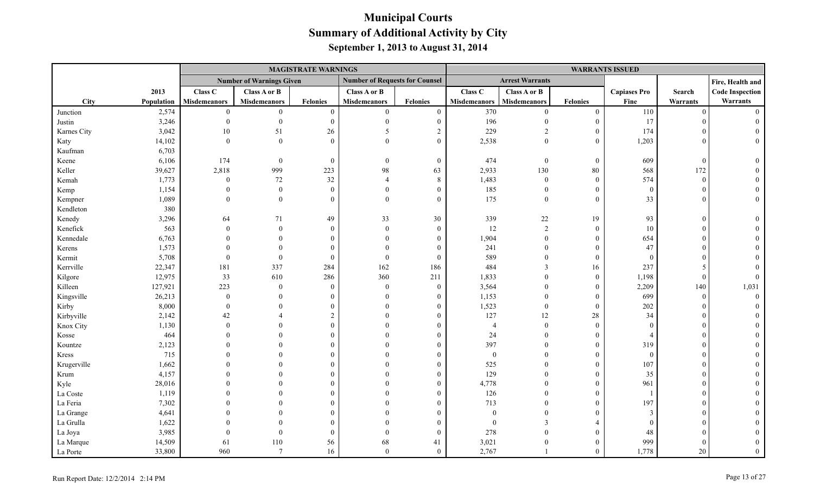|             |            |                     |                                 | <b>MAGISTRATE WARNINGS</b> |                                       |                 |                     |                        |                  | <b>WARRANTS ISSUED</b> |          |                        |
|-------------|------------|---------------------|---------------------------------|----------------------------|---------------------------------------|-----------------|---------------------|------------------------|------------------|------------------------|----------|------------------------|
|             |            |                     | <b>Number of Warnings Given</b> |                            | <b>Number of Requests for Counsel</b> |                 |                     | <b>Arrest Warrants</b> |                  |                        |          | Fire, Health and       |
|             | 2013       | Class C             | <b>Class A or B</b>             |                            | Class A or B                          |                 | Class C             | Class A or B           |                  | <b>Capiases Pro</b>    | Search   | <b>Code Inspection</b> |
| <b>City</b> | Population | <b>Misdemeanors</b> | <b>Misdemeanors</b>             | <b>Felonies</b>            | <b>Misdemeanors</b>                   | <b>Felonies</b> | <b>Misdemeanors</b> | <b>Misdemeanors</b>    | <b>Felonies</b>  | Fine                   | Warrants | Warrants               |
| Junction    | 2,574      | $\mathbf{0}$        | $\mathbf{0}$                    | $\mathbf{0}$               | $\overline{0}$                        | $\overline{0}$  | 370                 | $\theta$               | $\mathbf{0}$     | 110                    | $\theta$ | $\Omega$               |
| Justin      | 3,246      | $\boldsymbol{0}$    | $\Omega$                        | $\mathbf{0}$               | $\Omega$                              | $\mathbf{0}$    | 196                 | $\Omega$               | $\mathbf{0}$     | 17                     |          |                        |
| Karnes City | 3,042      | $10\,$              | 51                              | 26                         | 5                                     | $\overline{2}$  | 229                 | $\overline{c}$         | $\mathbf{0}$     | 174                    |          |                        |
| Katy        | 14,102     | $\mathbf{0}$        | $\theta$                        | $\theta$                   | $\Omega$                              | $\Omega$        | 2,538               | $\overline{0}$         | $\mathbf{0}$     | 1,203                  |          |                        |
| Kaufman     | 6,703      |                     |                                 |                            |                                       |                 |                     |                        |                  |                        |          |                        |
| Keene       | 6,106      | 174                 | $\bf{0}$                        | $\boldsymbol{0}$           | $\theta$                              | $\mathbf{0}$    | 474                 | $\mathbf{0}$           | $\boldsymbol{0}$ | 609                    | $\theta$ |                        |
| Keller      | 39,627     | 2,818               | 999                             | 223                        | 98                                    | 63              | 2,933               | 130                    | $80\,$           | 568                    | 172      |                        |
| Kemah       | 1,773      | $\bf{0}$            | 72                              | 32                         | $\overline{A}$                        | $\,8\,$         | 1,483               | $\overline{0}$         | $\mathbf{0}$     | 574                    | $\theta$ |                        |
| Kemp        | 1,154      | $\Omega$            | $\boldsymbol{0}$                | $\mathbf{0}$               | $\Omega$                              | $\theta$        | 185                 | $\overline{0}$         | $\boldsymbol{0}$ | $\theta$               |          |                        |
| Kempner     | 1,089      | $\Omega$            | $\theta$                        | $\theta$                   | $\Omega$                              | $\Omega$        | 175                 | $\overline{0}$         | $\theta$         | 33                     |          |                        |
| Kendleton   | 380        |                     |                                 |                            |                                       |                 |                     |                        |                  |                        |          |                        |
| Kenedy      | 3,296      | 64                  | 71                              | 49                         | 33                                    | 30              | 339                 | $22\,$                 | 19               | 93                     |          |                        |
| Kenefick    | 563        | $\mathbf{0}$        | $\theta$                        | $\mathbf{0}$               | $\Omega$                              | $\mathbf{0}$    | 12                  | $\overline{2}$         | $\boldsymbol{0}$ | 10                     |          |                        |
| Kennedale   | 6,763      |                     | $\Omega$                        | $\Omega$                   | $\Omega$                              | $\Omega$        | 1,904               | $\theta$               | $\mathbf{0}$     | 654                    |          |                        |
| Kerens      | 1,573      |                     | $\Omega$                        | $\theta$                   |                                       | $\Omega$        | 241                 |                        | $\mathbf{0}$     | 47                     |          |                        |
| Kermit      | 5,708      | $\Omega$            | $\Omega$                        | $\mathbf{0}$               | $\Omega$                              | $\overline{0}$  | 589                 |                        | $\boldsymbol{0}$ | $\overline{0}$         |          |                        |
| Kerrville   | 22,347     | 181                 | 337                             | 284                        | 162                                   | 186             | 484                 | 3                      | 16               | 237                    |          |                        |
| Kilgore     | 12,975     | 33                  | 610                             | 286                        | 360                                   | 211             | 1,833               | $\Omega$               | $\mathbf{0}$     | 1,198                  |          |                        |
| Killeen     | 127,921    | 223                 | $\theta$                        | $\mathbf{0}$               | $\theta$                              | $\theta$        | 3,564               | $\Omega$               | $\mathbf{0}$     | 2,209                  | 140      | 1,031                  |
| Kingsville  | 26,213     | $\bf{0}$            | $\Omega$                        | $\Omega$                   | $\Omega$                              | $\Omega$        | 1,153               | $\theta$               | $\mathbf{0}$     | 699                    | $\Omega$ |                        |
| Kirby       | 8,000      | $\overline{0}$      | $\Omega$                        | $\Omega$                   | $\Omega$                              | $\Omega$        | 1,523               | $\theta$               | $\mathbf{0}$     | 202                    |          |                        |
| Kirbyville  | 2,142      | 42                  |                                 | $\overline{2}$             | $\theta$                              | $\theta$        | 127                 | 12                     | $28\,$           | 34                     |          |                        |
| Knox City   | 1,130      | $\Omega$            |                                 | $\Omega$                   | $\Omega$                              | $\Omega$        | $\overline{4}$      | $\theta$               | $\theta$         | $\Omega$               |          |                        |
| Kosse       | 464        |                     | $\Omega$                        | $\Omega$                   |                                       | 0               | 24                  | $\Omega$               | $\mathbf{0}$     | $\overline{4}$         |          |                        |
| Kountze     | 2,123      |                     |                                 | $\Omega$                   | $\Omega$                              | 0               | 397                 | $\Omega$               | $\theta$         | 319                    |          |                        |
| Kress       | 715        |                     |                                 | $\Omega$                   | $\Omega$                              |                 | $\boldsymbol{0}$    | $\Omega$               | $\theta$         | $\theta$               |          |                        |
| Krugerville | 1,662      |                     |                                 | $\Omega$                   |                                       |                 | 525                 |                        | $\mathbf{0}$     | 107                    |          |                        |
| Krum        | 4,157      |                     |                                 | $\Omega$                   |                                       | 0               | 129                 |                        | $\boldsymbol{0}$ | 35                     |          |                        |
| Kyle        | 28,016     |                     |                                 | $\Omega$                   | $\Omega$                              |                 | 4,778               |                        | $\boldsymbol{0}$ | 961                    |          |                        |
| La Coste    | 1,119      |                     |                                 | $\Omega$                   |                                       |                 | 126                 |                        | $\theta$         |                        |          |                        |
| La Feria    | 7,302      |                     |                                 |                            |                                       |                 | 713                 | $\Omega$               | $\theta$         | 197                    |          |                        |
| La Grange   | 4,641      |                     |                                 | $\Omega$                   |                                       |                 | $\mathbf{0}$        | $\Omega$               | $\Omega$         | 3                      |          |                        |
| La Grulla   | 1,622      |                     |                                 | $\Omega$                   |                                       |                 | $\mathbf{0}$        | 3                      | $\overline{4}$   |                        |          |                        |
| La Joya     | 3,985      |                     | $\Omega$                        | $\overline{0}$             |                                       | $\theta$        | 278                 | $\theta$               | $\theta$         | 48                     |          |                        |
| La Marque   | 14,509     | 61                  | 110                             | 56                         | 68                                    | 41              | 3,021               | $\theta$               | $\theta$         | 999                    |          |                        |
| La Porte    | 33,800     | 960                 | $\overline{7}$                  | 16                         | $\theta$                              | $\mathbf{0}$    | 2,767               |                        | $\theta$         | 1,778                  | 20       | $\Omega$               |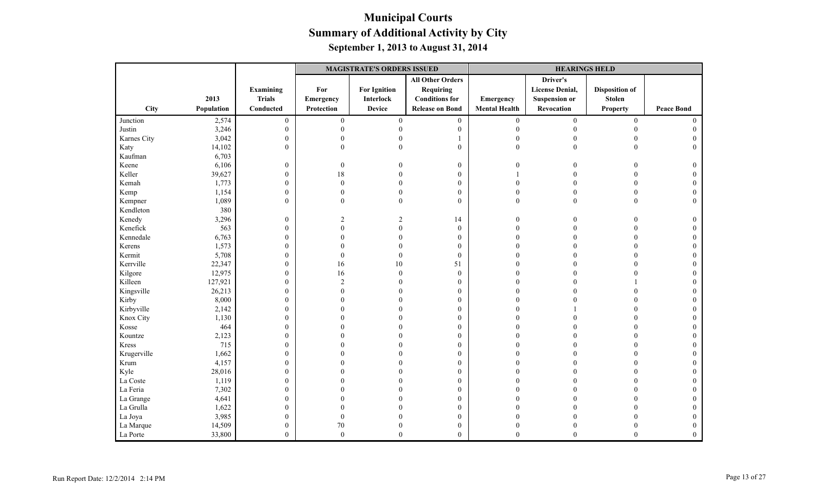|             |            |                  | <b>MAGISTRATE'S ORDERS ISSUED</b> |                     |                         |                      | <b>HEARINGS HELD</b>   |                       |                   |
|-------------|------------|------------------|-----------------------------------|---------------------|-------------------------|----------------------|------------------------|-----------------------|-------------------|
|             |            |                  |                                   |                     | <b>All Other Orders</b> |                      | Driver's               |                       |                   |
|             |            | Examining        | For                               | <b>For Ignition</b> | <b>Requiring</b>        |                      | <b>License Denial,</b> | <b>Disposition of</b> |                   |
|             | 2013       | <b>Trials</b>    | Emergency                         | Interlock           | <b>Conditions for</b>   | Emergency            | <b>Suspension or</b>   | <b>Stolen</b>         |                   |
| <b>City</b> | Population | Conducted        | Protection                        | <b>Device</b>       | <b>Release on Bond</b>  | <b>Mental Health</b> | Revocation             | <b>Property</b>       | <b>Peace Bond</b> |
| Junction    | 2,574      | $\boldsymbol{0}$ | $\boldsymbol{0}$                  | $\overline{0}$      | $\boldsymbol{0}$        | $\mathbf{0}$         | $\boldsymbol{0}$       | $\boldsymbol{0}$      | $\theta$          |
| Justin      | 3,246      | $\boldsymbol{0}$ | $\theta$                          |                     | $\theta$                | $\theta$             | $\theta$               | $\Omega$              |                   |
| Karnes City | 3,042      | $\boldsymbol{0}$ | $\Omega$                          |                     |                         | $\Omega$             |                        |                       |                   |
| Katy        | 14,102     | $\overline{0}$   | $\Omega$                          |                     | $\theta$                | $\mathbf{0}$         | $\Omega$               | $\Omega$              | $\Omega$          |
| Kaufman     | 6,703      |                  |                                   |                     |                         |                      |                        |                       |                   |
| Keene       | 6,106      | $\mathbf{0}$     | $\overline{0}$                    |                     | $\boldsymbol{0}$        | $\mathbf{0}$         | 0                      | $\Omega$              | $\Omega$          |
| Keller      | 39,627     | $\boldsymbol{0}$ | 18                                |                     | $\mathbf{0}$            |                      |                        | $\Omega$              | $\Omega$          |
| Kemah       | 1,773      | $\boldsymbol{0}$ | $\theta$                          |                     | $\boldsymbol{0}$        | 0                    |                        | $\Omega$              |                   |
| Kemp        | 1,154      | $\mathbf{0}$     | $\theta$                          |                     | $\mathbf{0}$            | $\Omega$             | $\theta$               | $\theta$              |                   |
| Kempner     | 1,089      | $\boldsymbol{0}$ | $\Omega$                          | $\Omega$            | $\mathbf{0}$            | $\theta$             | $\Omega$               | $\theta$              |                   |
| Kendleton   | 380        |                  |                                   |                     |                         |                      |                        |                       |                   |
| Kenedy      | 3,296      | $\boldsymbol{0}$ | $\overline{2}$                    |                     | 14                      | $\theta$             |                        |                       |                   |
| Kenefick    | 563        | $\boldsymbol{0}$ | $\Omega$                          |                     | $\mathbf{0}$            | 0                    |                        |                       |                   |
| Kennedale   | 6,763      | $\boldsymbol{0}$ | $\Omega$                          |                     | $\boldsymbol{0}$        |                      |                        | $\Omega$              |                   |
| Kerens      | 1,573      | $\boldsymbol{0}$ | $\Omega$                          |                     | $\mathbf{0}$            |                      |                        | $\Omega$              |                   |
| Kermit      | 5,708      | $\mathbf{0}$     | $\mathbf{0}$                      |                     | $\mathbf{0}$            | 0                    |                        | $\Omega$              |                   |
| Kerrville   | 22,347     | $\overline{0}$   | 16                                | 10                  | 51                      |                      |                        |                       |                   |
| Kilgore     | 12,975     | $\mathbf{0}$     | 16                                | $\Omega$            | $\boldsymbol{0}$        |                      |                        |                       |                   |
| Killeen     | 127,921    | $\boldsymbol{0}$ | $\overline{2}$                    |                     | $\boldsymbol{0}$        |                      |                        |                       |                   |
| Kingsville  | 26,213     | $\overline{0}$   | $\Omega$                          |                     | $\mathbf{0}$            |                      |                        |                       |                   |
| Kirby       | 8,000      | $\boldsymbol{0}$ | $\Omega$                          |                     | $\boldsymbol{0}$        |                      |                        |                       |                   |
| Kirbyville  | 2,142      | $\boldsymbol{0}$ | $\Omega$                          |                     | $\mathbf{0}$            |                      |                        |                       |                   |
| Knox City   | 1,130      | $\boldsymbol{0}$ | $\Omega$                          |                     | $\mathbf{0}$            |                      |                        |                       |                   |
| Kosse       | 464        | $\boldsymbol{0}$ | $\Omega$                          |                     | $\mathbf{0}$            |                      |                        |                       |                   |
| Kountze     | 2,123      | $\overline{0}$   | $\Omega$                          |                     | $\boldsymbol{0}$        |                      |                        |                       |                   |
| Kress       | 715        | $\boldsymbol{0}$ | $\Omega$                          |                     | $\boldsymbol{0}$        |                      |                        |                       |                   |
| Krugerville | 1,662      | $\mathbf{0}$     | $\Omega$                          |                     | $\mathbf{0}$            |                      |                        | $\Omega$              |                   |
| Krum        | 4,157      | $\overline{0}$   | $\Omega$                          |                     | $\mathbf{0}$            |                      |                        | $\Omega$              |                   |
| Kyle        | 28,016     | $\boldsymbol{0}$ | 0                                 |                     | $\boldsymbol{0}$        |                      |                        | $\Omega$              |                   |
| La Coste    | 1,119      | $\boldsymbol{0}$ |                                   |                     | $\boldsymbol{0}$        |                      |                        |                       |                   |
| La Feria    | 7,302      | $\boldsymbol{0}$ |                                   |                     | $\mathbf{0}$            |                      |                        |                       |                   |
| La Grange   | 4,641      | 0                |                                   |                     | $\mathbf{0}$            |                      |                        |                       |                   |
| La Grulla   | 1,622      | $\overline{0}$   | 0                                 |                     | $\mathbf{0}$            |                      |                        |                       |                   |
| La Joya     | 3,985      | $\boldsymbol{0}$ | $\boldsymbol{0}$                  |                     | $\boldsymbol{0}$        |                      |                        |                       |                   |
| La Marque   | 14,509     | $\boldsymbol{0}$ | $70\,$                            |                     | $\boldsymbol{0}$        | $\theta$             |                        |                       |                   |
| La Porte    | 33,800     | $\overline{0}$   | $\boldsymbol{0}$                  | $\theta$            | $\mathbf{0}$            | $\theta$             | $\theta$               | $\theta$              | $\overline{0}$    |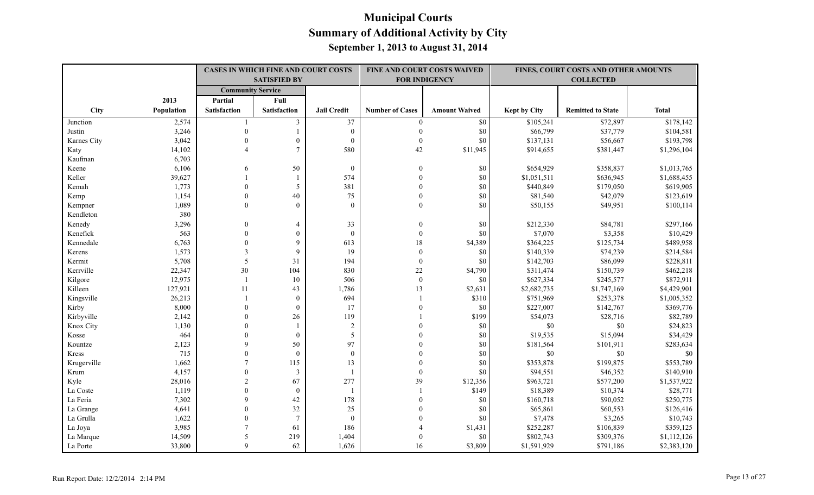|             |            | <b>CASES IN WHICH FINE AND COURT COSTS</b><br><b>SATISFIED BY</b> |                     |                    |                        | FINE AND COURT COSTS WAIVED<br><b>FOR INDIGENCY</b> | FINES, COURT COSTS AND OTHER AMOUNTS<br><b>COLLECTED</b> |                          |              |
|-------------|------------|-------------------------------------------------------------------|---------------------|--------------------|------------------------|-----------------------------------------------------|----------------------------------------------------------|--------------------------|--------------|
|             |            | <b>Community Service</b>                                          |                     |                    |                        |                                                     |                                                          |                          |              |
|             | 2013       | Partial                                                           | Full                |                    |                        |                                                     |                                                          |                          |              |
| City        | Population | <b>Satisfaction</b>                                               | <b>Satisfaction</b> | <b>Jail Credit</b> | <b>Number of Cases</b> | <b>Amount Waived</b>                                | <b>Kept by City</b>                                      | <b>Remitted to State</b> | <b>Total</b> |
| Junction    | 2,574      |                                                                   | 3                   | 37                 | $\overline{0}$         | \$0                                                 | \$105,241                                                | \$72,897                 | \$178,142    |
| Justin      | 3,246      | $\mathbf{0}$                                                      |                     | $\mathbf{0}$       | $\mathbf{0}$           | \$0                                                 | \$66,799                                                 | \$37,779                 | \$104,581    |
| Karnes City | 3,042      | $\theta$                                                          | $\mathbf{0}$        | $\theta$           | $\mathbf{0}$           | \$0                                                 | \$137,131                                                | \$56,667                 | \$193,798    |
| Katy        | 14,102     | $\boldsymbol{\Delta}$                                             | $\overline{7}$      | 580                | 42                     | \$11,945                                            | \$914,655                                                | \$381,447                | \$1,296,104  |
| Kaufman     | 6,703      |                                                                   |                     |                    |                        |                                                     |                                                          |                          |              |
| Keene       | 6,106      | 6                                                                 | 50                  | $\mathbf{0}$       | $\mathbf{0}$           | \$0                                                 | \$654,929                                                | \$358,837                | \$1,013,765  |
| Keller      | 39,627     |                                                                   |                     | 574                | $\Omega$               | \$0                                                 | \$1,051,511                                              | \$636,945                | \$1,688,455  |
| Kemah       | 1,773      | $\Omega$                                                          | 5                   | 381                | $\theta$               | \$0                                                 | \$440,849                                                | \$179,050                | \$619,905    |
| Kemp        | 1,154      | $\theta$                                                          | 40                  | 75                 | $\mathbf{0}$           | \$0                                                 | \$81,540                                                 | \$42,079                 | \$123,619    |
| Kempner     | 1,089      | $\theta$                                                          | $\theta$            | $\theta$           | $\mathbf{0}$           | \$0                                                 | \$50,155                                                 | \$49,951                 | \$100,114    |
| Kendleton   | 380        |                                                                   |                     |                    |                        |                                                     |                                                          |                          |              |
| Kenedy      | 3,296      | $\mathbf{0}$                                                      | $\overline{4}$      | 33                 | $\theta$               | \$0                                                 | \$212,330                                                | \$84,781                 | \$297,166    |
| Kenefick    | 563        | $\theta$                                                          | $\mathbf{0}$        | $\mathbf{0}$       | $\mathbf{0}$           | \$0                                                 | \$7,070                                                  | \$3,358                  | \$10,429     |
| Kennedale   | 6,763      | $\theta$                                                          | 9                   | 613                | 18                     | \$4,389                                             | \$364,225                                                | \$125,734                | \$489,958    |
| Kerens      | 1,573      | 3                                                                 | 9                   | 19                 | $\boldsymbol{0}$       | \$0                                                 | \$140,339                                                | \$74,239                 | \$214,584    |
| Kermit      | 5,708      | 5                                                                 | 31                  | 194                | $\mathbf{0}$           | \$0                                                 | \$142,703                                                | \$86,099                 | \$228,811    |
| Kerrville   | 22,347     | 30                                                                | 104                 | 830                | $22\,$                 | \$4,790                                             | \$311,474                                                | \$150,739                | \$462,218    |
| Kilgore     | 12,975     | $\overline{\phantom{a}}$                                          | 10                  | 506                | $\mathbf{0}$           | \$0                                                 | \$627,334                                                | \$245,577                | \$872,911    |
| Killeen     | 127,921    | 11                                                                | 43                  | 1,786              | 13                     | \$2,631                                             | \$2,682,735                                              | \$1,747,169              | \$4,429,901  |
| Kingsville  | 26,213     |                                                                   | $\mathbf{0}$        | 694                |                        | \$310                                               | \$751,969                                                | \$253,378                | \$1,005,352  |
| Kirby       | 8,000      | $\theta$                                                          | $\mathbf{0}$        | 17                 | $\theta$               | \$0                                                 | \$227,007                                                | \$142,767                | \$369,776    |
| Kirbyville  | 2,142      | $\Omega$                                                          | 26                  | 119                |                        | \$199                                               | \$54,073                                                 | \$28,716                 | \$82,789     |
| Knox City   | 1,130      | $\Omega$                                                          |                     | $\sqrt{2}$         | $\Omega$               | \$0                                                 | $\$0$                                                    | $\$0$                    | \$24,823     |
| Kosse       | 464        | $\mathbf{0}$                                                      | $\boldsymbol{0}$    | 5                  |                        | \$0                                                 | \$19,535                                                 | \$15,094                 | \$34,429     |
| Kountze     | 2,123      | 9                                                                 | 50                  | 97                 |                        | \$0                                                 | \$181,564                                                | \$101,911                | \$283,634    |
| Kress       | 715        | $\mathbf{0}$                                                      | $\mathbf{0}$        | $\mathbf{0}$       |                        | $\$0$                                               | $\$0$                                                    | $\$0$                    | $\$0$        |
| Krugerville | 1,662      |                                                                   | 115                 | 13                 | $\Omega$               | \$0                                                 | \$353,878                                                | \$199,875                | \$553,789    |
| Krum        | 4,157      | $\theta$                                                          | 3                   |                    | $\mathbf{0}$           | \$0                                                 | \$94,551                                                 | \$46,352                 | \$140,910    |
| Kyle        | 28,016     | $\sqrt{2}$                                                        | 67                  | 277                | 39                     | \$12,356                                            | \$963,721                                                | \$577,200                | \$1,537,922  |
| La Coste    | 1,119      | $\theta$                                                          | $\mathbf{0}$        | $\overline{1}$     | $\mathbf{1}$           | \$149                                               | \$18,389                                                 | \$10,374                 | \$28,771     |
| La Feria    | 7,302      | 9                                                                 | 42                  | 178                | $\theta$               | \$0                                                 | \$160,718                                                | \$90,052                 | \$250,775    |
| La Grange   | 4,641      | $\Omega$                                                          | 32                  | 25                 | $\Omega$               | \$0                                                 | \$65,861                                                 | \$60,553                 | \$126,416    |
| La Grulla   | 1,622      | $\theta$                                                          | $7\phantom{.0}$     | $\mathbf{0}$       |                        | \$0                                                 | \$7,478                                                  | \$3,265                  | \$10,743     |
| La Joya     | 3,985      |                                                                   | 61                  | 186                |                        | \$1,431                                             | \$252,287                                                | \$106,839                | \$359,125    |
| La Marque   | 14,509     | 5                                                                 | 219                 | 1,404              | $\Omega$               | \$0                                                 | \$802,743                                                | \$309,376                | \$1,112,126  |
| La Porte    | 33,800     | $\mathbf Q$                                                       | 62                  | 1,626              | 16                     | \$3,809                                             | \$1,591,929                                              | \$791,186                | \$2,383,120  |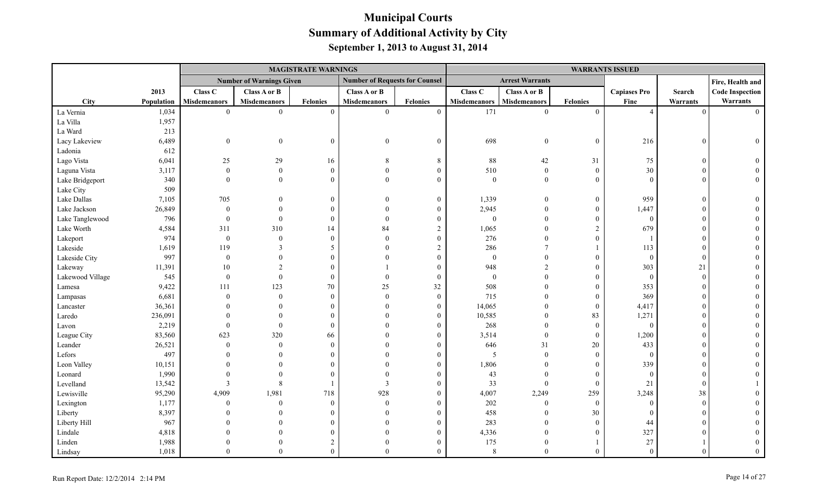|                  |            |                     |                                 | <b>MAGISTRATE WARNINGS</b> |                                       |                  |                     |                        |                  | <b>WARRANTS ISSUED</b> |          |                        |
|------------------|------------|---------------------|---------------------------------|----------------------------|---------------------------------------|------------------|---------------------|------------------------|------------------|------------------------|----------|------------------------|
|                  |            |                     | <b>Number of Warnings Given</b> |                            | <b>Number of Requests for Counsel</b> |                  |                     | <b>Arrest Warrants</b> |                  |                        |          | Fire, Health and       |
|                  | 2013       | Class C             | Class A or B                    |                            | Class A or B                          |                  | Class C             | Class A or B           |                  | <b>Capiases Pro</b>    | Search   | <b>Code Inspection</b> |
| City             | Population | <b>Misdemeanors</b> | <b>Misdemeanors</b>             | <b>Felonies</b>            | <b>Misdemeanors</b>                   | <b>Felonies</b>  | <b>Misdemeanors</b> | <b>Misdemeanors</b>    | <b>Felonies</b>  | Fine                   | Warrants | Warrants               |
| La Vernia        | 1,034      | $\overline{0}$      | $\overline{0}$                  | $\Omega$                   | $\theta$                              | $\mathbf{0}$     | 171                 | $\overline{0}$         | $\mathbf{0}$     | $\overline{4}$         | $\Omega$ | $\Omega$               |
| La Villa         | 1,957      |                     |                                 |                            |                                       |                  |                     |                        |                  |                        |          |                        |
| La Ward          | 213        |                     |                                 |                            |                                       |                  |                     |                        |                  |                        |          |                        |
| Lacy Lakeview    | 6,489      | $\boldsymbol{0}$    | $\overline{0}$                  | $\Omega$                   | $\theta$                              | $\boldsymbol{0}$ | 698                 | $\boldsymbol{0}$       | $\boldsymbol{0}$ | 216                    | $\Omega$ | $\Omega$               |
| Ladonia          | 612        |                     |                                 |                            |                                       |                  |                     |                        |                  |                        |          |                        |
| Lago Vista       | 6,041      | 25                  | 29                              | 16                         |                                       | 8                | $88\,$              | 42                     | 31               | 75                     | $\Omega$ |                        |
| Laguna Vista     | 3,117      | $\mathbf{0}$        | $\theta$                        | $\Omega$                   |                                       | $\theta$         | 510                 | $\overline{0}$         | $\mathbf{0}$     | 30                     |          |                        |
| Lake Bridgeport  | 340        | $\Omega$            | $\theta$                        |                            | $\Omega$                              | $\mathbf{0}$     | $\mathbf{0}$        | $\overline{0}$         | $\mathbf{0}$     | $\Omega$               |          |                        |
| Lake City        | 509        |                     |                                 |                            |                                       |                  |                     |                        |                  |                        |          |                        |
| Lake Dallas      | 7,105      | 705                 |                                 | $\Omega$                   |                                       | $\boldsymbol{0}$ | 1,339               | $\mathbf{0}$           | $\boldsymbol{0}$ | 959                    |          |                        |
| Lake Jackson     | 26,849     | $\theta$            | $\Omega$                        | $\Omega$                   |                                       | $\overline{0}$   | 2,945               | $\Omega$               | $\mathbf{0}$     | 1,447                  |          |                        |
| Lake Tanglewood  | 796        | $\boldsymbol{0}$    | $\mathbf{0}$                    | $\Omega$                   |                                       | $\mathbf{0}$     | $\boldsymbol{0}$    | $\theta$               | $\overline{0}$   | $\overline{0}$         |          |                        |
| Lake Worth       | 4,584      | 311                 | 310                             | 14                         | 84                                    | $\overline{c}$   | 1,065               | $\Omega$               | $\overline{2}$   | 679                    |          |                        |
| Lakeport         | 974        | $\boldsymbol{0}$    | $\mathbf{0}$                    | $\Omega$                   | $\Omega$                              | $\mathbf{0}$     | 276                 | $\Omega$               | $\Omega$         |                        |          |                        |
| Lakeside         | 1,619      | 119                 | 3                               |                            |                                       | $\overline{2}$   | 286                 |                        | -1               | 113                    |          |                        |
| Lakeside City    | 997        | $\overline{0}$      | $\theta$                        |                            |                                       | $\Omega$         | $\boldsymbol{0}$    | $\Omega$               | $\boldsymbol{0}$ | $\overline{0}$         |          |                        |
| Lakeway          | 11,391     | 10                  | $\overline{2}$                  |                            |                                       | $\theta$         | 948                 | $\overline{2}$         | $\overline{0}$   | 303                    | 21       |                        |
| Lakewood Village | 545        | $\boldsymbol{0}$    | $\mathbf{0}$                    | $\Omega$                   |                                       | $\mathbf{0}$     | $\boldsymbol{0}$    | $\Omega$               | $\mathbf{0}$     | $\overline{0}$         | $\Omega$ |                        |
| Lamesa           | 9,422      | 111                 | 123                             | 70                         | 25                                    | $32\,$           | 508                 | $\Omega$               | $\overline{0}$   | 353                    |          |                        |
| Lampasas         | 6,681      | $\Omega$            | $\theta$                        | $\Omega$                   | $\Omega$                              | $\overline{0}$   | 715                 | $\theta$               | $\mathbf{0}$     | 369                    |          |                        |
| Lancaster        | 36,361     |                     | $\theta$                        |                            |                                       | $\mathbf{0}$     | 14,065              | $\overline{0}$         | $\overline{0}$   | 4,417                  |          |                        |
| Laredo           | 236,091    |                     | $\theta$                        |                            |                                       | $\boldsymbol{0}$ | 10,585              | $\boldsymbol{0}$       | 83               | 1,271                  |          |                        |
| Lavon            | 2,219      |                     | $\theta$                        | $\Omega$                   |                                       | $\overline{0}$   | 268                 | $\theta$               | $\mathbf{0}$     | $\theta$               |          |                        |
| League City      | 83,560     | 623                 | 320                             | 66                         |                                       | $\theta$         | 3,514               | $\overline{0}$         | $\overline{0}$   | 1,200                  |          |                        |
| Leander          | 26,521     | $\mathbf{0}$        | $\mathbf{0}$                    | $\Omega$                   |                                       | $\theta$         | 646                 | 31                     | $20\,$           | 433                    |          |                        |
| Lefors           | 497        |                     | $\Omega$                        |                            |                                       | $\theta$         | $\mathfrak{H}$      | $\theta$               | $\boldsymbol{0}$ | $\theta$               |          |                        |
| Leon Valley      | 10,151     |                     |                                 |                            |                                       | $\Omega$         | 1,806               | $\theta$               | $\mathbf{0}$     | 339                    |          |                        |
| Leonard          | 1,990      |                     |                                 |                            |                                       | $\theta$         | 43                  | $\theta$               | $\boldsymbol{0}$ | $\overline{0}$         |          |                        |
| Levelland        | 13,542     | $\mathbf{3}$        | 8                               |                            | 3                                     | $\Omega$         | 33                  | $\mathbf{0}$           | $\mathbf{0}$     | 21                     |          |                        |
| Lewisville       | 95,290     | 4,909               | 1,981                           | 718                        | 928                                   | $\Omega$         | 4,007               | 2,249                  | 259              | 3,248                  | 38       |                        |
| Lexington        | 1,177      | $\theta$            | $\mathbf{0}$                    | $\Omega$                   | $\Omega$                              | $\theta$         | $202\,$             | $\overline{0}$         | $\mathbf{0}$     | $\theta$               | $\Omega$ |                        |
| Liberty          | 8,397      |                     | $\Omega$                        |                            |                                       | $\Omega$         | 458                 | $\overline{0}$         | 30               | $\Omega$               |          |                        |
| Liberty Hill     | 967        |                     | $\Omega$                        |                            |                                       | $\theta$         | 283                 | $\theta$               | $\mathbf{0}$     | 44                     |          |                        |
| Lindale          | 4,818      |                     | $\Omega$                        |                            |                                       | $\theta$         | 4,336               | $\theta$               | $\theta$         | 327                    |          |                        |
| Linden           | 1,988      |                     | $\Omega$                        |                            |                                       | $\theta$         | 175                 | $\theta$               |                  | 27                     |          |                        |
| Lindsay          | 1,018      | $\Omega$            | $\theta$                        | $\Omega$                   | $\Omega$                              | $\theta$         | 8                   | $\Omega$               | $\theta$         | $\Omega$               |          |                        |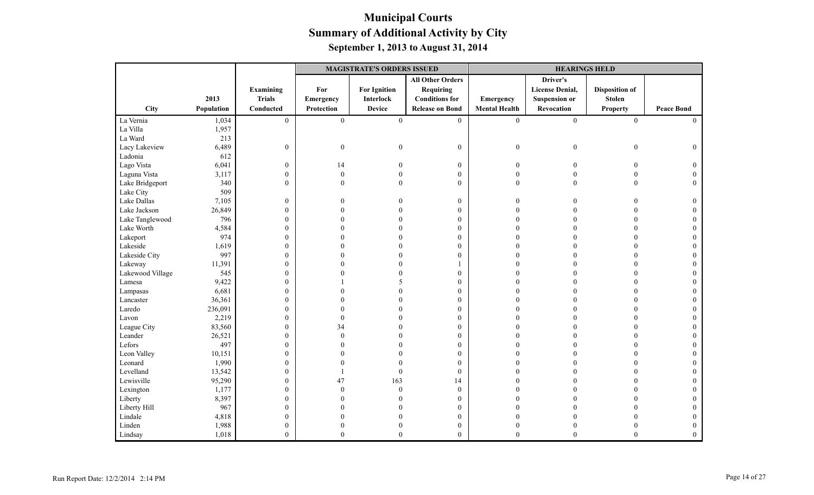|                  |            |                  | <b>MAGISTRATE'S ORDERS ISSUED</b> |                     |                         |                      | <b>HEARINGS HELD</b>   |                       |                   |
|------------------|------------|------------------|-----------------------------------|---------------------|-------------------------|----------------------|------------------------|-----------------------|-------------------|
|                  |            |                  |                                   |                     | <b>All Other Orders</b> |                      | Driver's               |                       |                   |
|                  |            | <b>Examining</b> | For                               | <b>For Ignition</b> | <b>Requiring</b>        |                      | <b>License Denial,</b> | <b>Disposition of</b> |                   |
|                  | 2013       | <b>Trials</b>    | Emergency                         | <b>Interlock</b>    | <b>Conditions for</b>   | Emergency            | <b>Suspension or</b>   | <b>Stolen</b>         |                   |
| <b>City</b>      | Population | Conducted        | Protection                        | <b>Device</b>       | <b>Release on Bond</b>  | <b>Mental Health</b> | Revocation             | <b>Property</b>       | <b>Peace Bond</b> |
| La Vernia        | 1,034      | $\overline{0}$   | $\boldsymbol{0}$                  | $\mathbf{0}$        | $\boldsymbol{0}$        | $\mathbf{0}$         | $\boldsymbol{0}$       | $\boldsymbol{0}$      | $\Omega$          |
| La Villa         | 1,957      |                  |                                   |                     |                         |                      |                        |                       |                   |
| La Ward          | 213        |                  |                                   |                     |                         |                      |                        |                       |                   |
| Lacy Lakeview    | 6,489      | $\boldsymbol{0}$ | $\boldsymbol{0}$                  | $\mathbf{0}$        | $\boldsymbol{0}$        | $\boldsymbol{0}$     | $\boldsymbol{0}$       | $\boldsymbol{0}$      | $\mathbf{0}$      |
| Ladonia          | 612        |                  |                                   |                     |                         |                      |                        |                       |                   |
| Lago Vista       | 6,041      | $\boldsymbol{0}$ | 14                                | $\Omega$            | $\boldsymbol{0}$        | $\mathbf{0}$         | $\theta$               | $\overline{0}$        | $\Omega$          |
| Laguna Vista     | 3,117      | $\boldsymbol{0}$ | $\mathbf{0}$                      |                     | $\overline{0}$          | $\mathbf{0}$         |                        | $\theta$              |                   |
| Lake Bridgeport  | 340        | $\boldsymbol{0}$ | $\theta$                          |                     | $\boldsymbol{0}$        | $\boldsymbol{0}$     | $\mathbf{0}$           | $\Omega$              | $\Omega$          |
| Lake City        | 509        |                  |                                   |                     |                         |                      |                        |                       |                   |
| Lake Dallas      | 7,105      | $\boldsymbol{0}$ | 0                                 |                     | $\boldsymbol{0}$        | $\Omega$             | 0                      | $\Omega$              | $\Omega$          |
| Lake Jackson     | 26,849     | $\boldsymbol{0}$ | 0                                 |                     | $\mathbf{0}$            | $\Omega$             |                        |                       |                   |
| Lake Tanglewood  | 796        | $\boldsymbol{0}$ |                                   |                     | $\overline{0}$          |                      |                        |                       |                   |
| Lake Worth       | 4,584      | $\boldsymbol{0}$ |                                   |                     | $\boldsymbol{0}$        |                      |                        |                       |                   |
| Lakeport         | 974        | $\boldsymbol{0}$ |                                   |                     | $\boldsymbol{0}$        | $\Omega$             |                        | $\Omega$              | $\Omega$          |
| Lakeside         | 1,619      | $\boldsymbol{0}$ |                                   |                     | $\mathbf{0}$            | $\Omega$             |                        | $\Omega$              |                   |
| Lakeside City    | 997        | $\boldsymbol{0}$ |                                   |                     | $\overline{0}$          | 0                    |                        | $\Omega$              |                   |
| Lakeway          | 11,391     | $\boldsymbol{0}$ |                                   |                     |                         | $\Omega$             |                        |                       |                   |
| Lakewood Village | 545        | $\boldsymbol{0}$ |                                   |                     | $\boldsymbol{0}$        |                      |                        | $\Omega$              |                   |
| Lamesa           | 9,422      | $\boldsymbol{0}$ |                                   |                     | $\mathbf{0}$            | $\Omega$             |                        | $\Omega$              |                   |
| Lampasas         | 6,681      | $\boldsymbol{0}$ |                                   |                     | $\mathbf{0}$            |                      |                        | $\Omega$              |                   |
| Lancaster        | 36,361     | $\boldsymbol{0}$ |                                   |                     | $\overline{0}$          |                      |                        |                       |                   |
| Laredo           | 236,091    | $\boldsymbol{0}$ | 0                                 |                     | $\boldsymbol{0}$        |                      |                        |                       |                   |
| Lavon            | 2,219      | $\boldsymbol{0}$ | $\mathbf{0}$                      |                     | $\boldsymbol{0}$        |                      |                        | $\Omega$              |                   |
| League City      | 83,560     | $\boldsymbol{0}$ | 34                                |                     | $\mathbf{0}$            |                      |                        | $\Omega$              |                   |
| Leander          | 26,521     | $\boldsymbol{0}$ | $\Omega$                          |                     | $\boldsymbol{0}$        | $\Omega$             |                        |                       |                   |
| Lefors           | 497        | $\boldsymbol{0}$ | 0                                 |                     | $\boldsymbol{0}$        | $\Omega$             |                        |                       |                   |
| Leon Valley      | 10,151     | $\boldsymbol{0}$ | 0                                 |                     | $\boldsymbol{0}$        | $\Omega$             |                        | $\Omega$              |                   |
| Leonard          | 1,990      | $\boldsymbol{0}$ |                                   |                     | $\mathbf{0}$            | $\Omega$             |                        | $\Omega$              |                   |
| Levelland        | 13,542     | $\boldsymbol{0}$ |                                   | $\Omega$            | $\mathbf{0}$            |                      |                        | $\Omega$              |                   |
| Lewisville       | 95,290     | $\boldsymbol{0}$ | 47                                | 163                 | 14                      |                      |                        |                       |                   |
| Lexington        | 1,177      | $\boldsymbol{0}$ | $\Omega$                          | $\Omega$            | $\boldsymbol{0}$        |                      |                        | $\Omega$              |                   |
| Liberty          | 8,397      | $\boldsymbol{0}$ |                                   |                     | $\boldsymbol{0}$        | $\Omega$             |                        | $\Omega$              | $\Omega$          |
| Liberty Hill     | 967        | $\boldsymbol{0}$ |                                   |                     | $\mathbf{0}$            | $\Omega$             |                        |                       |                   |
| Lindale          | 4,818      | $\boldsymbol{0}$ |                                   |                     | $\boldsymbol{0}$        | 0                    |                        |                       |                   |
| Linden           | 1,988      | $\boldsymbol{0}$ | 0                                 |                     | $\boldsymbol{0}$        | $\theta$             |                        |                       | $\Omega$          |
| Lindsay          | 1,018      | $\boldsymbol{0}$ | $\theta$                          | $\mathbf{0}$        | $\overline{0}$          | $\theta$             | $\theta$               | $\overline{0}$        | $\mathbf{0}$      |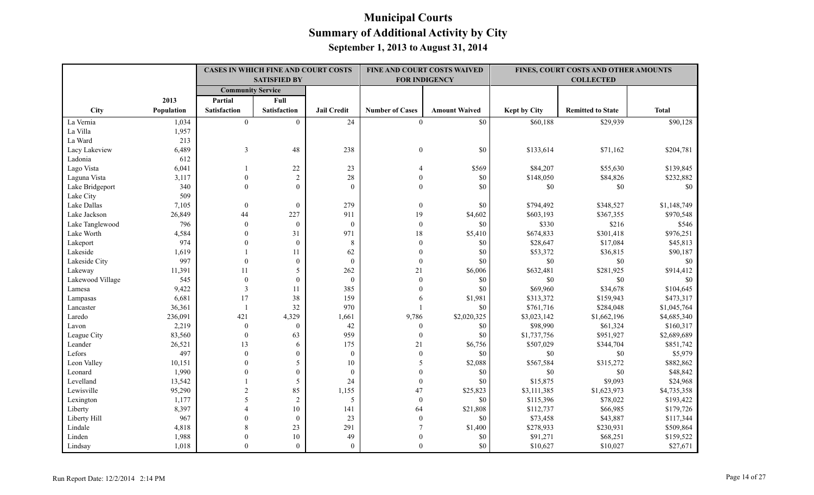|                  |            | CASES IN WHICH FINE AND COURT COSTS<br><b>SATISFIED BY</b> |                  |                    | FINE AND COURT COSTS WAIVED<br><b>FOR INDIGENCY</b> |                      |              | FINES, COURT COSTS AND OTHER AMOUNTS<br><b>COLLECTED</b> |              |
|------------------|------------|------------------------------------------------------------|------------------|--------------------|-----------------------------------------------------|----------------------|--------------|----------------------------------------------------------|--------------|
|                  |            | <b>Community Service</b>                                   |                  |                    |                                                     |                      |              |                                                          |              |
|                  | 2013       | Partial                                                    | Full             |                    |                                                     |                      |              |                                                          |              |
| City             | Population | <b>Satisfaction</b>                                        | Satisfaction     | <b>Jail Credit</b> | <b>Number of Cases</b>                              | <b>Amount Waived</b> | Kept by City | <b>Remitted to State</b>                                 | <b>Total</b> |
| La Vernia        | 1,034      | $\theta$                                                   | $\theta$         | 24                 | $\theta$                                            | \$0                  | \$60,188     | \$29,939                                                 | \$90,128     |
| La Villa         | 1,957      |                                                            |                  |                    |                                                     |                      |              |                                                          |              |
| La Ward          | 213        |                                                            |                  |                    |                                                     |                      |              |                                                          |              |
| Lacy Lakeview    | 6,489      | 3                                                          | 48               | 238                | $\boldsymbol{0}$                                    | \$0                  | \$133,614    | \$71,162                                                 | \$204,781    |
| Ladonia          | 612        |                                                            |                  |                    |                                                     |                      |              |                                                          |              |
| Lago Vista       | 6,041      |                                                            | 22               | 23                 |                                                     | \$569                | \$84,207     | \$55,630                                                 | \$139,845    |
| Laguna Vista     | 3,117      | $\theta$                                                   | $\sqrt{2}$       | 28                 | $\Omega$                                            | \$0                  | \$148,050    | \$84,826                                                 | \$232,882    |
| Lake Bridgeport  | 340        | $\Omega$                                                   | $\theta$         | $\theta$           | $\Omega$                                            | \$0                  | \$0          | \$0                                                      | \$0          |
| Lake City        | 509        |                                                            |                  |                    |                                                     |                      |              |                                                          |              |
| Lake Dallas      | 7,105      | $\theta$                                                   | $\boldsymbol{0}$ | 279                | $\theta$                                            | \$0                  | \$794,492    | \$348,527                                                | \$1,148,749  |
| Lake Jackson     | 26,849     | 44                                                         | 227              | 911                | 19                                                  | \$4,602              | \$603,193    | \$367,355                                                | \$970,548    |
| Lake Tanglewood  | 796        | $\theta$                                                   | $\theta$         | $\mathbf{0}$       | $\mathbf{0}$                                        | \$0                  | \$330        | \$216                                                    | \$546        |
| Lake Worth       | 4,584      | $\Omega$                                                   | 31               | 971                | $18\,$                                              | \$5,410              | \$674,833    | \$301,418                                                | \$976,251    |
| Lakeport         | 974        | $\mathbf{0}$                                               | $\mathbf{0}$     | $\,8\,$            | $\boldsymbol{0}$                                    | \$0                  | \$28,647     | \$17,084                                                 | \$45,813     |
| Lakeside         | 1,619      |                                                            | 11               | 62                 | $\theta$                                            | \$0                  | \$53,372     | \$36,815                                                 | \$90,187     |
| Lakeside City    | 997        | $\Omega$                                                   | $\mathbf{0}$     | $\mathbf{0}$       | $\theta$                                            | \$0                  | \$0          | \$0                                                      | \$0          |
| Lakeway          | 11,391     | 11                                                         | 5                | 262                | 21                                                  | \$6,006              | \$632,481    | \$281,925                                                | \$914,412    |
| Lakewood Village | 545        | $\boldsymbol{0}$                                           | $\mathbf{0}$     | $\boldsymbol{0}$   | $\boldsymbol{0}$                                    | \$0                  | \$0          | \$0                                                      | \$0          |
| Lamesa           | 9,422      | $\mathfrak{Z}$                                             | 11               | 385                | $\theta$                                            | $\$0$                | \$69,960     | \$34,678                                                 | \$104,645    |
| Lampasas         | 6,681      | 17                                                         | 38               | 159                | 6                                                   | \$1,981              | \$313,372    | \$159,943                                                | \$473,317    |
| Lancaster        | 36,361     |                                                            | 32               | 970                |                                                     | \$0                  | \$761,716    | \$284,048                                                | \$1,045,764  |
| Laredo           | 236,091    | 421                                                        | 4,329            | 1,661              | 9,786                                               | \$2,020,325          | \$3,023,142  | \$1,662,196                                              | \$4,685,340  |
| Lavon            | 2,219      | $\mathbf{0}$                                               | $\overline{0}$   | 42                 | $\bf{0}$                                            | \$0                  | \$98,990     | \$61,324                                                 | \$160,317    |
| League City      | 83,560     | $\mathbf{0}$                                               | 63               | 959                | $\theta$                                            | \$0                  | \$1,737,756  | \$951,927                                                | \$2,689,689  |
| Leander          | 26,521     | 13                                                         | 6                | 175                | 21                                                  | \$6,756              | \$507,029    | \$344,704                                                | \$851,742    |
| Lefors           | 497        | $\Omega$                                                   | $\theta$         | $\mathbf{0}$       | $\theta$                                            | \$0                  | \$0          | \$0                                                      | \$5,979      |
| Leon Valley      | 10,151     | $\Omega$                                                   | 5                | 10                 | 5                                                   | \$2,088              | \$567,584    | \$315,272                                                | \$882,862    |
| Leonard          | 1,990      | $\theta$                                                   | $\boldsymbol{0}$ | $\mathbf{0}$       |                                                     | $\$0$                | \$0          | \$0                                                      | \$48,842     |
| Levelland        | 13,542     |                                                            | 5                | 24                 | $\theta$                                            | \$0                  | \$15,875     | \$9,093                                                  | \$24,968     |
| Lewisville       | 95,290     | $\overline{2}$                                             | 85               | 1,155              | 47                                                  | \$25,823             | \$3,111,385  | \$1,623,973                                              | \$4,735,358  |
| Lexington        | 1,177      | 5                                                          | $\sqrt{2}$       | 5                  | $\boldsymbol{0}$                                    | \$0                  | \$115,396    | \$78,022                                                 | \$193,422    |
| Liberty          | 8,397      |                                                            | 10               | 141                | 64                                                  | \$21,808             | \$112,737    | \$66,985                                                 | \$179,726    |
| Liberty Hill     | 967        | $\Omega$                                                   | $\mathbf{0}$     | 23                 | $\mathbf{0}$                                        | \$0                  | \$73,458     | \$43,887                                                 | \$117,344    |
| Lindale          | 4,818      |                                                            | 23               | 291                | $\overline{7}$                                      | \$1,400              | \$278,933    | \$230,931                                                | \$509,864    |
| Linden           | 1,988      | $\Omega$                                                   | 10               | 49                 |                                                     | \$0                  | \$91,271     | \$68,251                                                 | \$159,522    |
| Lindsay          | 1,018      | $\Omega$                                                   | $\mathbf{0}$     | $\mathbf{0}$       | $\theta$                                            | \$0                  | \$10,627     | \$10,027                                                 | \$27,671     |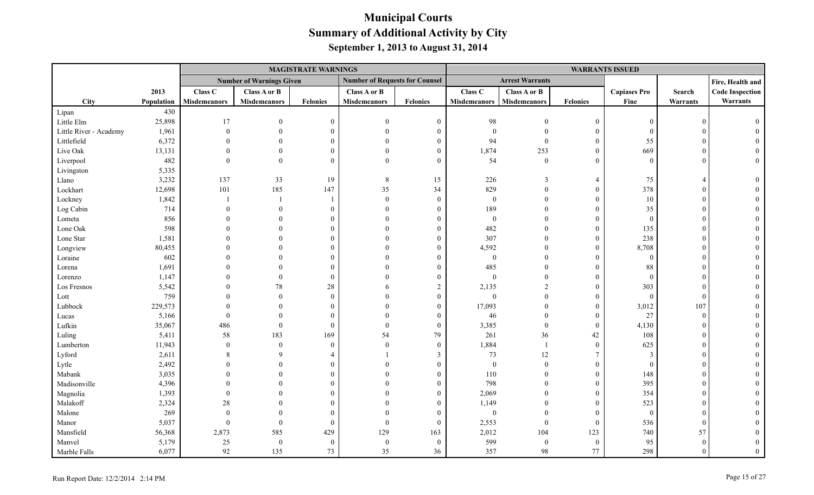|                        |            |                     |                                 | <b>MAGISTRATE WARNINGS</b> |                                       |                  | <b>WARRANTS ISSUED</b> |                        |                  |                     |            |                        |
|------------------------|------------|---------------------|---------------------------------|----------------------------|---------------------------------------|------------------|------------------------|------------------------|------------------|---------------------|------------|------------------------|
|                        |            |                     | <b>Number of Warnings Given</b> |                            | <b>Number of Requests for Counsel</b> |                  |                        | <b>Arrest Warrants</b> |                  |                     |            | Fire, Health and       |
|                        | 2013       | Class C             | Class A or B                    |                            | Class A or B                          |                  | Class C                | Class A or B           |                  | <b>Capiases Pro</b> | Search     | <b>Code Inspection</b> |
| <b>City</b>            | Population | <b>Misdemeanors</b> | <b>Misdemeanors</b>             | Felonies                   | <b>Misdemeanors</b>                   | <b>Felonies</b>  | <b>Misdemeanors</b>    | <b>Misdemeanors</b>    | <b>Felonies</b>  | Fine                | Warrants   | Warrants               |
| Lipan                  | 430        |                     |                                 |                            |                                       |                  |                        |                        |                  |                     |            |                        |
| Little Elm             | 25,898     | 17                  | $\Omega$                        | $\theta$                   | $\Omega$                              | $\boldsymbol{0}$ | 98                     | $\theta$               | $\mathbf{0}$     | $\theta$            | $\Omega$   |                        |
| Little River - Academy | 1,961      | $\theta$            | $\Omega$                        |                            | $\Omega$                              | $\overline{0}$   | $\boldsymbol{0}$       | $\theta$               | $\mathbf{0}$     | $\theta$            |            |                        |
| Littlefield            | 6,372      |                     | $\mathbf{0}$                    |                            |                                       | $\mathbf{0}$     | 94                     | $\mathbf{0}$           | $\boldsymbol{0}$ | 55                  |            |                        |
| Live Oak               | 13,131     |                     | $\Omega$                        |                            |                                       | $\mathbf{0}$     | 1,874                  | 253                    | $\mathbf{0}$     | 669                 |            |                        |
| Liverpool              | 482        | $\Omega$            | $\theta$                        | $\Omega$                   | $\Omega$                              | $\mathbf{0}$     | 54                     | $\overline{0}$         | $\mathbf{0}$     | $\theta$            |            |                        |
| Livingston             | 5,335      |                     |                                 |                            |                                       |                  |                        |                        |                  |                     |            |                        |
| Llano                  | 3,232      | 137                 | 33                              | 19                         | 8                                     | 15               | 226                    | 3                      | $\overline{4}$   | 75                  |            |                        |
| Lockhart               | 12,698     | 101                 | 185                             | 147                        | 35                                    | 34               | 829                    | $\theta$               | $\mathbf{0}$     | 378                 |            |                        |
| Lockney                | 1,842      |                     |                                 |                            | $\Omega$                              | $\boldsymbol{0}$ | $\boldsymbol{0}$       | $\overline{0}$         | $\boldsymbol{0}$ | 10                  |            |                        |
| Log Cabin              | 714        |                     | $\theta$                        | $\Omega$                   | $\Omega$                              | $\boldsymbol{0}$ | 189                    | $\theta$               | $\overline{0}$   | 35                  |            |                        |
| Lometa                 | 856        |                     | $\Omega$                        |                            |                                       | $\Omega$         | $\mathbf{0}$           | $\Omega$               | $\overline{0}$   | $\theta$            |            |                        |
| Lone Oak               | 598        |                     |                                 |                            |                                       | $\Omega$         | 482                    | $\Omega$               | $\mathbf{0}$     | 135                 |            |                        |
| Lone Star              | 1,581      |                     |                                 |                            |                                       | $\theta$         | 307                    | $\Omega$               | $\mathbf{0}$     | 238                 |            |                        |
| Longview               | 80,455     |                     |                                 |                            |                                       | $\Omega$         | 4,592                  | $\Omega$               | $\mathbf{0}$     | 8,708               |            |                        |
| Loraine                | 602        |                     |                                 |                            |                                       | $\Omega$         | $\boldsymbol{0}$       | $\Omega$               | $\mathbf{0}$     | $\overline{0}$      |            |                        |
| Lorena                 | 1,691      |                     |                                 |                            |                                       | $\mathbf{0}$     | 485                    | $\Omega$               | $\overline{0}$   | 88                  |            |                        |
| Lorenzo                | 1,147      |                     | $\theta$                        | $\Omega$                   |                                       | $\mathbf{0}$     | $\boldsymbol{0}$       | $\theta$               | $\overline{0}$   | $\overline{0}$      |            |                        |
| Los Fresnos            | 5,542      |                     | 78                              | $28\,$                     |                                       | $\overline{c}$   | 2,135                  | $\overline{2}$         | $\overline{0}$   | 303                 |            |                        |
| Lott                   | 759        |                     | $\Omega$                        | $\Omega$                   |                                       | $\boldsymbol{0}$ | $\mathbf{0}$           | $\theta$               | $\mathbf{0}$     | $\Omega$            | $\epsilon$ |                        |
| Lubbock                | 229,573    |                     | $\Omega$                        |                            |                                       | $\boldsymbol{0}$ | 17,093                 | $\mathbf{0}$           | $\mathbf{0}$     | 3,012               | 107        |                        |
| Lucas                  | 5,166      |                     | $\theta$                        |                            |                                       | $\mathbf{0}$     | 46                     | $\theta$               | $\boldsymbol{0}$ | 27                  | $\Omega$   |                        |
| Lufkin                 | 35,067     | 486                 | $\mathbf{0}$                    | $\Omega$                   | $\Omega$                              | $\mathbf{0}$     | 3,385                  | $\mathbf{0}$           | $\mathbf{0}$     | 4,130               |            |                        |
| Luling                 | 5,411      | 58                  | 183                             | 169                        | 54                                    | 79               | 261                    | 36                     | 42               | 108                 |            |                        |
| Lumberton              | 11,943     | $\theta$            | $\mathbf{0}$                    | $\Omega$                   | $\Omega$                              | $\mathbf{0}$     | 1,884                  | $\overline{1}$         | $\boldsymbol{0}$ | 625                 |            |                        |
| Lyford                 | 2,611      |                     | $\mathbf Q$                     |                            |                                       | 3                | 73                     | 12                     | $\tau$           | $\mathcal{F}$       |            |                        |
| Lytle                  | 2,492      |                     | $\theta$                        |                            |                                       | $\theta$         | $\boldsymbol{0}$       | $\mathbf{0}$           | $\mathbf{0}$     | $\overline{0}$      |            |                        |
| Mabank                 | 3,035      |                     |                                 |                            |                                       | $\theta$         | 110                    | $\theta$               | $\boldsymbol{0}$ | 148                 |            |                        |
| Madisonville           | 4,396      |                     |                                 |                            |                                       | $\Omega$         | 798                    | $\Omega$               | $\boldsymbol{0}$ | 395                 |            |                        |
| Magnolia               | 1,393      |                     |                                 |                            |                                       | 0                | 2,069                  | $\Omega$               | $\mathbf{0}$     | 354                 |            |                        |
| Malakoff               | 2,324      | 28                  |                                 |                            |                                       | $\theta$         | 1,149                  | $\Omega$               | $\mathbf{0}$     | 523                 |            |                        |
| Malone                 | 269        | $\Omega$            | $\Omega$                        |                            |                                       | $\mathbf{0}$     | $\boldsymbol{0}$       | $\Omega$               | $\mathbf{0}$     | $\bf{0}$            |            |                        |
| Manor                  | 5,037      | $\theta$            | $\mathbf{0}$                    | $\Omega$                   | $\Omega$                              | $\mathbf{0}$     | 2,553                  | $\overline{0}$         | $\mathbf{0}$     | 536                 | $\Omega$   |                        |
| Mansfield              | 56,368     | 2,873               | 585                             | 429                        | 129                                   | 163              | 2,012                  | 104                    | 123              | 740                 | 57         |                        |
| Manvel                 | 5,179      | 25                  | $\boldsymbol{0}$                | $\Omega$                   | $\theta$                              | $\mathbf{0}$     | 599                    | $\mathbf{0}$           | $\boldsymbol{0}$ | 95                  | $\Omega$   |                        |
| Marble Falls           | 6,077      | 92                  | 135                             | 73                         | 35                                    | 36               | 357                    | 98                     | 77               | 298                 | $\Omega$   |                        |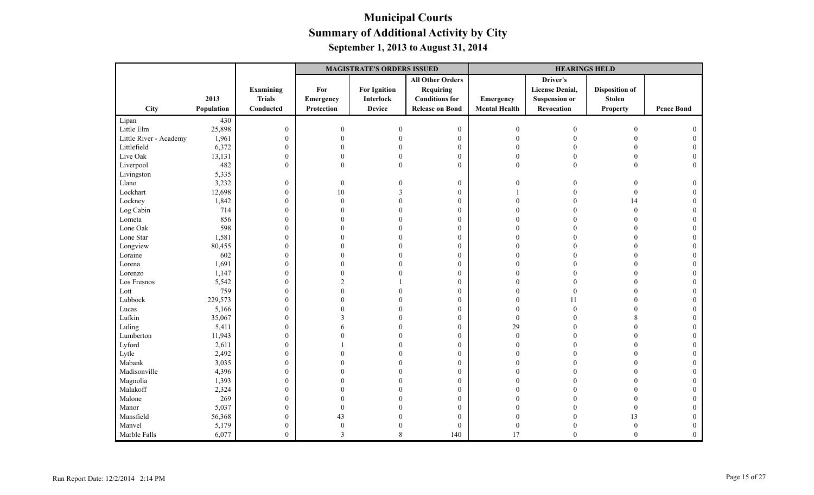|                        |            |                  | <b>MAGISTRATE'S ORDERS ISSUED</b> |                     |                         |                      | <b>HEARINGS HELD</b>   |                       |                   |
|------------------------|------------|------------------|-----------------------------------|---------------------|-------------------------|----------------------|------------------------|-----------------------|-------------------|
|                        |            |                  |                                   |                     | <b>All Other Orders</b> |                      | Driver's               |                       |                   |
|                        |            | Examining        | For                               | <b>For Ignition</b> | <b>Requiring</b>        |                      | <b>License Denial,</b> | <b>Disposition of</b> |                   |
|                        | 2013       | <b>Trials</b>    | Emergency                         | <b>Interlock</b>    | <b>Conditions for</b>   | Emergency            | <b>Suspension or</b>   | <b>Stolen</b>         |                   |
| City                   | Population | Conducted        | Protection                        | <b>Device</b>       | <b>Release on Bond</b>  | <b>Mental Health</b> | Revocation             | <b>Property</b>       | <b>Peace Bond</b> |
| Lipan                  | 430        |                  |                                   |                     |                         |                      |                        |                       |                   |
| Little Elm             | 25,898     | $\boldsymbol{0}$ | $\boldsymbol{0}$                  | $\Omega$            | $\boldsymbol{0}$        | $\boldsymbol{0}$     | $\boldsymbol{0}$       | $\boldsymbol{0}$      |                   |
| Little River - Academy | 1,961      | $\boldsymbol{0}$ | $\mathbf{0}$                      |                     | $\boldsymbol{0}$        | $\overline{0}$       | $\Omega$               | $\theta$              |                   |
| Littlefield            | 6,372      | $\boldsymbol{0}$ | $\theta$                          |                     | $\boldsymbol{0}$        | $\Omega$             |                        | $\overline{0}$        |                   |
| Live Oak               | 13,131     | $\boldsymbol{0}$ | $\Omega$                          |                     | $\boldsymbol{0}$        | $\Omega$             | $\Omega$               | $\overline{0}$        | $\Omega$          |
| Liverpool              | 482        | $\boldsymbol{0}$ | $\Omega$                          | $\Omega$            | $\mathbf{0}$            | $\mathbf{0}$         | $\overline{0}$         | $\overline{0}$        | $\Omega$          |
| Livingston             | 5,335      |                  |                                   |                     |                         |                      |                        |                       |                   |
| Llano                  | 3,232      | $\boldsymbol{0}$ | $\boldsymbol{0}$                  |                     | $\boldsymbol{0}$        | $\theta$             | 0                      | $\theta$              | 0                 |
| Lockhart               | 12,698     | $\boldsymbol{0}$ | $10\,$                            |                     | $\boldsymbol{0}$        |                      | $\Omega$               | $\boldsymbol{0}$      | $\theta$          |
| Lockney                | 1,842      | $\boldsymbol{0}$ | $\theta$                          |                     | $\boldsymbol{0}$        | $\Omega$             | $\Omega$               | 14                    | $\Omega$          |
| Log Cabin              | 714        | $\boldsymbol{0}$ | 0                                 |                     | $\mathbf{0}$            |                      |                        | $\theta$              |                   |
| Lometa                 | 856        | $\boldsymbol{0}$ |                                   |                     | $\mathbf{0}$            |                      |                        | $\Omega$              |                   |
| Lone Oak               | 598        | $\boldsymbol{0}$ |                                   |                     | $\boldsymbol{0}$        |                      |                        |                       |                   |
| Lone Star              | 1,581      | $\boldsymbol{0}$ |                                   |                     | $\boldsymbol{0}$        | $\Omega$             |                        | $\Omega$              | $\Omega$          |
| Longview               | 80,455     | $\boldsymbol{0}$ |                                   |                     | $\mathbf{0}$            | $\Omega$             |                        | $\Omega$              |                   |
| Loraine                | 602        | $\boldsymbol{0}$ | 0                                 |                     | $\mathbf{0}$            | $\Omega$             |                        | $\theta$              | $\Omega$          |
| Lorena                 | 1,691      | $\boldsymbol{0}$ | 0                                 |                     | $\boldsymbol{0}$        | $\Omega$             |                        |                       |                   |
| Lorenzo                | 1,147      | $\boldsymbol{0}$ | 0                                 |                     | $\boldsymbol{0}$        | $\Omega$             |                        | $\Omega$              | $\Omega$          |
| Los Fresnos            | 5,542      | $\boldsymbol{0}$ | $\mathfrak{D}$                    |                     | $\mathbf{0}$            | $\Omega$             | 0                      | $\Omega$              |                   |
| Lott                   | 759        | $\boldsymbol{0}$ | 0                                 |                     | $\boldsymbol{0}$        | $\Omega$             | $\Omega$               | $\Omega$              | $\Omega$          |
| Lubbock                | 229,573    | $\boldsymbol{0}$ |                                   |                     | $\boldsymbol{0}$        | $\Omega$             | 11                     |                       |                   |
| Lucas                  | 5,166      | $\boldsymbol{0}$ |                                   |                     | $\boldsymbol{0}$        | $\sqrt{ }$           | $\Omega$               | $\Omega$              |                   |
| Lufkin                 | 35,067     | $\boldsymbol{0}$ | 3                                 |                     | $\mathbf{0}$            | $\Omega$             | 0                      | 8                     | $\Omega$          |
| Luling                 | 5,411      | $\boldsymbol{0}$ | 6                                 |                     | $\boldsymbol{0}$        | 29                   |                        | $\theta$              |                   |
| Lumberton              | 11,943     | $\boldsymbol{0}$ |                                   |                     | $\boldsymbol{0}$        | $\overline{0}$       |                        |                       |                   |
| Lyford                 | 2,611      | $\boldsymbol{0}$ |                                   |                     | $\boldsymbol{0}$        | $\Omega$             |                        |                       |                   |
| Lytle                  | 2,492      | $\boldsymbol{0}$ |                                   |                     | $\mathbf{0}$            | $\Omega$             | 0                      | $\Omega$              | $\Omega$          |
| Mabank                 | 3,035      | $\boldsymbol{0}$ |                                   |                     | $\boldsymbol{0}$        | $\Omega$             |                        | $\Omega$              |                   |
| Madisonville           | 4,396      | $\boldsymbol{0}$ |                                   |                     | $\boldsymbol{0}$        | $\Omega$             |                        | $\Omega$              |                   |
| Magnolia               | 1,393      | $\boldsymbol{0}$ |                                   |                     | $\mathbf{0}$            |                      |                        |                       |                   |
| Malakoff               | 2,324      | $\boldsymbol{0}$ |                                   |                     | $\boldsymbol{0}$        |                      |                        | $\Omega$              | $\Omega$          |
| Malone                 | 269        | $\boldsymbol{0}$ |                                   |                     | $\boldsymbol{0}$        | $\Omega$             |                        | $\Omega$              | $\Omega$          |
| Manor                  | 5,037      | $\boldsymbol{0}$ | $\Omega$                          |                     | $\boldsymbol{0}$        | $\Omega$             |                        | $\overline{0}$        | $\Omega$          |
| Mansfield              | 56,368     | $\boldsymbol{0}$ | 43                                |                     | $\boldsymbol{0}$        | $\Omega$             |                        | 13                    |                   |
| Manvel                 | 5,179      | $\boldsymbol{0}$ | $\boldsymbol{0}$                  |                     | $\mathbf{0}$            | $\overline{0}$       |                        | $\boldsymbol{0}$      | $\Omega$          |
| Marble Falls           | 6,077      | $\overline{0}$   | 3                                 | $\,$ 8 $\,$         | 140                     | 17                   | $\mathbf{0}$           | $\mathbf{0}$          | $\theta$          |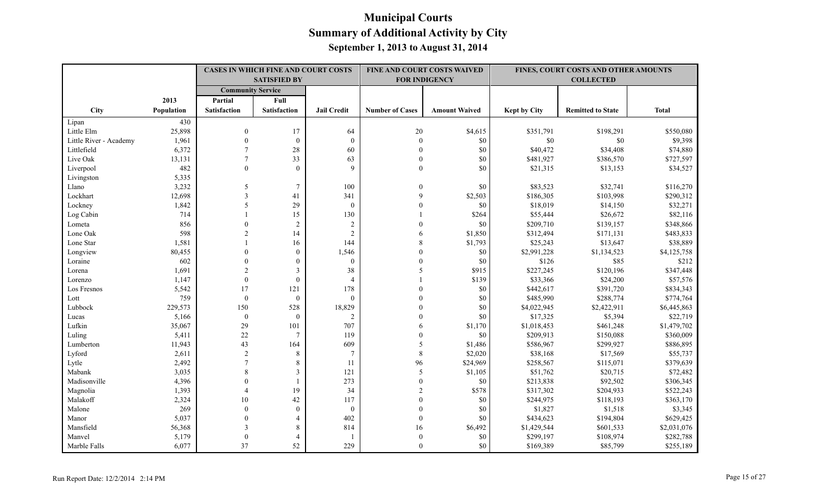|                        |            | <b>CASES IN WHICH FINE AND COURT COSTS</b><br><b>SATISFIED BY</b> |                     |                    | FINE AND COURT COSTS WAIVED<br><b>FOR INDIGENCY</b> |                      |                     | FINES, COURT COSTS AND OTHER AMOUNTS<br><b>COLLECTED</b> |              |
|------------------------|------------|-------------------------------------------------------------------|---------------------|--------------------|-----------------------------------------------------|----------------------|---------------------|----------------------------------------------------------|--------------|
|                        |            | <b>Community Service</b>                                          |                     |                    |                                                     |                      |                     |                                                          |              |
|                        | 2013       | Partial                                                           | Full                |                    |                                                     |                      |                     |                                                          |              |
| City                   | Population | <b>Satisfaction</b>                                               | <b>Satisfaction</b> | <b>Jail Credit</b> | <b>Number of Cases</b>                              | <b>Amount Waived</b> | <b>Kept by City</b> | <b>Remitted to State</b>                                 | <b>Total</b> |
| Lipan                  | 430        |                                                                   |                     |                    |                                                     |                      |                     |                                                          |              |
| Little Elm             | 25,898     | $\mathbf{0}$                                                      | 17                  | 64                 | 20                                                  | \$4,615              | \$351,791           | \$198,291                                                | \$550,080    |
| Little River - Academy | 1,961      | $\theta$                                                          | $\mathbf{0}$        | $\theta$           | $\mathbf{0}$                                        | \$0                  | \$0                 | \$0                                                      | \$9,398      |
| Littlefield            | 6,372      | $\overline{7}$                                                    | $28\,$              | 60                 | $\Omega$                                            | \$0                  | \$40,472            | \$34,408                                                 | \$74,880     |
| Live Oak               | 13,131     | $7\phantom{.0}$                                                   | 33                  | 63                 | $\theta$                                            | \$0                  | \$481,927           | \$386,570                                                | \$727,597    |
| Liverpool              | 482        | $\theta$                                                          | $\theta$            | $\mathbf{Q}$       | $\theta$                                            | \$0                  | \$21,315            | \$13,153                                                 | \$34,527     |
| Livingston             | 5,335      |                                                                   |                     |                    |                                                     |                      |                     |                                                          |              |
| Llano                  | 3,232      | 5                                                                 | $\overline{7}$      | 100                | $\Omega$                                            | \$0                  | \$83,523            | \$32,741                                                 | \$116,270    |
| Lockhart               | 12,698     | 3                                                                 | 41                  | 341                | $\mathbf Q$                                         | \$2,503              | \$186,305           | \$103,998                                                | \$290,312    |
| Lockney                | 1,842      | 5                                                                 | 29                  | $\mathbf{0}$       |                                                     | \$0                  | \$18,019            | \$14,150                                                 | \$32,271     |
| Log Cabin              | 714        |                                                                   | 15                  | 130                |                                                     | \$264                | \$55,444            | \$26,672                                                 | \$82,116     |
| Lometa                 | 856        | $\theta$                                                          | $\overline{2}$      | 2                  |                                                     | \$0                  | \$209,710           | \$139,157                                                | \$348,866    |
| Lone Oak               | 598        | $\overline{2}$                                                    | 14                  | $\overline{2}$     | 6                                                   | \$1,850              | \$312,494           | \$171,131                                                | \$483,833    |
| Lone Star              | 1,581      |                                                                   | 16                  | 144                | 8                                                   | \$1,793              | \$25,243            | \$13,647                                                 | \$38,889     |
| Longview               | 80,455     | $\theta$                                                          | $\overline{0}$      | 1,546              | $\Omega$                                            | \$0                  | \$2,991,228         | \$1,134,523                                              | \$4,125,758  |
| Loraine                | 602        | $\theta$                                                          | $\overline{0}$      | $\mathbf{0}$       | $\Omega$                                            | \$0                  | \$126               | \$85                                                     | \$212        |
| Lorena                 | 1,691      | $\mathfrak{D}$                                                    | 3                   | 38                 | 5                                                   | \$915                | \$227,245           | \$120,196                                                | \$347,448    |
| Lorenzo                | 1,147      | $\theta$                                                          | $\mathbf{0}$        | $\overline{4}$     |                                                     | \$139                | \$33,366            | \$24,200                                                 | \$57,576     |
| Los Fresnos            | 5,542      | 17                                                                | 121                 | 178                |                                                     | \$0                  | \$442,617           | \$391,720                                                | \$834,343    |
| Lott                   | 759        | $\mathbf{0}$                                                      | $\overline{0}$      | $\theta$           |                                                     | \$0                  | \$485,990           | \$288,774                                                | \$774,764    |
| Lubbock                | 229,573    | 150                                                               | 528                 | 18,829             |                                                     | \$0                  | \$4,022,945         | \$2,422,911                                              | \$6,445,863  |
| Lucas                  | 5,166      | $\mathbf{0}$                                                      | $\theta$            | 2                  |                                                     | \$0                  | \$17,325            | \$5,394                                                  | \$22,719     |
| Lufkin                 | 35,067     | 29                                                                | 101                 | 707                | 6                                                   | \$1,170              | \$1,018,453         | \$461,248                                                | \$1,479,702  |
| Luling                 | 5,411      | 22                                                                | $\boldsymbol{7}$    | 119                |                                                     | \$0                  | \$209,913           | \$150,088                                                | \$360,009    |
| Lumberton              | 11,943     | 43                                                                | 164                 | 609                | 5                                                   | \$1,486              | \$586,967           | \$299,927                                                | \$886,895    |
| Lyford                 | 2,611      | $\overline{2}$                                                    | $\,8\,$             | $\overline{7}$     | $\,8\,$                                             | \$2,020              | \$38,168            | \$17,569                                                 | \$55,737     |
| Lytle                  | 2,492      | $\overline{7}$                                                    | 8                   | 11                 | 96                                                  | \$24,969             | \$258,567           | \$115,071                                                | \$379,639    |
| Mabank                 | 3,035      | 8                                                                 | 3                   | 121                | 5                                                   | \$1,105              | \$51,762            | \$20,715                                                 | \$72,482     |
| Madisonville           | 4,396      | $\Omega$                                                          |                     | 273                | $\boldsymbol{0}$                                    | \$0                  | \$213,838           | \$92,502                                                 | \$306,345    |
| Magnolia               | 1,393      | $\overline{4}$                                                    | 19                  | 34                 | $\overline{2}$                                      | \$578                | \$317,302           | \$204,933                                                | \$522,243    |
| Malakoff               | 2,324      | 10                                                                | 42                  | 117                | $\Omega$                                            | \$0                  | \$244,975           | \$118,193                                                | \$363,170    |
| Malone                 | 269        | $\theta$                                                          | $\theta$            | $\mathbf{0}$       | $\Omega$                                            | \$0                  | \$1,827             | \$1,518                                                  | \$3,345      |
| Manor                  | 5,037      | $\theta$                                                          | $\overline{4}$      | 402                | $\mathbf{0}$                                        | \$0                  | \$434,623           | \$194,804                                                | \$629,425    |
| Mansfield              | 56,368     | 3                                                                 | 8                   | 814                | 16                                                  | \$6,492              | \$1,429,544         | \$601,533                                                | \$2,031,076  |
| Manvel                 | 5,179      | $\mathbf{0}$                                                      | $\overline{4}$      |                    | $\Omega$                                            | \$0                  | \$299,197           | \$108,974                                                | \$282,788    |
| Marble Falls           | 6,077      | 37                                                                | 52                  | 229                | $\theta$                                            | \$0                  | \$169,389           | \$85,799                                                 | \$255,189    |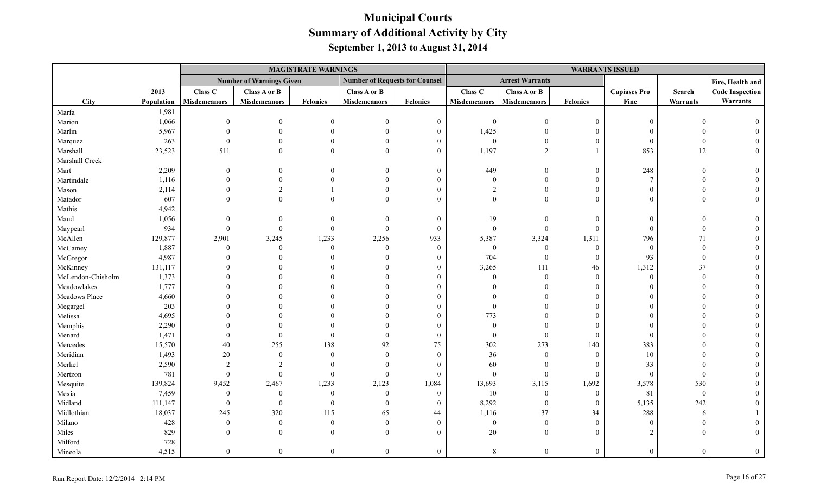|                   |            |                     |                                 | <b>MAGISTRATE WARNINGS</b> |                                       |                  |                     |                        |                  | <b>WARRANTS ISSUED</b> |                 |                        |
|-------------------|------------|---------------------|---------------------------------|----------------------------|---------------------------------------|------------------|---------------------|------------------------|------------------|------------------------|-----------------|------------------------|
|                   |            |                     | <b>Number of Warnings Given</b> |                            | <b>Number of Requests for Counsel</b> |                  |                     | <b>Arrest Warrants</b> |                  |                        |                 | Fire, Health and       |
|                   | 2013       | Class C             | <b>Class A or B</b>             |                            | Class A or B                          |                  | Class C             | Class A or B           |                  | <b>Capiases Pro</b>    | Search          | <b>Code Inspection</b> |
| City              | Population | <b>Misdemeanors</b> | <b>Misdemeanors</b>             | <b>Felonies</b>            | <b>Misdemeanors</b>                   | <b>Felonies</b>  | <b>Misdemeanors</b> | <b>Misdemeanors</b>    | <b>Felonies</b>  | Fine                   | <b>Warrants</b> | Warrants               |
| Marfa             | 1,981      |                     |                                 |                            |                                       |                  |                     |                        |                  |                        |                 |                        |
| Marion            | 1,066      | $\Omega$            |                                 | $\theta$                   | $\Omega$                              | $\boldsymbol{0}$ | $\mathbf{0}$        |                        | $\theta$         | $\Omega$               |                 |                        |
| Marlin            | 5,967      |                     |                                 |                            | $\Omega$                              | $\Omega$         | 1,425               |                        | $\Omega$         |                        |                 |                        |
| Marquez           | 263        |                     |                                 | $\Omega$                   |                                       | 0                | $\boldsymbol{0}$    |                        | $\mathbf{0}$     | $\Omega$               |                 |                        |
| Marshall          | 23,523     | 511                 | $\theta$                        | $\Omega$                   | $\Omega$                              | $\theta$         | 1,197               | $\overline{2}$         | $\mathbf{1}$     | 853                    | 12              |                        |
| Marshall Creek    |            |                     |                                 |                            |                                       |                  |                     |                        |                  |                        |                 |                        |
| Mart              | 2,209      | $\Omega$            |                                 | $\theta$                   | $\Omega$                              | $\Omega$         | 449                 | $\Omega$               | $\mathbf{0}$     | 248                    |                 |                        |
| Martindale        | 1,116      |                     | $\Omega$                        | $\Omega$                   | $\Omega$                              |                  | $\theta$            | $\Omega$               | $\theta$         | $\overline{7}$         |                 |                        |
| Mason             | 2,114      |                     | $\overline{2}$                  |                            | $\Omega$                              |                  | $\overline{2}$      | $\theta$               | $\mathbf{0}$     |                        |                 |                        |
| Matador           | 607        |                     | $\Omega$                        | $\Omega$                   | $\Omega$                              | 0                | $\Omega$            | $\Omega$               | $\Omega$         |                        |                 |                        |
| Mathis            | 4,942      |                     |                                 |                            |                                       |                  |                     |                        |                  |                        |                 |                        |
| Maud              | 1,056      | $\Omega$            | $\Omega$                        | $\mathbf{0}$               | $\Omega$                              | $\Omega$         | 19                  | $\Omega$               | $\mathbf{0}$     |                        |                 |                        |
| Maypearl          | 934        | $\mathbf{0}$        | $\Omega$                        | $\mathbf{0}$               | $\boldsymbol{0}$                      | $\theta$         | $\mathbf{0}$        | $\overline{0}$         | $\mathbf{0}$     | $\sqrt{ }$             |                 |                        |
| McAllen           | 129,877    | 2,901               | 3,245                           | 1,233                      | 2,256                                 | 933              | 5,387               | 3,324                  | 1,311            | 796                    | 71              |                        |
| McCamey           | 1,887      | $\theta$            | $\Omega$                        | $\theta$                   | $\Omega$                              | $\mathbf{0}$     | $\boldsymbol{0}$    | $\theta$               | $\mathbf{0}$     | $\theta$               | $\theta$        |                        |
| McGregor          | 4,987      |                     |                                 | $\Omega$                   | $\Omega$                              | $\Omega$         | 704                 | $\overline{0}$         | $\mathbf{0}$     | 93                     | $\Omega$        |                        |
| McKinney          | 131,117    |                     |                                 | $\Omega$                   | $\Omega$                              |                  | 3,265               | 111                    | 46               | 1,312                  | 37              |                        |
| McLendon-Chisholm | 1,373      |                     |                                 | $\Omega$                   |                                       |                  | $\theta$            | $\Omega$               | $\mathbf{0}$     | $\Omega$               | $\Omega$        |                        |
| Meadowlakes       | 1,777      |                     |                                 |                            |                                       |                  |                     |                        | $\Omega$         |                        |                 |                        |
| Meadows Place     | 4,660      |                     |                                 | $\Omega$                   | $\Omega$                              |                  |                     | $\Omega$               | $\Omega$         |                        |                 |                        |
| Megargel          | 203        |                     |                                 | $\Omega$                   |                                       |                  | $\Omega$            |                        | $\Omega$         |                        |                 |                        |
| Melissa           | 4,695      |                     |                                 | $\Omega$                   |                                       |                  | 773                 |                        | $\Omega$         |                        |                 |                        |
| Memphis           | 2,290      |                     |                                 | $\Omega$                   | $\Omega$                              | $\Omega$         | $\theta$            | $\Omega$               | $\Omega$         |                        |                 |                        |
| Menard            | 1,471      | $\Omega$            | $\Omega$                        | $\theta$                   | $\Omega$                              | $\theta$         | $\mathbf{0}$        | $\theta$               | $\mathbf{0}$     | $\bigcap$              |                 |                        |
| Mercedes          | 15,570     | 40                  | 255                             | 138                        | 92                                    | 75               | 302                 | 273                    | 140              | 383                    |                 |                        |
| Meridian          | 1,493      | $20\,$              | $\overline{0}$                  | $\mathbf{0}$               | $\Omega$                              | $\mathbf{0}$     | 36                  | $\overline{0}$         | $\boldsymbol{0}$ | 10                     |                 |                        |
| Merkel            | 2,590      | $\overline{2}$      | $\overline{2}$                  | $\theta$                   | $\theta$                              | $\Omega$         | 60                  | $\theta$               | $\mathbf{0}$     | 33                     |                 |                        |
| Mertzon           | 781        | $\theta$            | $\theta$                        | $\mathbf{0}$               | $\Omega$                              | $\Omega$         | $\boldsymbol{0}$    | $\overline{0}$         | $\mathbf{0}$     | $\theta$               |                 |                        |
| Mesquite          | 139,824    | 9,452               | 2,467                           | 1,233                      | 2,123                                 | 1,084            | 13,693              | 3,115                  | 1,692            | 3,578                  | 530             |                        |
| Mexia             | 7,459      | $\bf{0}$            | $\mathbf{0}$                    | $\mathbf{0}$               | $\mathbf{0}$                          | $\theta$         | $10\,$              | $\overline{0}$         | $\boldsymbol{0}$ | 81                     | $\overline{0}$  |                        |
| Midland           | 111,147    | $\theta$            | $\Omega$                        | $\Omega$                   | $\Omega$                              | $\Omega$         | 8,292               | $\overline{0}$         | $\mathbf{0}$     | 5,135                  | 242             |                        |
| Midlothian        | 18,037     | 245                 | 320                             | 115                        | 65                                    | 44               | 1,116               | 37                     | 34               | 288                    | 6               |                        |
| Milano            | 428        | $\mathbf{0}$        | $\theta$                        | $\mathbf{0}$               | $\Omega$                              | $\overline{0}$   | $\boldsymbol{0}$    | $\mathbf{0}$           | $\mathbf{0}$     | $\Omega$               |                 |                        |
| Miles             | 829        | $\Omega$            | $\Omega$                        | $\Omega$                   | $\Omega$                              | $\Omega$         | 20                  | $\overline{0}$         | $\theta$         | $\gamma$               |                 |                        |
| Milford           | 728        |                     |                                 |                            |                                       |                  |                     |                        |                  |                        |                 |                        |
| Mineola           | 4,515      | $\overline{0}$      | $\Omega$                        | $\theta$                   | $\Omega$                              | $\Omega$         | 8                   | $\Omega$               | $\theta$         | $\Omega$               |                 | $\Omega$               |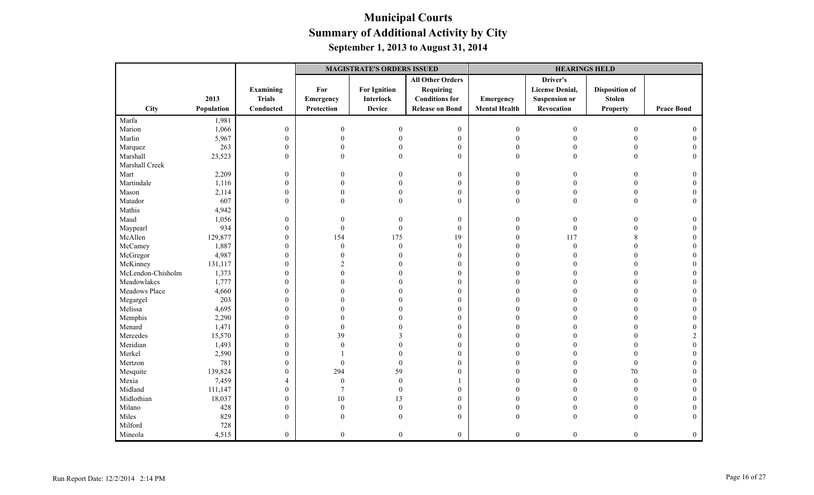|                   |            |                  | <b>MAGISTRATE'S ORDERS ISSUED</b> |                     |                         |                      | <b>HEARINGS HELD</b>   |                       |                   |
|-------------------|------------|------------------|-----------------------------------|---------------------|-------------------------|----------------------|------------------------|-----------------------|-------------------|
|                   |            |                  |                                   |                     | <b>All Other Orders</b> |                      | Driver's               |                       |                   |
|                   |            | Examining        | For                               | <b>For Ignition</b> | <b>Requiring</b>        |                      | <b>License Denial,</b> | <b>Disposition of</b> |                   |
|                   | 2013       | <b>Trials</b>    | Emergency                         | Interlock           | <b>Conditions for</b>   | Emergency            | <b>Suspension or</b>   | <b>Stolen</b>         |                   |
| City              | Population | Conducted        | Protection                        | <b>Device</b>       | <b>Release on Bond</b>  | <b>Mental Health</b> | Revocation             | <b>Property</b>       | <b>Peace Bond</b> |
| Marfa             | 1,981      |                  |                                   |                     |                         |                      |                        |                       |                   |
| Marion            | 1,066      | $\boldsymbol{0}$ | $\mathbf{0}$                      | $\Omega$            | $\boldsymbol{0}$        | $\overline{0}$       | $\mathbf{0}$           | $\overline{0}$        |                   |
| Marlin            | 5,967      | $\boldsymbol{0}$ | $\Omega$                          |                     | $\boldsymbol{0}$        | $\mathbf{0}$         | $\Omega$               | $\theta$              |                   |
| Marquez           | 263        | $\boldsymbol{0}$ | $\theta$                          |                     | $\overline{0}$          | $\mathbf{0}$         | 0                      | $\theta$              |                   |
| Marshall          | 23,523     | $\mathbf{0}$     | $\mathbf{0}$                      | $\theta$            | $\boldsymbol{0}$        | $\mathbf{0}$         | $\mathbf{0}$           | $\overline{0}$        | $\theta$          |
| Marshall Creek    |            |                  |                                   |                     |                         |                      |                        |                       |                   |
| Mart              | 2,209      | $\boldsymbol{0}$ | $\overline{0}$                    |                     | $\mathbf{0}$            | $\theta$             | 0                      | $\Omega$              | $\Omega$          |
| Martindale        | 1,116      | $\mathbf{0}$     | $\Omega$                          |                     | $\mathbf{0}$            | $\Omega$             |                        | $\Omega$              | 0                 |
| Mason             | 2,114      | $\boldsymbol{0}$ | $\theta$                          |                     | $\boldsymbol{0}$        | $\Omega$             | $\Omega$               | $\boldsymbol{0}$      |                   |
| Matador           | 607        | $\mathbf{0}$     | $\theta$                          | $\Omega$            | $\mathbf{0}$            | $\theta$             | $\mathbf{0}$           | $\overline{0}$        | $\Omega$          |
| Mathis            | 4,942      |                  |                                   |                     |                         |                      |                        |                       |                   |
| Maud              | 1,056      | $\boldsymbol{0}$ | $\overline{0}$                    |                     | $\boldsymbol{0}$        | $\theta$             | $\theta$               | $\Omega$              | $\theta$          |
| Maypearl          | 934        | $\boldsymbol{0}$ | $\mathbf{0}$                      | $\theta$            | $\mathbf{0}$            | $\theta$             | $\theta$               |                       | $\Omega$          |
| McAllen           | 129,877    | $\boldsymbol{0}$ | 154                               | 175                 | 19                      | $\Omega$             | 117                    | 8                     | $\Omega$          |
| McCamey           | 1,887      | $\boldsymbol{0}$ | $\theta$                          | $\mathbf{0}$        | $\boldsymbol{0}$        | $\Omega$             | $\theta$               | $\Omega$              |                   |
| McGregor          | 4,987      | $\boldsymbol{0}$ | $\theta$                          |                     | $\boldsymbol{0}$        | $\Omega$             |                        | $\Omega$              |                   |
| McKinney          | 131,117    | $\boldsymbol{0}$ | $\overline{c}$                    |                     | $\boldsymbol{0}$        | $\Omega$             |                        |                       |                   |
| McLendon-Chisholm | 1,373      | $\boldsymbol{0}$ | $\theta$                          |                     | $\mathbf{0}$            |                      |                        |                       |                   |
| Meadowlakes       | 1,777      | $\boldsymbol{0}$ | 0                                 |                     | $\boldsymbol{0}$        | $\Omega$             | O                      | $\Omega$              |                   |
| Meadows Place     | 4,660      | $\boldsymbol{0}$ | 0                                 |                     | $\mathbf{0}$            | $\Omega$             | O                      | $\Omega$              |                   |
| Megargel          | 203        | $\boldsymbol{0}$ |                                   |                     | $\boldsymbol{0}$        |                      |                        | $\Omega$              |                   |
| Melissa           | 4,695      | $\boldsymbol{0}$ |                                   |                     | $\mathbf{0}$            |                      |                        |                       |                   |
| Memphis           | 2,290      | $\boldsymbol{0}$ | 0                                 |                     | $\mathbf{0}$            |                      |                        | $\Omega$              | $\Omega$          |
| Menard            | 1,471      | $\boldsymbol{0}$ | $\mathbf{0}$                      |                     | $\boldsymbol{0}$        | $\Omega$             |                        | $\Omega$              |                   |
| Mercedes          | 15,570     | $\mathbf{0}$     | 39                                |                     | $\boldsymbol{0}$        | $\Omega$             |                        | $\theta$              |                   |
| Meridian          | 1,493      | $\boldsymbol{0}$ | $\theta$                          |                     | $\boldsymbol{0}$        | $\Omega$             |                        |                       | $\theta$          |
| Merkel            | 2,590      | $\boldsymbol{0}$ |                                   |                     | $\boldsymbol{0}$        | $\Omega$             |                        | $\Omega$              | $\Omega$          |
| Mertzon           | 781        | $\boldsymbol{0}$ | $\theta$                          | $\Omega$            | $\mathbf{0}$            | $\Omega$             | O                      | $\theta$              |                   |
| Mesquite          | 139,824    | $\boldsymbol{0}$ | 294                               | 59                  | $\mathbf{0}$            | $\Omega$             | 0                      | 70                    |                   |
| Mexia             | 7,459      | $\overline{4}$   | $\boldsymbol{0}$                  | $\boldsymbol{0}$    | 1                       |                      |                        | $\boldsymbol{0}$      |                   |
| Midland           | 111,147    | $\boldsymbol{0}$ | $\overline{7}$                    | $\theta$            | $\boldsymbol{0}$        |                      |                        | $\theta$              |                   |
| Midlothian        | 18,037     | $\boldsymbol{0}$ | $10\,$                            | 13                  | $\boldsymbol{0}$        | $\Omega$             | 0                      | $\theta$              | $\Omega$          |
| Milano            | 428        | $\boldsymbol{0}$ | $\theta$                          | $\Omega$            | $\boldsymbol{0}$        | $\Omega$             | 0                      | $\theta$              | $\theta$          |
| Miles             | 829        | $\mathbf{0}$     | $\theta$                          |                     | $\mathbf{0}$            | $\overline{0}$       | 0                      | $\theta$              | $\mathbf{0}$      |
| Milford           | 728        |                  |                                   |                     |                         |                      |                        |                       |                   |
| Mineola           | 4,515      | $\mathbf{0}$     | $\overline{0}$                    | $\theta$            | $\boldsymbol{0}$        | $\mathbf{0}$         | $\overline{0}$         | $\theta$              | $\mathbf{0}$      |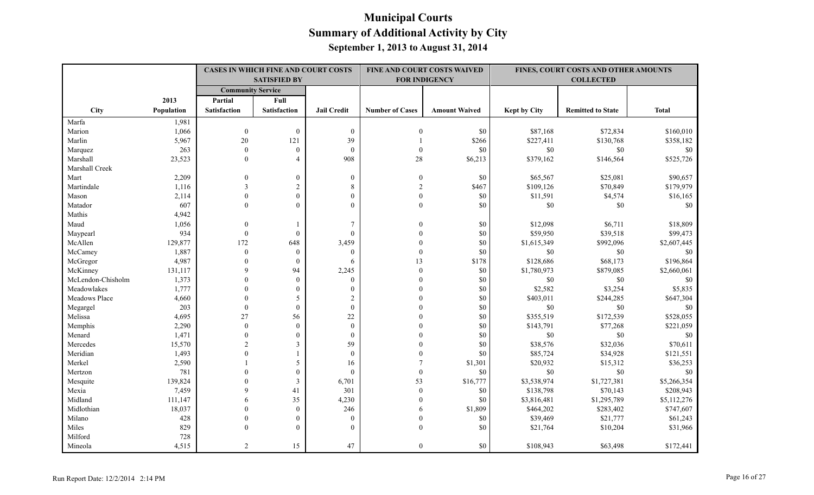|                   |            | <b>CASES IN WHICH FINE AND COURT COSTS</b><br><b>SATISFIED BY</b> |                     |                    | FINE AND COURT COSTS WAIVED<br><b>FOR INDIGENCY</b> |                      | FINES, COURT COSTS AND OTHER AMOUNTS<br><b>COLLECTED</b> |                          |              |
|-------------------|------------|-------------------------------------------------------------------|---------------------|--------------------|-----------------------------------------------------|----------------------|----------------------------------------------------------|--------------------------|--------------|
|                   |            | <b>Community Service</b>                                          |                     |                    |                                                     |                      |                                                          |                          |              |
|                   | 2013       | Partial                                                           | Full                |                    |                                                     |                      |                                                          |                          |              |
| City              | Population | <b>Satisfaction</b>                                               | <b>Satisfaction</b> | <b>Jail Credit</b> | <b>Number of Cases</b>                              | <b>Amount Waived</b> | <b>Kept by City</b>                                      | <b>Remitted to State</b> | <b>Total</b> |
| Marfa             | 1,981      |                                                                   |                     |                    |                                                     |                      |                                                          |                          |              |
| Marion            | 1,066      | $\mathbf{0}$                                                      | $\mathbf{0}$        | $\boldsymbol{0}$   | $\mathbf{0}$                                        | \$0                  | \$87,168                                                 | \$72,834                 | \$160,010    |
| Marlin            | 5,967      | 20                                                                | 121                 | 39                 |                                                     | \$266                | \$227,411                                                | \$130,768                | \$358,182    |
| Marquez           | 263        | $\theta$                                                          | $\overline{0}$      | $\mathbf{0}$       | $\theta$                                            | \$0                  | $\$0$                                                    | \$0                      | \$0          |
| Marshall          | 23,523     | $\theta$                                                          | $\overline{4}$      | 908                | $28\,$                                              | \$6,213              | \$379,162                                                | \$146,564                | \$525,726    |
| Marshall Creek    |            |                                                                   |                     |                    |                                                     |                      |                                                          |                          |              |
| Mart              | 2,209      | $\Omega$                                                          | $\boldsymbol{0}$    | $\boldsymbol{0}$   | $\boldsymbol{0}$                                    | \$0                  | \$65,567                                                 | \$25,081                 | \$90,657     |
| Martindale        | 1,116      | 3                                                                 | $\sqrt{2}$          | 8                  | $\mathfrak{D}$                                      | \$467                | \$109,126                                                | \$70,849                 | \$179,979    |
| Mason             | 2,114      | $\theta$                                                          | $\mathbf{0}$        | $\mathbf{0}$       | $\theta$                                            | \$0                  | \$11,591                                                 | \$4,574                  | \$16,165     |
| Matador           | 607        | $\Omega$                                                          | $\theta$            | $\theta$           | $\theta$                                            | \$0                  | \$0                                                      | \$0                      | \$0          |
| Mathis            | 4,942      |                                                                   |                     |                    |                                                     |                      |                                                          |                          |              |
| Maud              | 1,056      | $\theta$                                                          | 1                   | $\overline{7}$     |                                                     | \$0                  | \$12,098                                                 | \$6,711                  | \$18,809     |
| Maypearl          | 934        | $\mathbf{0}$                                                      | $\mathbf{0}$        | $\mathbf{0}$       |                                                     | \$0                  | \$59,950                                                 | \$39,518                 | \$99,473     |
| McAllen           | 129,877    | 172                                                               | 648                 | 3,459              | $\Omega$                                            | \$0                  | \$1,615,349                                              | \$992,096                | \$2,607,445  |
| McCamey           | 1,887      | $\mathbf{0}$                                                      | $\overline{0}$      | $\overline{0}$     | $\theta$                                            | \$0                  | \$0                                                      | \$0                      | \$0          |
| McGregor          | 4,987      | $\theta$                                                          | $\mathbf{0}$        | 6                  | 13                                                  | \$178                | \$128,686                                                | \$68,173                 | \$196,864    |
| McKinney          | 131,117    | $\mathbf Q$                                                       | 94                  | 2,245              | $\theta$                                            | \$0                  | \$1,780,973                                              | \$879,085                | \$2,660,061  |
| McLendon-Chisholm | 1,373      | $\Omega$                                                          | $\theta$            | $\theta$           | $\theta$                                            | \$0                  | \$0                                                      | \$0                      | \$0          |
| Meadowlakes       | 1,777      | $\Omega$                                                          | $\overline{0}$      | $\mathbf{0}$       | $\theta$                                            | \$0                  | \$2,582                                                  | \$3,254                  | \$5,835      |
| Meadows Place     | 4,660      | $\theta$                                                          | 5                   | $\overline{2}$     |                                                     | \$0                  | \$403,011                                                | \$244,285                | \$647,304    |
| Megargel          | 203        | $\theta$                                                          | $\mathbf{0}$        | $\theta$           |                                                     | \$0                  | \$0                                                      | $\$0$                    | \$0          |
| Melissa           | 4,695      | 27                                                                | 56                  | 22                 |                                                     | \$0                  | \$355,519                                                | \$172,539                | \$528,055    |
| Memphis           | 2,290      | $\mathbf{0}$                                                      | $\overline{0}$      | $\mathbf{0}$       |                                                     | \$0                  | \$143,791                                                | \$77,268                 | \$221,059    |
| Menard            | 1,471      | $\theta$                                                          | $\boldsymbol{0}$    | $\mathbf{0}$       |                                                     | \$0                  | \$0                                                      | \$0                      | \$0          |
| Mercedes          | 15,570     | $\overline{c}$                                                    | 3                   | 59                 |                                                     | \$0                  | \$38,576                                                 | \$32,036                 | \$70,611     |
| Meridian          | 1,493      | $\theta$                                                          |                     | $\mathbf{0}$       |                                                     | \$0                  | \$85,724                                                 | \$34,928                 | \$121,551    |
| Merkel            | 2,590      |                                                                   | 5                   | 16                 | 7                                                   | \$1,301              | \$20,932                                                 | \$15,312                 | \$36,253     |
| Mertzon           | 781        | $\Omega$                                                          | $\mathbf{0}$        | $\mathbf{0}$       | $\mathbf{0}$                                        | \$0                  | \$0                                                      | \$0                      | \$0          |
| Mesquite          | 139,824    | $\Omega$                                                          | 3                   | 6,701              | 53                                                  | \$16,777             | \$3,538,974                                              | \$1,727,381              | \$5,266,354  |
| Mexia             | 7,459      | $\mathbf Q$                                                       | 41                  | 301                | $\mathbf{0}$                                        | \$0                  | \$138,798                                                | \$70,143                 | \$208,943    |
| Midland           | 111,147    | 6                                                                 | 35                  | 4,230              | $\theta$                                            | \$0                  | \$3,816,481                                              | \$1,295,789              | \$5,112,276  |
| Midlothian        | 18,037     | $\Omega$                                                          | $\overline{0}$      | 246                | 6                                                   | \$1,809              | \$464,202                                                | \$283,402                | \$747,607    |
| Milano            | 428        | $\Omega$                                                          | $\mathbf{0}$        | $\mathbf{0}$       | $\theta$                                            | \$0                  | \$39,469                                                 | \$21,777                 | \$61,243     |
| Miles             | 829        | $\Omega$                                                          | $\theta$            | $\theta$           | $\overline{0}$                                      | \$0                  | \$21,764                                                 | \$10,204                 | \$31,966     |
| Milford           | 728        |                                                                   |                     |                    |                                                     |                      |                                                          |                          |              |
| Mineola           | 4,515      | $\mathfrak{D}$                                                    | 15                  | 47                 | $\overline{0}$                                      | \$0                  | \$108,943                                                | \$63,498                 | \$172,441    |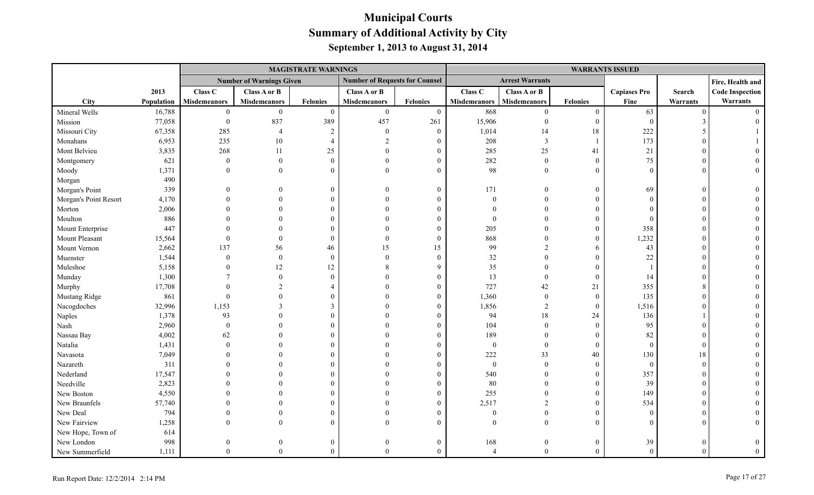|                       |            |                     |                                 | <b>MAGISTRATE WARNINGS</b> |                                       |                 |                     |                         |                  |                     | <b>WARRANTS ISSUED</b> |                        |  |
|-----------------------|------------|---------------------|---------------------------------|----------------------------|---------------------------------------|-----------------|---------------------|-------------------------|------------------|---------------------|------------------------|------------------------|--|
|                       |            |                     | <b>Number of Warnings Given</b> |                            | <b>Number of Requests for Counsel</b> |                 |                     | <b>Arrest Warrants</b>  |                  |                     |                        | Fire, Health and       |  |
|                       | 2013       | Class C             | Class A or B                    |                            | Class A or B                          |                 | <b>Class C</b>      | Class A or B            |                  | <b>Capiases Pro</b> | Search                 | <b>Code Inspection</b> |  |
| <b>City</b>           | Population | <b>Misdemeanors</b> | <b>Misdemeanors</b>             | Felonies                   | <b>Misdemeanors</b>                   | <b>Felonies</b> | <b>Misdemeanors</b> | Misdemeanors            | <b>Felonies</b>  | Fine                | Warrants               | Warrants               |  |
| Mineral Wells         | 16,788     | $\mathbf{0}$        | $\mathbf{0}$                    | $\overline{0}$             | $\boldsymbol{0}$                      | $\mathbf{0}$    | 868                 | $\overline{0}$          | $\boldsymbol{0}$ | 63                  | $\Omega$               | $\Omega$               |  |
| Mission               | 77,058     | $\boldsymbol{0}$    | 837                             | 389                        | 457                                   | 261             | 15,906              | $\theta$                | $\mathbf{0}$     | $\overline{0}$      |                        |                        |  |
| Missouri City         | 67,358     | 285                 | $\overline{4}$                  | 2                          | $\mathbf{0}$                          | $\overline{0}$  | 1,014               | 14                      | 18               | 222                 |                        |                        |  |
| Monahans              | 6,953      | 235                 | $10\,$                          | $\overline{4}$             | $\overline{2}$                        | $\Omega$        | 208                 | $\overline{\mathbf{3}}$ | $\mathbf{1}$     | 173                 |                        |                        |  |
| Mont Belvieu          | 3,835      | 268                 | 11                              | 25                         | $\Omega$                              |                 | 285                 | $25\,$                  | 41               | 21                  |                        |                        |  |
| Montgomery            | 621        | $\boldsymbol{0}$    | $\boldsymbol{0}$                | $\overline{0}$             | $\theta$                              | $\theta$        | 282                 | $\mathbf{0}$            | $\boldsymbol{0}$ | 75                  |                        |                        |  |
| Moody                 | 1,371      | $\theta$            | $\Omega$                        | $\Omega$                   | $\Omega$                              | $\Omega$        | 98                  | $\theta$                | $\theta$         | $\Omega$            | $\Omega$               |                        |  |
| Morgan                | 490        |                     |                                 |                            |                                       |                 |                     |                         |                  |                     |                        |                        |  |
| Morgan's Point        | 339        |                     | $\mathbf{0}$                    | $\overline{0}$             | $\Omega$                              | $\Omega$        | 171                 | $\overline{0}$          | $\boldsymbol{0}$ | 69                  |                        |                        |  |
| Morgan's Point Resort | 4,170      |                     | $\theta$                        | $\theta$                   | $\Omega$                              |                 | $\mathbf{0}$        | $\Omega$                | $\boldsymbol{0}$ | $\Omega$            |                        |                        |  |
| Morton                | 2,006      |                     | $\Omega$                        | $\theta$                   |                                       |                 |                     | $\theta$                | $\theta$         | $\Omega$            |                        |                        |  |
| Moulton               | 886        |                     | $\Omega$                        | $\Omega$                   | $\Omega$                              |                 | $\theta$            | $\Omega$                | $\theta$         | $\Omega$            |                        |                        |  |
| Mount Enterprise      | 447        |                     | $\Omega$                        | $\Omega$                   |                                       | 0               | 205                 | $\Omega$                | $\overline{0}$   | 358                 |                        |                        |  |
| Mount Pleasant        | 15,564     | $\mathbf{0}$        | $\theta$                        | $\mathbf{0}$               | $\Omega$                              | $\Omega$        | 868                 | $\Omega$                | $\Omega$         | 1,232               |                        |                        |  |
| Mount Vernon          | 2,662      | 137                 | 56                              | 46                         | 15                                    | 15              | 99                  | $\mathfrak{D}$          | 6                | 43                  |                        |                        |  |
| Muenster              | 1,544      | $\boldsymbol{0}$    | $\boldsymbol{0}$                | $\mathbf{0}$               | $\Omega$                              | $\theta$        | $32\,$              | $\theta$                | $\boldsymbol{0}$ | 22                  |                        |                        |  |
| Muleshoe              | 5,158      |                     | 12                              | 12                         | 8                                     | q               | 35                  | $\theta$                | $\theta$         |                     |                        |                        |  |
| Munday                | 1,300      |                     | $\theta$                        | $\theta$                   | $\Omega$                              |                 | 13                  | $\mathbf{0}$            | $\mathbf{0}$     | 14                  |                        |                        |  |
| Murphy                | 17,708     |                     |                                 |                            |                                       |                 | 727                 | 42                      | 21               | 355                 |                        |                        |  |
| Mustang Ridge         | 861        | $\mathbf{0}$        | $\Omega$                        | $\Omega$                   |                                       |                 | 1,360               | $\mathbf{0}$            | $\mathbf{0}$     | 135                 |                        |                        |  |
| Nacogdoches           | 32,996     | 1,153               | 3                               | 3                          | $\Omega$                              |                 | 1,856               | $\overline{2}$          | $\boldsymbol{0}$ | 1,516               |                        |                        |  |
| Naples                | 1,378      | 93                  | $\Omega$                        | $\Omega$                   |                                       |                 | 94                  | $18\,$                  | 24               | 136                 |                        |                        |  |
| Nash                  | 2,960      | $\theta$            | $\theta$                        | $\theta$                   |                                       | 0               | 104                 | $\mathbf{0}$            | $\boldsymbol{0}$ | 95                  |                        |                        |  |
| Nassau Bay            | 4,002      | 62                  | $\Omega$                        | $\Omega$                   | $\Omega$                              |                 | 189                 | $\Omega$                | $\mathbf{0}$     | 82                  |                        |                        |  |
| Natalia               | 1,431      | $\Omega$            | $\Omega$                        | $\Omega$                   |                                       |                 | $\boldsymbol{0}$    | $\mathbf{0}$            | $\mathbf{0}$     | $\overline{0}$      |                        |                        |  |
| Navasota              | 7,049      |                     | $\Omega$                        | $\Omega$                   |                                       |                 | $222\,$             | 33                      | $40\,$           | 130                 | 18                     |                        |  |
| Nazareth              | 311        |                     | $\Omega$                        | $\Omega$                   |                                       |                 | $\mathbf{0}$        | $\mathbf{0}$            | $\overline{0}$   | $\overline{0}$      | $\Omega$               |                        |  |
| Nederland             | 17,547     |                     |                                 | $\Omega$                   |                                       |                 | 540                 | $\theta$                | $\overline{0}$   | 357                 |                        |                        |  |
| Needville             | 2,823      |                     |                                 | $\Omega$                   |                                       |                 | 80                  | $\Omega$                | $\boldsymbol{0}$ | 39                  |                        |                        |  |
| New Boston            | 4,550      |                     |                                 | $\Omega$                   |                                       |                 | 255                 | $\theta$                | $\mathbf{0}$     | 149                 |                        |                        |  |
| New Braunfels         | 57,740     |                     | $\Omega$                        | $\Omega$                   |                                       |                 | 2,517               | $\overline{2}$          | $\overline{0}$   | 534                 |                        |                        |  |
| New Deal              | 794        |                     |                                 | $\Omega$                   |                                       |                 | $\theta$            | $\Omega$                | $\Omega$         | $\Omega$            |                        |                        |  |
| New Fairview          | 1,258      |                     | $\Omega$                        | $\Omega$                   | $\Omega$                              |                 | $\Omega$            | $\theta$                | $\Omega$         |                     |                        |                        |  |
| New Hope, Town of     | 614        |                     |                                 |                            |                                       |                 |                     |                         |                  |                     |                        |                        |  |
| New London            | 998        |                     |                                 | $\overline{0}$             |                                       | $\Omega$        | 168                 | $\theta$                | $\overline{0}$   | 39                  |                        |                        |  |
| New Summerfield       | 1,111      | $\Omega$            | $\Omega$                        | $\Omega$                   | $\Omega$                              | $\Omega$        | $\overline{4}$      | $\theta$                | $\Omega$         | $\Omega$            | $\sqrt{ }$             | $\theta$               |  |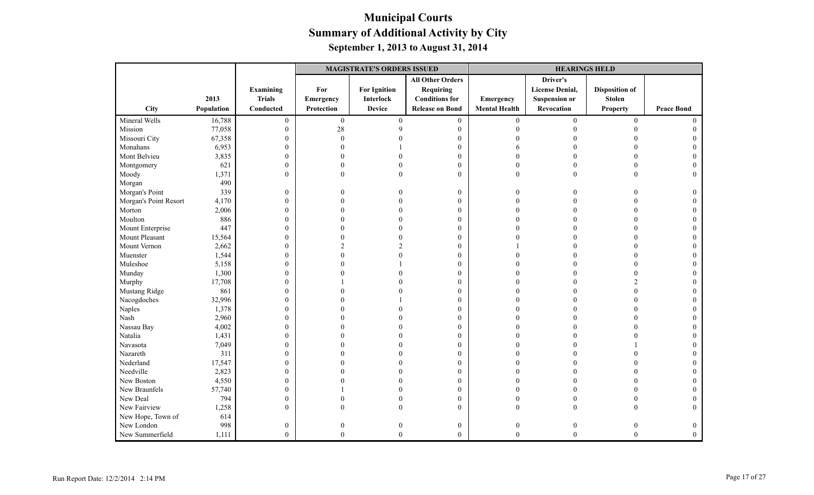|                       |            |                  | <b>MAGISTRATE'S ORDERS ISSUED</b> |                     |                         |                      | <b>HEARINGS HELD</b>   |                       |                   |  |
|-----------------------|------------|------------------|-----------------------------------|---------------------|-------------------------|----------------------|------------------------|-----------------------|-------------------|--|
|                       |            |                  |                                   |                     | <b>All Other Orders</b> |                      | Driver's               |                       |                   |  |
|                       |            | Examining        | For                               | <b>For Ignition</b> | Requiring               |                      | <b>License Denial,</b> | <b>Disposition of</b> |                   |  |
|                       | 2013       | <b>Trials</b>    | Emergency                         | <b>Interlock</b>    | <b>Conditions for</b>   | Emergency            | <b>Suspension or</b>   | <b>Stolen</b>         |                   |  |
| City                  | Population | Conducted        | Protection                        | <b>Device</b>       | <b>Release on Bond</b>  | <b>Mental Health</b> | Revocation             | <b>Property</b>       | <b>Peace Bond</b> |  |
| Mineral Wells         | 16,788     | $\boldsymbol{0}$ | $\overline{0}$                    | $\mathbf{0}$        | $\boldsymbol{0}$        | $\overline{0}$       | $\boldsymbol{0}$       | $\mathbf{0}$          | $\Omega$          |  |
| Mission               | 77,058     | $\mathbf{0}$     | 28                                | Q                   | $\mathbf{0}$            | $\Omega$             |                        | $\Omega$              |                   |  |
| Missouri City         | 67,358     | $\mathbf{0}$     | $\Omega$                          |                     | $\mathbf{0}$            |                      |                        |                       |                   |  |
| Monahans              | 6,953      | $\boldsymbol{0}$ |                                   |                     | $\boldsymbol{0}$        |                      |                        |                       |                   |  |
| Mont Belvieu          | 3,835      | $\boldsymbol{0}$ |                                   |                     | $\mathbf{0}$            |                      |                        |                       |                   |  |
| Montgomery            | 621        | $\boldsymbol{0}$ | U                                 |                     | $\mathbf{0}$            | $\Omega$             |                        |                       |                   |  |
| Moody                 | 1,371      | $\mathbf{0}$     | $\theta$                          |                     | $\mathbf{0}$            | $\Omega$             | $\Omega$               |                       | $\Omega$          |  |
| Morgan                | 490        |                  |                                   |                     |                         |                      |                        |                       |                   |  |
| Morgan's Point        | 339        | $\boldsymbol{0}$ | 0                                 |                     | $\boldsymbol{0}$        | $\Omega$             |                        |                       |                   |  |
| Morgan's Point Resort | 4,170      | $\boldsymbol{0}$ | $\Omega$                          |                     | $\mathbf{0}$            | $\Omega$             |                        |                       |                   |  |
| Morton                | 2,006      | $\boldsymbol{0}$ |                                   |                     | $\mathbf{0}$            |                      |                        |                       |                   |  |
| Moulton               | 886        | $\mathbf{0}$     |                                   |                     | $\mathbf{0}$            |                      |                        |                       |                   |  |
| Mount Enterprise      | 447        | $\boldsymbol{0}$ |                                   |                     | $\mathbf{0}$            |                      |                        |                       |                   |  |
| Mount Pleasant        | 15,564     | $\boldsymbol{0}$ |                                   |                     | $\mathbf{0}$            |                      |                        |                       |                   |  |
| Mount Vernon          | 2,662      | $\boldsymbol{0}$ |                                   |                     | $\mathbf{0}$            |                      |                        |                       |                   |  |
| Muenster              | 1,544      | $\boldsymbol{0}$ | U                                 |                     | $\mathbf{0}$            |                      |                        |                       |                   |  |
| Muleshoe              | 5,158      | $\boldsymbol{0}$ |                                   |                     | $\mathbf{0}$            |                      |                        |                       |                   |  |
| Munday                | 1,300      | $\boldsymbol{0}$ |                                   |                     | $\mathbf{0}$            |                      |                        | $\Omega$              |                   |  |
| Murphy                | 17,708     | $\boldsymbol{0}$ |                                   |                     | $\mathbf{0}$            |                      |                        | $\mathcal{D}$         |                   |  |
| Mustang Ridge         | 861        | $\boldsymbol{0}$ |                                   |                     | $\theta$                |                      |                        | $\Omega$              |                   |  |
| Nacogdoches           | 32,996     | $\boldsymbol{0}$ |                                   |                     | $\mathbf{0}$            |                      |                        |                       |                   |  |
| Naples                | 1,378      | $\boldsymbol{0}$ |                                   |                     | $\mathbf{0}$            |                      |                        |                       |                   |  |
| Nash                  | 2,960      | $\boldsymbol{0}$ |                                   |                     | $\boldsymbol{0}$        |                      |                        |                       |                   |  |
| Nassau Bay            | 4,002      | $\boldsymbol{0}$ |                                   |                     | $\mathbf{0}$            |                      |                        |                       |                   |  |
| Natalia               | 1,431      | $\boldsymbol{0}$ |                                   |                     | $\mathbf{0}$            | $\Omega$             |                        |                       |                   |  |
| Navasota              | 7,049      | $\boldsymbol{0}$ |                                   |                     | $\boldsymbol{0}$        |                      |                        |                       |                   |  |
| Nazareth              | 311        | $\mathbf{0}$     |                                   |                     | $\boldsymbol{0}$        | $\Omega$             |                        |                       |                   |  |
| Nederland             | 17,547     | $\boldsymbol{0}$ |                                   |                     | $\mathbf{0}$            |                      |                        |                       |                   |  |
| Needville             | 2,823      | $\boldsymbol{0}$ |                                   |                     | $\mathbf{0}$            |                      |                        |                       |                   |  |
| New Boston            | 4,550      | $\boldsymbol{0}$ |                                   |                     | $\boldsymbol{0}$        |                      |                        |                       |                   |  |
| New Braunfels         | 57,740     | $\mathbf{0}$     |                                   |                     | $\boldsymbol{0}$        |                      |                        |                       |                   |  |
| New Deal              | 794        | $\boldsymbol{0}$ |                                   |                     | $\boldsymbol{0}$        | $\Omega$             |                        |                       |                   |  |
| New Fairview          | 1,258      | $\theta$         | 0                                 |                     | $\theta$                | $\Omega$             | $\Omega$               |                       |                   |  |
| New Hope, Town of     | 614        |                  |                                   |                     |                         |                      |                        |                       |                   |  |
| New London            | 998        | $\boldsymbol{0}$ | 0                                 |                     | $\boldsymbol{0}$        | $\overline{0}$       |                        |                       |                   |  |
| New Summerfield       | 1,111      | $\overline{0}$   | $\theta$                          | $\Omega$            | $\mathbf{0}$            | $\theta$             | $\theta$               | $\Omega$              | $\mathbf{0}$      |  |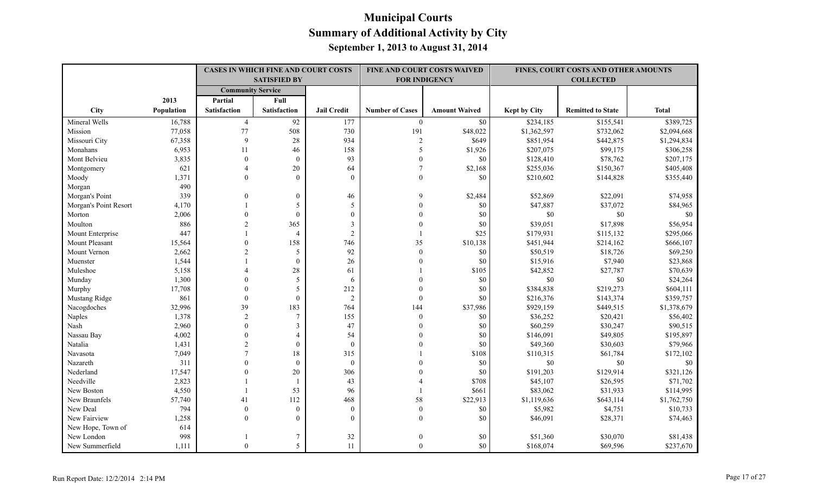|                       |            |                          | <b>CASES IN WHICH FINE AND COURT COSTS</b><br><b>SATISFIED BY</b> |                    |                          | FINE AND COURT COSTS WAIVED<br><b>FOR INDIGENCY</b> |              | FINES, COURT COSTS AND OTHER AMOUNTS<br><b>COLLECTED</b> |              |
|-----------------------|------------|--------------------------|-------------------------------------------------------------------|--------------------|--------------------------|-----------------------------------------------------|--------------|----------------------------------------------------------|--------------|
|                       |            | <b>Community Service</b> |                                                                   |                    |                          |                                                     |              |                                                          |              |
|                       | 2013       | Partial                  | Full                                                              |                    |                          |                                                     |              |                                                          |              |
| <b>City</b>           | Population | <b>Satisfaction</b>      | <b>Satisfaction</b>                                               | <b>Jail Credit</b> | <b>Number of Cases</b>   | <b>Amount Waived</b>                                | Kept by City | <b>Remitted to State</b>                                 | <b>Total</b> |
| Mineral Wells         | 16,788     | $\overline{4}$           | 92                                                                | 177                | $\overline{0}$           | \$0                                                 | \$234,185    | \$155,541                                                | \$389,725    |
| Mission               | 77,058     | $77 \,$                  | 508                                                               | 730                | 191                      | \$48,022                                            | \$1,362,597  | \$732,062                                                | \$2,094,668  |
| Missouri City         | 67,358     | 9                        | 28                                                                | 934                | $\overline{2}$           | \$649                                               | \$851,954    | \$442,875                                                | \$1,294,834  |
| Monahans              | 6,953      | 11                       | 46                                                                | 158                | $\overline{\phantom{0}}$ | \$1,926                                             | \$207,075    | \$99,175                                                 | \$306,258    |
| Mont Belvieu          | 3,835      | $\theta$                 | $\theta$                                                          | 93                 | $\theta$                 | \$0                                                 | \$128,410    | \$78,762                                                 | \$207,175    |
| Montgomery            | 621        | $\overline{4}$           | 20                                                                | 64                 | $\overline{7}$           | \$2,168                                             | \$255,036    | \$150,367                                                | \$405,408    |
| Moody                 | 1,371      | $\theta$                 | $\theta$                                                          | $\theta$           | $\Omega$                 | \$0                                                 | \$210,602    | \$144,828                                                | \$355,440    |
| Morgan                | 490        |                          |                                                                   |                    |                          |                                                     |              |                                                          |              |
| Morgan's Point        | 339        | $\Omega$                 | $\theta$                                                          | 46                 | $\mathbf Q$              | \$2,484                                             | \$52,869     | \$22,091                                                 | \$74,958     |
| Morgan's Point Resort | 4,170      |                          | 5                                                                 | 5                  | $\Omega$                 | \$0                                                 | \$47,887     | \$37,072                                                 | \$84,965     |
| Morton                | 2,006      | $\theta$                 | $\theta$                                                          | $\theta$           |                          | $\$0$                                               | $\$0$        | $\$0$                                                    | $\$0$        |
| Moulton               | 886        | $\mathfrak{D}$           | 365                                                               | 3                  |                          | \$0                                                 | \$39,051     | \$17,898                                                 | \$56,954     |
| Mount Enterprise      | 447        |                          | $\overline{4}$                                                    | $\overline{c}$     |                          | \$25                                                | \$179,931    | \$115,132                                                | \$295,066    |
| Mount Pleasant        | 15,564     | $\Omega$                 | 158                                                               | 746                | 35                       | \$10,138                                            | \$451,944    | \$214,162                                                | \$666,107    |
| Mount Vernon          | 2,662      | $\overline{2}$           | 5                                                                 | 92                 | $\mathbf{0}$             | \$0                                                 | \$50,519     | \$18,726                                                 | \$69,250     |
| Muenster              | 1,544      |                          | $\mathbf{0}$                                                      | 26                 | $\Omega$                 | \$0                                                 | \$15,916     | \$7,940                                                  | \$23,868     |
| Muleshoe              | 5,158      |                          | 28                                                                | 61                 |                          | \$105                                               | \$42,852     | \$27,787                                                 | \$70,639     |
| Munday                | 1,300      | $\Omega$                 | 5                                                                 | 6                  |                          | \$0                                                 | \$0          | \$0                                                      | \$24,264     |
| Murphy                | 17,708     | $\theta$                 | 5                                                                 | 212                | $\Omega$                 | \$0                                                 | \$384,838    | \$219,273                                                | \$604,111    |
| Mustang Ridge         | 861        | $\mathbf{0}$             | $\mathbf{0}$                                                      | $\sqrt{2}$         | $\mathbf{0}$             | \$0                                                 | \$216,376    | \$143,374                                                | \$359,757    |
| Nacogdoches           | 32,996     | 39                       | 183                                                               | 764                | 144                      | \$37,986                                            | \$929,159    | \$449,515                                                | \$1,378,679  |
| Naples                | 1,378      | $\overline{2}$           | $\tau$                                                            | 155                | $\mathbf{0}$             | $\$0$                                               | \$36,252     | \$20,421                                                 | \$56,402     |
| Nash                  | 2,960      | $\Omega$                 | 3                                                                 | 47                 | $\theta$                 | \$0                                                 | \$60,259     | \$30,247                                                 | \$90,515     |
| Nassau Bay            | 4,002      | $\theta$                 | $\overline{4}$                                                    | 54                 | $\Omega$                 | \$0                                                 | \$146,091    | \$49,805                                                 | \$195,897    |
| Natalia               | 1,431      | $\overline{2}$           | $\mathbf{0}$                                                      | $\mathbf{0}$       |                          | \$0                                                 | \$49,360     | \$30,603                                                 | \$79,966     |
| Navasota              | 7,049      | $\tau$                   | 18                                                                | 315                |                          | \$108                                               | \$110,315    | \$61,784                                                 | \$172,102    |
| Nazareth              | 311        | $\Omega$                 | $\theta$                                                          | $\mathbf{0}$       |                          | \$0                                                 | \$0          | \$0                                                      | \$0          |
| Nederland             | 17,547     | $\Omega$                 | 20                                                                | 306                |                          | \$0                                                 | \$191,203    | \$129,914                                                | \$321,126    |
| Needville             | 2,823      |                          |                                                                   | 43                 |                          | \$708                                               | \$45,107     | \$26,595                                                 | \$71,702     |
| New Boston            | 4,550      |                          | 53                                                                | 96                 |                          | \$661                                               | \$83,062     | \$31,933                                                 | \$114,995    |
| New Braunfels         | 57,740     | 41                       | 112                                                               | 468                | 58                       | \$22,913                                            | \$1,119,636  | \$643,114                                                | \$1,762,750  |
| New Deal              | 794        | $\Omega$                 | $\theta$                                                          | $\mathbf{0}$       | $\mathbf{0}$             | \$0                                                 | \$5,982      | \$4,751                                                  | \$10,733     |
| New Fairview          | 1,258      | $\Omega$                 | $\theta$                                                          | $\Omega$           | $\theta$                 | \$0                                                 | \$46,091     | \$28,371                                                 | \$74,463     |
| New Hope, Town of     | 614        |                          |                                                                   |                    |                          |                                                     |              |                                                          |              |
| New London            | 998        |                          | $7\phantom{.0}$                                                   | $32\,$             | $\Omega$                 | \$0                                                 | \$51,360     | \$30,070                                                 | \$81,438     |
| New Summerfield       | 1,111      | $\Omega$                 | $\overline{5}$                                                    | 11                 | $\theta$                 | \$0                                                 | \$168,074    | \$69,596                                                 | \$237,670    |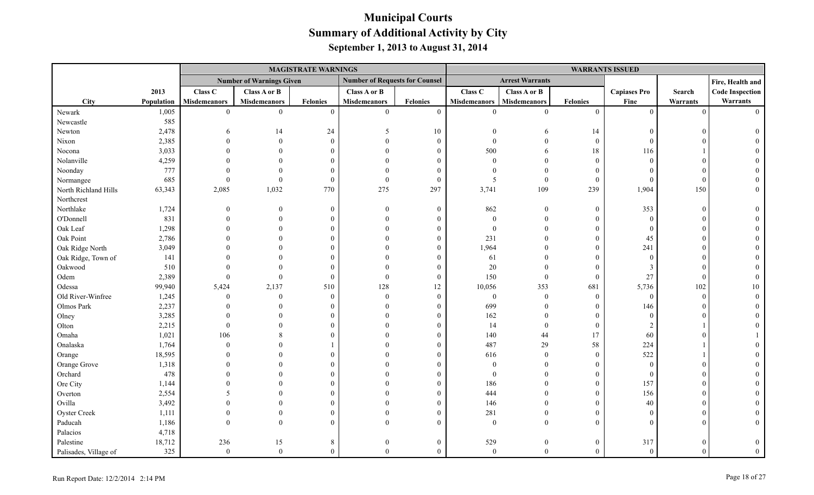|                       |            |                     |                                 | <b>MAGISTRATE WARNINGS</b> |                                       |                 |                     |                        |                  | <b>WARRANTS ISSUED</b> |          |                        |
|-----------------------|------------|---------------------|---------------------------------|----------------------------|---------------------------------------|-----------------|---------------------|------------------------|------------------|------------------------|----------|------------------------|
|                       |            |                     | <b>Number of Warnings Given</b> |                            | <b>Number of Requests for Counsel</b> |                 |                     | <b>Arrest Warrants</b> |                  |                        |          | Fire, Health and       |
|                       | 2013       | Class C             | Class A or B                    |                            | Class A or B                          |                 | Class C             | Class A or B           |                  | <b>Capiases Pro</b>    | Search   | <b>Code Inspection</b> |
| <b>City</b>           | Population | <b>Misdemeanors</b> | <b>Misdemeanors</b>             | Felonies                   | <b>Misdemeanors</b>                   | <b>Felonies</b> | <b>Misdemeanors</b> | <b>Misdemeanors</b>    | <b>Felonies</b>  | Fine                   | Warrants | Warrants               |
| Newark                | 1,005      | $\overline{0}$      | $\overline{0}$                  | $\theta$                   | $\mathbf{0}$                          | $\mathbf{0}$    | $\theta$            | $\theta$               | $\mathbf{0}$     | $\theta$               | $\Omega$ | $\Omega$               |
| Newcastle             | 585        |                     |                                 |                            |                                       |                 |                     |                        |                  |                        |          |                        |
| Newton                | 2,478      |                     | 14                              | 24                         | -5                                    | 10              |                     | 6                      | 14               | $\Omega$               |          |                        |
| Nixon                 | 2,385      |                     | $\overline{0}$                  | $\Omega$                   |                                       | $\mathbf{0}$    |                     |                        | $\boldsymbol{0}$ | $\Omega$               |          |                        |
| Nocona                | 3,033      |                     |                                 |                            |                                       | $\Omega$        | 500                 | 6                      | 18               | 116                    |          |                        |
| Nolanville            | 4,259      |                     |                                 |                            |                                       | $\theta$        | $\Omega$            |                        | $\mathbf{0}$     | $\Omega$               |          |                        |
| Noonday               | 777        |                     |                                 |                            |                                       | $\theta$        |                     |                        | $\theta$         |                        |          |                        |
| Normangee             | 685        | $\Omega$            | $\Omega$                        | $\Omega$                   | $\Omega$                              | $\mathbf{0}$    | 5                   | $\mathbf{0}$           | $\mathbf{0}$     | $\Omega$               |          |                        |
| North Richland Hills  | 63,343     | 2,085               | 1,032                           | 770                        | 275                                   | 297             | 3,741               | 109                    | 239              | 1,904                  | 150      |                        |
| Northcrest            |            |                     |                                 |                            |                                       |                 |                     |                        |                  |                        |          |                        |
| Northlake             | 1,724      |                     | $\theta$                        | $\Omega$                   | $\Omega$                              | $\mathbf{0}$    | 862                 | $\mathbf{0}$           | $\boldsymbol{0}$ | 353                    | $\Omega$ |                        |
| O'Donnell             | 831        |                     |                                 |                            |                                       | $\Omega$        | $\theta$            | $\Omega$               | $\mathbf{0}$     | $\Omega$               |          |                        |
| Oak Leaf              | 1,298      |                     |                                 |                            |                                       | $\Omega$        | $\theta$            | $\Omega$               | $\mathbf{0}$     | $\theta$               |          |                        |
| Oak Point             | 2,786      |                     |                                 |                            |                                       | $\Omega$        | 231                 |                        | $\Omega$         | 45                     |          |                        |
| Oak Ridge North       | 3,049      |                     |                                 |                            |                                       | 0               | 1,964               |                        | $\overline{0}$   | 241                    |          |                        |
| Oak Ridge, Town of    | 141        |                     |                                 |                            |                                       | $\Omega$        | 61                  |                        | $\boldsymbol{0}$ | $\theta$               |          |                        |
| Oakwood               | 510        |                     |                                 |                            |                                       | $\overline{0}$  | $20\,$              |                        | $\theta$         | 3                      |          |                        |
| Odem                  | 2,389      |                     | $\Omega$                        | $\Omega$                   | $\Omega$                              | $\overline{0}$  | 150                 | $\overline{0}$         | $\mathbf{0}$     | 27                     |          |                        |
| Odessa                | 99,940     | 5,424               | 2,137                           | 510                        | 128                                   | 12              | 10,056              | 353                    | 681              | 5,736                  | 102      | 10                     |
| Old River-Winfree     | 1,245      | $\Omega$            | $\overline{0}$                  | $\Omega$                   | $\Omega$                              | $\mathbf{0}$    | $\boldsymbol{0}$    | $\overline{0}$         | $\mathbf{0}$     | $\overline{0}$         | $\Omega$ |                        |
| Olmos Park            | 2,237      |                     |                                 |                            |                                       | $\Omega$        | 699                 | $\Omega$               | $\mathbf{0}$     | 146                    |          |                        |
| Olney                 | 3,285      |                     |                                 |                            |                                       | $\Omega$        | 162                 | $\theta$               | $\overline{0}$   | $\Omega$               |          |                        |
| Olton                 | 2,215      |                     |                                 |                            |                                       | $\Omega$        | 14                  | $\overline{0}$         | $\overline{0}$   |                        |          |                        |
| Omaha                 | 1,021      | 106                 |                                 |                            |                                       | $\Omega$        | 140                 | 44                     | 17               | 60                     |          |                        |
| Onalaska              | 1,764      | $\Omega$            |                                 |                            |                                       | $\Omega$        | 487                 | 29                     | 58               | 224                    |          |                        |
| Orange                | 18,595     |                     |                                 |                            |                                       | $\theta$        | 616                 | $\theta$               | $\mathbf{0}$     | 522                    |          |                        |
| Orange Grove          | 1,318      |                     |                                 |                            |                                       |                 | $\Omega$            | $\Omega$               | $\theta$         | $\Omega$               |          |                        |
| Orchard               | 478        |                     |                                 |                            |                                       |                 | $\boldsymbol{0}$    |                        | $\mathbf{0}$     | $\overline{0}$         |          |                        |
| Ore City              | 1,144      |                     |                                 |                            |                                       | $\Omega$        | 186                 |                        | $\boldsymbol{0}$ | 157                    |          |                        |
| Overton               | 2,554      |                     |                                 |                            |                                       | $\Omega$        | 444                 |                        | $\overline{0}$   | 156                    |          |                        |
| Ovilla                | 3,492      |                     |                                 |                            |                                       | $\theta$        | 146                 |                        | $\overline{0}$   | 40                     |          |                        |
| Oyster Creek          | 1,111      |                     |                                 |                            |                                       | $\Omega$        | 281                 | $\Omega$               | $\Omega$         | $\Omega$               |          |                        |
| Paducah               | 1,186      |                     |                                 |                            |                                       | $\Omega$        | $\boldsymbol{0}$    | $\Omega$               | $\theta$         |                        |          |                        |
| Palacios              | 4,718      |                     |                                 |                            |                                       |                 |                     |                        |                  |                        |          |                        |
| Palestine             | 18,712     | 236                 | 15                              | 8                          |                                       | $\Omega$        | 529                 | $\theta$               | $\mathbf{0}$     | 317                    |          |                        |
| Palisades, Village of | 325        | $\mathbf{0}$        | $\theta$                        | $\theta$                   |                                       | $\overline{0}$  | $\overline{0}$      | $\theta$               | $\theta$         | $\theta$               |          |                        |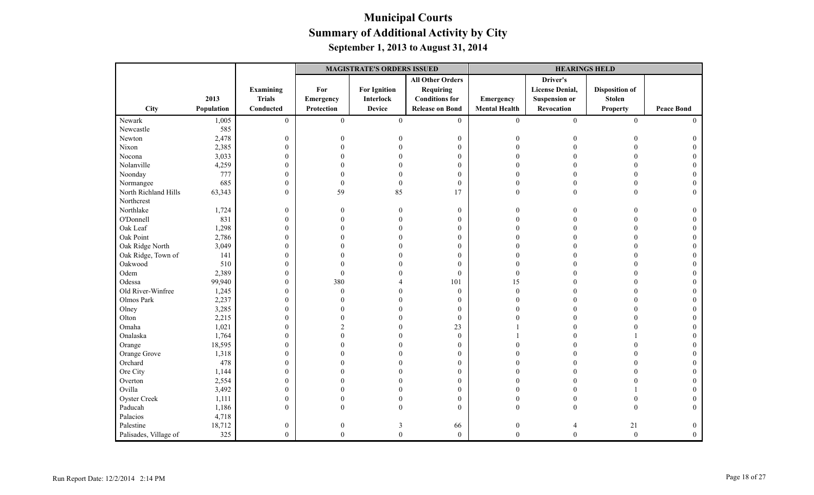|                       |            |                  |                  | <b>MAGISTRATE'S ORDERS ISSUED</b> |                         | <b>HEARINGS HELD</b> |                        |                       |                   |  |
|-----------------------|------------|------------------|------------------|-----------------------------------|-------------------------|----------------------|------------------------|-----------------------|-------------------|--|
|                       |            |                  |                  |                                   | <b>All Other Orders</b> |                      | Driver's               |                       |                   |  |
|                       |            | Examining        | For              | <b>For Ignition</b>               | Requiring               |                      | <b>License Denial,</b> | <b>Disposition of</b> |                   |  |
|                       | 2013       | <b>Trials</b>    | <b>Emergency</b> | <b>Interlock</b>                  | <b>Conditions for</b>   | Emergency            | <b>Suspension or</b>   | <b>Stolen</b>         |                   |  |
| City                  | Population | Conducted        | Protection       | <b>Device</b>                     | <b>Release on Bond</b>  | <b>Mental Health</b> | Revocation             | <b>Property</b>       | <b>Peace Bond</b> |  |
| Newark                | 1,005      | $\overline{0}$   | $\mathbf{0}$     | $\mathbf{0}$                      | $\mathbf{0}$            | $\overline{0}$       | $\overline{0}$         | $\boldsymbol{0}$      | $\Omega$          |  |
| Newcastle             | 585        |                  |                  |                                   |                         |                      |                        |                       |                   |  |
| Newton                | 2,478      | $\boldsymbol{0}$ | $\overline{0}$   |                                   | $\boldsymbol{0}$        | $\overline{0}$       |                        |                       |                   |  |
| Nixon                 | 2,385      | $\boldsymbol{0}$ | $\Omega$         |                                   | $\mathbf{0}$            | $\Omega$             |                        |                       |                   |  |
| Nocona                | 3,033      | $\boldsymbol{0}$ |                  |                                   | $\mathbf{0}$            | $\Omega$             |                        | $\Omega$              |                   |  |
| Nolanville            | 4,259      | $\boldsymbol{0}$ |                  |                                   | $\boldsymbol{0}$        |                      |                        |                       |                   |  |
| Noonday               | 777        | $\boldsymbol{0}$ |                  |                                   | $\mathbf{0}$            | $\Omega$             |                        |                       |                   |  |
| Normangee             | 685        | $\boldsymbol{0}$ | $\theta$         | $\theta$                          | $\boldsymbol{0}$        | $\theta$             |                        |                       |                   |  |
| North Richland Hills  | 63,343     | $\mathbf{0}$     | 59               | 85                                | 17                      | $\Omega$             | $\theta$               | $\Omega$              | $\Omega$          |  |
| Northcrest            |            |                  |                  |                                   |                         |                      |                        |                       |                   |  |
| Northlake             | 1,724      | $\boldsymbol{0}$ | 0                | $\Omega$                          | $\boldsymbol{0}$        | $\Omega$             |                        |                       | 0                 |  |
| O'Donnell             | 831        | $\boldsymbol{0}$ | $\Omega$         |                                   | $\mathbf{0}$            | $\Omega$             |                        |                       | $\Omega$          |  |
| Oak Leaf              | 1,298      | $\boldsymbol{0}$ |                  |                                   | $\boldsymbol{0}$        |                      |                        |                       |                   |  |
| Oak Point             | 2,786      | $\boldsymbol{0}$ |                  |                                   | $\mathbf{0}$            |                      |                        |                       |                   |  |
| Oak Ridge North       | 3,049      | $\boldsymbol{0}$ |                  |                                   | $\theta$                | $\Omega$             |                        |                       |                   |  |
| Oak Ridge, Town of    | 141        | $\boldsymbol{0}$ |                  |                                   | $\mathbf{0}$            | $\Omega$             |                        |                       |                   |  |
| Oakwood               | 510        | $\boldsymbol{0}$ | U                |                                   | $\mathbf{0}$            | $\Omega$             |                        |                       |                   |  |
| Odem                  | 2,389      | $\boldsymbol{0}$ | $\Omega$         |                                   | $\mathbf{0}$            | $\overline{0}$       |                        |                       |                   |  |
| Odessa                | 99,940     | $\mathbf{0}$     | 380              |                                   | 101                     | 15                   |                        |                       |                   |  |
| Old River-Winfree     | 1,245      | $\boldsymbol{0}$ | $\theta$         |                                   | $\mathbf{0}$            | $\theta$             |                        |                       |                   |  |
| Olmos Park            | 2,237      | $\boldsymbol{0}$ | 0                |                                   | $\boldsymbol{0}$        | $\Omega$             |                        |                       |                   |  |
| Olney                 | 3,285      | $\boldsymbol{0}$ |                  |                                   | $\mathbf{0}$            | $\Omega$             |                        | $\Omega$              |                   |  |
| Olton                 | 2,215      | $\boldsymbol{0}$ |                  |                                   | $\theta$                |                      |                        |                       |                   |  |
| Omaha                 | 1,021      | $\boldsymbol{0}$ | $\mathfrak{D}$   |                                   | 23                      |                      |                        |                       |                   |  |
| Onalaska              | 1,764      | $\boldsymbol{0}$ | 0                |                                   | $\boldsymbol{0}$        |                      |                        |                       |                   |  |
| Orange                | 18,595     | $\boldsymbol{0}$ | 0                |                                   | $\boldsymbol{0}$        |                      |                        |                       |                   |  |
| Orange Grove          | 1,318      | $\boldsymbol{0}$ |                  |                                   | $\mathbf{0}$            | $\Omega$             |                        |                       |                   |  |
| Orchard               | 478        | $\boldsymbol{0}$ |                  |                                   | $\mathbf{0}$            |                      |                        |                       |                   |  |
| Ore City              | 1,144      | $\boldsymbol{0}$ |                  |                                   | $\mathbf{0}$            |                      |                        |                       |                   |  |
| Overton               | 2,554      | $\boldsymbol{0}$ |                  |                                   | $\mathbf{0}$            |                      |                        |                       |                   |  |
| Ovilla                | 3,492      | $\boldsymbol{0}$ |                  |                                   | $\boldsymbol{0}$        | $\Omega$             |                        |                       |                   |  |
| Oyster Creek          | 1,111      | $\boldsymbol{0}$ | $\Omega$         |                                   | $\boldsymbol{0}$        | $\Omega$             |                        |                       |                   |  |
| Paducah               | 1,186      | $\mathbf{0}$     | $\Omega$         |                                   | $\mathbf{0}$            | $\theta$             | $\Omega$               | $\Omega$              | $\Omega$          |  |
| Palacios              | 4,718      |                  |                  |                                   |                         |                      |                        |                       |                   |  |
| Palestine             | 18,712     | $\boldsymbol{0}$ | $\boldsymbol{0}$ | 3                                 | 66                      | $\boldsymbol{0}$     |                        | 21                    | $\mathbf{0}$      |  |
| Palisades, Village of | 325        | $\mathbf{0}$     | $\theta$         | $\overline{0}$                    | $\boldsymbol{0}$        | $\theta$             | $\theta$               | $\boldsymbol{0}$      | $\theta$          |  |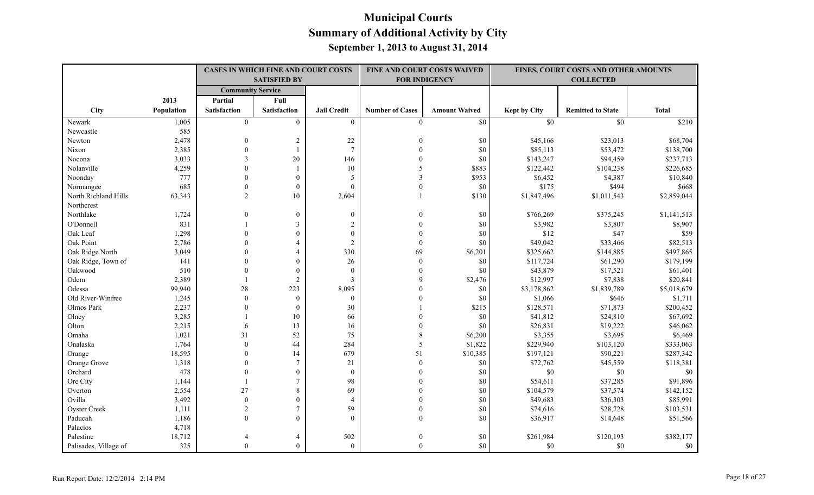|                       |            | <b>CASES IN WHICH FINE AND COURT COSTS</b><br><b>SATISFIED BY</b> |                     |                    | <b>FINE AND COURT COSTS WAIVED</b><br><b>FOR INDIGENCY</b> |                      | FINES, COURT COSTS AND OTHER AMOUNTS<br><b>COLLECTED</b> |                          |              |
|-----------------------|------------|-------------------------------------------------------------------|---------------------|--------------------|------------------------------------------------------------|----------------------|----------------------------------------------------------|--------------------------|--------------|
|                       |            |                                                                   |                     |                    |                                                            |                      |                                                          |                          |              |
|                       |            | <b>Community Service</b>                                          |                     |                    |                                                            |                      |                                                          |                          |              |
|                       | 2013       | Partial                                                           | Full                |                    |                                                            |                      |                                                          |                          |              |
| City                  | Population | <b>Satisfaction</b>                                               | <b>Satisfaction</b> | <b>Jail Credit</b> | <b>Number of Cases</b>                                     | <b>Amount Waived</b> | Kept by City                                             | <b>Remitted to State</b> | <b>Total</b> |
| Newark                | 1,005      | $\theta$                                                          | $\theta$            | $\theta$           | $\theta$                                                   | \$0                  | \$0                                                      | \$0                      | \$210        |
| Newcastle             | 585        |                                                                   |                     |                    |                                                            |                      |                                                          |                          |              |
| Newton                | 2,478      | $\mathbf{0}$                                                      | $\overline{c}$      | $22\,$             | $\Omega$                                                   | \$0                  | \$45,166                                                 | \$23,013                 | \$68,704     |
| Nixon                 | 2,385      | $\theta$                                                          |                     | $\tau$             |                                                            | \$0                  | \$85,113                                                 | \$53,472                 | \$138,700    |
| Nocona                | 3,033      | 3                                                                 | 20                  | 146                |                                                            | $\$0$                | \$143,247                                                | \$94,459                 | \$237,713    |
| Nolanville            | 4,259      | $\theta$                                                          |                     | $10\,$             | 5                                                          | \$883                | \$122,442                                                | \$104,238                | \$226,685    |
| Noonday               | 777        | $\theta$                                                          | $\mathbf{0}$        | 5                  | $\mathcal{E}$                                              | \$953                | \$6,452                                                  | \$4,387                  | \$10,840     |
| Normangee             | 685        | $\theta$                                                          | $\mathbf{0}$        | $\mathbf{0}$       | $\Omega$                                                   | \$0                  | \$175                                                    | \$494                    | \$668        |
| North Richland Hills  | 63,343     | 2                                                                 | 10                  | 2,604              |                                                            | \$130                | \$1,847,496                                              | \$1,011,543              | \$2,859,044  |
| Northcrest            |            |                                                                   |                     |                    |                                                            |                      |                                                          |                          |              |
| Northlake             | 1,724      | $\theta$                                                          | $\mathbf{0}$        | $\mathbf{0}$       | $\Omega$                                                   | \$0                  | \$766,269                                                | \$375,245                | \$1,141,513  |
| O'Donnell             | 831        |                                                                   | $\mathfrak{Z}$      | $\overline{c}$     | $\Omega$                                                   | \$0                  | \$3,982                                                  | \$3,807                  | \$8,907      |
| Oak Leaf              | 1,298      | $\theta$                                                          | $\mathbf{0}$        | $\mathbf{0}$       | $\Omega$                                                   | \$0                  | \$12                                                     | \$47                     | \$59         |
| Oak Point             | 2,786      | $\theta$                                                          | $\overline{4}$      | $\overline{2}$     | $\mathbf{0}$                                               | \$0                  | \$49,042                                                 | \$33,466                 | \$82,513     |
| Oak Ridge North       | 3,049      |                                                                   | $\overline{4}$      | 330                | 69                                                         | \$6,201              | \$325,662                                                | \$144,885                | \$497,865    |
| Oak Ridge, Town of    | 141        | $\Omega$                                                          | $\mathbf{0}$        | 26                 | $\mathbf{0}$                                               | \$0                  | \$117,724                                                | \$61,290                 | \$179,199    |
| Oakwood               | 510        | $\Omega$                                                          | $\theta$            | $\theta$           | $\theta$                                                   | \$0                  | \$43,879                                                 | \$17,521                 | \$61,401     |
| Odem                  | 2,389      |                                                                   | $\overline{2}$      | 3                  | $\mathbf Q$                                                | \$2,476              | \$12,997                                                 | \$7,838                  | \$20,841     |
| Odessa                | 99,940     | 28                                                                | 223                 | 8,095              |                                                            | \$0                  | \$3,178,862                                              | \$1,839,789              | \$5,018,679  |
| Old River-Winfree     | 1,245      | $\Omega$                                                          | $\mathbf{0}$        | $\theta$           |                                                            | \$0                  | \$1,066                                                  | \$646                    | \$1,711      |
| Olmos Park            | 2,237      | $\Omega$                                                          | $\theta$            | 30                 |                                                            | \$215                | \$128,571                                                | \$71,873                 | \$200,452    |
| Olney                 | 3,285      |                                                                   | 10                  | 66                 | $\Omega$                                                   | \$0                  | \$41,812                                                 | \$24,810                 | \$67,692     |
| Olton                 | 2,215      | 6                                                                 | 13                  | 16                 |                                                            | \$0                  | \$26,831                                                 | \$19,222                 | \$46,062     |
| Omaha                 | 1,021      | 31                                                                | 52                  | 75                 |                                                            | \$6,200              | \$3,355                                                  | \$3,695                  | \$6,469      |
| Onalaska              | 1,764      | $\theta$                                                          | 44                  | 284                | 5                                                          | \$1,822              | \$229,940                                                | \$103,120                | \$333,063    |
| Orange                | 18,595     | $\Omega$                                                          | 14                  | 679                | 51                                                         | \$10,385             | \$197,121                                                | \$90,221                 | \$287,342    |
| Orange Grove          | 1,318      | $\Omega$                                                          | $\tau$              | 21                 | $\mathbf{0}$                                               | \$0                  | \$72,762                                                 | \$45,559                 | \$118,381    |
| Orchard               | 478        | $\theta$                                                          | $\boldsymbol{0}$    | $\mathbf{0}$       | $\theta$                                                   | \$0                  | \$0                                                      | \$0                      | \$0          |
| Ore City              | 1,144      |                                                                   | $\tau$              | 98                 |                                                            | \$0                  | \$54,611                                                 | \$37,285                 | \$91,896     |
| Overton               | 2,554      | 27                                                                | 8                   | 69                 | $\Omega$                                                   | \$0                  | \$104,579                                                | \$37,574                 | \$142,152    |
| Ovilla                | 3,492      | $\theta$                                                          | $\theta$            | $\overline{4}$     | $\Omega$                                                   | \$0                  | \$49,683                                                 | \$36,303                 | \$85,991     |
| <b>Oyster Creek</b>   | 1,111      | $\overline{2}$                                                    | $\overline{7}$      | 59                 | $\theta$                                                   | \$0                  | \$74,616                                                 | \$28,728                 | \$103,531    |
| Paducah               | 1,186      | $\theta$                                                          | $\theta$            | $\theta$           | $\theta$                                                   | \$0                  | \$36,917                                                 | \$14,648                 | \$51,566     |
| Palacios              | 4,718      |                                                                   |                     |                    |                                                            |                      |                                                          |                          |              |
| Palestine             | 18,712     |                                                                   | $\overline{4}$      | 502                | $\Omega$                                                   | \$0                  | \$261,984                                                | \$120,193                | \$382,177    |
| Palisades, Village of | 325        | $\Omega$                                                          | $\theta$            | $\theta$           | $\theta$                                                   | \$0                  | \$0                                                      | \$0                      | \$0          |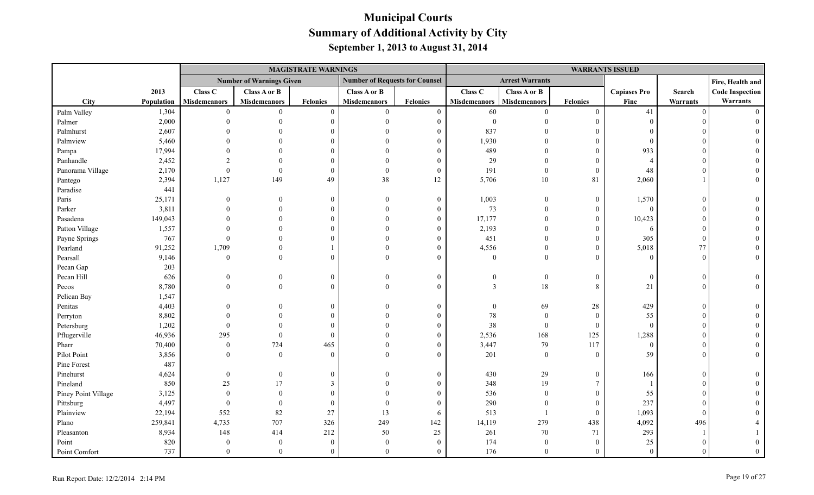|                     |            |                     |                                 | <b>MAGISTRATE WARNINGS</b> |                                       |                  | <b>WARRANTS ISSUED</b> |                        |                  |                     |          |                        |
|---------------------|------------|---------------------|---------------------------------|----------------------------|---------------------------------------|------------------|------------------------|------------------------|------------------|---------------------|----------|------------------------|
|                     |            |                     | <b>Number of Warnings Given</b> |                            | <b>Number of Requests for Counsel</b> |                  |                        | <b>Arrest Warrants</b> |                  |                     |          | Fire, Health and       |
|                     | 2013       | Class C             | Class A or B                    |                            | Class A or B                          |                  | Class C                | Class A or B           |                  | <b>Capiases Pro</b> | Search   | <b>Code Inspection</b> |
| City                | Population | <b>Misdemeanors</b> | <b>Misdemeanors</b>             | Felonies                   | <b>Misdemeanors</b>                   | Felonies         | <b>Misdemeanors</b>    | <b>Misdemeanors</b>    | <b>Felonies</b>  | Fine                | Warrants | Warrants               |
| Palm Valley         | 1,304      | $\theta$            | $\Omega$                        | $\theta$                   | $\Omega$                              | $\boldsymbol{0}$ | 60                     | $\Omega$               | $\boldsymbol{0}$ | 41                  | $\Omega$ | $\Omega$               |
| Palmer              | 2,000      |                     |                                 | $\theta$                   | $\Omega$                              | $\overline{0}$   | $\mathbf{0}$           |                        | $\theta$         | $\Omega$            |          |                        |
| Palmhurst           | 2,607      |                     |                                 | $\Omega$                   |                                       | $\theta$         | 837                    |                        | $\overline{0}$   |                     |          |                        |
| Palmview            | 5,460      |                     |                                 | $\Omega$                   |                                       | $\Omega$         | 1,930                  |                        | $\boldsymbol{0}$ | $\Omega$            |          |                        |
| Pampa               | 17,994     |                     |                                 | $\Omega$                   |                                       | $\Omega$         | 489                    |                        | $\theta$         | 933                 |          |                        |
| Panhandle           | 2,452      |                     |                                 | $\Omega$                   |                                       | $\overline{0}$   | 29                     |                        | $\overline{0}$   | $\Delta$            |          |                        |
| Panorama Village    | 2,170      |                     |                                 | $\mathbf{0}$               | $\Omega$                              | $\boldsymbol{0}$ | 191                    | $\theta$               | $\theta$         | 48                  |          |                        |
| Pantego             | 2,394      | 1,127               | 149                             | 49                         | 38                                    | 12               | 5,706                  | 10                     | 81               | 2,060               |          |                        |
| Paradise            | 441        |                     |                                 |                            |                                       |                  |                        |                        |                  |                     |          |                        |
| Paris               | 25,171     |                     |                                 | $\overline{0}$             |                                       | $\boldsymbol{0}$ | 1,003                  | $\overline{0}$         | $\boldsymbol{0}$ | 1,570               | $\Omega$ |                        |
| Parker              | 3,811      |                     |                                 | $\overline{0}$             |                                       | $\boldsymbol{0}$ | 73                     | $\overline{0}$         | $\boldsymbol{0}$ | $\mathbf{0}$        |          |                        |
| Pasadena            | 149,043    |                     |                                 | $\Omega$                   |                                       | $\Omega$         | 17,177                 | $\Omega$               | $\overline{0}$   | 10,423              |          |                        |
| Patton Village      | 1,557      |                     |                                 | $\Omega$                   |                                       | $\Omega$         | 2,193                  | $\Omega$               | $\overline{0}$   | 6                   |          |                        |
| Payne Springs       | 767        | $\Omega$            |                                 | $\Omega$                   |                                       | $\Omega$         | 451                    | $\Omega$               | $\overline{0}$   | 305                 |          |                        |
| Pearland            | 91,252     | 1,709               |                                 |                            |                                       | $\Omega$         | 4,556                  | $\theta$               | $\boldsymbol{0}$ | 5,018               | 77       |                        |
| Pearsall            | 9,146      | $\overline{0}$      |                                 | $\theta$                   |                                       | $\Omega$         | $\mathbf{0}$           | $\theta$               | $\theta$         | $\theta$            | $\Omega$ |                        |
| Pecan Gap           | 203        |                     |                                 |                            |                                       |                  |                        |                        |                  |                     |          |                        |
| Pecan Hill          | 626        |                     |                                 | $\Omega$                   |                                       | $\mathbf{0}$     |                        | $\mathbf{0}$           | $\boldsymbol{0}$ | $\Omega$            | $\Omega$ |                        |
| Pecos               | 8,780      |                     |                                 | $\theta$                   |                                       | $\Omega$         |                        | $18\,$                 | 8                | 21                  | $\Omega$ |                        |
| Pelican Bay         | 1,547      |                     |                                 |                            |                                       |                  |                        |                        |                  |                     |          |                        |
| Penitas             | 4,403      |                     |                                 | $\mathbf{0}$               |                                       | $\mathbf{0}$     |                        | 69                     | 28               | 429                 |          |                        |
| Perryton            | 8,802      |                     |                                 | $\Omega$                   |                                       | $\theta$         | $78\,$                 | $\theta$               | $\mathbf{0}$     | 55                  |          |                        |
| Petersburg          | 1,202      |                     |                                 | $\Omega$                   |                                       | $\theta$         | 38                     | $\overline{0}$         | $\mathbf{0}$     | $\theta$            |          |                        |
| Pflugerville        | 46,936     | 295                 | $\theta$                        | $\theta$                   |                                       | $\theta$         | 2,536                  | 168                    | 125              | 1,288               |          |                        |
| Pharr               | 70,400     | $\overline{0}$      | 724                             | 465                        |                                       | $\overline{0}$   | 3,447                  | 79                     | 117              | $\overline{0}$      |          |                        |
| Pilot Point         | 3,856      | $\theta$            | $\theta$                        | $\theta$                   |                                       | $\Omega$         | 201                    | $\theta$               | $\theta$         | 59                  |          |                        |
| Pine Forest         | 487        |                     |                                 |                            |                                       |                  |                        |                        |                  |                     |          |                        |
| Pinehurst           | 4,624      | $\theta$            | $\mathbf{0}$                    | $\theta$                   |                                       | $\overline{0}$   | 430                    | 29                     | $\boldsymbol{0}$ | 166                 |          |                        |
| Pineland            | 850        | $25\,$              | 17                              | 3                          |                                       | $\Omega$         | 348                    | 19                     | $\tau$           |                     |          |                        |
| Piney Point Village | 3,125      | $\theta$            | $\Omega$                        | $\Omega$                   |                                       | $\Omega$         | 536                    | $\theta$               | $\mathbf{0}$     | 55                  |          |                        |
| Pittsburg           | 4,497      | $\mathbf{0}$        | $\theta$                        | $\mathbf{0}$               |                                       | $\overline{0}$   | 290                    | $\theta$               | $\theta$         | 237                 |          |                        |
| Plainview           | 22,194     | 552                 | $82\,$                          | $27\,$                     | 13                                    | 6                | 513                    | $\overline{1}$         | $\theta$         | 1,093               | $\Omega$ |                        |
| Plano               | 259,841    | 4,735               | 707                             | 326                        | 249                                   | 142              | 14,119                 | 279                    | 438              | 4,092               | 496      |                        |
| Pleasanton          | 8,934      | 148                 | 414                             | 212                        | 50                                    | 25               | 261                    | 70                     | 71               | 293                 |          |                        |
| Point               | 820        | $\bf{0}$            | $\theta$                        | $\mathbf{0}$               | $\Omega$                              | $\overline{0}$   | 174                    | $\mathbf{0}$           | $\mathbf{0}$     | 25                  |          |                        |
| Point Comfort       | 737        | $\mathbf{0}$        | $\Omega$                        | $\theta$                   | $\Omega$                              | $\overline{0}$   | 176                    | $\overline{0}$         | $\theta$         | $\Omega$            |          |                        |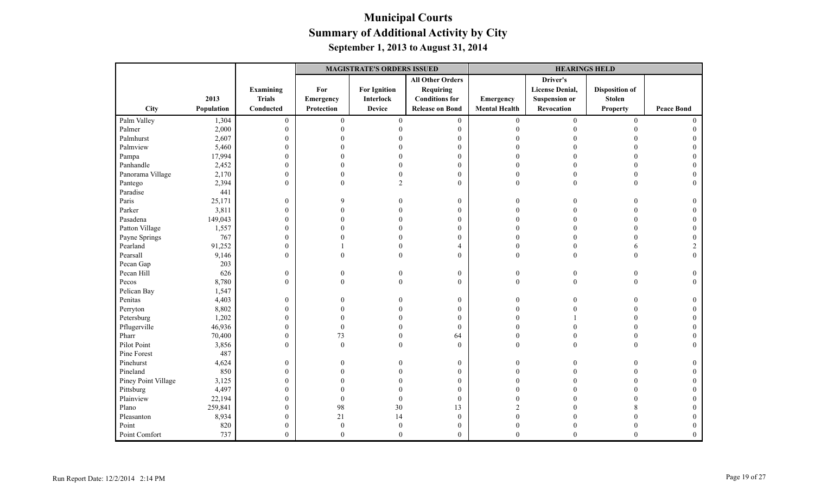|                     |            |                  | <b>MAGISTRATE'S ORDERS ISSUED</b> |                     |                         | <b>HEARINGS HELD</b> |                        |                       |                   |
|---------------------|------------|------------------|-----------------------------------|---------------------|-------------------------|----------------------|------------------------|-----------------------|-------------------|
|                     |            |                  |                                   |                     | <b>All Other Orders</b> |                      | Driver's               |                       |                   |
|                     |            | Examining        | For                               | <b>For Ignition</b> | Requiring               |                      | <b>License Denial,</b> | <b>Disposition of</b> |                   |
|                     | 2013       | <b>Trials</b>    | <b>Emergency</b>                  | <b>Interlock</b>    | <b>Conditions for</b>   | Emergency            | <b>Suspension or</b>   | <b>Stolen</b>         |                   |
| City                | Population | Conducted        | Protection                        | <b>Device</b>       | <b>Release on Bond</b>  | <b>Mental Health</b> | Revocation             | <b>Property</b>       | <b>Peace Bond</b> |
| Palm Valley         | 1,304      | $\mathbf{0}$     | $\boldsymbol{0}$                  | $\mathbf{0}$        | $\boldsymbol{0}$        | $\mathbf{0}$         | $\boldsymbol{0}$       | $\overline{0}$        | $\Omega$          |
| Palmer              | 2,000      | $\mathbf{0}$     | $\Omega$                          |                     | $\mathbf{0}$            | $\Omega$             |                        | $\Omega$              |                   |
| Palmhurst           | 2,607      | $\mathbf{0}$     | 0                                 |                     | $\boldsymbol{0}$        |                      |                        |                       |                   |
| Palmview            | 5,460      | $\boldsymbol{0}$ |                                   |                     | $\boldsymbol{0}$        |                      |                        |                       |                   |
| Pampa               | 17,994     | $\boldsymbol{0}$ | O                                 |                     | $\mathbf{0}$            | $\Omega$             |                        | $\Omega$              |                   |
| Panhandle           | 2,452      | $\boldsymbol{0}$ |                                   |                     | $\mathbf{0}$            | $\Omega$             |                        | $\Omega$              |                   |
| Panorama Village    | 2,170      | $\boldsymbol{0}$ | $\Omega$                          |                     | $\boldsymbol{0}$        | $\theta$             |                        | $\theta$              |                   |
| Pantego             | 2,394      | $\boldsymbol{0}$ | $\theta$                          |                     | $\mathbf{0}$            | $\mathbf{0}$         | $\Omega$               |                       | $\theta$          |
| Paradise            | 441        |                  |                                   |                     |                         |                      |                        |                       |                   |
| Paris               | 25,171     | $\mathbf{0}$     | q                                 |                     | $\mathbf{0}$            | $\Omega$             |                        |                       | 0                 |
| Parker              | 3,811      | $\boldsymbol{0}$ | $\Omega$                          |                     | $\mathbf{0}$            | $\Omega$             |                        |                       |                   |
| Pasadena            | 149,043    | $\boldsymbol{0}$ | 0                                 |                     | $\mathbf{0}$            |                      |                        |                       |                   |
| Patton Village      | 1,557      | $\boldsymbol{0}$ |                                   |                     | $\mathbf{0}$            |                      |                        |                       |                   |
| Payne Springs       | 767        | $\boldsymbol{0}$ | O                                 |                     | $\mathbf{0}$            | $\Omega$             |                        | $\Omega$              | $\Omega$          |
| Pearland            | 91,252     | $\boldsymbol{0}$ |                                   |                     | $\overline{4}$          | $\theta$             |                        | 6                     |                   |
| Pearsall            | 9,146      | $\boldsymbol{0}$ | 0                                 | $\Omega$            | $\mathbf{0}$            | $\mathbf{0}$         | $\theta$               | $\theta$              | $\overline{0}$    |
| Pecan Gap           | 203        |                  |                                   |                     |                         |                      |                        |                       |                   |
| Pecan Hill          | 626        | $\boldsymbol{0}$ | 0                                 | $\Omega$            | $\boldsymbol{0}$        | $\boldsymbol{0}$     | $\mathbf{0}$           | $\theta$              | $\theta$          |
| Pecos               | 8,780      | $\mathbf{0}$     | $\theta$                          | $\theta$            | $\mathbf{0}$            | $\mathbf{0}$         | $\theta$               | $\theta$              | $\Omega$          |
| Pelican Bay         | 1,547      |                  |                                   |                     |                         |                      |                        |                       |                   |
| Penitas             | 4,403      | $\boldsymbol{0}$ | 0                                 |                     | $\boldsymbol{0}$        | $\Omega$             |                        |                       | 0                 |
| Perryton            | 8,802      | $\boldsymbol{0}$ | $\Omega$                          |                     | $\mathbf{0}$            | $\Omega$             |                        |                       | $\Omega$          |
| Petersburg          | 1,202      | $\boldsymbol{0}$ |                                   |                     | $\mathbf{0}$            | $\Omega$             |                        | $\Omega$              |                   |
| Pflugerville        | 46,936     | $\boldsymbol{0}$ | $\Omega$                          |                     | $\theta$                | $\Omega$             |                        | $\Omega$              |                   |
| Pharr               | 70,400     | $\boldsymbol{0}$ | 73                                |                     | 64                      | $\Omega$             |                        |                       |                   |
| Pilot Point         | 3,856      | $\mathbf{0}$     | $\theta$                          | $\Omega$            | $\theta$                | $\mathbf{0}$         | $\Omega$               |                       | $\Omega$          |
| Pine Forest         | 487        |                  |                                   |                     |                         |                      |                        |                       |                   |
| Pinehurst           | 4,624      | $\boldsymbol{0}$ | 0                                 |                     | $\boldsymbol{0}$        | $\theta$             |                        |                       | 0                 |
| Pineland            | 850        | $\boldsymbol{0}$ | $\Omega$                          |                     | $\mathbf{0}$            | $\Omega$             |                        |                       |                   |
| Piney Point Village | 3,125      | $\boldsymbol{0}$ |                                   |                     | $\mathbf{0}$            |                      |                        |                       |                   |
| Pittsburg           | 4,497      | $\boldsymbol{0}$ |                                   |                     | $\mathbf{0}$            |                      |                        |                       |                   |
| Plainview           | 22,194     | $\boldsymbol{0}$ | $\Omega$                          | $\mathbf{0}$        | $\mathbf{0}$            | $\Omega$             |                        |                       |                   |
| Plano               | 259,841    | $\boldsymbol{0}$ | 98                                | 30                  | 13                      | $\mathcal{D}$        |                        |                       |                   |
| Pleasanton          | 8,934      | $\mathbf{0}$     | 21                                | 14                  | $\mathbf{0}$            | $\Omega$             |                        |                       |                   |
| Point               | 820        | $\mathbf{0}$     | $\mathbf{0}$                      | $\mathbf{0}$        | $\boldsymbol{0}$        | $\overline{0}$       |                        |                       |                   |
| Point Comfort       | 737        | $\mathbf{0}$     | $\theta$                          | $\mathbf{0}$        | $\mathbf{0}$            | $\theta$             | $\theta$               | $\theta$              | $\Omega$          |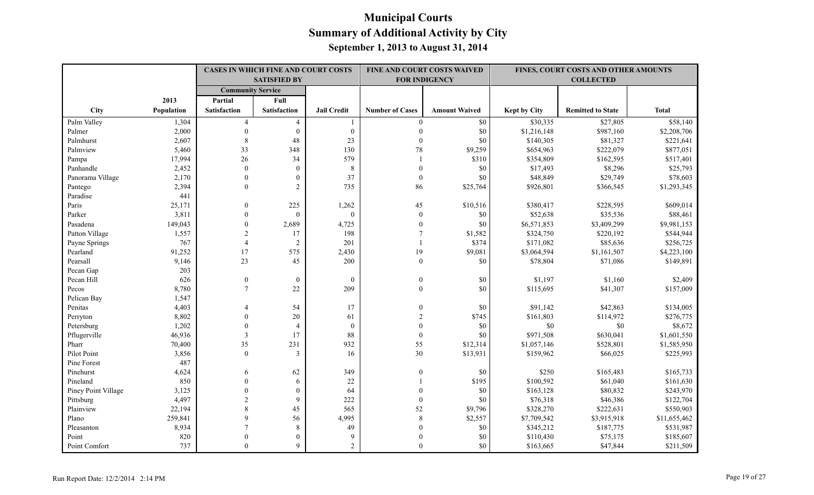|                     |            | <b>CASES IN WHICH FINE AND COURT COSTS</b> |                     |                    |                        | FINE AND COURT COSTS WAIVED |              | FINES, COURT COSTS AND OTHER AMOUNTS |              |
|---------------------|------------|--------------------------------------------|---------------------|--------------------|------------------------|-----------------------------|--------------|--------------------------------------|--------------|
|                     |            |                                            | <b>SATISFIED BY</b> |                    |                        | <b>FOR INDIGENCY</b>        |              | <b>COLLECTED</b>                     |              |
|                     |            | <b>Community Service</b>                   |                     |                    |                        |                             |              |                                      |              |
|                     | 2013       | Partial                                    | Full                |                    |                        |                             |              |                                      |              |
| City                | Population | <b>Satisfaction</b>                        | <b>Satisfaction</b> | <b>Jail Credit</b> | <b>Number of Cases</b> | <b>Amount Waived</b>        | Kept by City | <b>Remitted to State</b>             | <b>Total</b> |
| Palm Valley         | 1,304      | $\overline{4}$                             | $\overline{4}$      | 1                  | $\overline{0}$         | \$0                         | \$30,335     | \$27,805                             | \$58,140     |
| Palmer              | 2,000      | $\Omega$                                   | $\mathbf{0}$        | $\boldsymbol{0}$   | $\Omega$               | \$0                         | \$1,216,148  | \$987,160                            | \$2,208,706  |
| Palmhurst           | 2,607      | $\,8\,$                                    | 48                  | 23                 | $\theta$               | \$0                         | \$140,305    | \$81,327                             | \$221,641    |
| Palmview            | 5,460      | 33                                         | 348                 | 130                | 78                     | \$9,259                     | \$654,963    | \$222,079                            | \$877,051    |
| Pampa               | 17,994     | 26                                         | 34                  | 579                |                        | \$310                       | \$354,809    | \$162,595                            | \$517,401    |
| Panhandle           | 2,452      | $\theta$                                   | $\theta$            | $\,8\,$            | $\theta$               | \$0                         | \$17,493     | \$8,296                              | \$25,793     |
| Panorama Village    | 2,170      | $\theta$                                   | $\boldsymbol{0}$    | 37                 | $\boldsymbol{0}$       | \$0                         | \$48,849     | \$29,749                             | \$78,603     |
| Pantego             | 2,394      | $\Omega$                                   | $\overline{2}$      | 735                | 86                     | \$25,764                    | \$926,801    | \$366,545                            | \$1,293,345  |
| Paradise            | 441        |                                            |                     |                    |                        |                             |              |                                      |              |
| Paris               | 25,171     | $\mathbf{0}$                               | 225                 | 1,262              | 45                     | \$10,516                    | \$380,417    | \$228,595                            | \$609,014    |
| Parker              | 3,811      | $\theta$                                   | $\Omega$            | $\mathbf{0}$       | $\mathbf{0}$           | \$0                         | \$52,638     | \$35,536                             | \$88,461     |
| Pasadena            | 149,043    | $\theta$                                   | 2,689               | 4,725              | $\mathbf{0}$           | \$0                         | \$6,571,853  | \$3,409,299                          | \$9,981,153  |
| Patton Village      | 1,557      | $\overline{2}$                             | 17                  | 198                |                        | \$1,582                     | \$324,750    | \$220,192                            | \$544,944    |
| Payne Springs       | 767        | $\overline{4}$                             | 2                   | 201                | $\mathbf{1}$           | \$374                       | \$171,082    | \$85,636                             | \$256,725    |
| Pearland            | 91,252     | 17                                         | 575                 | 2,430              | 19                     | \$9,081                     | \$3,064,594  | \$1,161,507                          | \$4,223,100  |
| Pearsall            | 9,146      | 23                                         | 45                  | 200                | $\boldsymbol{0}$       | \$0                         | \$78,804     | \$71,086                             | \$149,891    |
| Pecan Gap           | 203        |                                            |                     |                    |                        |                             |              |                                      |              |
| Pecan Hill          | 626        | $\mathbf{0}$                               | $\theta$            | $\theta$           | $\mathbf{0}$           | \$0                         | \$1,197      | \$1,160                              | \$2,409      |
| Pecos               | 8,780      | $\tau$                                     | 22                  | 209                | $\theta$               | \$0                         | \$115,695    | \$41,307                             | \$157,009    |
| Pelican Bay         | 1,547      |                                            |                     |                    |                        |                             |              |                                      |              |
| Penitas             | 4,403      | 4                                          | 54                  | 17                 | $\theta$               | \$0                         | \$91,142     | \$42,863                             | \$134,005    |
| Perryton            | 8,802      | $\theta$                                   | 20                  | 61                 |                        | \$745                       | \$161,803    | \$114,972                            | \$276,775    |
| Petersburg          | 1,202      | $\theta$                                   | $\overline{4}$      | $\boldsymbol{0}$   | $\theta$               | \$0                         | \$0          | \$0                                  | \$8,672      |
| Pflugerville        | 46,936     | $\mathfrak{Z}$                             | 17                  | 88                 | $\overline{0}$         | \$0                         | \$971,508    | \$630,041                            | \$1,601,550  |
| Pharr               | 70,400     | 35                                         | 231                 | 932                | 55                     | \$12,314                    | \$1,057,146  | \$528,801                            | \$1,585,950  |
| Pilot Point         | 3,856      | $\theta$                                   | 3                   | 16                 | 30                     | \$13,931                    | \$159,962    | \$66,025                             | \$225,993    |
| Pine Forest         | 487        |                                            |                     |                    |                        |                             |              |                                      |              |
| Pinehurst           | 4,624      | 6                                          | 62                  | 349                | $\theta$               | \$0                         | \$250        | \$165,483                            | \$165,733    |
| Pineland            | 850        | $\theta$                                   | 6                   | $22\,$             |                        | \$195                       | \$100,592    | \$61,040                             | \$161,630    |
| Piney Point Village | 3,125      | $\theta$                                   | $\mathbf{0}$        | 64                 | $\theta$               | \$0                         | \$163,128    | \$80,832                             | \$243,970    |
| Pittsburg           | 4,497      | $\overline{2}$                             | $\mathbf Q$         | 222                | $\mathbf{0}$           | \$0                         | \$76,318     | \$46,386                             | \$122,704    |
| Plainview           | 22,194     | 8                                          | 45                  | 565                | 52                     | \$9,796                     | \$328,270    | \$222,631                            | \$550,903    |
| Plano               | 259,841    | 9                                          | 56                  | 4,995              | 8                      | \$2,557                     | \$7,709,542  | \$3,915,918                          | \$11,655,462 |
| Pleasanton          | 8,934      | $\overline{7}$                             | $\,8\,$             | 49                 | $\theta$               | \$0                         | \$345,212    | \$187,775                            | \$531,987    |
| Point               | 820        | $\Omega$                                   | $\theta$            | 9                  |                        | \$0                         | \$110,430    | \$75,175                             | \$185,607    |
| Point Comfort       | 737        | $\Omega$                                   | $\mathbf{Q}$        | $\overline{2}$     | $\Omega$               | \$0                         | \$163,665    | \$47,844                             | \$211,509    |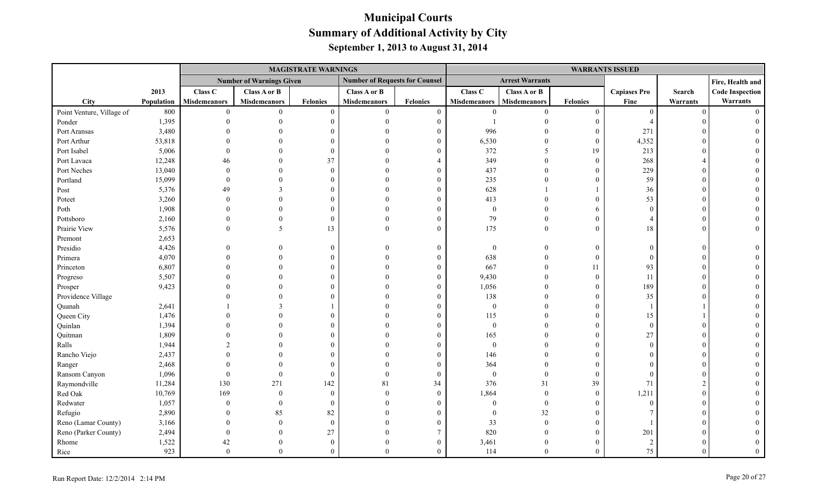|                           |            |                     |                                 | <b>MAGISTRATE WARNINGS</b> |                                       |                 |                     |                        |                  | <b>WARRANTS ISSUED</b> |          |                        |
|---------------------------|------------|---------------------|---------------------------------|----------------------------|---------------------------------------|-----------------|---------------------|------------------------|------------------|------------------------|----------|------------------------|
|                           |            |                     | <b>Number of Warnings Given</b> |                            | <b>Number of Requests for Counsel</b> |                 |                     | <b>Arrest Warrants</b> |                  |                        |          | Fire, Health and       |
|                           | 2013       | Class C             | Class A or B                    |                            | Class A or B                          |                 | Class C             | Class A or B           |                  | <b>Capiases Pro</b>    | Search   | <b>Code Inspection</b> |
| <b>City</b>               | Population | <b>Misdemeanors</b> | <b>Misdemeanors</b>             | <b>Felonies</b>            | <b>Misdemeanors</b>                   | <b>Felonies</b> | <b>Misdemeanors</b> | Misdemeanors           | <b>Felonies</b>  | Fine                   | Warrants | Warrants               |
| Point Venture, Village of | 800        | $\theta$            | $\theta$                        | $\theta$                   | $\overline{0}$                        | $\overline{0}$  | $\theta$            | $\theta$               | $\boldsymbol{0}$ | $\theta$               | $\Omega$ | $\Omega$               |
| Ponder                    | 1,395      |                     |                                 | $\Omega$                   | $\Omega$                              | $\overline{0}$  |                     | $\Omega$               | $\boldsymbol{0}$ | $\overline{4}$         |          |                        |
| Port Aransas              | 3,480      |                     |                                 |                            |                                       | $\Omega$        | 996                 |                        | $\mathbf{0}$     | 271                    |          |                        |
| Port Arthur               | 53,818     |                     |                                 |                            |                                       | 0               | 6,530               | $\Omega$               | $\mathbf{0}$     | 4,352                  |          |                        |
| Port Isabel               | 5,006      |                     |                                 |                            |                                       |                 | 372                 | 5                      | 19               | 213                    |          |                        |
| Port Lavaca               | 12,248     | 46                  |                                 | 37                         |                                       |                 | 349                 | $\Omega$               | $\mathbf{0}$     | 268                    |          |                        |
| Port Neches               | 13,040     | $\Omega$            |                                 | $\Omega$                   | $\Omega$                              | 0               | 437                 | $\Omega$               | $\theta$         | 229                    |          |                        |
| Portland                  | 15,099     | $\Omega$            | $\Omega$                        | $\Omega$                   | $\Omega$                              | $\theta$        | 235                 | $\Omega$               | $\overline{0}$   | 59                     |          |                        |
| Post                      | 5,376      | 49                  | $\mathbf{3}$                    |                            | $\Omega$                              | $\Omega$        | 628                 |                        | $\mathbf{1}$     | 36                     |          |                        |
| Poteet                    | 3,260      |                     |                                 |                            |                                       | $\Omega$        | 413                 | $\theta$               | $\overline{0}$   | 53                     |          |                        |
| Poth                      | 1,908      |                     | $\Omega$                        |                            | $\Omega$                              | $\theta$        | $\boldsymbol{0}$    | $\Omega$               | 6                | $\Omega$               |          |                        |
| Pottsboro                 | 2,160      |                     | $\theta$                        | $\Omega$                   | $\Omega$                              | $\theta$        | 79                  | $\theta$               | $\theta$         | $\Delta$               |          |                        |
| Prairie View              | 5,576      | $\Omega$            | 5                               | 13                         | $\Omega$                              | $\theta$        | 175                 | $\theta$               | $\mathbf{0}$     | 18                     |          |                        |
| Premont                   | 2,653      |                     |                                 |                            |                                       |                 |                     |                        |                  |                        |          |                        |
| Presidio                  | 4,426      |                     |                                 | $\Omega$                   | $\Omega$                              | $\theta$        | $\boldsymbol{0}$    | $\overline{0}$         | $\boldsymbol{0}$ | $\Omega$               |          |                        |
| Primera                   | 4,070      |                     |                                 |                            |                                       | $\Omega$        | 638                 | $\Omega$               | $\mathbf{0}$     | $\Omega$               |          |                        |
| Princeton                 | 6,807      |                     |                                 |                            |                                       | $\theta$        | 667                 | $\theta$               | 11               | 93                     |          |                        |
| Progreso                  | 5,507      |                     |                                 |                            |                                       | $\Omega$        | 9,430               | $\Omega$               | $\mathbf{0}$     | 11                     |          |                        |
| Prosper                   | 9,423      |                     |                                 |                            |                                       | 0               | 1,056               | $\Omega$               | $\theta$         | 189                    |          |                        |
| Providence Village        |            |                     |                                 |                            | $\Omega$                              |                 | 138                 | $\Omega$               | $\overline{0}$   | 35                     |          |                        |
| Quanah                    | 2,641      |                     |                                 |                            |                                       |                 | $\boldsymbol{0}$    | $\theta$               | $\boldsymbol{0}$ |                        |          |                        |
| Queen City                | 1,476      |                     |                                 | $\Omega$                   |                                       | $\Omega$        | 115                 | $\Omega$               | $\boldsymbol{0}$ | 15                     |          |                        |
| Quinlan                   | 1,394      |                     |                                 |                            | $\Omega$                              | $\theta$        | $\mathbf{0}$        | $\Omega$               | $\mathbf{0}$     | $\Omega$               |          |                        |
| Quitman                   | 1,809      |                     |                                 |                            |                                       | $\Omega$        | 165                 | $\Omega$               | $\mathbf{0}$     | 27                     |          |                        |
| Ralls                     | 1,944      |                     |                                 |                            |                                       | 0               | $\mathbf{0}$        | $\Omega$               | $\theta$         | $\Omega$               |          |                        |
| Rancho Viejo              | 2,437      |                     |                                 |                            |                                       |                 | 146                 | $\Omega$               | $\theta$         |                        |          |                        |
| Ranger                    | 2,468      |                     |                                 |                            |                                       |                 | 364                 | $\Omega$               | $\boldsymbol{0}$ |                        |          |                        |
| Ransom Canyon             | 1,096      | $\Omega$            | $\Omega$                        | $\Omega$                   | $\Omega$                              | $\overline{0}$  | $\mathbf{0}$        | $\theta$               | $\mathbf{0}$     | $\Omega$               |          |                        |
| Raymondville              | 11,284     | 130                 | 271                             | 142                        | 81                                    | 34              | 376                 | 31                     | 39               | 71                     |          |                        |
| Red Oak                   | 10,769     | 169                 | $\theta$                        | $\Omega$                   | $\Omega$                              | $\overline{0}$  | 1,864               | $\theta$               | $\mathbf{0}$     | 1,211                  |          |                        |
| Redwater                  | 1,057      | $\theta$            | $\theta$                        | $\Omega$                   | $\Omega$                              | 0               | $\mathbf{0}$        | $\overline{0}$         | $\theta$         | $\Omega$               |          |                        |
| Refugio                   | 2,890      |                     | 85                              | 82                         | $\Omega$                              |                 | $\mathbf{0}$        | 32                     | $\overline{0}$   |                        |          |                        |
| Reno (Lamar County)       | 3,166      |                     | $\theta$                        | $\Omega$                   |                                       | $\Omega$        | 33                  | $\overline{0}$         | $\boldsymbol{0}$ |                        |          |                        |
| Reno (Parker County)      | 2,494      |                     | $\theta$                        | 27                         |                                       | 7               | 820                 | $\overline{0}$         | $\overline{0}$   | 201                    |          |                        |
| Rhome                     | 1,522      | 42                  | $\Omega$                        | $\Omega$                   | $\Omega$                              | $\theta$        | 3,461               | $\mathbf{0}$           | $\theta$         | $\overline{2}$         |          |                        |
| Rice                      | 923        | $\boldsymbol{0}$    | $\Omega$                        | $\Omega$                   | $\Omega$                              | $\Omega$        | 114                 | $\theta$               | $\theta$         | 75                     |          |                        |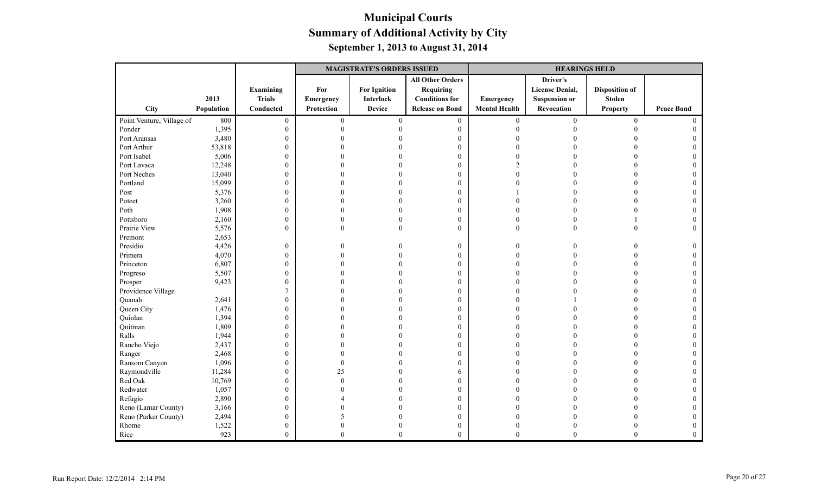|                           |            |                  | <b>MAGISTRATE'S ORDERS ISSUED</b> |                     |                         | <b>HEARINGS HELD</b> |                        |                       |                   |
|---------------------------|------------|------------------|-----------------------------------|---------------------|-------------------------|----------------------|------------------------|-----------------------|-------------------|
|                           |            |                  |                                   |                     | <b>All Other Orders</b> |                      | Driver's               |                       |                   |
|                           |            | Examining        | For                               | <b>For Ignition</b> | <b>Requiring</b>        |                      | <b>License Denial,</b> | <b>Disposition of</b> |                   |
|                           | 2013       | <b>Trials</b>    | Emergency                         | Interlock           | <b>Conditions for</b>   | Emergency            | <b>Suspension or</b>   | <b>Stolen</b>         |                   |
| City                      | Population | Conducted        | <b>Protection</b>                 | <b>Device</b>       | <b>Release on Bond</b>  | <b>Mental Health</b> | Revocation             | <b>Property</b>       | <b>Peace Bond</b> |
| Point Venture, Village of | 800        | $\boldsymbol{0}$ | $\boldsymbol{0}$                  | $\mathbf{0}$        | $\boldsymbol{0}$        | $\boldsymbol{0}$     | $\boldsymbol{0}$       | $\mathbf{0}$          | $\theta$          |
| Ponder                    | 1,395      | $\overline{0}$   | $\Omega$                          |                     | $\boldsymbol{0}$        | $\theta$             |                        | $\Omega$              |                   |
| Port Aransas              | 3,480      | $\boldsymbol{0}$ |                                   |                     | $\boldsymbol{0}$        | $\Omega$             |                        |                       |                   |
| Port Arthur               | 53,818     | $\boldsymbol{0}$ |                                   |                     | $\boldsymbol{0}$        |                      |                        |                       |                   |
| Port Isabel               | 5,006      | $\boldsymbol{0}$ |                                   |                     | $\mathbf{0}$            | $\Omega$             |                        | $\Omega$              |                   |
| Port Lavaca               | 12,248     | $\boldsymbol{0}$ |                                   |                     | $\boldsymbol{0}$        | $\mathfrak{D}$       |                        | $\Omega$              |                   |
| Port Neches               | 13,040     | $\boldsymbol{0}$ |                                   |                     | $\mathbf{0}$            | $\Omega$             |                        | $\Omega$              | $\theta$          |
| Portland                  | 15,099     | $\boldsymbol{0}$ |                                   |                     | $\boldsymbol{0}$        | $\Omega$             |                        |                       |                   |
| Post                      | 5,376      | $\boldsymbol{0}$ |                                   |                     | $\mathbf{0}$            |                      |                        | $\Omega$              |                   |
| Poteet                    | 3,260      | $\boldsymbol{0}$ |                                   |                     | $\mathbf{0}$            | $\Omega$             | $\Omega$               | $\Omega$              | $\Omega$          |
| Poth                      | 1,908      | $\boldsymbol{0}$ |                                   |                     | $\boldsymbol{0}$        | $\Omega$             |                        |                       |                   |
| Pottsboro                 | 2,160      | $\boldsymbol{0}$ | 0                                 |                     | $\boldsymbol{0}$        | $\mathbf{0}$         |                        |                       |                   |
| Prairie View              | 5,576      | $\mathbf{0}$     | $\Omega$                          |                     | $\mathbf{0}$            | $\mathbf{0}$         | $\Omega$               |                       | $\Omega$          |
| Premont                   | 2,653      |                  |                                   |                     |                         |                      |                        |                       |                   |
| Presidio                  | 4,426      | $\boldsymbol{0}$ | 0                                 |                     | $\mathbf{0}$            | $\mathbf{0}$         | 0                      | 0                     | $\Omega$          |
| Primera                   | 4,070      | $\boldsymbol{0}$ | 0                                 |                     | $\mathbf{0}$            | $\Omega$             |                        |                       | $\Omega$          |
| Princeton                 | 6,807      | $\boldsymbol{0}$ |                                   |                     | $\boldsymbol{0}$        | $\theta$             |                        |                       |                   |
| Progreso                  | 5,507      | $\boldsymbol{0}$ |                                   |                     | $\mathbf{0}$            | $\sqrt{ }$           |                        | $\Omega$              |                   |
| Prosper                   | 9,423      | $\boldsymbol{0}$ |                                   |                     | $\mathbf{0}$            | $\Omega$             |                        | $\Omega$              |                   |
| Providence Village        |            | $\boldsymbol{7}$ |                                   |                     | $\mathbf{0}$            | $\Omega$             |                        | $\Omega$              |                   |
| Quanah                    | 2,641      | $\boldsymbol{0}$ |                                   |                     | $\mathbf{0}$            | 0                    |                        |                       |                   |
| Queen City                | 1,476      | $\boldsymbol{0}$ |                                   |                     | $\boldsymbol{0}$        |                      |                        |                       |                   |
| Quinlan                   | 1,394      | $\boldsymbol{0}$ |                                   |                     | $\boldsymbol{0}$        | $\Omega$             |                        | $\Omega$              |                   |
| Quitman                   | 1,809      | $\boldsymbol{0}$ |                                   |                     | $\mathbf{0}$            | $\Omega$             |                        | $\Omega$              |                   |
| Ralls                     | 1,944      | $\boldsymbol{0}$ |                                   |                     | $\mathbf{0}$            | $\Omega$             |                        | $\Omega$              | $\theta$          |
| Rancho Viejo              | 2,437      | $\boldsymbol{0}$ |                                   |                     | $\mathbf{0}$            | $\Omega$             |                        |                       |                   |
| Ranger                    | 2,468      | $\boldsymbol{0}$ | 0                                 |                     | $\mathbf{0}$            | $\bigcap$            |                        | $\Omega$              |                   |
| Ransom Canyon             | 1,096      | $\boldsymbol{0}$ | $\theta$                          |                     | $\mathbf{0}$            | $\Omega$             |                        | $\Omega$              |                   |
| Raymondville              | 11,284     | $\boldsymbol{0}$ | 25                                |                     | 6                       | $\Omega$             |                        | $\Omega$              |                   |
| Red Oak                   | 10,769     | $\boldsymbol{0}$ | $\Omega$                          |                     | $\mathbf{0}$            |                      |                        |                       |                   |
| Redwater                  | 1,057      | $\boldsymbol{0}$ |                                   |                     | $\mathbf{0}$            |                      |                        |                       |                   |
| Refugio                   | 2,890      | $\boldsymbol{0}$ |                                   |                     | $\mathbf{0}$            | $\Omega$             |                        | $\Omega$              | $\Omega$          |
| Reno (Lamar County)       | 3,166      | $\boldsymbol{0}$ |                                   |                     | $\boldsymbol{0}$        | $\Omega$             |                        |                       |                   |
| Reno (Parker County)      | 2,494      | $\boldsymbol{0}$ | 5                                 |                     | $\mathbf{0}$            | $\Omega$             |                        |                       | $\theta$          |
| Rhome                     | 1,522      | $\boldsymbol{0}$ | 0                                 |                     | $\boldsymbol{0}$        | $\theta$             |                        |                       | $\Omega$          |
| Rice                      | 923        | $\overline{0}$   | $\Omega$                          | $\Omega$            | $\theta$                | $\Omega$             | $\Omega$               | $\Omega$              | $\Omega$          |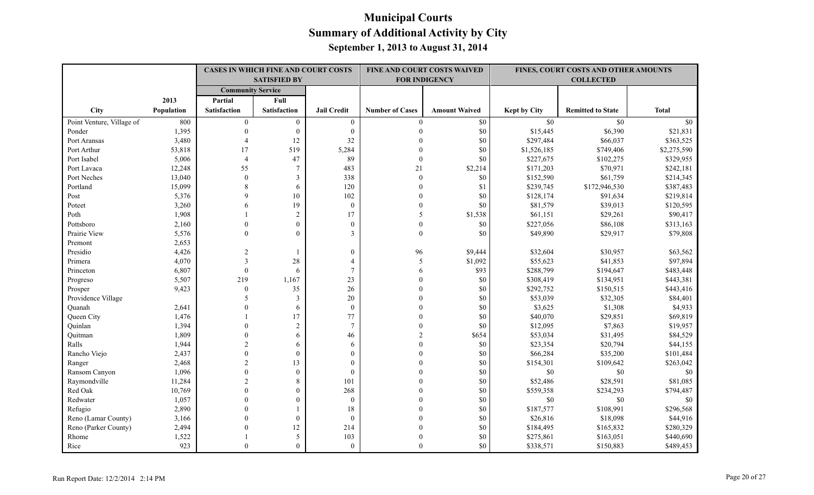|                           |            | <b>CASES IN WHICH FINE AND COURT COSTS</b> |                     |                    |                        | FINE AND COURT COSTS WAIVED |                     | FINES, COURT COSTS AND OTHER AMOUNTS |              |
|---------------------------|------------|--------------------------------------------|---------------------|--------------------|------------------------|-----------------------------|---------------------|--------------------------------------|--------------|
|                           |            |                                            | <b>SATISFIED BY</b> |                    |                        | <b>FOR INDIGENCY</b>        |                     | <b>COLLECTED</b>                     |              |
|                           |            | <b>Community Service</b>                   |                     |                    |                        |                             |                     |                                      |              |
|                           | 2013       | Partial                                    | Full                |                    |                        |                             |                     |                                      |              |
| City                      | Population | Satisfaction                               | <b>Satisfaction</b> | <b>Jail Credit</b> | <b>Number of Cases</b> | <b>Amount Waived</b>        | <b>Kept by City</b> | <b>Remitted to State</b>             | <b>Total</b> |
| Point Venture, Village of | 800        | $\mathbf{0}$                               | $\mathbf{0}$        | $\mathbf{0}$       | $\theta$               | $\$0$                       | \$0                 | \$0                                  | \$0          |
| Ponder                    | 1,395      | $\mathbf{0}$                               | $\boldsymbol{0}$    | $\boldsymbol{0}$   |                        | $\$0$                       | \$15,445            | \$6,390                              | \$21,831     |
| Port Aransas              | 3,480      | $\overline{4}$                             | 12                  | 32                 |                        | \$0                         | \$297,484           | \$66,037                             | \$363,525    |
| Port Arthur               | 53,818     | 17                                         | 519                 | 5,284              | $\Omega$               | \$0                         | \$1,526,185         | \$749,406                            | \$2,275,590  |
| Port Isabel               | 5,006      | $\overline{4}$                             | 47                  | 89                 | $\theta$               | \$0                         | \$227,675           | \$102,275                            | \$329,955    |
| Port Lavaca               | 12,248     | 55                                         | $\overline{7}$      | 483                | 21                     | \$2,214                     | \$171,203           | \$70,971                             | \$242,181    |
| Port Neches               | 13,040     | $\mathbf{0}$                               | 3                   | 338                | $\theta$               | \$0                         | \$152,590           | \$61,759                             | \$214,345    |
| Portland                  | 15,099     | 8                                          | 6                   | 120                | $\Omega$               | \$1                         | \$239,745           | \$172,946,530                        | \$387,483    |
| Post                      | 5,376      | $\mathbf Q$                                | 10                  | 102                | $\Omega$               | \$0                         | \$128,174           | \$91,634                             | \$219,814    |
| Poteet                    | 3,260      | 6                                          | 19                  | $\boldsymbol{0}$   | $\theta$               | \$0                         | \$81,579            | \$39,013                             | \$120,595    |
| Poth                      | 1,908      |                                            | $\overline{c}$      | 17                 | 5                      | \$1,538                     | \$61,151            | \$29,261                             | \$90,417     |
| Pottsboro                 | 2,160      | $\Omega$                                   | $\boldsymbol{0}$    | $\boldsymbol{0}$   | $\theta$               | \$0                         | \$227,056           | \$86,108                             | \$313,163    |
| Prairie View              | 5,576      | $\Omega$                                   | $\Omega$            | $\overline{3}$     | $\mathbf{0}$           | \$0                         | \$49,890            | \$29,917                             | \$79,808     |
| Premont                   | 2,653      |                                            |                     |                    |                        |                             |                     |                                      |              |
| Presidio                  | 4,426      | $\overline{2}$                             | 1                   | $\boldsymbol{0}$   | 96                     | \$9,444                     | \$32,604            | \$30,957                             | \$63,562     |
| Primera                   | 4,070      | 3                                          | 28                  | $\overline{4}$     | 5                      | \$1,092                     | \$55,623            | \$41,853                             | \$97,894     |
| Princeton                 | 6,807      | $\theta$                                   | 6                   | $\tau$             | 6                      | \$93                        | \$288,799           | \$194,647                            | \$483,448    |
| Progreso                  | 5,507      | 219                                        | 1,167               | 23                 | $\Omega$               | \$0                         | \$308,419           | \$134,951                            | \$443,381    |
| Prosper                   | 9,423      | $\theta$                                   | 35                  | $26\,$             | $\Omega$               | $\$0$                       | \$292,752           | \$150,515                            | \$443,416    |
| Providence Village        |            | 5                                          | 3                   | $20\,$             |                        | $\$0$                       | \$53,039            | \$32,305                             | \$84,401     |
| Ouanah                    | 2,641      | $\Omega$                                   | 6                   | $\boldsymbol{0}$   |                        | \$0                         | \$3,625             | \$1,308                              | \$4,933      |
| Queen City                | 1,476      |                                            | 17                  | 77                 |                        | \$0                         | \$40,070            | \$29,851                             | \$69,819     |
| Quinlan                   | 1,394      | $\Omega$                                   | $\overline{2}$      | $\tau$             | $\Omega$               | \$0                         | \$12,095            | \$7,863                              | \$19,957     |
| Quitman                   | 1,809      | $\Omega$                                   | 6                   | 46                 |                        | \$654                       | \$53,034            | \$31,495                             | \$84,529     |
| Ralls                     | 1,944      | $\overline{c}$                             | 6                   | 6                  |                        | \$0                         | \$23,354            | \$20,794                             | \$44,155     |
| Rancho Viejo              | 2,437      | $\Omega$                                   | $\Omega$            | $\overline{0}$     | $\Omega$               | \$0                         | \$66,284            | \$35,200                             | \$101,484    |
| Ranger                    | 2,468      | $\overline{2}$                             | 13                  | $\overline{0}$     | $\Omega$               | \$0                         | \$154,301           | \$109,642                            | \$263,042    |
| Ransom Canyon             | 1,096      | $\Omega$                                   | $\mathbf{0}$        | $\mathbf{0}$       |                        | $\$0$                       | \$0                 | $\$0$                                | \$0          |
| Raymondville              | 11,284     | $\overline{c}$                             | 8                   | 101                |                        | $\$0$                       | \$52,486            | \$28,591                             | \$81,085     |
| Red Oak                   | 10,769     | $\Omega$                                   | $\boldsymbol{0}$    | 268                |                        | $\$0$                       | \$559,358           | \$234,293                            | \$794,487    |
| Redwater                  | 1,057      | $\Omega$                                   | $\theta$            | $\mathbf{0}$       | $\Omega$               | \$0                         | \$0                 | \$0                                  | \$0          |
| Refugio                   | 2,890      | $\Omega$                                   |                     | 18                 |                        | \$0                         | \$187,577           | \$108,991                            | \$296,568    |
| Reno (Lamar County)       | 3,166      | $\Omega$                                   | $\theta$            | $\mathbf{0}$       |                        | $\$0$                       | \$26,816            | \$18,098                             | \$44,916     |
| Reno (Parker County)      | 2,494      | $\Omega$                                   | 12                  | 214                |                        | \$0                         | \$184,495           | \$165,832                            | \$280,329    |
| Rhome                     | 1,522      |                                            | 5                   | 103                |                        | \$0                         | \$275,861           | \$163,051                            | \$440,690    |
| Rice                      | 923        | $\Omega$                                   | $\Omega$            | $\overline{0}$     | $\Omega$               | \$0                         | \$338,571           | \$150,883                            | \$489,453    |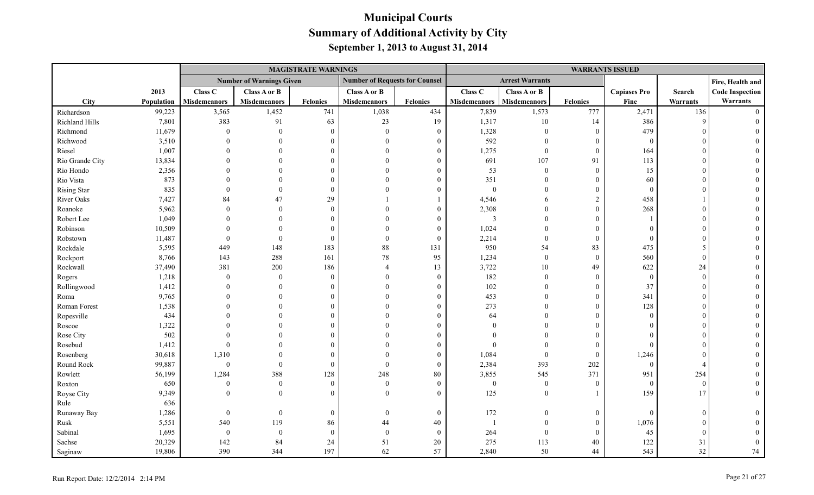|                    |            |                     |                                 | <b>MAGISTRATE WARNINGS</b> |                                       |                  |                          |                        |                  | <b>WARRANTS ISSUED</b> |          |                        |
|--------------------|------------|---------------------|---------------------------------|----------------------------|---------------------------------------|------------------|--------------------------|------------------------|------------------|------------------------|----------|------------------------|
|                    |            |                     | <b>Number of Warnings Given</b> |                            | <b>Number of Requests for Counsel</b> |                  |                          | <b>Arrest Warrants</b> |                  |                        |          | Fire, Health and       |
|                    | 2013       | Class C             | Class A or B                    |                            | Class A or B                          |                  | Class C                  | Class A or B           |                  | <b>Capiases Pro</b>    | Search   | <b>Code Inspection</b> |
| City               | Population | <b>Misdemeanors</b> | <b>Misdemeanors</b>             | <b>Felonies</b>            | <b>Misdemeanors</b>                   | <b>Felonies</b>  | <b>Misdemeanors</b>      | <b>Misdemeanors</b>    | <b>Felonies</b>  | Fine                   | Warrants | Warrants               |
| Richardson         | 99,223     | 3,565               | 1,452                           | 741                        | 1,038                                 | 434              | 7,839                    | 1,573                  | 777              | 2,471                  | 136      | $\Omega$               |
| Richland Hills     | 7,801      | 383                 | 91                              | 63                         | 23                                    | 19               | 1,317                    | 10                     | 14               | 386                    | Q        |                        |
| Richmond           | 11,679     | $\theta$            | $\theta$                        | $\Omega$                   | $\mathbf{0}$                          | $\overline{0}$   | 1,328                    | $\overline{0}$         | $\mathbf{0}$     | 479                    |          |                        |
| Richwood           | 3,510      |                     | $\Omega$                        | $\Omega$                   | $\Omega$                              | $\Omega$         | 592                      | $\theta$               | $\mathbf{0}$     | $\overline{0}$         |          |                        |
| Riesel             | 1,007      |                     |                                 |                            | $\Omega$                              | $\Omega$         | 1,275                    | $\mathbf{0}$           | $\theta$         | 164                    |          |                        |
| Rio Grande City    | 13,834     |                     |                                 |                            |                                       | $\theta$         | 691                      | 107                    | 91               | 113                    |          |                        |
| Rio Hondo          | 2,356      |                     |                                 |                            |                                       | $\Omega$         | 53                       | $\theta$               | $\boldsymbol{0}$ | 15                     |          |                        |
| Rio Vista          | 873        |                     |                                 |                            | $\Omega$                              | $\Omega$         | 351                      | $\Omega$               | $\theta$         | 60                     |          |                        |
| <b>Rising Star</b> | 835        |                     | $\theta$                        | $\Omega$                   | $\Omega$                              | $\Omega$         | $\boldsymbol{0}$         | $\overline{0}$         | $\boldsymbol{0}$ | $\theta$               |          |                        |
| River Oaks         | 7,427      | 84                  | 47                              | 29                         |                                       |                  | 4,546                    | 6                      | $\overline{c}$   | 458                    |          |                        |
| Roanoke            | 5,962      | $\Omega$            | $\Omega$                        | $\Omega$                   |                                       | $\Omega$         | 2,308                    | $\Omega$               | $\overline{0}$   | 268                    |          |                        |
| Robert Lee         | 1,049      |                     | $\Omega$                        |                            |                                       | $\theta$         | $\mathfrak{Z}$           | $\Omega$               | $\theta$         |                        |          |                        |
| Robinson           | 10,509     |                     |                                 |                            |                                       | $\theta$         | 1,024                    | $\Omega$               | $\theta$         | $\Omega$               |          |                        |
| Robstown           | 11,487     | $\theta$            | $\Omega$                        | $\Omega$                   | $\Omega$                              | $\theta$         | 2,214                    | $\theta$               | $\theta$         | $\Omega$               |          |                        |
| Rockdale           | 5,595      | 449                 | 148                             | 183                        | 88                                    | 131              | 950                      | 54                     | 83               | 475                    |          |                        |
| Rockport           | 8,766      | 143                 | 288                             | 161                        | $78\,$                                | 95               | 1,234                    | $\overline{0}$         | $\mathbf{0}$     | 560                    | $\Omega$ |                        |
| Rockwall           | 37,490     | 381                 | 200                             | 186                        | $\overline{\mathcal{A}}$              | 13               | 3,722                    | $10\,$                 | 49               | 622                    | 24       |                        |
| Rogers             | 1,218      | $\mathbf{0}$        | $\theta$                        | $\Omega$                   | $\Omega$                              | $\overline{0}$   | 182                      | $\overline{0}$         | $\overline{0}$   | $\overline{0}$         | $\Omega$ |                        |
| Rollingwood        | 1,412      | $\Omega$            |                                 |                            | $\Omega$                              | $\theta$         | 102                      | $\Omega$               | $\mathbf{0}$     | 37                     |          |                        |
| Roma               | 9,765      |                     |                                 |                            | $\Omega$                              | $\theta$         | 453                      | $\Omega$               | $\theta$         | 341                    |          |                        |
| Roman Forest       | 1,538      |                     |                                 |                            | $\Omega$                              | $\Omega$         | 273                      | $\theta$               | $\overline{0}$   | 128                    |          |                        |
| Ropesville         | 434        |                     |                                 |                            |                                       | $\Omega$         | 64                       | $\theta$               | $\boldsymbol{0}$ | $\overline{0}$         |          |                        |
| Roscoe             | 1,322      |                     |                                 |                            |                                       | $\Omega$         | $\Omega$                 | $\Omega$               | $\theta$         | $\Omega$               |          |                        |
| Rose City          | 502        |                     |                                 |                            |                                       | $\theta$         |                          | $\Omega$               | $\theta$         | $\Omega$               |          |                        |
| Rosebud            | 1,412      | $\theta$            |                                 |                            |                                       | $\Omega$         | $\Omega$                 | $\Omega$               | $\theta$         | $\Omega$               |          |                        |
| Rosenberg          | 30,618     | 1,310               | $\Omega$                        |                            | $\Omega$                              | $\theta$         | 1,084                    | $\mathbf{0}$           | $\boldsymbol{0}$ | 1,246                  |          |                        |
| Round Rock         | 99,887     | $\boldsymbol{0}$    | $\Omega$                        | $\Omega$                   | $\theta$                              | $\overline{0}$   | 2,384                    | 393                    | 202              | $\theta$               |          |                        |
| Rowlett            | 56,199     | 1,284               | 388                             | 128                        | 248                                   | $80\,$           | 3,855                    | 545                    | 371              | 951                    | 254      |                        |
| Roxton             | 650        | $\mathbf{0}$        | $\theta$                        | $\theta$                   | $\mathbf{0}$                          | $\mathbf{0}$     | $\boldsymbol{0}$         | $\boldsymbol{0}$       | $\boldsymbol{0}$ | $\bf{0}$               | $\Omega$ |                        |
| Royse City         | 9,349      | $\Omega$            | $\theta$                        | $\Omega$                   | $\Omega$                              | $\theta$         | 125                      | $\overline{0}$         | -1               | 159                    | 17       | $\Omega$               |
| Rule               | 636        |                     |                                 |                            |                                       |                  |                          |                        |                  |                        |          |                        |
| Runaway Bay        | 1,286      | $\bf{0}$            | $\theta$                        | $\Omega$                   | $\theta$                              | $\boldsymbol{0}$ | 172                      | $\overline{0}$         | $\mathbf{0}$     | $\Omega$               | $\Omega$ |                        |
| Rusk               | 5,551      | 540                 | 119                             | 86                         | 44                                    | 40               | $\overline{\phantom{a}}$ | $\theta$               | $\overline{0}$   | 1,076                  |          |                        |
| Sabinal            | 1,695      | $\bf{0}$            | $\theta$                        | $\theta$                   | $\theta$                              | $\overline{0}$   | 264                      | $\overline{0}$         | $\theta$         | 45                     | ſ        |                        |
| Sachse             | 20,329     | 142                 | 84                              | 24                         | 51                                    | 20               | 275                      | 113                    | 40               | 122                    | 31       |                        |
| Saginaw            | 19,806     | 390                 | 344                             | 197                        | 62                                    | 57               | 2,840                    | 50                     | 44               | 543                    | 32       | 74                     |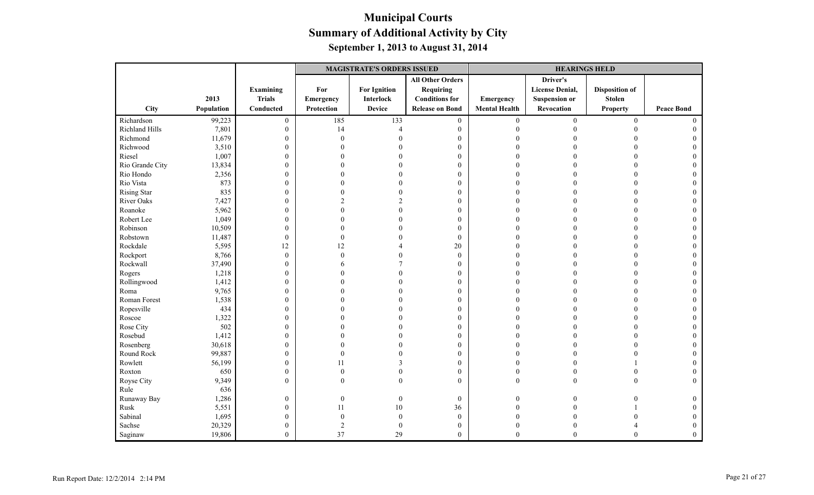|                    |            |                  |                | <b>MAGISTRATE'S ORDERS ISSUED</b> |                         |                      | <b>HEARINGS HELD</b>   |                       |                   |
|--------------------|------------|------------------|----------------|-----------------------------------|-------------------------|----------------------|------------------------|-----------------------|-------------------|
|                    |            |                  |                |                                   | <b>All Other Orders</b> |                      | Driver's               |                       |                   |
|                    |            | Examining        | For            | <b>For Ignition</b>               | <b>Requiring</b>        |                      | <b>License Denial,</b> | <b>Disposition of</b> |                   |
|                    | 2013       | <b>Trials</b>    | Emergency      | <b>Interlock</b>                  | <b>Conditions</b> for   | Emergency            | <b>Suspension or</b>   | <b>Stolen</b>         |                   |
| City               | Population | Conducted        | Protection     | <b>Device</b>                     | <b>Release on Bond</b>  | <b>Mental Health</b> | Revocation             | <b>Property</b>       | <b>Peace Bond</b> |
| Richardson         | 99,223     | $\boldsymbol{0}$ | 185            | 133                               | $\boldsymbol{0}$        | $\boldsymbol{0}$     | $\boldsymbol{0}$       | $\boldsymbol{0}$      | $\Omega$          |
| Richland Hills     | 7,801      | $\mathbf{0}$     | 14             | $\overline{4}$                    | $\boldsymbol{0}$        | $\mathbf{0}$         | $\Omega$               | $\Omega$              | $\mathbf{0}$      |
| Richmond           | 11,679     | $\boldsymbol{0}$ | $\Omega$       |                                   | $\boldsymbol{0}$        |                      |                        |                       |                   |
| Richwood           | 3,510      | $\mathbf{0}$     | 0              |                                   | $\mathbf{0}$            | $\Omega$             |                        | $\Omega$              | $\Omega$          |
| Riesel             | 1,007      | $\boldsymbol{0}$ |                |                                   | $\boldsymbol{0}$        | $\Omega$             |                        | $\Omega$              |                   |
| Rio Grande City    | 13,834     | $\boldsymbol{0}$ | 0              |                                   | $\mathbf{0}$            | $\Omega$             |                        | $\theta$              | $\Omega$          |
| Rio Hondo          | 2,356      | $\boldsymbol{0}$ |                |                                   | $\mathbf{0}$            | $\Omega$             |                        |                       |                   |
| Rio Vista          | 873        | $\boldsymbol{0}$ | 0              |                                   | $\boldsymbol{0}$        | $\Omega$             |                        | $\Omega$              |                   |
| <b>Rising Star</b> | 835        | $\boldsymbol{0}$ | $\Omega$       |                                   | $\mathbf{0}$            | $\Omega$             |                        | $\Omega$              |                   |
| River Oaks         | 7,427      | $\mathbf{0}$     | $\mathfrak{D}$ |                                   | $\mathbf{0}$            | $\Omega$             |                        | $\Omega$              |                   |
| Roanoke            | 5,962      | $\boldsymbol{0}$ | 0              |                                   | $\boldsymbol{0}$        | 0                    |                        |                       |                   |
| Robert Lee         | 1,049      | $\boldsymbol{0}$ |                |                                   | $\mathbf{0}$            |                      |                        | $\Omega$              |                   |
| Robinson           | 10,509     | $\boldsymbol{0}$ |                |                                   | $\mathbf{0}$            | $\Omega$             |                        | $\Omega$              | 0                 |
| Robstown           | 11,487     | $\boldsymbol{0}$ | $\Omega$       |                                   | $\mathbf{0}$            | $\Omega$             |                        | $\Omega$              |                   |
| Rockdale           | 5,595      | 12               | 12             |                                   | $20\,$                  | $\Omega$             |                        |                       |                   |
| Rockport           | 8,766      | $\boldsymbol{0}$ | $\theta$       |                                   | $\boldsymbol{0}$        | $\Omega$             |                        |                       |                   |
| Rockwall           | 37,490     | $\boldsymbol{0}$ | 6              |                                   | $\boldsymbol{0}$        | $\Omega$             |                        | $\Omega$              | $\Omega$          |
| Rogers             | 1,218      | $\boldsymbol{0}$ |                |                                   | $\mathbf{0}$            | $\Omega$             |                        | $\Omega$              |                   |
| Rollingwood        | 1,412      | $\boldsymbol{0}$ | 0              |                                   | $\mathbf{0}$            | $\Omega$             |                        | $\Omega$              |                   |
| Roma               | 9,765      | $\boldsymbol{0}$ |                |                                   | $\boldsymbol{0}$        | $\Omega$             |                        |                       |                   |
| Roman Forest       | 1,538      | $\boldsymbol{0}$ | 0              |                                   | $\boldsymbol{0}$        | $\sqrt{ }$           |                        | $\Omega$              | $\Omega$          |
| Ropesville         | 434        | $\boldsymbol{0}$ |                |                                   | $\mathbf{0}$            | $\Omega$             |                        | $\Omega$              |                   |
| Roscoe             | 1,322      | $\mathbf{0}$     | 0              |                                   | $\boldsymbol{0}$        | $\Omega$             |                        | $\Omega$              | $\Omega$          |
| Rose City          | 502        | $\boldsymbol{0}$ |                |                                   | $\boldsymbol{0}$        | $\theta$             |                        |                       |                   |
| Rosebud            | 1,412      | $\boldsymbol{0}$ |                |                                   | $\mathbf{0}$            | $\Omega$             |                        | $\Omega$              |                   |
| Rosenberg          | 30,618     | $\boldsymbol{0}$ |                |                                   | $\boldsymbol{0}$        | $\Omega$             | 0                      | $\Omega$              |                   |
| Round Rock         | 99,887     | $\boldsymbol{0}$ | $\theta$       |                                   | $\mathbf{0}$            | $\Omega$             |                        | $\Omega$              |                   |
| Rowlett            | 56,199     | $\boldsymbol{0}$ | 11             |                                   | $\mathbf{0}$            | $\Omega$             |                        |                       |                   |
| Roxton             | 650        | $\mathbf{0}$     | $\theta$       |                                   | $\mathbf{0}$            | $\Omega$             |                        | $\Omega$              |                   |
| Royse City         | 9,349      | $\mathbf{0}$     | $\theta$       | $\theta$                          | $\mathbf{0}$            | $\mathbf{0}$         | $\theta$               | $\theta$              | $\Omega$          |
| Rule               | 636        |                  |                |                                   |                         |                      |                        |                       |                   |
| Runaway Bay        | 1,286      | $\boldsymbol{0}$ | $\mathbf{0}$   | $\boldsymbol{0}$                  | $\boldsymbol{0}$        | $\mathbf{0}$         |                        |                       | $\theta$          |
| Rusk               | 5,551      | $\boldsymbol{0}$ | 11             | $10\,$                            | 36                      | $\theta$             |                        |                       |                   |
| Sabinal            | 1,695      | $\boldsymbol{0}$ | $\overline{0}$ | $\mathbf{0}$                      | $\boldsymbol{0}$        | $\Omega$             |                        |                       |                   |
| Sachse             | 20,329     | $\mathbf{0}$     | $\overline{2}$ | $\mathbf{0}$                      | $\mathbf{0}$            | $\Omega$             | 0                      |                       | $\Omega$          |
| Saginaw            | 19,806     | $\overline{0}$   | 37             | 29                                | $\theta$                | $\theta$             | $\Omega$               | $\theta$              | $\theta$          |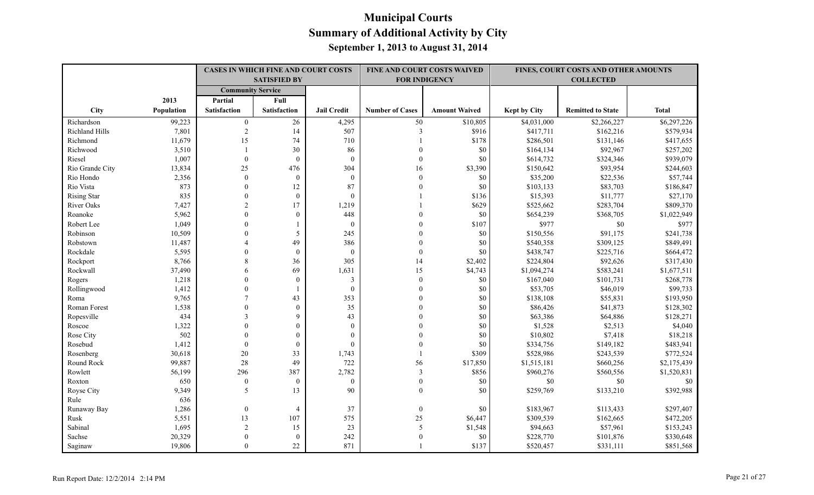|                    |            |                          | <b>CASES IN WHICH FINE AND COURT COSTS</b><br><b>SATISFIED BY</b> |                    | FINE AND COURT COSTS WAIVED<br><b>FOR INDIGENCY</b> |                      |                     | FINES, COURT COSTS AND OTHER AMOUNTS<br><b>COLLECTED</b> |              |
|--------------------|------------|--------------------------|-------------------------------------------------------------------|--------------------|-----------------------------------------------------|----------------------|---------------------|----------------------------------------------------------|--------------|
|                    |            | <b>Community Service</b> |                                                                   |                    |                                                     |                      |                     |                                                          |              |
|                    | 2013       | Partial                  | Full                                                              |                    |                                                     |                      |                     |                                                          |              |
| City               | Population | <b>Satisfaction</b>      | <b>Satisfaction</b>                                               | <b>Jail Credit</b> | <b>Number of Cases</b>                              | <b>Amount Waived</b> | <b>Kept by City</b> | <b>Remitted to State</b>                                 | <b>Total</b> |
| Richardson         | 99,223     | $\mathbf{0}$             | 26                                                                | 4,295              | 50                                                  | \$10,805             | \$4,031,000         | \$2,266,227                                              | \$6,297,226  |
| Richland Hills     | 7,801      | $\sqrt{2}$               | 14                                                                | 507                | $\mathfrak{Z}$                                      | \$916                | \$417,711           | \$162,216                                                | \$579,934    |
| Richmond           | 11,679     | 15                       | 74                                                                | 710                |                                                     | \$178                | \$286,501           | \$131,146                                                | \$417,655    |
| Richwood           | 3,510      | $\overline{1}$           | 30                                                                | 86                 | $\theta$                                            | \$0                  | \$164,134           | \$92,967                                                 | \$257,202    |
| Riesel             | 1,007      | $\mathbf{0}$             | $\mathbf{0}$                                                      | $\mathbf{0}$       | $\theta$                                            | \$0                  | \$614,732           | \$324,346                                                | \$939,079    |
| Rio Grande City    | 13,834     | 25                       | 476                                                               | 304                | 16                                                  | \$3,390              | \$150,642           | \$93,954                                                 | \$244,603    |
| Rio Hondo          | 2,356      | $\theta$                 | $\mathbf{0}$                                                      | $\mathbf{0}$       | $\mathbf{0}$                                        | \$0                  | \$35,200            | \$22,536                                                 | \$57,744     |
| Rio Vista          | 873        | $\theta$                 | 12                                                                | 87                 | $\Omega$                                            | \$0                  | \$103,133           | \$83,703                                                 | \$186,847    |
| <b>Rising Star</b> | 835        | $\Omega$                 | $\theta$                                                          | $\theta$           |                                                     | \$136                | \$15,393            | \$11,777                                                 | \$27,170     |
| River Oaks         | 7,427      | $\overline{2}$           | 17                                                                | 1,219              |                                                     | \$629                | \$525,662           | \$283,704                                                | \$809,370    |
| Roanoke            | 5,962      | $\Omega$                 | $\mathbf{0}$                                                      | 448                |                                                     | $\$0$                | \$654,239           | \$368,705                                                | \$1,022,949  |
| Robert Lee         | 1,049      | $\theta$                 |                                                                   | $\mathbf{0}$       |                                                     | \$107                | \$977               | $\$0$                                                    | \$977        |
| Robinson           | 10,509     | $\Omega$                 | 5                                                                 | 245                | $\Omega$                                            | \$0                  | \$150,556           | \$91,175                                                 | \$241,738    |
| Robstown           | 11,487     | 4                        | 49                                                                | 386                | $\Omega$                                            | \$0                  | \$540,358           | \$309,125                                                | \$849,491    |
| Rockdale           | 5,595      | $\theta$                 | $\mathbf{0}$                                                      | $\mathbf{0}$       | $\Omega$                                            | \$0                  | \$438,747           | \$225,716                                                | \$664,472    |
| Rockport           | 8,766      | 8                        | 36                                                                | 305                | 14                                                  | \$2,402              | \$224,804           | \$92,626                                                 | \$317,430    |
| Rockwall           | 37,490     | 6                        | 69                                                                | 1,631              | 15                                                  | \$4,743              | \$1,094,274         | \$583,241                                                | \$1,677,511  |
| Rogers             | 1,218      | $\Omega$                 | $\Omega$                                                          | 3                  | $\theta$                                            | \$0                  | \$167,040           | \$101,731                                                | \$268,778    |
| Rollingwood        | 1,412      | $\Omega$                 |                                                                   | $\mathbf{0}$       | $\theta$                                            | \$0                  | \$53,705            | \$46,019                                                 | \$99,733     |
| Roma               | 9,765      |                          | 43                                                                | 353                |                                                     | \$0                  | \$138,108           | \$55,831                                                 | \$193,950    |
| Roman Forest       | 1,538      | $\Omega$                 | $\mathbf{0}$                                                      | 35                 |                                                     | \$0                  | \$86,426            | \$41,873                                                 | \$128,302    |
| Ropesville         | 434        | $\mathcal{E}$            | 9                                                                 | 43                 | $\Omega$                                            | \$0                  | \$63,386            | \$64,886                                                 | \$128,271    |
| Roscoe             | 1,322      | $\Omega$                 | $\boldsymbol{0}$                                                  | $\mathbf{0}$       | $\Omega$                                            | \$0                  | \$1,528             | \$2,513                                                  | \$4,040      |
| Rose City          | 502        | $\Omega$                 | $\mathbf{0}$                                                      | $\mathbf{0}$       |                                                     | \$0                  | \$10,802            | \$7,418                                                  | \$18,218     |
| Rosebud            | 1,412      | $\Omega$                 | $\mathbf{0}$                                                      | $\Omega$           |                                                     | \$0                  | \$334,756           | \$149,182                                                | \$483,941    |
| Rosenberg          | 30,618     | $20\,$                   | 33                                                                | 1,743              |                                                     | \$309                | \$528,986           | \$243,539                                                | \$772,524    |
| Round Rock         | 99,887     | 28                       | 49                                                                | 722                | 56                                                  | \$17,850             | \$1,515,181         | \$660,256                                                | \$2,175,439  |
| Rowlett            | 56,199     | 296                      | 387                                                               | 2,782              | $\mathfrak{Z}$                                      | \$856                | \$960,276           | \$560,556                                                | \$1,520,831  |
| Roxton             | 650        | $\mathbf{0}$             | $\theta$                                                          | $\theta$           | $\mathbf{0}$                                        | \$0                  | \$0                 | \$0                                                      | \$0          |
| Royse City         | 9,349      | 5                        | 13                                                                | 90                 | $\Omega$                                            | \$0                  | \$259,769           | \$133,210                                                | \$392,988    |
| Rule               | 636        |                          |                                                                   |                    |                                                     |                      |                     |                                                          |              |
| Runaway Bay        | 1,286      | $\mathbf{0}$             | $\overline{4}$                                                    | 37                 | $\boldsymbol{0}$                                    | \$0                  | \$183,967           | \$113,433                                                | \$297,407    |
| Rusk               | 5,551      | 13                       | 107                                                               | 575                | 25                                                  | \$6,447              | \$309,539           | \$162,665                                                | \$472,205    |
| Sabinal            | 1,695      | $\sqrt{2}$               | 15                                                                | 23                 | 5                                                   | \$1,548              | \$94,663            | \$57,961                                                 | \$153,243    |
| Sachse             | 20,329     | $\Omega$                 | $\overline{0}$                                                    | 242                | $\Omega$                                            | \$0                  | \$228,770           | \$101,876                                                | \$330,648    |
| Saginaw            | 19,806     | $\Omega$                 | 22                                                                | 871                |                                                     | \$137                | \$520,457           | \$331,111                                                | \$851,568    |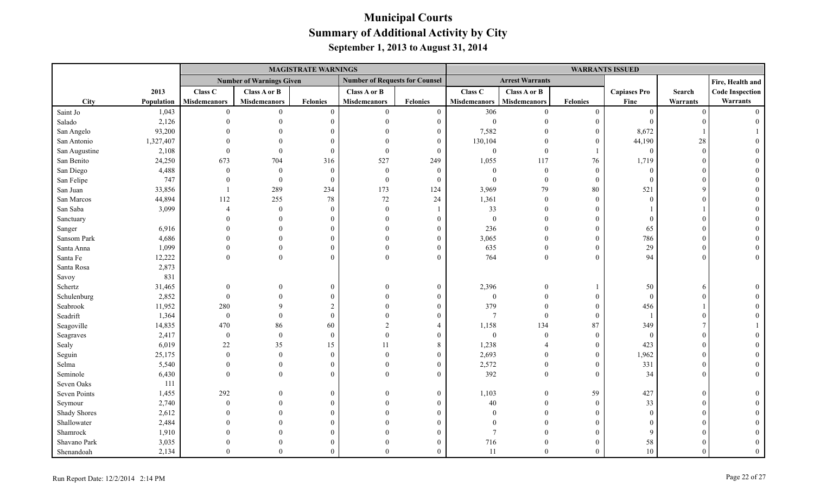|               |            |                     |                                 | <b>MAGISTRATE WARNINGS</b> |                                       |                  |                     |                        |                  | <b>WARRANTS ISSUED</b> |          |                        |
|---------------|------------|---------------------|---------------------------------|----------------------------|---------------------------------------|------------------|---------------------|------------------------|------------------|------------------------|----------|------------------------|
|               |            |                     | <b>Number of Warnings Given</b> |                            | <b>Number of Requests for Counsel</b> |                  |                     | <b>Arrest Warrants</b> |                  |                        |          | Fire, Health and       |
|               | 2013       | Class C             | Class A or B                    |                            | Class A or B                          |                  | Class C             | Class A or B           |                  | <b>Capiases Pro</b>    | Search   | <b>Code Inspection</b> |
| <b>City</b>   | Population | <b>Misdemeanors</b> | <b>Misdemeanors</b>             | <b>Felonies</b>            | <b>Misdemeanors</b>                   | <b>Felonies</b>  | <b>Misdemeanors</b> | <b>Misdemeanors</b>    | <b>Felonies</b>  | Fine                   | Warrants | Warrants               |
| Saint Jo      | 1,043      | $\theta$            | $\theta$                        | $\Omega$                   | $\overline{0}$                        | $\boldsymbol{0}$ | 306                 | $\theta$               | $\mathbf{0}$     | $\theta$               | $\Omega$ | $\Omega$               |
| Salado        | 2,126      |                     |                                 | $\Omega$                   | $\Omega$                              | $\mathbf{0}$     | $\mathbf{0}$        | $\Omega$               | $\mathbf{0}$     | $\theta$               |          |                        |
| San Angelo    | 93,200     |                     |                                 |                            |                                       | $\mathbf{0}$     | 7,582               |                        | $\mathbf{0}$     | 8,672                  |          |                        |
| San Antonio   | 1,327,407  |                     |                                 |                            | $\Omega$                              | $\mathbf{0}$     | 130,104             | $\Omega$               | $\mathbf{0}$     | 44,190                 | 28       |                        |
| San Augustine | 2,108      |                     |                                 | $\Omega$                   | $\theta$                              | $\theta$         | $\mathbf{0}$        | $\Omega$               | $\mathbf{1}$     | $\theta$               | $\Omega$ |                        |
| San Benito    | 24,250     | 673                 | 704                             | 316                        | 527                                   | 249              | 1,055               | 117                    | 76               | 1,719                  |          |                        |
| San Diego     | 4,488      | $\mathbf{0}$        | $\theta$                        | $\Omega$                   | $\mathbf{0}$                          | $\mathbf{0}$     | $\boldsymbol{0}$    | $\overline{0}$         | $\boldsymbol{0}$ | $\theta$               |          |                        |
| San Felipe    | 747        |                     | $\Omega$                        | $\Omega$                   | $\mathbf{0}$                          | $\theta$         | $\theta$            | $\theta$               | $\mathbf{0}$     | $\Omega$               |          |                        |
| San Juan      | 33,856     |                     | 289                             | 234                        | 173                                   | 124              | 3,969               | 79                     | 80               | 521                    |          |                        |
| San Marcos    | 44,894     | 112                 | 255                             | 78                         | $72\,$                                | 24               | 1,361               | $\mathbf{0}$           | $\boldsymbol{0}$ | $\Omega$               |          |                        |
| San Saba      | 3,099      |                     | $\theta$                        | $\Omega$                   | $\theta$                              |                  | 33                  | $\Omega$               | $\theta$         |                        |          |                        |
| Sanctuary     |            |                     | $\theta$                        |                            | $\Omega$                              | $\theta$         | $\mathbf{0}$        | $\Omega$               | $\theta$         | $\Omega$               |          |                        |
| Sanger        | 6,916      |                     |                                 |                            | $\Omega$                              | $\theta$         | 236                 | $\Omega$               | $\theta$         | 65                     |          |                        |
| Sansom Park   | 4,686      |                     |                                 |                            | $\Omega$                              | $\theta$         | 3,065               | $\Omega$               | $\mathbf{0}$     | 786                    |          |                        |
| Santa Anna    | 1,099      |                     | $\Omega$                        |                            | $\Omega$                              | $\theta$         | 635                 | $\theta$               | $\overline{0}$   | 29                     |          |                        |
| Santa Fe      | 12,222     | $\Omega$            | $\theta$                        | $\Omega$                   | $\theta$                              | $\theta$         | 764                 | $\mathbf{0}$           | $\boldsymbol{0}$ | 94                     |          | $\Omega$               |
| Santa Rosa    | 2,873      |                     |                                 |                            |                                       |                  |                     |                        |                  |                        |          |                        |
| Savoy         | 831        |                     |                                 |                            |                                       |                  |                     |                        |                  |                        |          |                        |
| Schertz       | 31,465     | $\Omega$            |                                 | $\Omega$                   | $\Omega$                              | $\mathbf{0}$     | 2,396               | $\overline{0}$         |                  | 50                     | f        |                        |
| Schulenburg   | 2,852      | $\theta$            |                                 |                            | $\Omega$                              | $\theta$         | $\mathbf{0}$        | $\Omega$               | $\mathbf{0}$     | $\Omega$               |          |                        |
| Seabrook      | 11,952     | 280                 | Q                               | $\overline{2}$             |                                       | $\theta$         | 379                 | $\theta$               | $\boldsymbol{0}$ | 456                    |          |                        |
| Seadrift      | 1,364      | $\boldsymbol{0}$    | $\Omega$                        | $\Omega$                   |                                       | $\Omega$         | $\tau$              | $\theta$               | $\theta$         |                        |          |                        |
| Seagoville    | 14,835     | 470                 | 86                              | 60                         | $\mathcal{D}$                         | $\overline{4}$   | 1,158               | 134                    | 87               | 349                    |          |                        |
| Seagraves     | 2,417      | $\boldsymbol{0}$    | $\boldsymbol{0}$                | $\theta$                   | $\theta$                              | $\theta$         | $\boldsymbol{0}$    | $\mathbf{0}$           | $\mathbf{0}$     | $\overline{0}$         |          |                        |
| Sealy         | 6,019      | $22\,$              | 35                              | 15                         | 11                                    | $\,$ 8 $\,$      | 1,238               |                        | $\theta$         | 423                    |          |                        |
| Seguin        | 25,175     | $\mathbf{0}$        | $\theta$                        | $\Omega$                   | $\Omega$                              | $\Omega$         | 2,693               | $\Omega$               | $\overline{0}$   | 1,962                  |          |                        |
| Selma         | 5,540      | $\theta$            | $\theta$                        | $\Omega$                   | $\Omega$                              | $\theta$         | 2,572               | $\theta$               | $\mathbf{0}$     | 331                    |          |                        |
| Seminole      | 6,430      | $\Omega$            | $\Omega$                        | $\Omega$                   | $\Omega$                              | $\overline{0}$   | 392                 | $\overline{0}$         | $\overline{0}$   | 34                     |          |                        |
| Seven Oaks    | 111        |                     |                                 |                            |                                       |                  |                     |                        |                  |                        |          |                        |
| Seven Points  | 1,455      | 292                 |                                 | $\Omega$                   | $\Omega$                              | $\overline{0}$   | 1,103               | $\theta$               | 59               | 427                    | $\Omega$ |                        |
| Seymour       | 2,740      | $\Omega$            |                                 |                            | $\Omega$                              | $\theta$         | $40\,$              | $\Omega$               | $\mathbf{0}$     | 33                     |          |                        |
| Shady Shores  | 2,612      |                     |                                 |                            | $\Omega$                              |                  | $\Omega$            | $\Omega$               | $\theta$         | $\Omega$               |          |                        |
| Shallowater   | 2,484      |                     |                                 |                            |                                       | $\Omega$         |                     |                        | $\theta$         | $\Omega$               |          |                        |
| Shamrock      | 1,910      |                     |                                 |                            |                                       | $\Omega$         |                     |                        | $\theta$         | 9                      |          |                        |
| Shavano Park  | 3,035      |                     |                                 |                            | $\Omega$                              | $\Omega$         | 716                 | $\Omega$               | $\mathbf{0}$     | 58                     |          |                        |
| Shenandoah    | 2,134      | $\Omega$            | $\Omega$                        |                            | $\Omega$                              | $\Omega$         | 11                  | $\Omega$               | $\theta$         | 10                     | $\Omega$ |                        |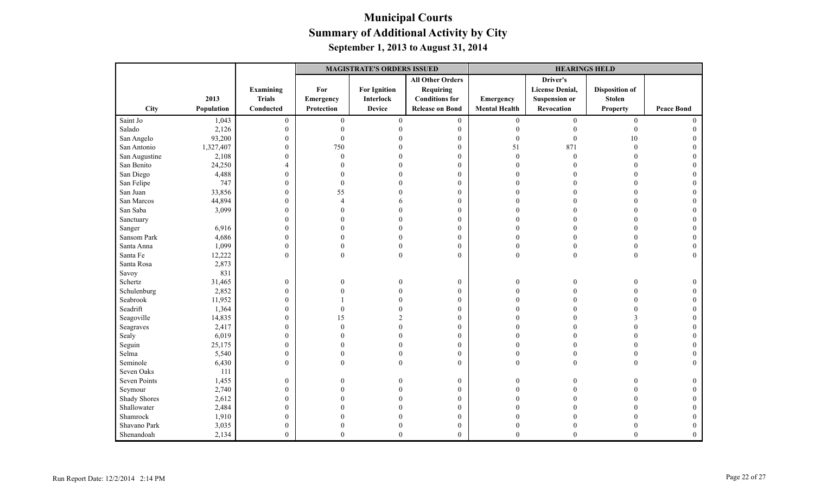|                     |            |                  |                  | <b>MAGISTRATE'S ORDERS ISSUED</b> |                         |                      | <b>HEARINGS HELD</b>   |                         |                   |
|---------------------|------------|------------------|------------------|-----------------------------------|-------------------------|----------------------|------------------------|-------------------------|-------------------|
|                     |            |                  |                  |                                   | <b>All Other Orders</b> |                      | Driver's               |                         |                   |
|                     |            | <b>Examining</b> | For              | <b>For Ignition</b>               | <b>Requiring</b>        |                      | <b>License Denial,</b> | <b>Disposition of</b>   |                   |
|                     | 2013       | <b>Trials</b>    | Emergency        | <b>Interlock</b>                  | <b>Conditions for</b>   | Emergency            | <b>Suspension or</b>   | <b>Stolen</b>           |                   |
| City                | Population | Conducted        | Protection       | <b>Device</b>                     | <b>Release on Bond</b>  | <b>Mental Health</b> | Revocation             | <b>Property</b>         | <b>Peace Bond</b> |
| Saint Jo            | 1,043      | $\boldsymbol{0}$ | $\boldsymbol{0}$ | $\boldsymbol{0}$                  | $\boldsymbol{0}$        | $\mathbf{0}$         | $\boldsymbol{0}$       | $\boldsymbol{0}$        | $\theta$          |
| Salado              | 2,126      | $\boldsymbol{0}$ | $\theta$         |                                   | $\boldsymbol{0}$        | $\theta$             | $\theta$               | $\boldsymbol{0}$        | $\Omega$          |
| San Angelo          | 93,200     | $\mathbf{0}$     | $\overline{0}$   |                                   | $\mathbf{0}$            | $\theta$             | $\theta$               | 10                      |                   |
| San Antonio         | 1,327,407  | $\boldsymbol{0}$ | 750              |                                   | $\boldsymbol{0}$        | 51                   | 871                    | $\boldsymbol{0}$        |                   |
| San Augustine       | 2,108      | $\boldsymbol{0}$ | $\theta$         |                                   | $\boldsymbol{0}$        | $\theta$             | $\mathbf{0}$           | $\theta$                |                   |
| San Benito          | 24,250     | $\overline{4}$   |                  |                                   | $\mathbf{0}$            | $\Omega$             |                        | $\Omega$                |                   |
| San Diego           | 4,488      | $\mathbf{0}$     | 0                |                                   | $\mathbf{0}$            | $\Omega$             |                        | $\theta$                |                   |
| San Felipe          | 747        | $\boldsymbol{0}$ | $\theta$         |                                   | $\boldsymbol{0}$        | $\Omega$             |                        | $\Omega$                |                   |
| San Juan            | 33,856     | $\boldsymbol{0}$ | 55               |                                   | $\boldsymbol{0}$        | $\Omega$             |                        | $\Omega$                |                   |
| San Marcos          | 44,894     | $\boldsymbol{0}$ | $\Delta$         |                                   | $\mathbf{0}$            | $\Omega$             |                        | $\Omega$                |                   |
| San Saba            | 3,099      | $\boldsymbol{0}$ | 0                |                                   | $\mathbf{0}$            | $\Omega$             |                        | $\Omega$                |                   |
| Sanctuary           |            | $\boldsymbol{0}$ |                  |                                   | $\mathbf{0}$            |                      |                        |                         |                   |
| Sanger              | 6,916      | $\boldsymbol{0}$ |                  |                                   | $\boldsymbol{0}$        |                      |                        | $\Omega$                |                   |
| Sansom Park         | 4,686      | $\boldsymbol{0}$ |                  |                                   | $\boldsymbol{0}$        | $\Omega$             |                        | $\theta$                | $\Omega$          |
| Santa Anna          | 1,099      | $\mathbf{0}$     | $\Omega$         |                                   | $\mathbf{0}$            | $\theta$             | $\Omega$               | $\theta$                | $\Omega$          |
| Santa Fe            | 12,222     | $\overline{0}$   | $\theta$         | $\theta$                          | $\mathbf{0}$            | $\mathbf{0}$         | $\mathbf{0}$           | $\theta$                | $\theta$          |
| Santa Rosa          | 2,873      |                  |                  |                                   |                         |                      |                        |                         |                   |
| Savoy               | 831        |                  |                  |                                   |                         |                      |                        |                         |                   |
| Schertz             | 31,465     | $\boldsymbol{0}$ | 0                |                                   | $\boldsymbol{0}$        | $\theta$             | $\Omega$               | $\Omega$                | $\theta$          |
| Schulenburg         | 2,852      | $\mathbf{0}$     |                  |                                   | $\mathbf{0}$            | $\Omega$             |                        | $\theta$                |                   |
| Seabrook            | 11,952     | $\boldsymbol{0}$ |                  |                                   | $\boldsymbol{0}$        | $\Omega$             |                        | $\Omega$                |                   |
| Seadrift            | 1,364      | $\boldsymbol{0}$ | $\Omega$         |                                   | $\boldsymbol{0}$        |                      |                        | $\Omega$                |                   |
| Seagoville          | 14,835     | $\boldsymbol{0}$ | 15               |                                   | $\mathbf{0}$            | $\Omega$             |                        | $\overline{\mathbf{3}}$ | $\Omega$          |
| Seagraves           | 2,417      | $\boldsymbol{0}$ | 0                |                                   | $\mathbf{0}$            | $\Omega$             |                        | $\Omega$                |                   |
| Sealy               | 6,019      | $\boldsymbol{0}$ |                  |                                   | $\mathbf{0}$            | $\Omega$             |                        | $\Omega$                |                   |
| Seguin              | 25,175     | $\boldsymbol{0}$ |                  |                                   | $\boldsymbol{0}$        | $\Omega$             |                        | $\Omega$                |                   |
| Selma               | 5,540      | $\mathbf{0}$     | $\theta$         | $\theta$                          | $\boldsymbol{0}$        | $\overline{0}$       | $\Omega$               | $\overline{0}$          | $\Omega$          |
| Seminole            | 6,430      | $\mathbf{0}$     | $\Omega$         | $\theta$                          | $\theta$                | $\theta$             | $\Omega$               | $\theta$                | $\Omega$          |
| Seven Oaks          | 111        |                  |                  |                                   |                         |                      |                        |                         |                   |
| Seven Points        | 1,455      | $\boldsymbol{0}$ | 0                |                                   | $\boldsymbol{0}$        | $\theta$             |                        | $\theta$                | $\mathbf{0}$      |
| Seymour             | 2,740      | $\boldsymbol{0}$ | 0                |                                   | $\boldsymbol{0}$        | $\Omega$             |                        |                         | $\theta$          |
| <b>Shady Shores</b> | 2,612      | $\boldsymbol{0}$ |                  |                                   | $\mathbf{0}$            | $\Omega$             |                        | $\Omega$                | $\Omega$          |
| Shallowater         | 2,484      | $\mathbf{0}$     |                  |                                   | $\mathbf{0}$            | $\Omega$             |                        |                         | $\Omega$          |
| Shamrock            | 1,910      | $\boldsymbol{0}$ |                  |                                   | $\boldsymbol{0}$        | $\sqrt{ }$           |                        |                         |                   |
| Shavano Park        | 3,035      | $\boldsymbol{0}$ | 0                |                                   | $\boldsymbol{0}$        | $\theta$             |                        |                         | $\Omega$          |
| Shenandoah          | 2,134      | $\mathbf{0}$     | $\Omega$         | $\mathbf{0}$                      | $\mathbf{0}$            | $\theta$             | $\overline{0}$         | $\overline{0}$          | $\theta$          |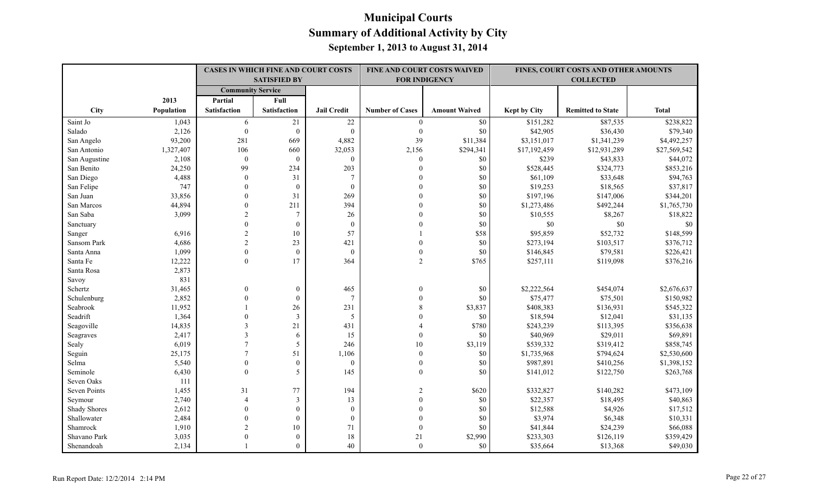| <b>Community Service</b><br>2013<br>Full<br>Partial<br>City<br><b>Satisfaction</b><br><b>Satisfaction</b><br><b>Jail Credit</b><br><b>Number of Cases</b><br><b>Amount Waived</b><br><b>Kept by City</b><br><b>Total</b><br>Population<br><b>Remitted to State</b><br>\$238,822<br>Saint Jo<br>1,043<br>21<br>$22\,$<br>\$0<br>\$151,282<br>\$87,535<br>6<br>$\mathbf{0}$<br>Salado<br>2,126<br>$\boldsymbol{0}$<br>$\mathbf{0}$<br>$\boldsymbol{0}$<br>$\boldsymbol{0}$<br>\$0<br>\$42,905<br>\$36,430<br>\$79,340<br>39<br>93,200<br>281<br>669<br>4,882<br>\$3,151,017<br>\$1,341,239<br>\$4,492,257<br>San Angelo<br>\$11,384<br>1,327,407<br>106<br>660<br>32,053<br>\$294,341<br>\$17,192,459<br>\$12,931,289<br>\$27,569,542<br>San Antonio<br>2,156<br>$\theta$<br>\$239<br>\$43,833<br>\$44,072<br>San Augustine<br>2,108<br>$\mathbf{0}$<br>$\theta$<br>$\theta$<br>\$0<br>99<br>203<br>San Benito<br>24,250<br>234<br>\$0<br>\$528,445<br>\$324,773<br>\$853,216<br>$\mathbf{0}$<br>4,488<br>31<br>\$61,109<br>San Diego<br>$\mathbf{0}$<br>$\overline{7}$<br>\$0<br>\$33,648<br>\$94,763<br>$\mathbf{0}$<br>\$19,253<br>\$37,817<br>San Felipe<br>747<br>$\theta$<br>$\mathbf{0}$<br>$\Omega$<br>\$0<br>\$18,565<br>31<br>269<br>\$0<br>\$197,196<br>San Juan<br>33,856<br>$\Omega$<br>\$147,006<br>\$344,201<br>$\Omega$<br>44,894<br>211<br>394<br>\$0<br>San Marcos<br>$\theta$<br>$\Omega$<br>\$1,273,486<br>\$492,244<br>\$1,765,730<br>3,099<br>San Saba<br>$\overline{2}$<br>$\overline{7}$<br>26<br>\$0<br>\$10,555<br>\$8,267<br>\$18,822<br>$\$0$<br>$\$0$<br>$\theta$<br>$\mathbf{0}$<br>$\mathbf{0}$<br>\$0<br>$\Omega$<br>Sanctuary<br>$\overline{2}$<br>57<br>\$52,732<br>\$148,599<br>6,916<br>10<br>\$58<br>\$95,859<br>Sanger<br>$\overline{2}$<br>23<br>421<br>\$0<br>Sansom Park<br>4,686<br>$\mathbf{0}$<br>\$273,194<br>\$103,517 |  | <b>CASES IN WHICH FINE AND COURT COSTS</b> | FINE AND COURT COSTS WAIVED<br><b>FOR INDIGENCY</b> |  | FINES, COURT COSTS AND OTHER AMOUNTS |                        |
|--------------------------------------------------------------------------------------------------------------------------------------------------------------------------------------------------------------------------------------------------------------------------------------------------------------------------------------------------------------------------------------------------------------------------------------------------------------------------------------------------------------------------------------------------------------------------------------------------------------------------------------------------------------------------------------------------------------------------------------------------------------------------------------------------------------------------------------------------------------------------------------------------------------------------------------------------------------------------------------------------------------------------------------------------------------------------------------------------------------------------------------------------------------------------------------------------------------------------------------------------------------------------------------------------------------------------------------------------------------------------------------------------------------------------------------------------------------------------------------------------------------------------------------------------------------------------------------------------------------------------------------------------------------------------------------------------------------------------------------------------------------------------------------------------------------------------------------------------------------------|--|--------------------------------------------|-----------------------------------------------------|--|--------------------------------------|------------------------|
|                                                                                                                                                                                                                                                                                                                                                                                                                                                                                                                                                                                                                                                                                                                                                                                                                                                                                                                                                                                                                                                                                                                                                                                                                                                                                                                                                                                                                                                                                                                                                                                                                                                                                                                                                                                                                                                                    |  | <b>SATISFIED BY</b>                        |                                                     |  | <b>COLLECTED</b>                     |                        |
|                                                                                                                                                                                                                                                                                                                                                                                                                                                                                                                                                                                                                                                                                                                                                                                                                                                                                                                                                                                                                                                                                                                                                                                                                                                                                                                                                                                                                                                                                                                                                                                                                                                                                                                                                                                                                                                                    |  |                                            |                                                     |  |                                      |                        |
|                                                                                                                                                                                                                                                                                                                                                                                                                                                                                                                                                                                                                                                                                                                                                                                                                                                                                                                                                                                                                                                                                                                                                                                                                                                                                                                                                                                                                                                                                                                                                                                                                                                                                                                                                                                                                                                                    |  |                                            |                                                     |  |                                      |                        |
|                                                                                                                                                                                                                                                                                                                                                                                                                                                                                                                                                                                                                                                                                                                                                                                                                                                                                                                                                                                                                                                                                                                                                                                                                                                                                                                                                                                                                                                                                                                                                                                                                                                                                                                                                                                                                                                                    |  |                                            |                                                     |  |                                      |                        |
|                                                                                                                                                                                                                                                                                                                                                                                                                                                                                                                                                                                                                                                                                                                                                                                                                                                                                                                                                                                                                                                                                                                                                                                                                                                                                                                                                                                                                                                                                                                                                                                                                                                                                                                                                                                                                                                                    |  |                                            |                                                     |  |                                      |                        |
|                                                                                                                                                                                                                                                                                                                                                                                                                                                                                                                                                                                                                                                                                                                                                                                                                                                                                                                                                                                                                                                                                                                                                                                                                                                                                                                                                                                                                                                                                                                                                                                                                                                                                                                                                                                                                                                                    |  |                                            |                                                     |  |                                      |                        |
|                                                                                                                                                                                                                                                                                                                                                                                                                                                                                                                                                                                                                                                                                                                                                                                                                                                                                                                                                                                                                                                                                                                                                                                                                                                                                                                                                                                                                                                                                                                                                                                                                                                                                                                                                                                                                                                                    |  |                                            |                                                     |  |                                      |                        |
|                                                                                                                                                                                                                                                                                                                                                                                                                                                                                                                                                                                                                                                                                                                                                                                                                                                                                                                                                                                                                                                                                                                                                                                                                                                                                                                                                                                                                                                                                                                                                                                                                                                                                                                                                                                                                                                                    |  |                                            |                                                     |  |                                      |                        |
|                                                                                                                                                                                                                                                                                                                                                                                                                                                                                                                                                                                                                                                                                                                                                                                                                                                                                                                                                                                                                                                                                                                                                                                                                                                                                                                                                                                                                                                                                                                                                                                                                                                                                                                                                                                                                                                                    |  |                                            |                                                     |  |                                      |                        |
|                                                                                                                                                                                                                                                                                                                                                                                                                                                                                                                                                                                                                                                                                                                                                                                                                                                                                                                                                                                                                                                                                                                                                                                                                                                                                                                                                                                                                                                                                                                                                                                                                                                                                                                                                                                                                                                                    |  |                                            |                                                     |  |                                      |                        |
|                                                                                                                                                                                                                                                                                                                                                                                                                                                                                                                                                                                                                                                                                                                                                                                                                                                                                                                                                                                                                                                                                                                                                                                                                                                                                                                                                                                                                                                                                                                                                                                                                                                                                                                                                                                                                                                                    |  |                                            |                                                     |  |                                      |                        |
|                                                                                                                                                                                                                                                                                                                                                                                                                                                                                                                                                                                                                                                                                                                                                                                                                                                                                                                                                                                                                                                                                                                                                                                                                                                                                                                                                                                                                                                                                                                                                                                                                                                                                                                                                                                                                                                                    |  |                                            |                                                     |  |                                      |                        |
|                                                                                                                                                                                                                                                                                                                                                                                                                                                                                                                                                                                                                                                                                                                                                                                                                                                                                                                                                                                                                                                                                                                                                                                                                                                                                                                                                                                                                                                                                                                                                                                                                                                                                                                                                                                                                                                                    |  |                                            |                                                     |  |                                      |                        |
|                                                                                                                                                                                                                                                                                                                                                                                                                                                                                                                                                                                                                                                                                                                                                                                                                                                                                                                                                                                                                                                                                                                                                                                                                                                                                                                                                                                                                                                                                                                                                                                                                                                                                                                                                                                                                                                                    |  |                                            |                                                     |  |                                      |                        |
|                                                                                                                                                                                                                                                                                                                                                                                                                                                                                                                                                                                                                                                                                                                                                                                                                                                                                                                                                                                                                                                                                                                                                                                                                                                                                                                                                                                                                                                                                                                                                                                                                                                                                                                                                                                                                                                                    |  |                                            |                                                     |  |                                      | \$0                    |
|                                                                                                                                                                                                                                                                                                                                                                                                                                                                                                                                                                                                                                                                                                                                                                                                                                                                                                                                                                                                                                                                                                                                                                                                                                                                                                                                                                                                                                                                                                                                                                                                                                                                                                                                                                                                                                                                    |  |                                            |                                                     |  |                                      |                        |
|                                                                                                                                                                                                                                                                                                                                                                                                                                                                                                                                                                                                                                                                                                                                                                                                                                                                                                                                                                                                                                                                                                                                                                                                                                                                                                                                                                                                                                                                                                                                                                                                                                                                                                                                                                                                                                                                    |  |                                            |                                                     |  |                                      | \$376,712              |
| Santa Anna<br>1,099<br>$\mathbf{0}$<br>$\mathbf{0}$<br>$\mathbf{0}$<br>\$0<br>\$79,581<br>$\mathbf{0}$                                                                                                                                                                                                                                                                                                                                                                                                                                                                                                                                                                                                                                                                                                                                                                                                                                                                                                                                                                                                                                                                                                                                                                                                                                                                                                                                                                                                                                                                                                                                                                                                                                                                                                                                                             |  |                                            |                                                     |  |                                      |                        |
| \$146,845<br>$\overline{2}$<br>$\mathbf{0}$<br>17<br>364<br>\$765<br>\$257,111<br>Santa Fe<br>12,222<br>\$119,098                                                                                                                                                                                                                                                                                                                                                                                                                                                                                                                                                                                                                                                                                                                                                                                                                                                                                                                                                                                                                                                                                                                                                                                                                                                                                                                                                                                                                                                                                                                                                                                                                                                                                                                                                  |  |                                            |                                                     |  |                                      | \$226,421<br>\$376,216 |
| Santa Rosa<br>2,873                                                                                                                                                                                                                                                                                                                                                                                                                                                                                                                                                                                                                                                                                                                                                                                                                                                                                                                                                                                                                                                                                                                                                                                                                                                                                                                                                                                                                                                                                                                                                                                                                                                                                                                                                                                                                                                |  |                                            |                                                     |  |                                      |                        |
| 831                                                                                                                                                                                                                                                                                                                                                                                                                                                                                                                                                                                                                                                                                                                                                                                                                                                                                                                                                                                                                                                                                                                                                                                                                                                                                                                                                                                                                                                                                                                                                                                                                                                                                                                                                                                                                                                                |  |                                            |                                                     |  |                                      |                        |
| Savoy<br>Schertz<br>$\boldsymbol{0}$<br>465<br>\$2,222,564<br>\$454,074<br>31,465<br>$\mathbf{0}$<br>$\mathbf{0}$<br>\$0                                                                                                                                                                                                                                                                                                                                                                                                                                                                                                                                                                                                                                                                                                                                                                                                                                                                                                                                                                                                                                                                                                                                                                                                                                                                                                                                                                                                                                                                                                                                                                                                                                                                                                                                           |  |                                            |                                                     |  |                                      | \$2,676,637            |
| 2,852<br>\$75,477<br>$\overline{0}$<br>$\mathbf{0}$<br>$\tau$<br>\$0<br>\$75,501<br>Schulenburg<br>$\Omega$                                                                                                                                                                                                                                                                                                                                                                                                                                                                                                                                                                                                                                                                                                                                                                                                                                                                                                                                                                                                                                                                                                                                                                                                                                                                                                                                                                                                                                                                                                                                                                                                                                                                                                                                                        |  |                                            |                                                     |  |                                      | \$150,982              |
| 26<br>231<br>\$408,383<br>Seabrook<br>11,952<br>8<br>\$3,837<br>\$136,931                                                                                                                                                                                                                                                                                                                                                                                                                                                                                                                                                                                                                                                                                                                                                                                                                                                                                                                                                                                                                                                                                                                                                                                                                                                                                                                                                                                                                                                                                                                                                                                                                                                                                                                                                                                          |  |                                            |                                                     |  |                                      | \$545,322              |
| Seadrift<br>$\theta$<br>$\mathfrak{Z}$<br>5<br>\$0<br>\$18,594<br>1,364<br>$\Omega$<br>\$12,041                                                                                                                                                                                                                                                                                                                                                                                                                                                                                                                                                                                                                                                                                                                                                                                                                                                                                                                                                                                                                                                                                                                                                                                                                                                                                                                                                                                                                                                                                                                                                                                                                                                                                                                                                                    |  |                                            |                                                     |  |                                      | \$31,135               |
| Seagoville<br>$\overline{3}$<br>21<br>431<br>\$780<br>\$243,239<br>14,835<br>\$113,395                                                                                                                                                                                                                                                                                                                                                                                                                                                                                                                                                                                                                                                                                                                                                                                                                                                                                                                                                                                                                                                                                                                                                                                                                                                                                                                                                                                                                                                                                                                                                                                                                                                                                                                                                                             |  |                                            |                                                     |  |                                      | \$356,638              |
| 3<br>15<br>2,417<br>\$0<br>\$40,969<br>6<br>$\Omega$<br>\$29,011<br>Seagraves                                                                                                                                                                                                                                                                                                                                                                                                                                                                                                                                                                                                                                                                                                                                                                                                                                                                                                                                                                                                                                                                                                                                                                                                                                                                                                                                                                                                                                                                                                                                                                                                                                                                                                                                                                                      |  |                                            |                                                     |  |                                      | \$69,891               |
| 5<br>10<br>6,019<br>$\overline{7}$<br>246<br>\$3,119<br>\$539,332<br>Sealy<br>\$319,412                                                                                                                                                                                                                                                                                                                                                                                                                                                                                                                                                                                                                                                                                                                                                                                                                                                                                                                                                                                                                                                                                                                                                                                                                                                                                                                                                                                                                                                                                                                                                                                                                                                                                                                                                                            |  |                                            |                                                     |  |                                      | \$858,745              |
| 51<br>25,175<br>$\overline{7}$<br>1,106<br>$\mathbf{0}$<br>\$0<br>\$1,735,968<br>\$794,624<br>Seguin                                                                                                                                                                                                                                                                                                                                                                                                                                                                                                                                                                                                                                                                                                                                                                                                                                                                                                                                                                                                                                                                                                                                                                                                                                                                                                                                                                                                                                                                                                                                                                                                                                                                                                                                                               |  |                                            |                                                     |  |                                      | \$2,530,600            |
| Selma<br>5,540<br>$\mathbf{0}$<br>$\mathbf{0}$<br>$\boldsymbol{0}$<br>\$0<br>\$987,891<br>\$410,256<br>$\overline{0}$                                                                                                                                                                                                                                                                                                                                                                                                                                                                                                                                                                                                                                                                                                                                                                                                                                                                                                                                                                                                                                                                                                                                                                                                                                                                                                                                                                                                                                                                                                                                                                                                                                                                                                                                              |  |                                            |                                                     |  |                                      | \$1,398,152            |
| 5<br>145<br>Seminole<br>6,430<br>$\theta$<br>$\Omega$<br>\$0<br>\$141,012<br>\$122,750                                                                                                                                                                                                                                                                                                                                                                                                                                                                                                                                                                                                                                                                                                                                                                                                                                                                                                                                                                                                                                                                                                                                                                                                                                                                                                                                                                                                                                                                                                                                                                                                                                                                                                                                                                             |  |                                            |                                                     |  |                                      | \$263,768              |
| Seven Oaks<br>111                                                                                                                                                                                                                                                                                                                                                                                                                                                                                                                                                                                                                                                                                                                                                                                                                                                                                                                                                                                                                                                                                                                                                                                                                                                                                                                                                                                                                                                                                                                                                                                                                                                                                                                                                                                                                                                  |  |                                            |                                                     |  |                                      |                        |
| Seven Points<br>31<br>194<br>\$620<br>\$332,827<br>\$140,282<br>1,455<br>77<br>2                                                                                                                                                                                                                                                                                                                                                                                                                                                                                                                                                                                                                                                                                                                                                                                                                                                                                                                                                                                                                                                                                                                                                                                                                                                                                                                                                                                                                                                                                                                                                                                                                                                                                                                                                                                   |  |                                            |                                                     |  |                                      | \$473,109              |
| 3<br>13<br>\$0<br>\$22,357<br>2,740<br>$\overline{4}$<br>$\Omega$<br>\$18,495<br>Seymour                                                                                                                                                                                                                                                                                                                                                                                                                                                                                                                                                                                                                                                                                                                                                                                                                                                                                                                                                                                                                                                                                                                                                                                                                                                                                                                                                                                                                                                                                                                                                                                                                                                                                                                                                                           |  |                                            |                                                     |  |                                      | \$40,863               |
| <b>Shady Shores</b><br>2,612<br>$\theta$<br>$\boldsymbol{0}$<br>$\boldsymbol{0}$<br>\$0<br>\$12,588<br>\$4,926<br>$\Omega$                                                                                                                                                                                                                                                                                                                                                                                                                                                                                                                                                                                                                                                                                                                                                                                                                                                                                                                                                                                                                                                                                                                                                                                                                                                                                                                                                                                                                                                                                                                                                                                                                                                                                                                                         |  |                                            |                                                     |  |                                      | \$17,512               |
| \$3,974<br>Shallowater<br>2,484<br>$\overline{0}$<br>$\mathbf{0}$<br>$\boldsymbol{0}$<br>$\theta$<br>\$0<br>\$6,348                                                                                                                                                                                                                                                                                                                                                                                                                                                                                                                                                                                                                                                                                                                                                                                                                                                                                                                                                                                                                                                                                                                                                                                                                                                                                                                                                                                                                                                                                                                                                                                                                                                                                                                                                |  |                                            |                                                     |  |                                      | \$10,331               |
| $\overline{2}$<br>10<br>71<br>$\boldsymbol{0}$<br>\$0<br>Shamrock<br>1,910<br>\$41,844<br>\$24,239                                                                                                                                                                                                                                                                                                                                                                                                                                                                                                                                                                                                                                                                                                                                                                                                                                                                                                                                                                                                                                                                                                                                                                                                                                                                                                                                                                                                                                                                                                                                                                                                                                                                                                                                                                 |  |                                            |                                                     |  |                                      | \$66,088               |
| $\mathbf{0}$<br>$18\,$<br>\$233,303<br>Shavano Park<br>3,035<br>21<br>\$2,990<br>\$126,119                                                                                                                                                                                                                                                                                                                                                                                                                                                                                                                                                                                                                                                                                                                                                                                                                                                                                                                                                                                                                                                                                                                                                                                                                                                                                                                                                                                                                                                                                                                                                                                                                                                                                                                                                                         |  |                                            |                                                     |  |                                      | \$359,429              |
| Shenandoah<br>$\theta$<br>40<br>$\theta$<br>2,134<br>\$0<br>\$35,664<br>\$13,368                                                                                                                                                                                                                                                                                                                                                                                                                                                                                                                                                                                                                                                                                                                                                                                                                                                                                                                                                                                                                                                                                                                                                                                                                                                                                                                                                                                                                                                                                                                                                                                                                                                                                                                                                                                   |  |                                            |                                                     |  |                                      | \$49,030               |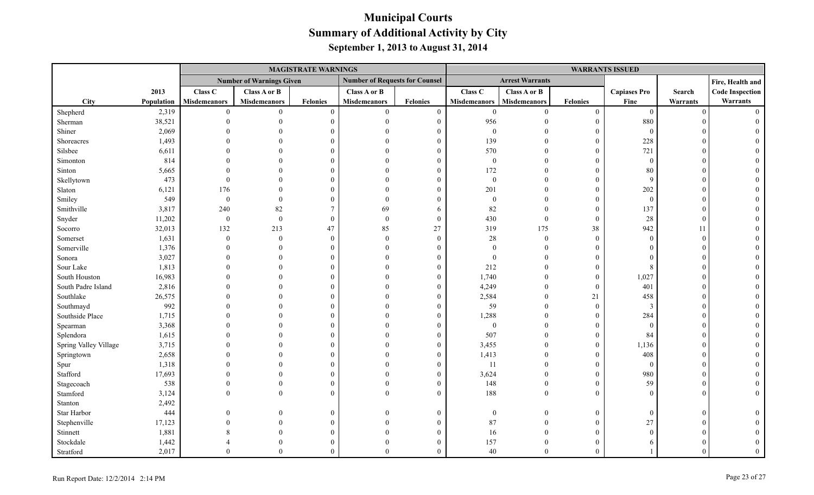|                       |            |                     |                                 | <b>MAGISTRATE WARNINGS</b> |                                       |                  |                     |                        |                  | <b>WARRANTS ISSUED</b> |                |                        |
|-----------------------|------------|---------------------|---------------------------------|----------------------------|---------------------------------------|------------------|---------------------|------------------------|------------------|------------------------|----------------|------------------------|
|                       |            |                     | <b>Number of Warnings Given</b> |                            | <b>Number of Requests for Counsel</b> |                  |                     | <b>Arrest Warrants</b> |                  |                        |                | Fire, Health and       |
|                       | 2013       | Class C             | Class A or B                    |                            | Class A or B                          |                  | Class <sub>C</sub>  | Class A or B           |                  | <b>Capiases Pro</b>    | Search         | <b>Code Inspection</b> |
| <b>City</b>           | Population | <b>Misdemeanors</b> | <b>Misdemeanors</b>             | <b>Felonies</b>            | <b>Misdemeanors</b>                   | Felonies         | <b>Misdemeanors</b> | <b>Misdemeanors</b>    | Felonies         | Fine                   | Warrants       | Warrants               |
| Shepherd              | 2,319      | $\mathbf{0}$        | $\overline{0}$                  | $\theta$                   | $\overline{0}$                        | $\boldsymbol{0}$ | $\boldsymbol{0}$    | $\overline{0}$         | $\boldsymbol{0}$ | $\bf{0}$               | $\overline{0}$ |                        |
| Sherman               | 38,521     |                     |                                 | $\Omega$                   | $\Omega$                              | $\mathbf{0}$     | 956                 | $\Omega$               | $\mathbf{0}$     | 880                    |                |                        |
| Shiner                | 2,069      |                     |                                 |                            |                                       | $\theta$         | $\boldsymbol{0}$    |                        | $\overline{0}$   | $\overline{0}$         |                |                        |
| Shoreacres            | 1,493      |                     |                                 |                            |                                       | $\theta$         | 139                 | $\theta$               | $\overline{0}$   | 228                    |                |                        |
| Silsbee               | 6,611      |                     |                                 |                            |                                       | $\Omega$         | 570                 | $\Omega$               | $\theta$         | 721                    |                |                        |
| Simonton              | 814        |                     |                                 |                            |                                       | $\theta$         | $\boldsymbol{0}$    | $\Omega$               | $\theta$         | $\theta$               |                |                        |
| Sinton                | 5,665      |                     |                                 |                            |                                       | $\theta$         | 172                 | $\Omega$               | $\theta$         | 80                     |                |                        |
| Skellytown            | 473        |                     |                                 |                            |                                       | $\theta$         | $\boldsymbol{0}$    | $\theta$               | $\overline{0}$   | $\mathbf{Q}$           |                |                        |
| Slaton                | 6,121      | 176                 | $\Omega$                        |                            |                                       | $\Omega$         | 201                 | $\theta$               | $\overline{0}$   | 202                    |                |                        |
| Smiley                | 549        | $\mathbf{0}$        | $\theta$                        |                            |                                       | $\theta$         | $\boldsymbol{0}$    | $\theta$               | $\mathbf{0}$     | $\bf{0}$               |                |                        |
| Smithville            | 3,817      | 240                 | 82                              |                            | 69                                    | 6                | 82                  | $\Omega$               | $\overline{0}$   | 137                    |                |                        |
| Snyder                | 11,202     | $\boldsymbol{0}$    | $\boldsymbol{0}$                | $\Omega$                   | $\Omega$                              | $\boldsymbol{0}$ | 430                 | $\mathbf{0}$           | $\overline{0}$   | 28                     | $\Omega$       |                        |
| Socorro               | 32,013     | 132                 | 213                             | 47                         | 85                                    | 27               | 319                 | 175                    | 38               | 942                    | 11             |                        |
| Somerset              | 1,631      | $\theta$            | $\theta$                        | $\Omega$                   | $\Omega$                              | $\overline{0}$   | 28                  | $\overline{0}$         | $\theta$         | $\Omega$               | $\Omega$       |                        |
| Somerville            | 1,376      |                     | $\theta$                        |                            |                                       | $\Omega$         | $\boldsymbol{0}$    | $\Omega$               | $\overline{0}$   | $\Omega$               |                |                        |
| Sonora                | 3,027      |                     |                                 |                            |                                       | $\Omega$         | $\boldsymbol{0}$    | $\Omega$               | $\Omega$         |                        |                |                        |
| Sour Lake             | 1,813      |                     |                                 |                            |                                       | $\overline{0}$   | 212                 | $\Omega$               | $\theta$         | 8                      |                |                        |
| South Houston         | 16,983     |                     |                                 |                            |                                       | $\theta$         | 1,740               | $\Omega$               | $\mathbf{0}$     | 1,027                  |                |                        |
| South Padre Island    | 2,816      |                     |                                 |                            |                                       | $\theta$         | 4,249               | $\overline{0}$         | $\overline{0}$   | 401                    |                |                        |
| Southlake             | 26,575     |                     |                                 |                            |                                       | $\theta$         | 2,584               | $\mathbf{0}$           | 21               | 458                    |                |                        |
| Southmayd             | 992        |                     |                                 |                            |                                       | $\theta$         | 59                  | $\overline{0}$         | $\overline{0}$   | -3                     |                |                        |
| Southside Place       | 1,715      |                     |                                 |                            |                                       | $\mathbf{0}$     | 1,288               | $\overline{0}$         | $\overline{0}$   | 284                    |                |                        |
| Spearman              | 3,368      |                     |                                 |                            |                                       | $\theta$         | $\boldsymbol{0}$    | $\theta$               | $\overline{0}$   | $\overline{0}$         |                |                        |
| Splendora             | 1,615      |                     |                                 |                            |                                       | $\theta$         | 507                 | $\Omega$               | $\overline{0}$   | 84                     |                |                        |
| Spring Valley Village | 3,715      |                     |                                 |                            |                                       | $\theta$         | 3,455               | $\Omega$               | $\theta$         | 1,136                  |                |                        |
| Springtown            | 2,658      |                     |                                 |                            |                                       | $\theta$         | 1,413               | $\theta$               | $\overline{0}$   | 408                    |                |                        |
| Spur                  | 1,318      |                     |                                 |                            |                                       | $\Omega$         | 11                  | $\Omega$               | $\boldsymbol{0}$ | $\overline{0}$         |                |                        |
| Stafford              | 17,693     |                     |                                 |                            |                                       | $\mathbf{0}$     | 3,624               | $\Omega$               | $\overline{0}$   | 980                    |                |                        |
| Stagecoach            | 538        |                     |                                 |                            |                                       | $\Omega$         | 148                 | $\theta$               | $\overline{0}$   | 59                     |                |                        |
| Stamford              | 3,124      | $\Omega$            | $\theta$                        |                            |                                       | $\Omega$         | 188                 | $\theta$               | $\theta$         | $\Omega$               |                |                        |
| Stanton               | 2,492      |                     |                                 |                            |                                       |                  |                     |                        |                  |                        |                |                        |
| Star Harbor           | 444        |                     |                                 |                            |                                       | $\theta$         | $\boldsymbol{0}$    | $\overline{0}$         | $\overline{0}$   | $\sqrt{ }$             |                |                        |
| Stephenville          | 17,123     |                     |                                 |                            |                                       | 0                | $87\,$              | $\theta$               | $\mathbf{0}$     | 27                     |                |                        |
| Stinnett              | 1,881      |                     |                                 |                            |                                       | $\theta$         | 16                  | $\theta$               | $\theta$         |                        |                |                        |
| Stockdale             | 1,442      |                     |                                 |                            |                                       | $\theta$         | 157                 | $\Omega$               | $\Omega$         |                        |                |                        |
| Stratford             | 2,017      |                     | $\Omega$                        | $\Omega$                   |                                       | $\theta$         | 40                  | $\Omega$               | $\Omega$         |                        |                |                        |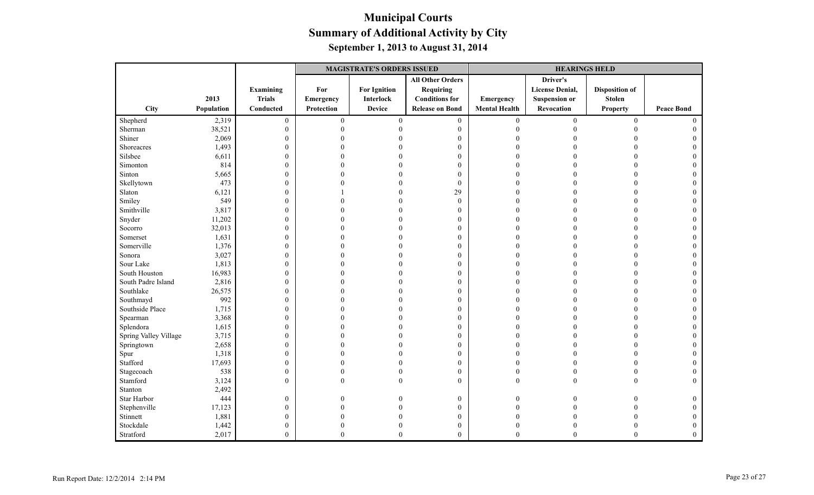|                       |            |                  |                  | <b>MAGISTRATE'S ORDERS ISSUED</b> |                         |                      | <b>HEARINGS HELD</b>   |                       |                   |
|-----------------------|------------|------------------|------------------|-----------------------------------|-------------------------|----------------------|------------------------|-----------------------|-------------------|
|                       |            |                  |                  |                                   | <b>All Other Orders</b> |                      | Driver's               |                       |                   |
|                       |            | Examining        | For              | <b>For Ignition</b>               | Requiring               |                      | <b>License Denial,</b> | <b>Disposition of</b> |                   |
|                       | 2013       | <b>Trials</b>    | <b>Emergency</b> | <b>Interlock</b>                  | <b>Conditions for</b>   | Emergency            | <b>Suspension or</b>   | <b>Stolen</b>         |                   |
| City                  | Population | Conducted        | Protection       | <b>Device</b>                     | <b>Release on Bond</b>  | <b>Mental Health</b> | Revocation             | <b>Property</b>       | <b>Peace Bond</b> |
| Shepherd              | 2,319      | $\boldsymbol{0}$ | $\overline{0}$   | $\mathbf{0}$                      | $\boldsymbol{0}$        | $\overline{0}$       | $\mathbf{0}$           | $\overline{0}$        | $\Omega$          |
| Sherman               | 38,521     | $\mathbf{0}$     | $\Omega$         |                                   | $\boldsymbol{0}$        | $\Omega$             |                        | $\Omega$              |                   |
| Shiner                | 2,069      | $\mathbf{0}$     |                  |                                   | $\boldsymbol{0}$        |                      |                        |                       |                   |
| Shoreacres            | 1,493      | $\mathbf{0}$     |                  |                                   | $\mathbf{0}$            |                      |                        |                       |                   |
| Silsbee               | 6,611      | $\mathbf{0}$     |                  |                                   | $\boldsymbol{0}$        |                      |                        |                       |                   |
| Simonton              | 814        | $\boldsymbol{0}$ |                  |                                   | $\mathbf{0}$            |                      |                        |                       |                   |
| Sinton                | 5,665      | $\boldsymbol{0}$ |                  |                                   | $\mathbf{0}$            | $\Omega$             |                        |                       |                   |
| Skellytown            | 473        | $\boldsymbol{0}$ |                  |                                   | $\boldsymbol{0}$        |                      |                        |                       |                   |
| Slaton                | 6,121      | $\boldsymbol{0}$ |                  |                                   | 29                      | $\Omega$             |                        | $\Omega$              |                   |
| Smiley                | 549        | $\boldsymbol{0}$ |                  |                                   | $\mathbf{0}$            | $\Omega$             |                        |                       |                   |
| Smithville            | 3,817      | $\mathbf{0}$     |                  |                                   | $\theta$                |                      |                        |                       |                   |
| Snyder                | 11,202     | $\boldsymbol{0}$ |                  |                                   | $\boldsymbol{0}$        |                      |                        |                       |                   |
| Socorro               | 32,013     | $\boldsymbol{0}$ |                  |                                   | $\mathbf{0}$            |                      |                        |                       |                   |
| Somerset              | 1,631      | $\boldsymbol{0}$ |                  |                                   | $\mathbf{0}$            |                      |                        |                       |                   |
| Somerville            | 1,376      | $\mathbf{0}$     |                  |                                   | $\mathbf{0}$            | $\Omega$             |                        | $\Omega$              |                   |
| Sonora                | 3,027      | $\mathbf{0}$     |                  |                                   | $\boldsymbol{0}$        |                      |                        |                       |                   |
| Sour Lake             | 1,813      | $\boldsymbol{0}$ |                  |                                   | $\mathbf{0}$            |                      |                        |                       |                   |
| South Houston         | 16,983     | $\boldsymbol{0}$ |                  |                                   | $\boldsymbol{0}$        |                      |                        |                       |                   |
| South Padre Island    | 2,816      | $\mathbf{0}$     |                  |                                   | $\mathbf{0}$            |                      |                        |                       |                   |
| Southlake             | 26,575     | $\boldsymbol{0}$ |                  |                                   | $\mathbf{0}$            |                      |                        |                       |                   |
| Southmayd             | 992        | $\mathbf{0}$     |                  |                                   | $\mathbf{0}$            |                      |                        |                       |                   |
| Southside Place       | 1,715      | $\mathbf{0}$     |                  |                                   | $\boldsymbol{0}$        | $\Omega$             |                        | $\Omega$              |                   |
| Spearman              | 3,368      | $\boldsymbol{0}$ |                  |                                   | $\mathbf{0}$            | $\Omega$             |                        |                       |                   |
| Splendora             | 1,615      | $\boldsymbol{0}$ |                  |                                   | $\mathbf{0}$            | $\Omega$             |                        | $\Omega$              |                   |
| Spring Valley Village | 3,715      | $\boldsymbol{0}$ |                  |                                   | $\boldsymbol{0}$        |                      |                        |                       |                   |
| Springtown            | 2,658      | $\mathbf{0}$     |                  |                                   | $\boldsymbol{0}$        | $\Omega$             |                        | $\Omega$              |                   |
| Spur                  | 1,318      | $\boldsymbol{0}$ | U                |                                   | $\mathbf{0}$            | $\Omega$             |                        | $\Omega$              |                   |
| Stafford              | 17,693     | $\boldsymbol{0}$ |                  |                                   | $\theta$                | $\Omega$             |                        | $\Omega$              |                   |
| Stagecoach            | 538        | $\mathbf{0}$     | $\theta$         |                                   | $\boldsymbol{0}$        | $\theta$             |                        | $\theta$              |                   |
| Stamford              | 3,124      | $\mathbf{0}$     | $\Omega$         |                                   | $\theta$                | $\theta$             |                        | $\Omega$              |                   |
| Stanton               | 2,492      |                  |                  |                                   |                         |                      |                        |                       |                   |
| Star Harbor           | 444        | $\mathbf{0}$     | 0                |                                   | $\boldsymbol{0}$        | $\theta$             |                        |                       | 0                 |
| Stephenville          | 17,123     | $\mathbf{0}$     | 0                |                                   | $\mathbf{0}$            | $\Omega$             |                        |                       |                   |
| Stinnett              | 1,881      | $\boldsymbol{0}$ |                  |                                   | $\mathbf{0}$            |                      |                        |                       |                   |
| Stockdale             | 1,442      | $\mathbf{0}$     | 0                |                                   | $\boldsymbol{0}$        | $\Omega$             |                        |                       | $\Omega$          |
| Stratford             | 2,017      | $\mathbf{0}$     | $\Omega$         | $\Omega$                          | $\theta$                | $\theta$             | $\theta$               | $\theta$              |                   |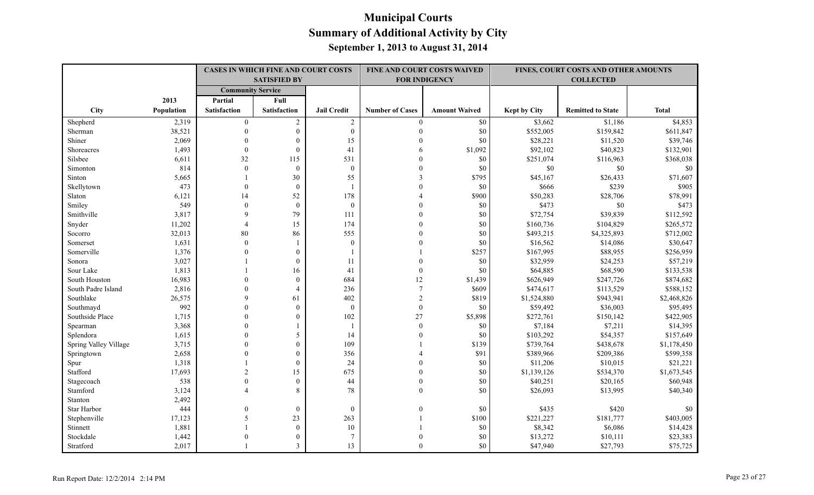|                       |            |                          | CASES IN WHICH FINE AND COURT COSTS |                    |                        | FINE AND COURT COSTS WAIVED |                     | FINES, COURT COSTS AND OTHER AMOUNTS |              |
|-----------------------|------------|--------------------------|-------------------------------------|--------------------|------------------------|-----------------------------|---------------------|--------------------------------------|--------------|
|                       |            |                          | <b>SATISFIED BY</b>                 |                    |                        | <b>FOR INDIGENCY</b>        |                     | <b>COLLECTED</b>                     |              |
|                       |            | <b>Community Service</b> |                                     |                    |                        |                             |                     |                                      |              |
|                       | 2013       | Partial                  | Full                                |                    |                        |                             |                     |                                      |              |
| City                  | Population | Satisfaction             | <b>Satisfaction</b>                 | <b>Jail Credit</b> | <b>Number of Cases</b> | <b>Amount Waived</b>        | <b>Kept by City</b> | <b>Remitted to State</b>             | <b>Total</b> |
| Shepherd              | 2,319      | $\theta$                 | $\overline{c}$                      | $\sqrt{2}$         | $\theta$               | $\$0$                       | \$3,662             | \$1,186                              | \$4,853      |
| Sherman               | 38,521     | $\Omega$                 | $\boldsymbol{0}$                    | $\mathbf{0}$       | $\Omega$               | \$0                         | \$552,005           | \$159,842                            | \$611,847    |
| Shiner                | 2,069      | $\theta$                 | $\mathbf{0}$                        | 15                 | $\Omega$               | \$0                         | \$28,221            | \$11,520                             | \$39,746     |
| Shoreacres            | 1,493      | $\theta$                 | $\theta$                            | 41                 |                        | \$1,092                     | \$92,102            | \$40,823                             | \$132,901    |
| Silsbee               | 6,611      | 32                       | 115                                 | 531                |                        | \$0                         | \$251,074           | \$116,963                            | \$368,038    |
| Simonton              | 814        | $\mathbf{0}$             | $\mathbf{0}$                        | $\mathbf{0}$       |                        | \$0                         | \$0                 | \$0                                  | \$0          |
| Sinton                | 5,665      |                          | 30                                  | 55                 |                        | \$795                       | \$45,167            | \$26,433                             | \$71,607     |
| Skellytown            | 473        | $\Omega$                 | $\theta$                            |                    |                        | \$0                         | \$666               | \$239                                | \$905        |
| Slaton                | 6,121      | 14                       | 52                                  | 178                |                        | \$900                       | \$50,283            | \$28,706                             | \$78,991     |
| Smiley                | 549        | $\theta$                 | $\boldsymbol{0}$                    | $\boldsymbol{0}$   |                        | \$0                         | \$473               | $\$0$                                | \$473        |
| Smithville            | 3,817      | 9                        | 79                                  | 111                |                        | \$0                         | \$72,754            | \$39,839                             | \$112,592    |
| Snyder                | 11,202     | $\overline{4}$           | 15                                  | 174                | $\Omega$               | \$0                         | \$160,736           | \$104,829                            | \$265,572    |
| Socorro               | 32,013     | 80                       | 86                                  | 555                |                        | \$0                         | \$493,215           | \$4,325,893                          | \$712,002    |
| Somerset              | 1,631      | $\theta$                 |                                     | $\mathbf{0}$       |                        | \$0                         | \$16,562            | \$14,086                             | \$30,647     |
| Somerville            | 1,376      | $\theta$                 | $\mathbf{0}$                        |                    |                        | \$257                       | \$167,995           | \$88,955                             | \$256,959    |
| Sonora                | 3,027      |                          | $\theta$                            | 11                 |                        | \$0                         | \$32,959            | \$24,253                             | \$57,219     |
| Sour Lake             | 1,813      |                          | 16                                  | 41                 | $\mathbf{0}$           | \$0                         | \$64,885            | \$68,590                             | \$133,538    |
| South Houston         | 16,983     | $\Omega$                 | $\mathbf{0}$                        | 684                | 12                     | \$1,439                     | \$626,949           | \$247,726                            | \$874,682    |
| South Padre Island    | 2,816      | $\Omega$                 | $\overline{4}$                      | 236                | $\boldsymbol{7}$       | \$609                       | \$474,617           | \$113,529                            | \$588,152    |
| Southlake             | 26,575     | 9                        | 61                                  | 402                | $\sqrt{2}$             | \$819                       | \$1,524,880         | \$943,941                            | \$2,468,826  |
| Southmayd             | 992        | $\Omega$                 | $\mathbf{0}$                        | $\mathbf{0}$       | $\mathbf{0}$           | \$0                         | \$59,492            | \$36,003                             | \$95,495     |
| Southside Place       | 1,715      | $\Omega$                 | $\Omega$                            | 102                | 27                     | \$5,898                     | \$272,761           | \$150,142                            | \$422,905    |
| Spearman              | 3,368      | $\Omega$                 |                                     | $\mathbf{1}$       | $\theta$               | \$0                         | \$7,184             | \$7,211                              | \$14,395     |
| Splendora             | 1,615      | $\Omega$                 | 5                                   | 14                 |                        | \$0                         | \$103,292           | \$54,357                             | \$157,649    |
| Spring Valley Village | 3,715      | $\theta$                 | $\mathbf{0}$                        | 109                |                        | \$139                       | \$739,764           | \$438,678                            | \$1,178,450  |
| Springtown            | 2,658      | $\Omega$                 | $\theta$                            | 356                |                        | \$91                        | \$389,966           | \$209,386                            | \$599,358    |
| Spur                  | 1,318      |                          | $\mathbf{0}$                        | 24                 |                        | \$0                         | \$11,206            | \$10,015                             | \$21,221     |
| Stafford              | 17,693     | $\sqrt{2}$               | 15                                  | 675                | $\Omega$               | \$0                         | \$1,139,126         | \$534,370                            | \$1,673,545  |
| Stagecoach            | 538        | $\theta$                 | $\mathbf{0}$                        | 44                 | $\theta$               | \$0                         | \$40,251            | \$20,165                             | \$60,948     |
| Stamford              | 3,124      |                          | $\mathbf{8}$                        | 78                 | $\theta$               | \$0                         | \$26,093            | \$13,995                             | \$40,340     |
| Stanton               | 2,492      |                          |                                     |                    |                        |                             |                     |                                      |              |
| Star Harbor           | 444        | $\mathbf{0}$             | $\boldsymbol{0}$                    | $\mathbf{0}$       | $\Omega$               | \$0                         | \$435               | \$420                                | \$0          |
| Stephenville          | 17,123     | 5                        | 23                                  | 263                |                        | \$100                       | \$221,227           | \$181,777                            | \$403,005    |
| Stinnett              | 1,881      |                          | $\mathbf{0}$                        | 10                 |                        | \$0                         | \$8,342             | \$6,086                              | \$14,428     |
| Stockdale             | 1,442      |                          | $\theta$                            | 7                  |                        | \$0                         | \$13,272            | \$10,111                             | \$23,383     |
| Stratford             | 2,017      |                          | 3                                   | 13                 | $\theta$               | \$0                         | \$47,940            | \$27,793                             | \$75,725     |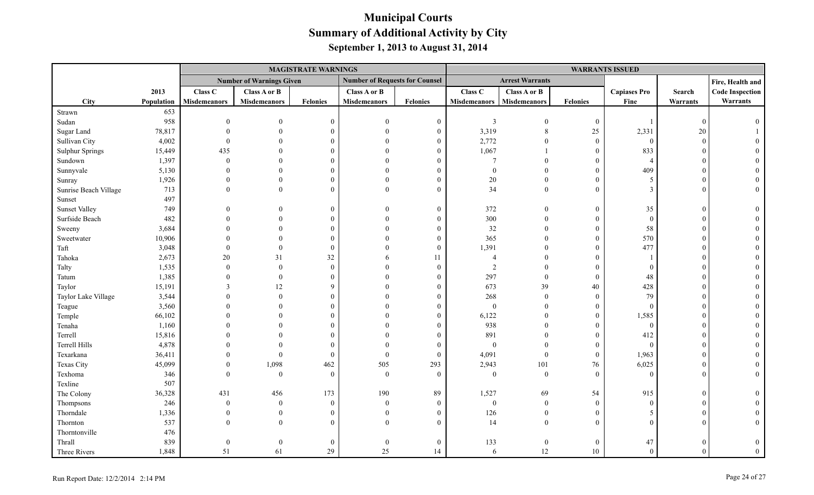|                        |            |                  |                                 | <b>MAGISTRATE WARNINGS</b> |                                       |                |                     |                        |                  | <b>WARRANTS ISSUED</b> |                 |                        |
|------------------------|------------|------------------|---------------------------------|----------------------------|---------------------------------------|----------------|---------------------|------------------------|------------------|------------------------|-----------------|------------------------|
|                        |            |                  | <b>Number of Warnings Given</b> |                            | <b>Number of Requests for Counsel</b> |                |                     | <b>Arrest Warrants</b> |                  |                        |                 | Fire, Health and       |
|                        | 2013       | Class C          | Class A or B                    |                            | Class A or B                          |                | Class C             | Class A or B           |                  | <b>Capiases Pro</b>    | Search          | <b>Code Inspection</b> |
| City                   | Population | Misdemeanors     | <b>Misdemeanors</b>             | Felonies                   | <b>Misdemeanors</b>                   | Felonies       | <b>Misdemeanors</b> | Misdemeanors           | <b>Felonies</b>  | Fine                   | <b>Warrants</b> | Warrants               |
| Strawn                 | 653        |                  |                                 |                            |                                       |                |                     |                        |                  |                        |                 |                        |
| Sudan                  | 958        | $\theta$         | $\Omega$                        | $\overline{0}$             | $\Omega$                              | $\overline{0}$ | $\overline{3}$      | $\overline{0}$         | $\boldsymbol{0}$ |                        | $\Omega$        |                        |
| Sugar Land             | 78,817     |                  | $\Omega$                        | $\theta$                   | $\Omega$                              | $\theta$       | 3,319               | $\,8\,$                | 25               | 2,331                  | 20              |                        |
| Sullivan City          | 4,002      |                  | $\Omega$                        | $\Omega$                   |                                       | 0              | 2,772               | $\Omega$               | $\boldsymbol{0}$ | $\overline{0}$         | $\Omega$        |                        |
| <b>Sulphur Springs</b> | 15,449     | 435              |                                 | $\Omega$                   | $\Omega$                              |                | 1,067               |                        | $\mathbf{0}$     | 833                    |                 |                        |
| Sundown                | 1,397      | $\mathbf{0}$     | $\Omega$                        | $\Omega$                   | $\Omega$                              | 0              | $\overline{7}$      | $\Omega$               | $\overline{0}$   | $\overline{4}$         |                 |                        |
| Sunnyvale              | 5,130      |                  | $\Omega$                        | $\Omega$                   |                                       | 0              | $\Omega$            | $\Omega$               | $\theta$         | 409                    |                 |                        |
| Sunray                 | 1,926      |                  | $\Omega$                        | $\theta$                   | $\Omega$                              |                | $20\,$              | $\Omega$               | $\theta$         | 5                      |                 |                        |
| Sunrise Beach Village  | 713        |                  | $\Omega$                        | $\Omega$                   | $\Omega$                              | $\Omega$       | 34                  | $\overline{0}$         | $\overline{0}$   | $\mathbf{3}$           |                 |                        |
| Sunset                 | 497        |                  |                                 |                            |                                       |                |                     |                        |                  |                        |                 |                        |
| <b>Sunset Valley</b>   | 749        |                  | $\theta$                        | $\overline{0}$             | $\Omega$                              | $\theta$       | 372                 | $\mathbf{0}$           | $\boldsymbol{0}$ | 35                     | $\Omega$        |                        |
| Surfside Beach         | 482        |                  | $\Omega$                        | $\theta$                   | $\Omega$                              | $\Omega$       | 300                 | $\Omega$               | $\overline{0}$   | $\theta$               |                 |                        |
| Sweeny                 | 3,684      |                  | $\Omega$                        | $\Omega$                   | $\Omega$                              | 0              | 32                  | $\Omega$               | $\boldsymbol{0}$ | 58                     |                 |                        |
| Sweetwater             | 10,906     |                  | $\Omega$                        | $\Omega$                   | $\Omega$                              | $\Omega$       | 365                 | $\Omega$               | $\boldsymbol{0}$ | 570                    |                 |                        |
| Taft                   | 3,048      | $\Omega$         | $\Omega$                        | $\theta$                   | $\Omega$                              | $\Omega$       | 1,391               | $\Omega$               | $\overline{0}$   | 477                    |                 |                        |
| Tahoka                 | 2,673      | $20\,$           | 31                              | 32                         |                                       | 11             | $\overline{4}$      | $\Omega$               | $\boldsymbol{0}$ |                        |                 |                        |
| Talty                  | 1,535      | $\theta$         | $\mathbf{0}$                    | $\theta$                   | $\Omega$                              | $\Omega$       | $\sqrt{2}$          |                        | $\theta$         | $\Omega$               |                 |                        |
| Tatum                  | 1,385      |                  | $\theta$                        | $\theta$                   | $\Omega$                              |                | 297                 | $\mathbf{0}$           | $\overline{0}$   | 48                     |                 |                        |
| Taylor                 | 15,191     |                  | 12                              | $\mathbf Q$                |                                       | 0              | 673                 | 39                     | $40\,$           | 428                    |                 |                        |
| Taylor Lake Village    | 3,544      |                  | $\theta$                        | $\Omega$                   |                                       |                | 268                 | $\mathbf{0}$           | $\mathbf{0}$     | 79                     |                 |                        |
| Teague                 | 3,560      |                  | $\Omega$                        | $\theta$                   | $\Omega$                              |                | $\boldsymbol{0}$    | $\theta$               | $\mathbf{0}$     | $\Omega$               |                 |                        |
| Temple                 | 66,102     |                  | $\Omega$                        | $\Omega$                   |                                       | 0              | 6,122               | $\theta$               | $\overline{0}$   | 1,585                  |                 |                        |
| Tenaha                 | 1,160      |                  | $\Omega$                        | $\theta$                   |                                       | $\Omega$       | 938                 | $\theta$               | $\boldsymbol{0}$ | $\overline{0}$         |                 |                        |
| Terrell                | 15,816     |                  | $\Omega$                        | $\Omega$                   | $\Omega$                              | $\Omega$       | 891                 | $\Omega$               | $\mathbf{0}$     | 412                    |                 |                        |
| <b>Terrell Hills</b>   | 4,878      |                  | $\Omega$                        | $\Omega$                   | $\Omega$                              | $\Omega$       | $\mathbf{0}$        | $\theta$               | $\overline{0}$   | $\theta$               |                 |                        |
| Texarkana              | 36,411     | $\Omega$         | $\theta$                        | $\overline{0}$             | $\theta$                              | $\mathbf{0}$   | 4,091               | $\mathbf{0}$           | $\boldsymbol{0}$ | 1,963                  |                 |                        |
| Texas City             | 45,099     | $\Omega$         | 1,098                           | 462                        | 505                                   | 293            | 2,943               | 101                    | 76               | 6,025                  |                 |                        |
| Texhoma                | 346        | $\Omega$         | $\mathbf{0}$                    | $\theta$                   | $\theta$                              | $\theta$       | $\boldsymbol{0}$    | $\theta$               | $\mathbf{0}$     | $\Omega$               |                 |                        |
| Texline                | 507        |                  |                                 |                            |                                       |                |                     |                        |                  |                        |                 |                        |
| The Colony             | 36,328     | 431              | 456                             | 173                        | 190                                   | 89             | 1,527               | 69                     | 54               | 915                    | $\Omega$        |                        |
| Thompsons              | 246        | $\boldsymbol{0}$ | $\boldsymbol{0}$                | $\overline{0}$             | $\theta$                              | $\overline{0}$ | $\boldsymbol{0}$    | $\mathbf{0}$           | $\mathbf{0}$     | $\theta$               |                 |                        |
| Thorndale              | 1,336      | $\Omega$         | $\theta$                        | $\theta$                   | $\Omega$                              | $\Omega$       | 126                 | $\overline{0}$         | $\theta$         | 5                      |                 |                        |
| Thornton               | 537        | $\Omega$         | $\Omega$                        | $\Omega$                   | $\Omega$                              | $\Omega$       | 14                  | $\theta$               | $\theta$         | $\Omega$               |                 |                        |
| Thorntonville          | 476        |                  |                                 |                            |                                       |                |                     |                        |                  |                        |                 |                        |
| Thrall                 | 839        |                  | $\theta$                        | $\overline{0}$             |                                       | $\theta$       | 133                 | $\overline{0}$         | $\mathbf{0}$     | 47                     |                 |                        |
| Three Rivers           | 1,848      | 51               | 61                              | 29                         | 25                                    | 14             | 6                   | 12                     | 10               | $\Omega$               | $\Omega$        | $\theta$               |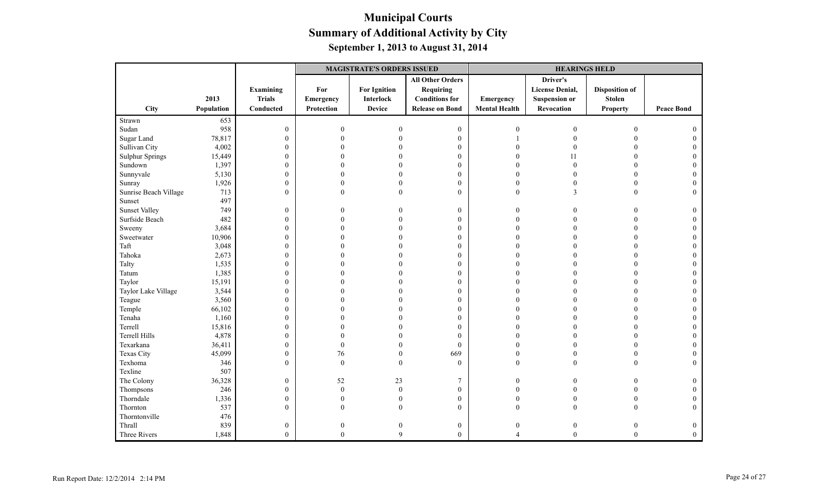|                        |            |                  |                  | <b>MAGISTRATE'S ORDERS ISSUED</b> |                         |                      | <b>HEARINGS HELD</b>   |                       |                   |
|------------------------|------------|------------------|------------------|-----------------------------------|-------------------------|----------------------|------------------------|-----------------------|-------------------|
|                        |            |                  |                  |                                   | <b>All Other Orders</b> |                      | Driver's               |                       |                   |
|                        |            | Examining        | For              | <b>For Ignition</b>               | <b>Requiring</b>        |                      | <b>License Denial,</b> | <b>Disposition of</b> |                   |
|                        | 2013       | <b>Trials</b>    | Emergency        | <b>Interlock</b>                  | <b>Conditions</b> for   | Emergency            | <b>Suspension or</b>   | <b>Stolen</b>         |                   |
| City                   | Population | Conducted        | Protection       | <b>Device</b>                     | <b>Release on Bond</b>  | <b>Mental Health</b> | Revocation             | <b>Property</b>       | <b>Peace Bond</b> |
| Strawn                 | 653        |                  |                  |                                   |                         |                      |                        |                       |                   |
| Sudan                  | 958        | $\boldsymbol{0}$ | $\overline{0}$   | $\Omega$                          | $\mathbf{0}$            | $\Omega$             | $\mathbf{0}$           | $\mathbf{0}$          |                   |
| Sugar Land             | 78,817     | $\boldsymbol{0}$ | $\theta$         |                                   | $\boldsymbol{0}$        |                      |                        | $\theta$              |                   |
| Sullivan City          | 4,002      | $\boldsymbol{0}$ |                  |                                   | $\boldsymbol{0}$        |                      | $\Omega$               |                       |                   |
| <b>Sulphur Springs</b> | 15,449     | $\mathbf{0}$     |                  |                                   | $\mathbf{0}$            | $\Omega$             | 11                     | $\theta$              | $\Omega$          |
| Sundown                | 1,397      | $\boldsymbol{0}$ |                  |                                   | $\boldsymbol{0}$        | $\Omega$             | $\mathbf{0}$           | $\theta$              | $\Omega$          |
| Sunnyvale              | 5,130      | $\boldsymbol{0}$ | 0                |                                   | $\boldsymbol{0}$        | $\theta$             | $\Omega$               | $\theta$              | $\mathbf{0}$      |
| Sunray                 | 1,926      | $\boldsymbol{0}$ | $\theta$         |                                   | $\boldsymbol{0}$        | $\boldsymbol{0}$     | 0                      | $\boldsymbol{0}$      | $\Omega$          |
| Sunrise Beach Village  | 713        | $\mathbf{0}$     | $\theta$         | $\theta$                          | $\mathbf{0}$            | $\mathbf{0}$         | 3                      | $\overline{0}$        | $\Omega$          |
| Sunset                 | 497        |                  |                  |                                   |                         |                      |                        |                       |                   |
| <b>Sunset Valley</b>   | 749        | $\mathbf{0}$     | 0                |                                   | $\boldsymbol{0}$        | $\Omega$             | 0                      | $\Omega$              | $\Omega$          |
| Surfside Beach         | 482        | $\boldsymbol{0}$ | 0                |                                   | $\mathbf{0}$            | $\theta$             |                        | $\theta$              | $\Omega$          |
| Sweeny                 | 3,684      | $\boldsymbol{0}$ |                  |                                   | $\boldsymbol{0}$        | $\Omega$             |                        | $\Omega$              |                   |
| Sweetwater             | 10,906     | $\boldsymbol{0}$ |                  |                                   | $\mathbf{0}$            | $\Omega$             |                        | $\Omega$              | $\Omega$          |
| Taft                   | 3,048      | $\boldsymbol{0}$ |                  |                                   | $\mathbf{0}$            | $\Omega$             |                        | $\Omega$              | $\Omega$          |
| Tahoka                 | 2,673      | $\mathbf{0}$     | 0                |                                   | $\mathbf{0}$            | $\Omega$             |                        | $\Omega$              | $\Omega$          |
| Talty                  | 1,535      | $\boldsymbol{0}$ |                  |                                   | $\boldsymbol{0}$        | $\theta$             |                        |                       |                   |
| Tatum                  | 1,385      | $\boldsymbol{0}$ | 0                |                                   | $\boldsymbol{0}$        | $\Omega$             |                        | $\Omega$              | $\Omega$          |
| Taylor                 | 15,191     | $\boldsymbol{0}$ |                  |                                   | $\mathbf{0}$            | $\Omega$             |                        | $\Omega$              |                   |
| Taylor Lake Village    | 3,544      | $\boldsymbol{0}$ |                  |                                   | $\boldsymbol{0}$        | $\Omega$             |                        | $\Omega$              | $\theta$          |
| Teague                 | 3,560      | $\boldsymbol{0}$ |                  |                                   | $\boldsymbol{0}$        | $\sqrt{ }$           |                        |                       | $\Omega$          |
| Temple                 | 66,102     | $\boldsymbol{0}$ | $\Omega$         |                                   | $\mathbf{0}$            | $\sqrt{ }$           |                        | $\Omega$              | $\theta$          |
| Tenaha                 | 1,160      | $\boldsymbol{0}$ |                  |                                   | $\mathbf{0}$            | $\Omega$             |                        | $\Omega$              | $\Omega$          |
| Terrell                | 15,816     | $\boldsymbol{0}$ | 0                |                                   | $\mathbf{0}$            | $\Omega$             |                        | $\theta$              | $\Omega$          |
| Terrell Hills          | 4,878      | $\boldsymbol{0}$ | 0                |                                   | $\mathbf{0}$            | $\Omega$             |                        | $\Omega$              | $\Omega$          |
| Texarkana              | 36,411     | $\boldsymbol{0}$ | $\theta$         |                                   | $\theta$                | $\Omega$             |                        | $\Omega$              |                   |
| Texas City             | 45,099     | $\boldsymbol{0}$ | $76\,$           | $\mathbf{0}$                      | 669                     | $\mathbf{0}$         | $\theta$               | $\theta$              | $\Omega$          |
| Texhoma                | 346        | $\mathbf{0}$     | $\theta$         | $\theta$                          | $\mathbf{0}$            | $\theta$             | $\theta$               | $\theta$              | $\Omega$          |
| Texline                | 507        |                  |                  |                                   |                         |                      |                        |                       |                   |
| The Colony             | 36,328     | $\boldsymbol{0}$ | 52               | $23\,$                            | 7                       | $\overline{0}$       |                        | $\overline{0}$        | $\mathbf{0}$      |
| Thompsons              | 246        | $\boldsymbol{0}$ | $\overline{0}$   | $\boldsymbol{0}$                  | $\boldsymbol{0}$        | $\Omega$             |                        | $\boldsymbol{0}$      | $\mathbf{0}$      |
| Thorndale              | 1,336      | $\boldsymbol{0}$ | $\Omega$         | $\mathbf{0}$                      | $\boldsymbol{0}$        | $\mathbf{0}$         | $\Omega$               | $\overline{0}$        |                   |
| Thornton               | 537        | $\overline{0}$   | $\Omega$         | $\theta$                          | $\mathbf{0}$            | $\theta$             | $\Omega$               | $\theta$              | $\theta$          |
| Thorntonville          | 476        |                  |                  |                                   |                         |                      |                        |                       |                   |
| Thrall                 | 839        | $\boldsymbol{0}$ | $\boldsymbol{0}$ | $\boldsymbol{0}$                  | $\boldsymbol{0}$        | $\boldsymbol{0}$     | $\boldsymbol{0}$       | $\boldsymbol{0}$      | $\boldsymbol{0}$  |
| Three Rivers           | 1,848      | $\overline{0}$   | $\theta$         | 9                                 | $\overline{0}$          | $\overline{A}$       | $\boldsymbol{0}$       | $\mathbf{0}$          | $\overline{0}$    |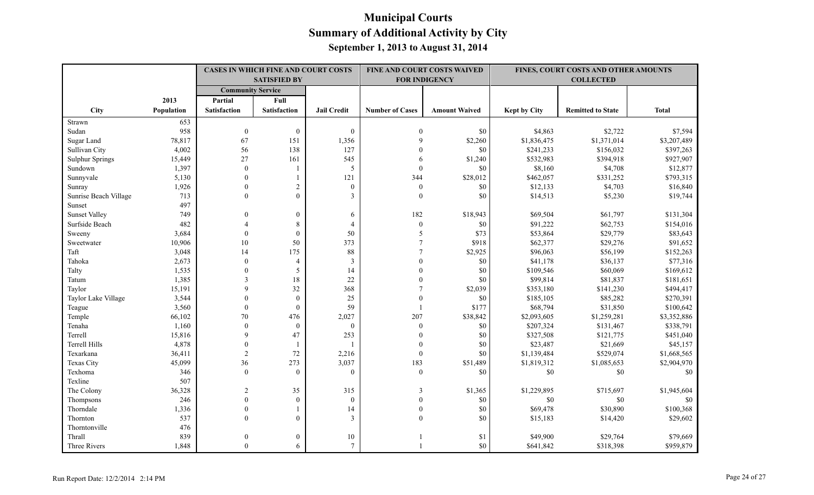|                        |            |                          | <b>CASES IN WHICH FINE AND COURT COSTS</b> |                    |                        | <b>FINE AND COURT COSTS WAIVED</b> |                     | <b>FINES, COURT COSTS AND OTHER AMOUNTS</b> |              |
|------------------------|------------|--------------------------|--------------------------------------------|--------------------|------------------------|------------------------------------|---------------------|---------------------------------------------|--------------|
|                        |            |                          | <b>SATISFIED BY</b>                        |                    |                        | <b>FOR INDIGENCY</b>               |                     | <b>COLLECTED</b>                            |              |
|                        |            | <b>Community Service</b> |                                            |                    |                        |                                    |                     |                                             |              |
|                        | 2013       | Partial                  | Full                                       |                    |                        |                                    |                     |                                             |              |
| City                   | Population | <b>Satisfaction</b>      | Satisfaction                               | <b>Jail Credit</b> | <b>Number of Cases</b> | <b>Amount Waived</b>               | <b>Kept by City</b> | <b>Remitted to State</b>                    | <b>Total</b> |
| Strawn                 | 653        |                          |                                            |                    |                        |                                    |                     |                                             |              |
| Sudan                  | 958        | $\mathbf{0}$             | $\boldsymbol{0}$                           | $\mathbf{0}$       | $\Omega$               | \$0                                | \$4,863             | \$2,722                                     | \$7,594      |
| Sugar Land             | 78,817     | 67                       | 151                                        | 1,356              | $\mathbf Q$            | \$2,260                            | \$1,836,475         | \$1,371,014                                 | \$3,207,489  |
| Sullivan City          | 4,002      | 56                       | 138                                        | 127                | $\Omega$               | \$0                                | \$241,233           | \$156,032                                   | \$397,263    |
| <b>Sulphur Springs</b> | 15,449     | 27                       | 161                                        | 545                | 6                      | \$1,240                            | \$532,983           | \$394,918                                   | \$927,907    |
| Sundown                | 1,397      | $\boldsymbol{0}$         | 1                                          | 5                  | $\mathbf{0}$           | \$0                                | \$8,160             | \$4,708                                     | \$12,877     |
| Sunnyvale              | 5,130      | $\mathbf{0}$             | $\mathbf{1}$                               | 121                | 344                    | \$28,012                           | \$462,057           | \$331,252                                   | \$793,315    |
| Sunray                 | 1,926      | $\theta$                 | $\overline{c}$                             | $\boldsymbol{0}$   | $\boldsymbol{0}$       | \$0                                | \$12,133            | \$4,703                                     | \$16,840     |
| Sunrise Beach Village  | 713        | $\Omega$                 | $\theta$                                   | $\overline{3}$     | $\mathbf{0}$           | \$0                                | \$14,513            | \$5,230                                     | \$19,744     |
| Sunset                 | 497        |                          |                                            |                    |                        |                                    |                     |                                             |              |
| <b>Sunset Valley</b>   | 749        | $\theta$                 | $\boldsymbol{0}$                           | 6                  | 182                    | \$18,943                           | \$69,504            | \$61,797                                    | \$131,304    |
| Surfside Beach         | 482        |                          | 8                                          | $\overline{4}$     | $\mathbf{0}$           | \$0                                | \$91,222            | \$62,753                                    | \$154,016    |
| Sweeny                 | 3,684      | $\theta$                 | $\theta$                                   | 50                 | 5                      | \$73                               | \$53,864            | \$29,779                                    | \$83,643     |
| Sweetwater             | 10,906     | $10\,$                   | 50                                         | 373                |                        | \$918                              | \$62,377            | \$29,276                                    | \$91,652     |
| Taft                   | 3,048      | 14                       | 175                                        | 88                 |                        | \$2,925                            | \$96,063            | \$56,199                                    | \$152,263    |
| Tahoka                 | 2,673      | $\theta$                 | $\overline{4}$                             | $\overline{3}$     | $\Omega$               | \$0                                | \$41,178            | \$36,137                                    | \$77,316     |
| Talty                  | 1,535      | $\Omega$                 | 5                                          | 14                 | $\Omega$               | \$0                                | \$109,546           | \$60,069                                    | \$169,612    |
| Tatum                  | 1,385      | 3                        | 18                                         | 22                 | $\Omega$               | \$0                                | \$99,814            | \$81,837                                    | \$181,651    |
| Taylor                 | 15,191     | 9                        | 32                                         | 368                |                        | \$2,039                            | \$353,180           | \$141,230                                   | \$494,417    |
| Taylor Lake Village    | 3,544      | $\theta$                 | $\boldsymbol{0}$                           | 25                 | $\theta$               | \$0                                | \$185,105           | \$85,282                                    | \$270,391    |
| Teague                 | 3,560      | $\theta$                 | $\theta$                                   | 59                 | $\overline{1}$         | \$177                              | \$68,794            | \$31,850                                    | \$100,642    |
| Temple                 | 66,102     | 70                       | 476                                        | 2,027              | 207                    | \$38,842                           | \$2,093,605         | \$1,259,281                                 | \$3,352,886  |
| Tenaha                 | 1,160      | $\theta$                 | $\mathbf{0}$                               | $\mathbf{0}$       | $\mathbf{0}$           | \$0                                | \$207,324           | \$131,467                                   | \$338,791    |
| Terrell                | 15,816     | 9                        | 47                                         | 253                | $\mathbf{0}$           | \$0                                | \$327,508           | \$121,775                                   | \$451,040    |
| <b>Terrell Hills</b>   | 4,878      | $\theta$                 | $\mathbf{1}$                               |                    | $\theta$               | \$0                                | \$23,487            | \$21,669                                    | \$45,157     |
| Texarkana              | 36,411     | $\overline{2}$           | 72                                         | 2,216              | $\mathbf{0}$           | \$0                                | \$1,139,484         | \$529,074                                   | \$1,668,565  |
| <b>Texas City</b>      | 45,099     | 36                       | 273                                        | 3,037              | 183                    | \$51,489                           | \$1,819,312         | \$1,085,653                                 | \$2,904,970  |
| Texhoma                | 346        | $\theta$                 | $\theta$                                   | $\theta$           | $\boldsymbol{0}$       | \$0                                | $\$0$               | $\$0$                                       | \$0          |
| Texline                | 507        |                          |                                            |                    |                        |                                    |                     |                                             |              |
| The Colony             | 36,328     | $\overline{2}$           | 35                                         | 315                | 3                      | \$1,365                            | \$1,229,895         | \$715,697                                   | \$1,945,604  |
| Thompsons              | 246        | $\theta$                 | $\mathbf{0}$                               | $\boldsymbol{0}$   | $\theta$               | \$0                                | \$0                 | \$0                                         | \$0          |
| Thorndale              | 1,336      | $\theta$                 | $\mathbf{1}$                               | 14                 | $\mathbf{0}$           | \$0                                | \$69,478            | \$30,890                                    | \$100,368    |
| Thornton               | 537        | $\theta$                 | $\mathbf{0}$                               | $\overline{3}$     | $\theta$               | \$0                                | \$15,183            | \$14,420                                    | \$29,602     |
| Thorntonville          | 476        |                          |                                            |                    |                        |                                    |                     |                                             |              |
| Thrall                 | 839        | $\overline{0}$           | $\boldsymbol{0}$                           | 10                 |                        | \$1                                | \$49,900            | \$29,764                                    | \$79,669     |
| Three Rivers           | 1,848      | $\Omega$                 | 6                                          | $\tau$             |                        | \$0                                | \$641,842           | \$318,398                                   | \$959,879    |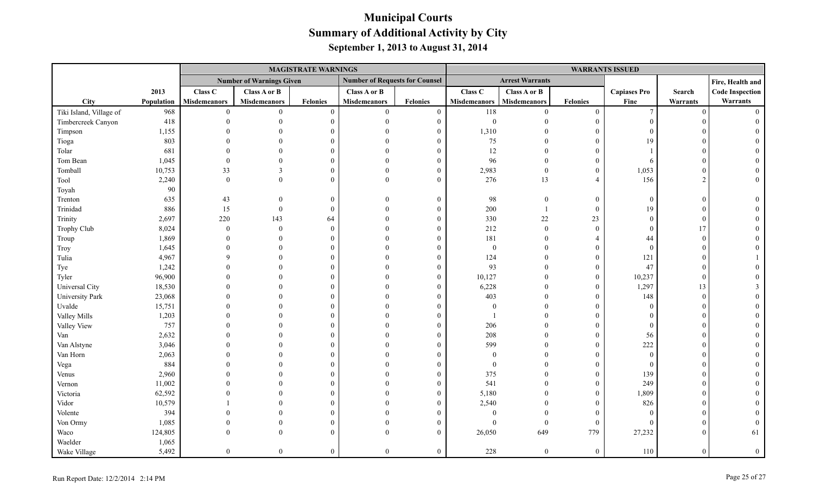|                         |            |                     |                                 | <b>MAGISTRATE WARNINGS</b> |                                       |                 |                     |                        |                  | <b>WARRANTS ISSUED</b> |               |                        |
|-------------------------|------------|---------------------|---------------------------------|----------------------------|---------------------------------------|-----------------|---------------------|------------------------|------------------|------------------------|---------------|------------------------|
|                         |            |                     | <b>Number of Warnings Given</b> |                            | <b>Number of Requests for Counsel</b> |                 |                     | <b>Arrest Warrants</b> |                  |                        |               | Fire, Health and       |
|                         | 2013       | Class C             | Class A or B                    |                            | <b>Class A or B</b>                   |                 | Class C             | Class A or B           |                  | <b>Capiases Pro</b>    | Search        | <b>Code Inspection</b> |
| <b>City</b>             | Population | <b>Misdemeanors</b> | <b>Misdemeanors</b>             | <b>Felonies</b>            | <b>Misdemeanors</b>                   | <b>Felonies</b> | <b>Misdemeanors</b> | <b>Misdemeanors</b>    | <b>Felonies</b>  | Fine                   | Warrants      | Warrants               |
| Tiki Island, Village of | 968        | $\theta$            | $\theta$                        | $\overline{0}$             | $\overline{0}$                        | $\mathbf{0}$    | 118                 | $\theta$               | $\mathbf{0}$     | $7\phantom{.0}$        | $\Omega$      | $\Omega$               |
| Timbercreek Canyon      | 418        |                     | $\Omega$                        | $\Omega$                   | $\Omega$                              | $\overline{0}$  | $\boldsymbol{0}$    | $\Omega$               | $\overline{0}$   | $\theta$               |               |                        |
| Timpson                 | 1,155      |                     |                                 | $\Omega$                   | $\Omega$                              | $\Omega$        | 1,310               |                        | $\overline{0}$   | $\Omega$               |               |                        |
| Tioga                   | 803        |                     |                                 | $\Omega$                   | $\Omega$                              | $\Omega$        | $75\,$              |                        | $\boldsymbol{0}$ | 19                     |               |                        |
| Tolar                   | 681        |                     |                                 | $\Omega$                   | $\Omega$                              | $\Omega$        | 12                  | $\Omega$               | $\theta$         |                        |               |                        |
| Tom Bean                | 1,045      |                     |                                 | $\Omega$                   | $\Omega$                              | $\theta$        | 96                  | $\Omega$               | $\overline{0}$   | 6                      |               |                        |
| Tomball                 | 10,753     | 33                  | $\mathbf{R}$                    | $\Omega$                   | $\Omega$                              | $\mathbf{0}$    | 2,983               | $\boldsymbol{0}$       | $\mathbf{0}$     | 1,053                  |               |                        |
| Tool                    | 2,240      | $\mathbf{0}$        | $\Omega$                        | $\Omega$                   | $\Omega$                              | $\overline{0}$  | 276                 | 13                     | $\overline{4}$   | 156                    | $\mathcal{D}$ |                        |
| Toyah                   | 90         |                     |                                 |                            |                                       |                 |                     |                        |                  |                        |               |                        |
| Trenton                 | 635        | 43                  | $\theta$                        | $\mathbf{0}$               | $\Omega$                              | $\mathbf{0}$    | 98                  | $\boldsymbol{0}$       | $\boldsymbol{0}$ | $\Omega$               |               |                        |
| Trinidad                | 886        | 15                  | $\mathbf{0}$                    | $\theta$                   | $\Omega$                              | $\theta$        | $200\,$             | $\overline{1}$         | $\mathbf{0}$     | 19                     |               |                        |
| Trinity                 | 2,697      | 220                 | 143                             | 64                         | $\Omega$                              | $\Omega$        | 330                 | $22\,$                 | 23               | $\Omega$               | $\sqrt{ }$    |                        |
| Trophy Club             | 8,024      | $\mathbf{0}$        | $\mathbf{0}$                    | $\theta$                   | $\Omega$                              | $\theta$        | 212                 | $\boldsymbol{0}$       | $\mathbf{0}$     | $\Omega$               | 17            |                        |
| Troup                   | 1,869      |                     | $\Omega$                        | $\Omega$                   | $\Omega$                              | $\Omega$        | 181                 | $\mathbf{0}$           | $\overline{4}$   | 44                     |               |                        |
| Troy                    | 1,645      |                     |                                 | $\Omega$                   | $\Omega$                              | $\theta$        | $\bf{0}$            | $\theta$               | $\overline{0}$   | $\theta$               |               |                        |
| Tulia                   | 4,967      |                     |                                 | $\Omega$                   | $\Omega$                              | $\theta$        | 124                 |                        | $\boldsymbol{0}$ | 121                    |               |                        |
| Tye                     | 1,242      |                     |                                 | $\Omega$                   | $\Omega$                              | $\theta$        | 93                  | $\Omega$               | $\boldsymbol{0}$ | 47                     |               |                        |
| Tyler                   | 96,900     |                     |                                 | $\Omega$                   | $\Omega$                              | $\Omega$        | 10,127              | $\Omega$               | $\overline{0}$   | 10,237                 | $\Omega$      |                        |
| Universal City          | 18,530     |                     | $\Omega$                        | $\Omega$                   | $\Omega$                              | $\theta$        | 6,228               | $\Omega$               | $\mathbf{0}$     | 1,297                  | 13            |                        |
| <b>University Park</b>  | 23,068     |                     | $\Omega$                        | $\Omega$                   | $\Omega$                              | $\Omega$        | 403                 | $\Omega$               | $\overline{0}$   | 148                    | $\Omega$      |                        |
| Uvalde                  | 15,751     |                     | $\Omega$                        | $\Omega$                   | $\Omega$                              | $\theta$        | $\bf{0}$            | $\Omega$               | $\boldsymbol{0}$ | $\Omega$               |               |                        |
| Valley Mills            | 1,203      |                     |                                 | $\Omega$                   | $\Omega$                              | $\Omega$        |                     |                        | $\Omega$         | $\Omega$               |               |                        |
| Valley View             | 757        |                     |                                 | $\Omega$                   | $\Omega$                              | $\theta$        | 206                 | $\Omega$               | $\theta$         | $\Omega$               |               |                        |
| Van                     | 2,632      |                     |                                 | $\Omega$                   | $\Omega$                              | $\Omega$        | 208                 | $\Omega$               | $\mathbf{0}$     | 56                     |               |                        |
| Van Alstyne             | 3,046      |                     |                                 | $\Omega$                   | $\Omega$                              | $\Omega$        | 599                 | $\Omega$               | $\theta$         | 222                    |               |                        |
| Van Horn                | 2,063      |                     |                                 | $\Omega$                   | $\Omega$                              | $\Omega$        | $\overline{0}$      | $\Omega$               | $\overline{0}$   | $\theta$               |               |                        |
| Vega                    | 884        |                     |                                 | $\theta$                   | $\Omega$                              | $\theta$        | $\boldsymbol{0}$    |                        | $\boldsymbol{0}$ | $\mathbf{0}$           |               |                        |
| Venus                   | 2,960      |                     |                                 | $\Omega$                   | $\Omega$                              | $\theta$        | 375                 |                        | $\boldsymbol{0}$ | 139                    |               |                        |
| Vernon                  | 11,002     |                     |                                 | $\Omega$                   | $\Omega$                              | $\Omega$        | 541                 | $\Omega$               | $\overline{0}$   | 249                    |               |                        |
| Victoria                | 62,592     |                     |                                 | $\Omega$                   | $\Omega$                              | $\theta$        | 5,180               | $\Omega$               | $\mathbf{0}$     | 1,809                  |               |                        |
| Vidor                   | 10,579     |                     | $\Omega$                        | $\theta$                   | $\Omega$                              | $\theta$        | 2,540               | $\Omega$               | $\mathbf{0}$     | 826                    |               |                        |
| Volente                 | 394        |                     | $\Omega$                        | $\Omega$                   |                                       | $\Omega$        | $\mathbf{0}$        | $\theta$               | $\overline{0}$   | $\Omega$               |               |                        |
| Von Ormy                | 1,085      |                     | $\theta$                        | $\theta$                   | $\Omega$                              | $\Omega$        | $\overline{0}$      | $\overline{0}$         | $\boldsymbol{0}$ | $\Omega$               |               |                        |
| Waco                    | 124,805    |                     | $\theta$                        | $\Omega$                   | $\Omega$                              | $\theta$        | 26,050              | 649                    | 779              | 27,232                 |               | 61                     |
| Waelder                 | 1,065      |                     |                                 |                            |                                       |                 |                     |                        |                  |                        |               |                        |
| Wake Village            | 5,492      | $\theta$            | $\overline{0}$                  | $\theta$                   | $\theta$                              | $\overline{0}$  | 228                 | $\theta$               | $\overline{0}$   | 110                    | $\Omega$      | $\theta$               |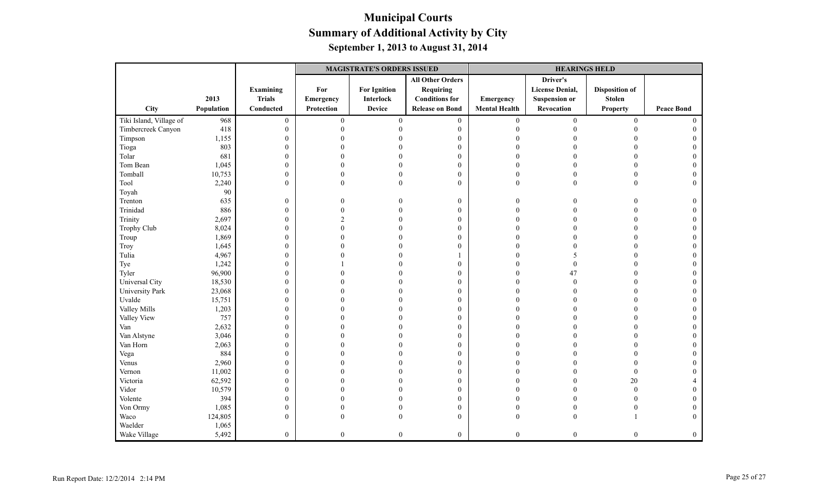|                         |            |                  |                | <b>MAGISTRATE'S ORDERS ISSUED</b> |                         |                      | <b>HEARINGS HELD</b>   |                       |                   |  |  |
|-------------------------|------------|------------------|----------------|-----------------------------------|-------------------------|----------------------|------------------------|-----------------------|-------------------|--|--|
|                         |            |                  |                |                                   | <b>All Other Orders</b> |                      | Driver's               |                       |                   |  |  |
|                         |            | <b>Examining</b> | For            | <b>For Ignition</b>               | <b>Requiring</b>        |                      | <b>License Denial,</b> | <b>Disposition of</b> |                   |  |  |
|                         | 2013       | <b>Trials</b>    | Emergency      | Interlock                         | <b>Conditions for</b>   | Emergency            | <b>Suspension or</b>   | <b>Stolen</b>         |                   |  |  |
| City                    | Population | Conducted        | Protection     | <b>Device</b>                     | <b>Release on Bond</b>  | <b>Mental Health</b> | Revocation             | <b>Property</b>       | <b>Peace Bond</b> |  |  |
| Tiki Island, Village of | 968        | $\boldsymbol{0}$ | $\mathbf{0}$   | $\mathbf{0}$                      | $\boldsymbol{0}$        | $\mathbf{0}$         | $\mathbf{0}$           | $\boldsymbol{0}$      | $\Omega$          |  |  |
| Timbercreek Canyon      | 418        | $\mathbf{0}$     | $\theta$       | $\theta$                          | $\boldsymbol{0}$        | $\mathbf{0}$         | $\Omega$               | $\theta$              |                   |  |  |
| Timpson                 | 1,155      | $\boldsymbol{0}$ | 0              |                                   | $\boldsymbol{0}$        | $\Omega$             |                        | $\theta$              |                   |  |  |
| Tioga                   | 803        | $\boldsymbol{0}$ |                |                                   | $\boldsymbol{0}$        | $\Omega$             |                        |                       |                   |  |  |
| Tolar                   | 681        | $\boldsymbol{0}$ |                |                                   | $\boldsymbol{0}$        | $\Omega$             |                        | $\theta$              | $\theta$          |  |  |
| Tom Bean                | 1,045      | $\boldsymbol{0}$ |                |                                   | $\mathbf{0}$            | $\Omega$             |                        | $\theta$              | $\Omega$          |  |  |
| Tomball                 | 10,753     | $\boldsymbol{0}$ | 0              |                                   | $\mathbf{0}$            | $\mathbf{0}$         | $\Omega$               | $\mathbf{0}$          | 0                 |  |  |
| Tool                    | 2,240      | $\mathbf{0}$     | $\theta$       | $\theta$                          | $\mathbf{0}$            | $\mathbf{0}$         | $\mathbf{0}$           | $\theta$              | $\Omega$          |  |  |
| Toyah                   | 90         |                  |                |                                   |                         |                      |                        |                       |                   |  |  |
| Trenton                 | 635        | $\boldsymbol{0}$ | 0              |                                   | $\boldsymbol{0}$        | $\theta$             | $\Omega$               | 0                     | $\theta$          |  |  |
| Trinidad                | 886        | $\boldsymbol{0}$ | $\Omega$       |                                   | $\mathbf{0}$            | $\theta$             |                        | $\Omega$              |                   |  |  |
| Trinity                 | 2,697      | $\boldsymbol{0}$ | $\mathfrak{D}$ |                                   | $\mathbf{0}$            | $\Omega$             |                        | $\theta$              |                   |  |  |
| Trophy Club             | 8,024      | $\boldsymbol{0}$ | 0              |                                   | $\mathbf{0}$            | $\Omega$             |                        |                       |                   |  |  |
| Troup                   | 1,869      | $\boldsymbol{0}$ | 0              |                                   | $\boldsymbol{0}$        | $\Omega$             |                        | $\Omega$              | $\overline{0}$    |  |  |
| Troy                    | 1,645      | $\boldsymbol{0}$ |                |                                   | $\boldsymbol{0}$        | $\Omega$             | $\Omega$               | $\theta$              | $\Omega$          |  |  |
| Tulia                   | 4,967      | $\boldsymbol{0}$ |                |                                   |                         | $\Omega$             | 5                      | $\theta$              | $\Omega$          |  |  |
| Tye                     | 1,242      | $\boldsymbol{0}$ |                |                                   | $\boldsymbol{0}$        | $\Omega$             | $\boldsymbol{0}$       | $\theta$              | 0                 |  |  |
| Tyler                   | 96,900     | $\boldsymbol{0}$ |                |                                   | $\mathbf{0}$            | $\Omega$             | 47                     | $\theta$              |                   |  |  |
| Universal City          | 18,530     | $\boldsymbol{0}$ |                |                                   | $\mathbf{0}$            | $\Omega$             | $\theta$               | $\theta$              | 0                 |  |  |
| University Park         | 23,068     | $\boldsymbol{0}$ |                |                                   | $\boldsymbol{0}$        | $\Omega$             | $\Omega$               | $\Omega$              |                   |  |  |
| Uvalde                  | 15,751     | $\boldsymbol{0}$ |                |                                   | $\boldsymbol{0}$        | $\Omega$             |                        | $\theta$              |                   |  |  |
| Valley Mills            | 1,203      | $\boldsymbol{0}$ |                |                                   | $\boldsymbol{0}$        | $\theta$             |                        |                       |                   |  |  |
| Valley View             | 757        | $\boldsymbol{0}$ |                |                                   | $\boldsymbol{0}$        | $\Omega$             |                        | $\Omega$              |                   |  |  |
| Van                     | 2,632      | $\boldsymbol{0}$ |                |                                   | $\mathbf{0}$            | $\Omega$             |                        | $\Omega$              | 0                 |  |  |
| Van Alstyne             | 3,046      | $\boldsymbol{0}$ |                |                                   | $\mathbf{0}$            | $\Omega$             |                        | $\theta$              | 0                 |  |  |
| Van Horn                | 2,063      | $\boldsymbol{0}$ |                |                                   | $\boldsymbol{0}$        | $\Omega$             |                        | $\theta$              | 0                 |  |  |
| Vega                    | 884        | $\boldsymbol{0}$ |                |                                   | $\boldsymbol{0}$        | $\Omega$             |                        | $\theta$              |                   |  |  |
| Venus                   | 2,960      | $\boldsymbol{0}$ |                |                                   | $\boldsymbol{0}$        | $\Omega$             |                        | $\theta$              | 0                 |  |  |
| Vernon                  | 11,002     | $\boldsymbol{0}$ |                |                                   | $\mathbf{0}$            | $\Omega$             | $\Omega$               | $\mathbf{0}$          |                   |  |  |
| Victoria                | 62,592     | $\boldsymbol{0}$ |                |                                   | $\mathbf{0}$            | $\Omega$             |                        | 20                    |                   |  |  |
| Vidor                   | 10,579     | $\boldsymbol{0}$ |                |                                   | $\mathbf{0}$            | $\Omega$             |                        | $\boldsymbol{0}$      |                   |  |  |
| Volente                 | 394        | $\boldsymbol{0}$ |                |                                   | $\boldsymbol{0}$        | $\Omega$             |                        | $\theta$              | $\Omega$          |  |  |
| Von Ormy                | 1,085      | $\boldsymbol{0}$ |                |                                   | $\boldsymbol{0}$        | $\Omega$             | $\Omega$               | $\overline{0}$        | $\overline{0}$    |  |  |
| Waco                    | 124,805    | $\mathbf{0}$     | $\theta$       | $\Omega$                          | $\mathbf{0}$            | $\mathbf{0}$         | $\Omega$               |                       | $\Omega$          |  |  |
| Waelder                 | 1,065      |                  |                |                                   |                         |                      |                        |                       |                   |  |  |
| Wake Village            | 5,492      | $\mathbf{0}$     | $\overline{0}$ | $\theta$                          | $\overline{0}$          | $\mathbf{0}$         | $\theta$               | $\theta$              | $\overline{0}$    |  |  |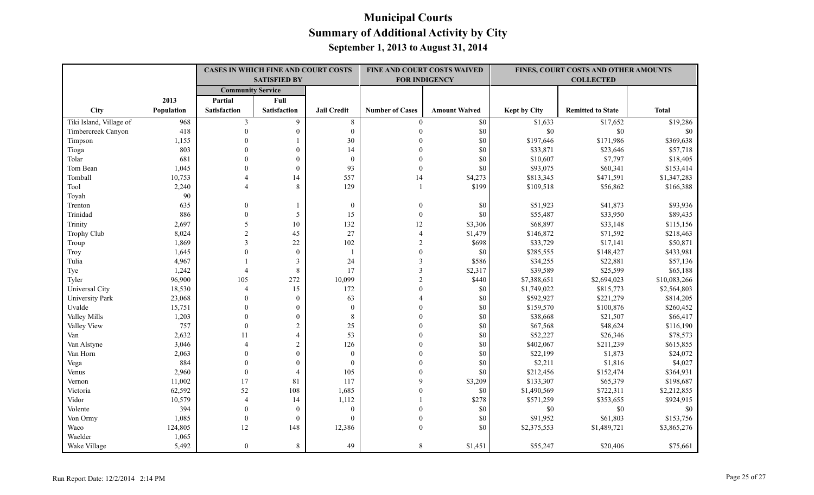|                         |            | <b>CASES IN WHICH FINE AND COURT COSTS</b> |                     |                    | FINE AND COURT COSTS WAIVED |                      |                     | FINES, COURT COSTS AND OTHER AMOUNTS |              |
|-------------------------|------------|--------------------------------------------|---------------------|--------------------|-----------------------------|----------------------|---------------------|--------------------------------------|--------------|
|                         |            |                                            | <b>SATISFIED BY</b> |                    |                             | <b>FOR INDIGENCY</b> |                     | <b>COLLECTED</b>                     |              |
|                         |            | <b>Community Service</b>                   |                     |                    |                             |                      |                     |                                      |              |
|                         | 2013       | Partial                                    | Full                |                    |                             |                      |                     |                                      |              |
| City                    | Population | Satisfaction                               | Satisfaction        | <b>Jail Credit</b> | <b>Number of Cases</b>      | <b>Amount Waived</b> | <b>Kept by City</b> | <b>Remitted to State</b>             | <b>Total</b> |
| Tiki Island, Village of | 968        | 3                                          | 9                   | 8                  | $\overline{0}$              | \$0                  | \$1,633             | \$17,652                             | \$19,286     |
| Timbercreek Canyon      | 418        | $\theta$                                   | $\boldsymbol{0}$    | $\mathbf{0}$       | $\theta$                    | $\$0$                | $\$0$               | \$0                                  | \$0          |
| Timpson                 | 1,155      | $\Omega$                                   |                     | 30                 |                             | \$0                  | \$197,646           | \$171,986                            | \$369,638    |
| Tioga                   | 803        | $\theta$                                   | $\boldsymbol{0}$    | 14                 | $\Omega$                    | \$0                  | \$33,871            | \$23,646                             | \$57,718     |
| Tolar                   | 681        | $\theta$                                   | $\boldsymbol{0}$    | $\mathbf{0}$       | $\Omega$                    | \$0                  | \$10,607            | \$7,797                              | \$18,405     |
| Tom Bean                | 1,045      | $\theta$                                   | $\boldsymbol{0}$    | 93                 | $\mathbf{0}$                | $\$0$                | \$93,075            | \$60,341                             | \$153,414    |
| Tomball                 | 10,753     | 4                                          | 14                  | 557                | 14                          | \$4,273              | \$813,345           | \$471,591                            | \$1,347,283  |
| Tool                    | 2,240      | 4                                          | 8                   | 129                | $\overline{1}$              | \$199                | \$109,518           | \$56,862                             | \$166,388    |
| Toyah                   | 90         |                                            |                     |                    |                             |                      |                     |                                      |              |
| Trenton                 | 635        | $\mathbf{0}$                               |                     | $\mathbf{0}$       | $\mathbf{0}$                | \$0                  | \$51,923            | \$41,873                             | \$93,936     |
| Trinidad                | 886        | $\mathbf{0}$                               | 5                   | 15                 | $\mathbf{0}$                | \$0                  | \$55,487            | \$33,950                             | \$89,435     |
| Trinity                 | 2,697      | 5                                          | 10                  | 132                | 12                          | \$3,306              | \$68,897            | \$33,148                             | \$115,156    |
| Trophy Club             | 8,024      | $\overline{2}$                             | 45                  | 27                 | $\overline{4}$              | \$1,479              | \$146,872           | \$71,592                             | \$218,463    |
| Troup                   | 1,869      | 3                                          | 22                  | 102                | $\overline{2}$              | \$698                | \$33,729            | \$17,141                             | \$50,871     |
| Troy                    | 1,645      | $\mathbf{0}$                               | $\boldsymbol{0}$    | $\mathbf{1}$       | $\theta$                    | $\$0$                | \$285,555           | \$148,427                            | \$433,981    |
| Tulia                   | 4,967      |                                            | $\mathfrak{Z}$      | 24                 | 3                           | \$586                | \$34,255            | \$22,881                             | \$57,136     |
| Tye                     | 1,242      | $\overline{4}$                             | $\,8\,$             | 17                 | 3                           | \$2,317              | \$39,589            | \$25,599                             | \$65,188     |
| Tyler                   | 96,900     | 105                                        | 272                 | 10,099             | $\mathfrak{D}$              | \$440                | \$7,388,651         | \$2,694,023                          | \$10,083,266 |
| Universal City          | 18,530     | $\overline{4}$                             | 15                  | 172                | $\Omega$                    | \$0                  | \$1,749,022         | \$815,773                            | \$2,564,803  |
| University Park         | 23,068     | $\Omega$                                   | $\mathbf{0}$        | 63                 |                             | \$0                  | \$592,927           | \$221,279                            | \$814,205    |
| Uvalde                  | 15,751     | $\Omega$                                   | $\mathbf{0}$        | $\mathbf{0}$       |                             | \$0                  | \$159,570           | \$100,876                            | \$260,452    |
| Valley Mills            | 1,203      | $\Omega$                                   | $\boldsymbol{0}$    | $\,8\,$            | $\Omega$                    | \$0                  | \$38,668            | \$21,507                             | \$66,417     |
| Valley View             | 757        | $\Omega$                                   | $\sqrt{2}$          | 25                 | $\Omega$                    | \$0                  | \$67,568            | \$48,624                             | \$116,190    |
| Van                     | 2,632      | 11                                         | $\overline{4}$      | 53                 |                             | \$0                  | \$52,227            | \$26,346                             | \$78,573     |
| Van Alstyne             | 3,046      | $\overline{A}$                             | $\sqrt{2}$          | 126                |                             | \$0                  | \$402,067           | \$211,239                            | \$615,855    |
| Van Horn                | 2,063      | $\Omega$                                   | $\theta$            | $\boldsymbol{0}$   |                             | \$0                  | \$22,199            | \$1,873                              | \$24,072     |
| Vega                    | 884        | $\Omega$                                   | $\Omega$            | $\mathbf{0}$       | $\Omega$                    | \$0                  | \$2,211             | \$1,816                              | \$4,027      |
| Venus                   | 2,960      | $\mathbf{0}$                               | $\overline{4}$      | 105                | $\Omega$                    | \$0                  | \$212,456           | \$152,474                            | \$364,931    |
| Vernon                  | 11,002     | 17                                         | 81                  | 117                | 9                           | \$3,209              | \$133,307           | \$65,379                             | \$198,687    |
| Victoria                | 62,592     | 52                                         | 108                 | 1,685              |                             | \$0                  | \$1,490,569         | \$722,311                            | \$2,212,855  |
| Vidor                   | 10,579     | $\overline{4}$                             | 14                  | 1,112              |                             | \$278                | \$571,259           | \$353,655                            | \$924,915    |
| Volente                 | 394        | $\theta$                                   | $\mathbf{0}$        | $\mathbf{0}$       | $\theta$                    | \$0                  | $\$0$               | \$0                                  | \$0          |
| Von Ormy                | 1,085      | $\mathbf{0}$                               | $\mathbf{0}$        | $\Omega$           | $\theta$                    | \$0                  | \$91,952            | \$61,803                             | \$153,756    |
| Waco                    | 124,805    | 12                                         | 148                 | 12,386             | $\theta$                    | \$0                  | \$2,375,553         | \$1,489,721                          | \$3,865,276  |
| Waelder                 | 1,065      |                                            |                     |                    |                             |                      |                     |                                      |              |
| Wake Village            | 5,492      | $\Omega$                                   | 8                   | 49                 | 8                           | \$1,451              | \$55,247            | \$20,406                             | \$75,661     |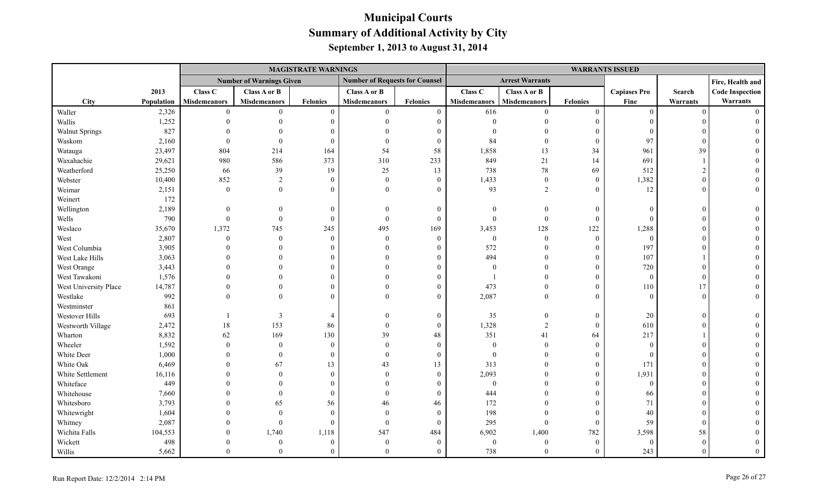|                       |            |                     |                                 | <b>MAGISTRATE WARNINGS</b> |                                       |                 | <b>WARRANTS ISSUED</b> |                        |                  |                     |            |                        |  |
|-----------------------|------------|---------------------|---------------------------------|----------------------------|---------------------------------------|-----------------|------------------------|------------------------|------------------|---------------------|------------|------------------------|--|
|                       |            |                     | <b>Number of Warnings Given</b> |                            | <b>Number of Requests for Counsel</b> |                 |                        | <b>Arrest Warrants</b> |                  |                     |            | Fire, Health and       |  |
|                       | 2013       | Class C             | Class A or B                    |                            | Class A or B                          |                 | Class C                | Class A or B           |                  | <b>Capiases Pro</b> | Search     | <b>Code Inspection</b> |  |
| <b>City</b>           | Population | <b>Misdemeanors</b> | <b>Misdemeanors</b>             | <b>Felonies</b>            | <b>Misdemeanors</b>                   | <b>Felonies</b> | <b>Misdemeanors</b>    | Misdemeanors           | <b>Felonies</b>  | Fine                | Warrants   | Warrants               |  |
| Waller                | 2,326      | $\theta$            | $\theta$                        | $\theta$                   | $\theta$                              | $\overline{0}$  | 616                    | $\theta$               | $\mathbf{0}$     | $\theta$            | $\Omega$   | $\Omega$               |  |
| Wallis                | 1,252      |                     |                                 | $\Omega$                   | $\Omega$                              | $\theta$        | $\Omega$               | $\Omega$               | $\boldsymbol{0}$ | $\Omega$            |            |                        |  |
| <b>Walnut Springs</b> | 827        |                     |                                 |                            | $\Omega$                              |                 |                        |                        | $\boldsymbol{0}$ | $\Omega$            |            |                        |  |
| Waskom                | 2,160      |                     | $\theta$                        | $\Omega$                   | $\theta$                              | $\overline{0}$  | 84                     | $\theta$               | $\overline{0}$   | 97                  |            |                        |  |
| Watauga               | 23,497     | 804                 | 214                             | 164                        | 54                                    | 58              | 1,858                  | 13                     | 34               | 961                 | 39         |                        |  |
| Waxahachie            | 29,621     | 980                 | 586                             | 373                        | 310                                   | 233             | 849                    | 21                     | 14               | 691                 |            |                        |  |
| Weatherford           | 25,250     | 66                  | 39                              | 19                         | 25                                    | 13              | 738                    | $78\,$                 | 69               | 512                 |            |                        |  |
| Webster               | 10,400     | 852                 | $\overline{2}$                  | $\Omega$                   | $\theta$                              | $\overline{0}$  | 1,433                  | $\mathbf{0}$           | $\overline{0}$   | 1,382               |            |                        |  |
| Weimar                | 2,151      | $\boldsymbol{0}$    | $\theta$                        | $\Omega$                   | $\Omega$                              | $\Omega$        | 93                     | 2                      | $\theta$         | 12                  |            |                        |  |
| Weinert               | 172        |                     |                                 |                            |                                       |                 |                        |                        |                  |                     |            |                        |  |
| Wellington            | 2,189      | $\Omega$            |                                 | $\Omega$                   | $\Omega$                              | $\theta$        | $\theta$               | $\Omega$               | $\mathbf{0}$     | $\Omega$            |            |                        |  |
| Wells                 | 790        | $\theta$            | $\Omega$                        | $\Omega$                   | $\theta$                              | $\mathbf{0}$    | $\theta$               | $\boldsymbol{0}$       | $\boldsymbol{0}$ | $\Omega$            |            |                        |  |
| Weslaco               | 35,670     | 1,372               | 745                             | 245                        | 495                                   | 169             | 3,453                  | 128                    | 122              | 1,288               |            |                        |  |
| West                  | 2,807      | $\theta$            | $\theta$                        | $\Omega$                   | $\theta$                              | $\theta$        | $\boldsymbol{0}$       | $\overline{0}$         | $\mathbf{0}$     | $\theta$            |            |                        |  |
| West Columbia         | 3,905      |                     | $\Omega$                        |                            | $\Omega$                              | $\Omega$        | 572                    | $\Omega$               | $\boldsymbol{0}$ | 197                 |            |                        |  |
| West Lake Hills       | 3,063      |                     |                                 |                            |                                       | 0               | 494                    | $\Omega$               | $\mathbf{0}$     | 107                 |            |                        |  |
| West Orange           | 3,443      |                     |                                 |                            | $\Omega$                              | $\Omega$        | $\theta$               | $\theta$               | $\theta$         | 720                 |            |                        |  |
| West Tawakoni         | 1,576      |                     |                                 |                            |                                       | $\Omega$        |                        | $\Omega$               | $\theta$         | $\theta$            |            |                        |  |
| West University Place | 14,787     |                     |                                 |                            | $\Omega$                              | $\Omega$        | 473                    | $\Omega$               | $\theta$         | 110                 | 17         |                        |  |
| Westlake              | 992        |                     | $\Omega$                        |                            | $\Omega$                              | $\Omega$        | 2,087                  | $\theta$               | $\boldsymbol{0}$ | $\Omega$            | $\sqrt{ }$ |                        |  |
| Westminster           | 861        |                     |                                 |                            |                                       |                 |                        |                        |                  |                     |            |                        |  |
| Westover Hills        | 693        |                     | 3                               | $\overline{4}$             | $\Omega$                              | $\mathbf{0}$    | 35                     | $\overline{0}$         | $\mathbf{0}$     | 20                  | $\Omega$   |                        |  |
| Westworth Village     | 2,472      | 18                  | 153                             | 86                         | $\theta$                              | $\theta$        | 1,328                  | $\overline{2}$         | $\mathbf{0}$     | 610                 |            |                        |  |
| Wharton               | 8,832      | 62                  | 169                             | 130                        | 39                                    | 48              | 351                    | 41                     | 64               | 217                 |            |                        |  |
| Wheeler               | 1,592      | $\Omega$            | $\Omega$                        | $\Omega$                   | $\Omega$                              | $\overline{0}$  | $\mathbf{0}$           | $\theta$               | $\theta$         | $\Omega$            |            |                        |  |
| White Deer            | 1,000      |                     | $\theta$                        | $\Omega$                   | $\theta$                              | $\mathbf{0}$    | $\mathbf{0}$           | $\Omega$               | $\theta$         | $\Omega$            |            |                        |  |
| White Oak             | 6,469      |                     | 67                              | 13                         | 43                                    | 13              | 313                    | $\Omega$               | $\boldsymbol{0}$ | 171                 |            |                        |  |
| White Settlement      | 16,116     |                     | $\Omega$                        | $\Omega$                   | $\Omega$                              | $\theta$        | 2,093                  | $\Omega$               | $\mathbf{0}$     | 1,931               |            |                        |  |
| Whiteface             | 449        |                     |                                 |                            | $\Omega$                              | $\theta$        | $\mathbf{0}$           |                        | $\theta$         | $\mathbf{0}$        |            |                        |  |
| Whitehouse            | 7,660      |                     | $\Omega$                        | $\Omega$                   | $\Omega$                              | $\theta$        | 444                    | $\Omega$               | $\theta$         | 66                  |            |                        |  |
| Whitesboro            | 3,793      |                     | 65                              | 56                         | 46                                    | 46              | 172                    | $\Omega$               | $\theta$         | 71                  |            |                        |  |
| Whitewright           | 1,604      |                     | $\Omega$                        | $\Omega$                   | $\Omega$                              | $\theta$        | 198                    | $\Omega$               | $\theta$         | 40                  |            |                        |  |
| Whitney               | 2,087      |                     | $\Omega$                        | $\Omega$                   | $\theta$                              | $\overline{0}$  | 295                    | $\theta$               | $\mathbf{0}$     | 59                  |            |                        |  |
| Wichita Falls         | 104,553    |                     | 1,740                           | 1,118                      | 547                                   | 484             | 6,902                  | 1,400                  | 782              | 3,598               | 58         |                        |  |
| Wickett               | 498        |                     | $\Omega$                        | $\Omega$                   | $\Omega$                              | $\theta$        | $\theta$               | $\boldsymbol{0}$       | $\mathbf{0}$     | $\Omega$            | $\Omega$   |                        |  |
| Willis                | 5,662      | $\Omega$            | $\Omega$                        |                            | $\Omega$                              | $\Omega$        | 738                    | $\theta$               | $\theta$         | 243                 |            |                        |  |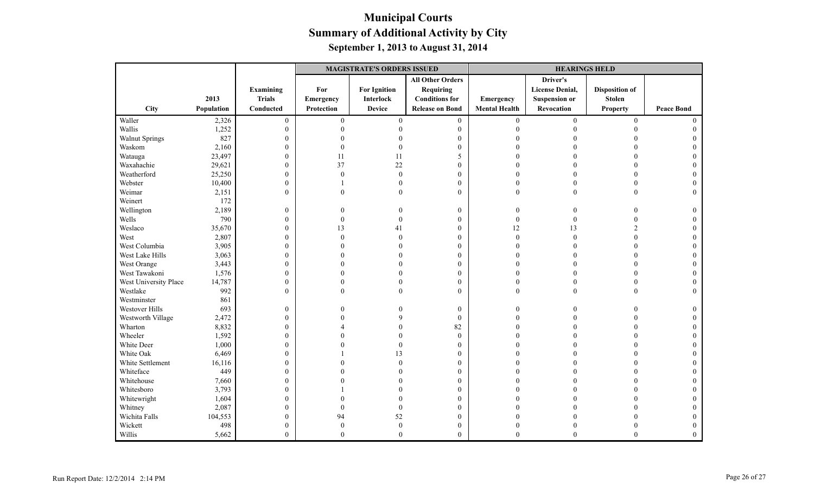|                       |            |                  |                  | <b>MAGISTRATE'S ORDERS ISSUED</b> |                         |                      | <b>HEARINGS HELD</b>   |                       |                   |
|-----------------------|------------|------------------|------------------|-----------------------------------|-------------------------|----------------------|------------------------|-----------------------|-------------------|
|                       |            |                  |                  |                                   | <b>All Other Orders</b> |                      | Driver's               |                       |                   |
|                       |            | Examining        | For              | <b>For Ignition</b>               | Requiring               |                      | <b>License Denial,</b> | <b>Disposition of</b> |                   |
|                       | 2013       | <b>Trials</b>    | Emergency        | <b>Interlock</b>                  | <b>Conditions for</b>   | Emergency            | <b>Suspension or</b>   | <b>Stolen</b>         |                   |
| City                  | Population | Conducted        | Protection       | <b>Device</b>                     | <b>Release on Bond</b>  | <b>Mental Health</b> | Revocation             | <b>Property</b>       | <b>Peace Bond</b> |
| Waller                | 2,326      | $\boldsymbol{0}$ | $\boldsymbol{0}$ | $\mathbf{0}$                      | $\overline{0}$          | $\mathbf{0}$         | $\theta$               | $\boldsymbol{0}$      | $\Omega$          |
| Wallis                | 1,252      | $\mathbf{0}$     | $\Omega$         |                                   | $\boldsymbol{0}$        | $\Omega$             |                        | $\Omega$              |                   |
| <b>Walnut Springs</b> | 827        | $\boldsymbol{0}$ |                  |                                   | $\boldsymbol{0}$        |                      |                        |                       |                   |
| Waskom                | 2,160      | $\boldsymbol{0}$ | $\Omega$         |                                   | $\mathbf{0}$            |                      |                        |                       |                   |
| Watauga               | 23,497     | $\mathbf{0}$     | 11               | 11                                | 5                       |                      |                        |                       |                   |
| Waxahachie            | 29,621     | $\boldsymbol{0}$ | 37               | 22                                | $\boldsymbol{0}$        |                      |                        |                       |                   |
| Weatherford           | 25,250     | $\boldsymbol{0}$ | $\Omega$         | $\mathbf{0}$                      | $\boldsymbol{0}$        | $\Omega$             |                        |                       |                   |
| Webster               | 10,400     | $\boldsymbol{0}$ |                  | $\theta$                          | $\boldsymbol{0}$        | $\theta$             |                        |                       |                   |
| Weimar                | 2,151      | $\mathbf{0}$     | $\Omega$         | $\theta$                          | $\theta$                | $\theta$             | $\theta$               | $\Omega$              |                   |
| Weinert               | 172        |                  |                  |                                   |                         |                      |                        |                       |                   |
| Wellington            | 2,189      | $\boldsymbol{0}$ | 0                |                                   | $\mathbf{0}$            | $\boldsymbol{0}$     | $\Omega$               |                       |                   |
| Wells                 | 790        | $\boldsymbol{0}$ | $\theta$         | $\Omega$                          | $\mathbf{0}$            | $\boldsymbol{0}$     |                        |                       |                   |
| Weslaco               | 35,670     | $\boldsymbol{0}$ | 13               | 41                                | $\boldsymbol{0}$        | 12                   | 13                     | $\overline{2}$        |                   |
| West                  | 2,807      | $\boldsymbol{0}$ | $\Omega$         | $\Omega$                          | $\mathbf{0}$            | $\theta$             | $\Omega$               | $\Omega$              |                   |
| West Columbia         | 3,905      | $\boldsymbol{0}$ |                  |                                   | $\mathbf{0}$            | $\Omega$             |                        | $\Omega$              |                   |
| West Lake Hills       | 3,063      | $\boldsymbol{0}$ |                  |                                   | $\mathbf{0}$            | $\Omega$             |                        |                       |                   |
| West Orange           | 3,443      | $\boldsymbol{0}$ |                  |                                   | $\boldsymbol{0}$        | $\Omega$             |                        | $\Omega$              |                   |
| West Tawakoni         | 1,576      | $\boldsymbol{0}$ |                  |                                   | $\mathbf{0}$            | $\Omega$             |                        |                       |                   |
| West University Place | 14,787     | $\mathbf{0}$     | $\Omega$         |                                   | $\mathbf{0}$            | $\Omega$             |                        | $\Omega$              |                   |
| Westlake              | 992        | $\theta$         | $\Omega$         |                                   | $\theta$                | $\Omega$             |                        | $\Omega$              |                   |
| Westminster           | 861        |                  |                  |                                   |                         |                      |                        |                       |                   |
| Westover Hills        | 693        | $\boldsymbol{0}$ | 0                |                                   | $\boldsymbol{0}$        | $\theta$             |                        |                       |                   |
| Westworth Village     | 2,472      | $\boldsymbol{0}$ |                  |                                   | $\mathbf{0}$            | $\Omega$             |                        |                       |                   |
| Wharton               | 8,832      | $\boldsymbol{0}$ |                  |                                   | 82                      | $\Omega$             |                        | $\Omega$              |                   |
| Wheeler               | 1,592      | $\boldsymbol{0}$ |                  |                                   | $\boldsymbol{0}$        |                      |                        |                       |                   |
| White Deer            | 1,000      | $\boldsymbol{0}$ |                  |                                   | $\boldsymbol{0}$        | $\Omega$             |                        |                       |                   |
| White Oak             | 6,469      | $\mathbf{0}$     |                  | 13                                | $\mathbf{0}$            | $\Omega$             |                        |                       |                   |
| White Settlement      | 16,116     | $\boldsymbol{0}$ |                  | $\Omega$                          | $\mathbf{0}$            |                      |                        |                       |                   |
| Whiteface             | 449        | $\boldsymbol{0}$ |                  |                                   | $\mathbf{0}$            |                      |                        |                       |                   |
| Whitehouse            | 7,660      | $\boldsymbol{0}$ |                  |                                   | $\mathbf{0}$            |                      |                        |                       |                   |
| Whitesboro            | 3,793      | $\boldsymbol{0}$ |                  |                                   | $\boldsymbol{0}$        |                      |                        |                       |                   |
| Whitewright           | 1,604      | $\boldsymbol{0}$ |                  |                                   | $\mathbf{0}$            |                      |                        |                       |                   |
| Whitney               | 2,087      | $\boldsymbol{0}$ | $\Omega$         | $\theta$                          | $\mathbf{0}$            |                      |                        |                       |                   |
| Wichita Falls         | 104,553    | $\mathbf{0}$     | 94               | 52                                | $\mathbf{0}$            |                      |                        |                       |                   |
| Wickett               | 498        | $\boldsymbol{0}$ | $\Omega$         | $\mathbf{0}$                      | $\boldsymbol{0}$        | $\theta$             |                        |                       |                   |
| Willis                | 5,662      | $\theta$         | $\Omega$         | $\overline{0}$                    | $\theta$                | $\Omega$             | $\Omega$               | $\Omega$              |                   |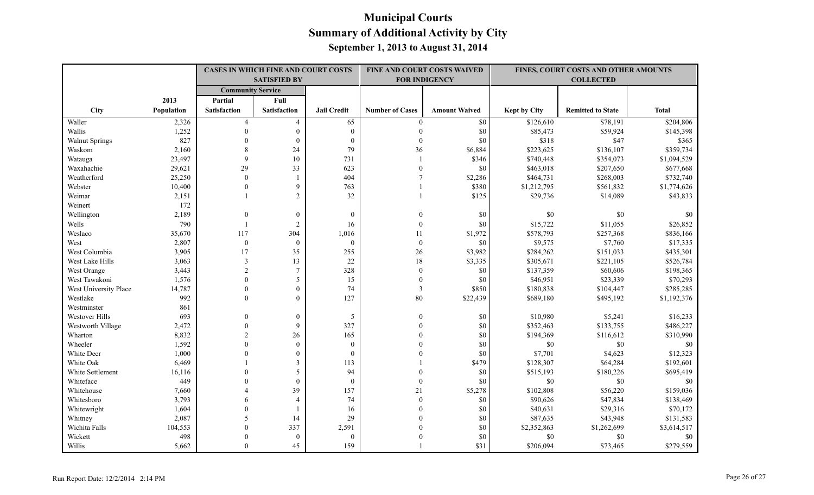|                       |            |                          | <b>CASES IN WHICH FINE AND COURT COSTS</b><br><b>SATISFIED BY</b> |                    |                        | FINE AND COURT COSTS WAIVED<br><b>FOR INDIGENCY</b> |                     | FINES, COURT COSTS AND OTHER AMOUNTS<br><b>COLLECTED</b> |              |
|-----------------------|------------|--------------------------|-------------------------------------------------------------------|--------------------|------------------------|-----------------------------------------------------|---------------------|----------------------------------------------------------|--------------|
|                       |            | <b>Community Service</b> |                                                                   |                    |                        |                                                     |                     |                                                          |              |
|                       | 2013       | Partial                  | Full                                                              |                    |                        |                                                     |                     |                                                          |              |
| City                  | Population | <b>Satisfaction</b>      | <b>Satisfaction</b>                                               | <b>Jail Credit</b> | <b>Number of Cases</b> | <b>Amount Waived</b>                                | <b>Kept by City</b> | <b>Remitted to State</b>                                 | <b>Total</b> |
| Waller                | 2,326      | $\overline{4}$           | 4                                                                 | 65                 | $\theta$               | \$0                                                 | \$126,610           | \$78,191                                                 | \$204,806    |
| Wallis                | 1,252      | $\theta$                 | $\mathbf{0}$                                                      | $\mathbf{0}$       | $\theta$               | \$0                                                 | \$85,473            | \$59,924                                                 | \$145,398    |
| <b>Walnut Springs</b> | 827        | $\Omega$                 | $\boldsymbol{0}$                                                  | $\boldsymbol{0}$   | $\Omega$               | \$0                                                 | \$318               | \$47                                                     | \$365        |
| Waskom                | 2,160      | 8                        | 24                                                                | 79                 | 36                     | \$6,884                                             | \$223,625           | \$136,107                                                | \$359,734    |
| Watauga               | 23,497     | 9                        | 10                                                                | 731                | $\overline{1}$         | \$346                                               | \$740,448           | \$354,073                                                | \$1,094,529  |
| Waxahachie            | 29,621     | 29                       | 33                                                                | 623                | $\mathbf{0}$           | \$0                                                 | \$463,018           | \$207,650                                                | \$677,668    |
| Weatherford           | 25,250     | $\mathbf{0}$             | $\mathbf{1}$                                                      | 404                | $\overline{7}$         | \$2,286                                             | \$464,731           | \$268,003                                                | \$732,740    |
| Webster               | 10,400     | $\theta$                 | 9                                                                 | 763                |                        | \$380                                               | \$1,212,795         | \$561,832                                                | \$1,774,626  |
| Weimar                | 2,151      |                          | $\overline{2}$                                                    | 32                 | $\overline{1}$         | \$125                                               | \$29,736            | \$14,089                                                 | \$43,833     |
| Weinert               | 172        |                          |                                                                   |                    |                        |                                                     |                     |                                                          |              |
| Wellington            | 2,189      | $\mathbf{0}$             | $\mathbf{0}$                                                      | $\mathbf{0}$       | $\theta$               | \$0                                                 | \$0                 | \$0                                                      | \$0          |
| Wells                 | 790        | $\overline{1}$           | $\overline{2}$                                                    | 16                 | $\theta$               | \$0                                                 | \$15,722            | \$11,055                                                 | \$26,852     |
| Weslaco               | 35,670     | 117                      | 304                                                               | 1,016              | 11                     | \$1,972                                             | \$578,793           | \$257,368                                                | \$836,166    |
| West                  | 2,807      | $\overline{0}$           | $\mathbf{0}$                                                      | $\mathbf{0}$       | $\mathbf{0}$           | \$0                                                 | \$9,575             | \$7,760                                                  | \$17,335     |
| West Columbia         | 3,905      | 17                       | 35                                                                | 255                | 26                     | \$3,982                                             | \$284,262           | \$151,033                                                | \$435,301    |
| West Lake Hills       | 3,063      | $\overline{\mathbf{3}}$  | 13                                                                | $22\,$             | 18                     | \$3,335                                             | \$305,671           | \$221,105                                                | \$526,784    |
| West Orange           | 3,443      | $\overline{c}$           | $\overline{7}$                                                    | 328                | $\mathbf{0}$           | \$0                                                 | \$137,359           | \$60,606                                                 | \$198,365    |
| West Tawakoni         | 1,576      | $\Omega$                 | 5                                                                 | 15                 | $\mathbf{0}$           | \$0                                                 | \$46,951            | \$23,339                                                 | \$70,293     |
| West University Place | 14,787     | $\theta$                 | $\overline{0}$                                                    | 74                 | 3                      | \$850                                               | \$180,838           | \$104,447                                                | \$285,285    |
| Westlake              | 992        | $\theta$                 | $\Omega$                                                          | 127                | 80                     | \$22,439                                            | \$689,180           | \$495,192                                                | \$1,192,376  |
| Westminster           | 861        |                          |                                                                   |                    |                        |                                                     |                     |                                                          |              |
| Westover Hills        | 693        | $\theta$                 | $\mathbf{0}$                                                      | 5                  | $\theta$               | \$0                                                 | \$10,980            | \$5,241                                                  | \$16,233     |
| Westworth Village     | 2,472      | $\theta$                 | 9                                                                 | 327                | $\theta$               | \$0                                                 | \$352,463           | \$133,755                                                | \$486,227    |
| Wharton               | 8,832      | $\overline{2}$           | 26                                                                | 165                | $\theta$               | \$0                                                 | \$194,369           | \$116,612                                                | \$310,990    |
| Wheeler               | 1,592      | $\Omega$                 | $\mathbf{0}$                                                      | $\overline{0}$     |                        | \$0                                                 | \$0                 | \$0                                                      | \$0          |
| White Deer            | 1,000      | $\Omega$                 | $\theta$                                                          | $\mathbf{0}$       | $\Omega$               | \$0                                                 | \$7,701             | \$4,623                                                  | \$12,323     |
| White Oak             | 6,469      |                          | $\mathcal{E}$                                                     | 113                |                        | \$479                                               | \$128,307           | \$64,284                                                 | \$192,601    |
| White Settlement      | 16,116     | $\Omega$                 | 5                                                                 | 94                 | $\Omega$               | \$0                                                 | \$515,193           | \$180,226                                                | \$695,419    |
| Whiteface             | 449        |                          | $\mathbf{0}$                                                      | $\boldsymbol{0}$   | $\mathbf{0}$           | \$0                                                 | $\$0$               | \$0                                                      | \$0          |
| Whitehouse            | 7,660      |                          | 39                                                                | 157                | 21                     | \$5,278                                             | \$102,808           | \$56,220                                                 | \$159,036    |
| Whitesboro            | 3,793      | 6                        | $\overline{4}$                                                    | 74                 | $\theta$               | \$0                                                 | \$90,626            | \$47,834                                                 | \$138,469    |
| Whitewright           | 1,604      | $\theta$                 |                                                                   | 16                 | $\theta$               | \$0                                                 | \$40,631            | \$29,316                                                 | \$70,172     |
| Whitney               | 2,087      | 5                        | 14                                                                | 29                 | $\Omega$               | \$0                                                 | \$87,635            | \$43,948                                                 | \$131,583    |
| Wichita Falls         | 104,553    | $\theta$                 | 337                                                               | 2,591              |                        | \$0                                                 | \$2,352,863         | \$1,262,699                                              | \$3,614,517  |
| Wickett               | 498        | $\Omega$                 | $\mathbf{0}$                                                      | $\mathbf{0}$       |                        | \$0                                                 | \$0                 | \$0                                                      | \$0          |
| Willis                | 5,662      | $\Omega$                 | 45                                                                | 159                |                        | \$31                                                | \$206,094           | \$73,465                                                 | \$279,559    |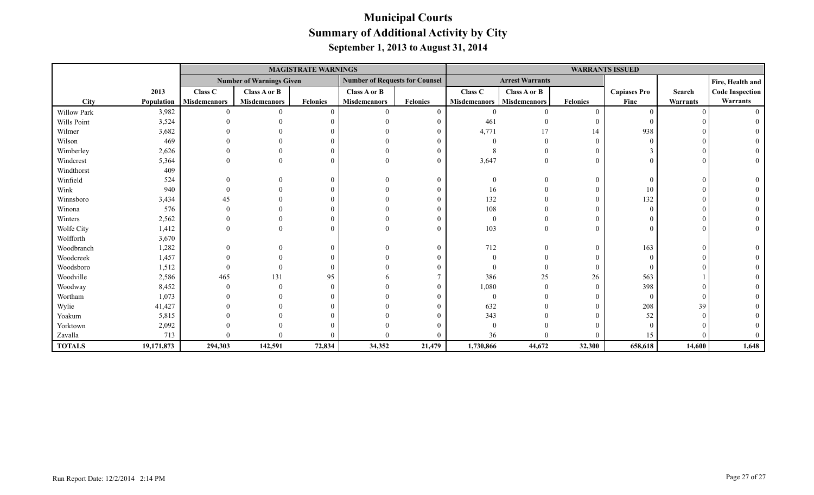|               |            |                     |                                 | <b>MAGISTRATE WARNINGS</b> |                                       |                 |                     |                        |                 | <b>WARRANTS ISSUED</b> |          |                        |
|---------------|------------|---------------------|---------------------------------|----------------------------|---------------------------------------|-----------------|---------------------|------------------------|-----------------|------------------------|----------|------------------------|
|               |            |                     | <b>Number of Warnings Given</b> |                            | <b>Number of Requests for Counsel</b> |                 |                     | <b>Arrest Warrants</b> |                 |                        |          | Fire, Health and       |
|               | 2013       | Class C             | Class A or B                    |                            | Class A or B                          |                 | Class C             | Class A or B           |                 | <b>Capiases Pro</b>    | Search   | <b>Code Inspection</b> |
| <b>City</b>   | Population | <b>Misdemeanors</b> | <b>Misdemeanors</b>             | <b>Felonies</b>            | <b>Misdemeanors</b>                   | <b>Felonies</b> | <b>Misdemeanors</b> | Misdemeanors           | <b>Felonies</b> | Fine                   | Warrants | Warrants               |
| Willow Park   | 3,982      |                     |                                 | $\theta$                   |                                       | $\mathbf{0}$    |                     |                        |                 | $\Omega$               |          |                        |
| Wills Point   | 3,524      |                     |                                 |                            |                                       | $\theta$        | 461                 |                        |                 |                        |          |                        |
| Wilmer        | 3,682      |                     |                                 |                            |                                       | $\Omega$        | 4,771               |                        | 14              | 938                    |          |                        |
| Wilson        | 469        |                     |                                 |                            |                                       |                 |                     |                        |                 |                        |          |                        |
| Wimberley     | 2,626      |                     |                                 |                            |                                       | $\Omega$        |                     |                        |                 |                        |          |                        |
| Windcrest     | 5,364      |                     |                                 | $\Omega$                   |                                       | $\theta$        | 3,647               |                        |                 |                        |          |                        |
| Windthorst    | 409        |                     |                                 |                            |                                       |                 |                     |                        |                 |                        |          |                        |
| Winfield      | 524        |                     |                                 | $\theta$                   |                                       | $\theta$        |                     |                        |                 |                        |          |                        |
| Wink          | 940        |                     |                                 | $\Omega$                   |                                       | $\theta$        | 16                  |                        |                 | 10                     |          |                        |
| Winnsboro     | 3,434      |                     |                                 |                            |                                       |                 | 132                 |                        |                 | 132                    |          |                        |
| Winona        | 576        |                     |                                 |                            |                                       |                 | 108                 |                        |                 |                        |          |                        |
| Winters       | 2,562      |                     |                                 | 0                          |                                       |                 |                     |                        |                 |                        |          |                        |
| Wolfe City    | 1,412      |                     |                                 | $\Omega$                   |                                       | $\theta$        | 103                 |                        |                 |                        |          |                        |
| Wolfforth     | 3,670      |                     |                                 |                            |                                       |                 |                     |                        |                 |                        |          |                        |
| Woodbranch    | 1,282      |                     |                                 | $\theta$                   |                                       | $\theta$        | 712                 |                        |                 | 163                    |          |                        |
| Woodcreek     | 1,457      |                     |                                 |                            |                                       |                 |                     |                        |                 |                        |          |                        |
| Woodsboro     | 1,512      |                     |                                 | $\Omega$                   |                                       |                 |                     |                        |                 |                        |          |                        |
| Woodville     | 2,586      | 465                 | 131                             | 95                         |                                       |                 | 386                 | 25                     | 26              | 563                    |          |                        |
| Woodway       | 8,452      |                     |                                 | $\Omega$                   |                                       | $\Omega$        | 1,080               |                        |                 | 398                    |          |                        |
| Wortham       | 1,073      |                     |                                 |                            |                                       |                 |                     |                        |                 | $\Omega$               |          |                        |
| Wylie         | 41,427     |                     |                                 |                            |                                       |                 | 632                 |                        |                 | 208                    | 39       |                        |
| Yoakum        | 5,815      |                     |                                 |                            |                                       |                 | 343                 |                        |                 | 52                     |          |                        |
| Yorktown      | 2,092      |                     |                                 |                            |                                       |                 |                     |                        |                 |                        |          |                        |
| Zavalla       | 713        |                     |                                 |                            |                                       | $\Omega$        | 36                  |                        |                 | 15                     |          |                        |
| <b>TOTALS</b> | 19,171,873 | 294,303             | 142,591                         | 72,834                     | 34,352                                | 21,479          | 1,730,866           | 44,672                 | 32,300          | 658,618                | 14,600   | 1,648                  |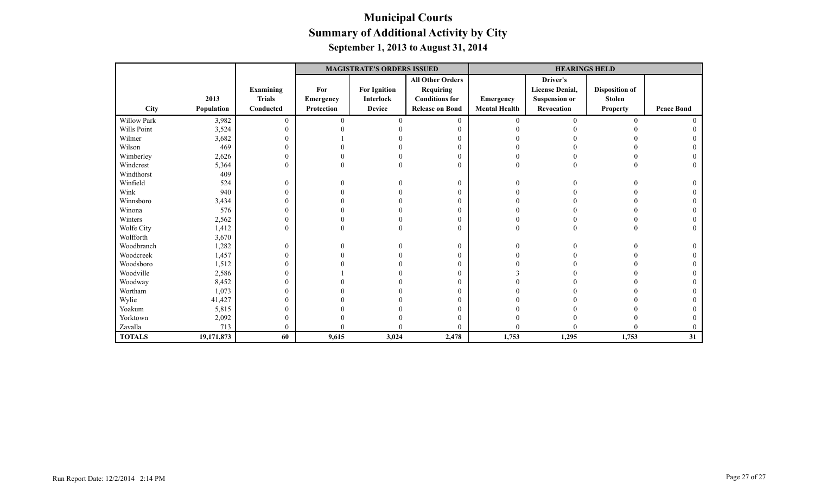|               |            |                |            | <b>MAGISTRATE'S ORDERS ISSUED</b> |                         |                      | <b>HEARINGS HELD</b>   |                       |                   |  |  |  |
|---------------|------------|----------------|------------|-----------------------------------|-------------------------|----------------------|------------------------|-----------------------|-------------------|--|--|--|
|               |            |                |            |                                   | <b>All Other Orders</b> |                      | Driver's               |                       |                   |  |  |  |
|               |            | Examining      | For        | <b>For Ignition</b>               | Requiring               |                      | <b>License Denial,</b> | <b>Disposition of</b> |                   |  |  |  |
|               | 2013       | <b>Trials</b>  | Emergency  | <b>Interlock</b>                  | <b>Conditions for</b>   | <b>Emergency</b>     | <b>Suspension or</b>   | <b>Stolen</b>         |                   |  |  |  |
| <b>City</b>   | Population | Conducted      | Protection | <b>Device</b>                     | <b>Release on Bond</b>  | <b>Mental Health</b> | Revocation             | <b>Property</b>       | <b>Peace Bond</b> |  |  |  |
| Willow Park   | 3,982      | $\overline{0}$ | $\Omega$   |                                   | $\overline{0}$          | $\theta$             | $\Omega$               | $\Omega$              |                   |  |  |  |
| Wills Point   | 3,524      | $\theta$       |            |                                   |                         |                      |                        |                       |                   |  |  |  |
| Wilmer        | 3,682      | $\overline{0}$ |            |                                   |                         |                      |                        |                       |                   |  |  |  |
| Wilson        | 469        | $\mathbf{0}$   |            |                                   |                         |                      |                        |                       |                   |  |  |  |
| Wimberley     | 2,626      | $\mathbf{0}$   |            |                                   | $\theta$                |                      |                        |                       |                   |  |  |  |
| Windcrest     | 5,364      | $\overline{0}$ |            |                                   | $\theta$                |                      |                        |                       |                   |  |  |  |
| Windthorst    | 409        |                |            |                                   |                         |                      |                        |                       |                   |  |  |  |
| Winfield      | 524        | $\overline{0}$ | 0          |                                   | $\theta$                |                      |                        |                       |                   |  |  |  |
| Wink          | 940        | $\overline{0}$ |            |                                   | $\Omega$                |                      |                        |                       |                   |  |  |  |
| Winnsboro     | 3,434      | $\theta$       |            |                                   | $\theta$                |                      |                        |                       |                   |  |  |  |
| Winona        | 576        | $\mathbf{0}$   |            |                                   | $\theta$                |                      |                        |                       |                   |  |  |  |
| Winters       | 2,562      | $\overline{0}$ |            |                                   | $\mathbf{0}$            |                      |                        |                       |                   |  |  |  |
| Wolfe City    | 1,412      | $\overline{0}$ | 0          |                                   | $\theta$                | O                    |                        |                       |                   |  |  |  |
| Wolfforth     | 3,670      |                |            |                                   |                         |                      |                        |                       |                   |  |  |  |
| Woodbranch    | 1,282      | $\overline{0}$ |            |                                   | $\overline{0}$          |                      |                        |                       |                   |  |  |  |
| Woodcreek     | 1,457      | $\overline{0}$ |            |                                   | $\theta$                |                      |                        |                       |                   |  |  |  |
| Woodsboro     | 1,512      | $\overline{0}$ |            |                                   | $\Omega$                |                      |                        |                       |                   |  |  |  |
| Woodville     | 2,586      | $\overline{0}$ |            |                                   |                         |                      |                        |                       |                   |  |  |  |
| Woodway       | 8,452      | $\overline{0}$ |            |                                   |                         |                      |                        |                       |                   |  |  |  |
| Wortham       | 1,073      | $\overline{0}$ |            |                                   | $\theta$                |                      |                        |                       |                   |  |  |  |
| Wylie         | 41,427     | $\overline{0}$ |            |                                   |                         |                      |                        |                       |                   |  |  |  |
| Yoakum        | 5,815      | $\mathbf{0}$   |            |                                   | $\Omega$                |                      |                        |                       |                   |  |  |  |
| Yorktown      | 2,092      | $\theta$       |            |                                   |                         |                      |                        |                       |                   |  |  |  |
| Zavalla       | 713        | 0              |            |                                   |                         |                      |                        |                       |                   |  |  |  |
| <b>TOTALS</b> | 19,171,873 | 60             | 9,615      | 3,024                             | 2,478                   | 1,753                | 1,295                  | 1,753                 | 31                |  |  |  |